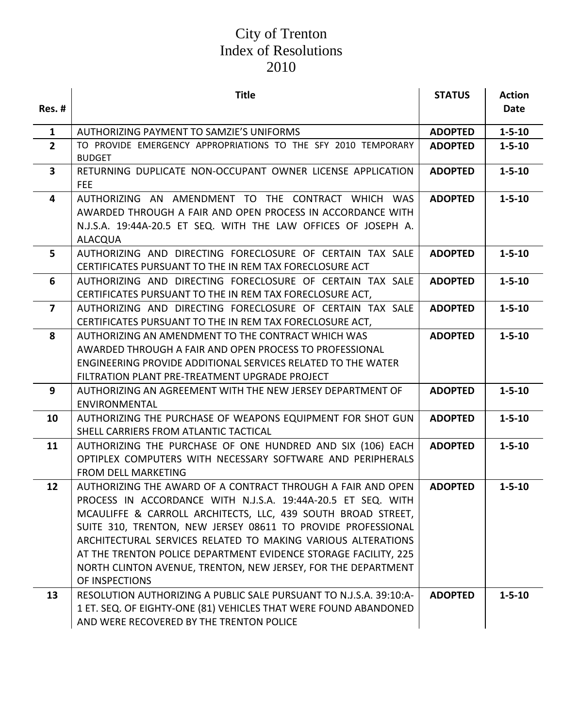|                         | <b>Title</b>                                                                                                                                                                                                                                                                                                                                                                                                                                                                      | <b>STATUS</b>  | <b>Action</b> |
|-------------------------|-----------------------------------------------------------------------------------------------------------------------------------------------------------------------------------------------------------------------------------------------------------------------------------------------------------------------------------------------------------------------------------------------------------------------------------------------------------------------------------|----------------|---------------|
| Res. #                  |                                                                                                                                                                                                                                                                                                                                                                                                                                                                                   |                | <b>Date</b>   |
| $\mathbf{1}$            | AUTHORIZING PAYMENT TO SAMZIE'S UNIFORMS                                                                                                                                                                                                                                                                                                                                                                                                                                          | <b>ADOPTED</b> | $1 - 5 - 10$  |
| $2^{\circ}$             | TO PROVIDE EMERGENCY APPROPRIATIONS TO THE SFY 2010 TEMPORARY<br><b>BUDGET</b>                                                                                                                                                                                                                                                                                                                                                                                                    | <b>ADOPTED</b> | $1 - 5 - 10$  |
| $\overline{\mathbf{3}}$ | RETURNING DUPLICATE NON-OCCUPANT OWNER LICENSE APPLICATION<br><b>FEE</b>                                                                                                                                                                                                                                                                                                                                                                                                          | <b>ADOPTED</b> | $1 - 5 - 10$  |
| 4                       | AUTHORIZING AN AMENDMENT TO THE CONTRACT WHICH WAS<br>AWARDED THROUGH A FAIR AND OPEN PROCESS IN ACCORDANCE WITH<br>N.J.S.A. 19:44A-20.5 ET SEQ. WITH THE LAW OFFICES OF JOSEPH A.<br><b>ALACQUA</b>                                                                                                                                                                                                                                                                              | <b>ADOPTED</b> | $1 - 5 - 10$  |
| 5                       | AUTHORIZING AND DIRECTING FORECLOSURE OF CERTAIN TAX SALE<br>CERTIFICATES PURSUANT TO THE IN REM TAX FORECLOSURE ACT                                                                                                                                                                                                                                                                                                                                                              | <b>ADOPTED</b> | $1 - 5 - 10$  |
| 6                       | AUTHORIZING AND DIRECTING FORECLOSURE OF CERTAIN TAX SALE<br>CERTIFICATES PURSUANT TO THE IN REM TAX FORECLOSURE ACT,                                                                                                                                                                                                                                                                                                                                                             | <b>ADOPTED</b> | $1 - 5 - 10$  |
| $\overline{7}$          | AUTHORIZING AND DIRECTING FORECLOSURE OF CERTAIN TAX SALE<br>CERTIFICATES PURSUANT TO THE IN REM TAX FORECLOSURE ACT,                                                                                                                                                                                                                                                                                                                                                             | <b>ADOPTED</b> | $1 - 5 - 10$  |
| 8                       | AUTHORIZING AN AMENDMENT TO THE CONTRACT WHICH WAS<br>AWARDED THROUGH A FAIR AND OPEN PROCESS TO PROFESSIONAL<br><b>ENGINEERING PROVIDE ADDITIONAL SERVICES RELATED TO THE WATER</b><br>FILTRATION PLANT PRE-TREATMENT UPGRADE PROJECT                                                                                                                                                                                                                                            | <b>ADOPTED</b> | $1 - 5 - 10$  |
| 9                       | AUTHORIZING AN AGREEMENT WITH THE NEW JERSEY DEPARTMENT OF<br>ENVIRONMENTAL                                                                                                                                                                                                                                                                                                                                                                                                       | <b>ADOPTED</b> | $1 - 5 - 10$  |
| 10                      | AUTHORIZING THE PURCHASE OF WEAPONS EQUIPMENT FOR SHOT GUN<br>SHELL CARRIERS FROM ATLANTIC TACTICAL                                                                                                                                                                                                                                                                                                                                                                               | <b>ADOPTED</b> | $1 - 5 - 10$  |
| 11                      | AUTHORIZING THE PURCHASE OF ONE HUNDRED AND SIX (106) EACH<br>OPTIPLEX COMPUTERS WITH NECESSARY SOFTWARE AND PERIPHERALS<br><b>FROM DELL MARKETING</b>                                                                                                                                                                                                                                                                                                                            | <b>ADOPTED</b> | $1 - 5 - 10$  |
| 12                      | AUTHORIZING THE AWARD OF A CONTRACT THROUGH A FAIR AND OPEN<br>PROCESS IN ACCORDANCE WITH N.J.S.A. 19:44A-20.5 ET SEQ. WITH<br>MCAULIFFE & CARROLL ARCHITECTS, LLC, 439 SOUTH BROAD STREET,<br>SUITE 310, TRENTON, NEW JERSEY 08611 TO PROVIDE PROFESSIONAL<br>ARCHITECTURAL SERVICES RELATED TO MAKING VARIOUS ALTERATIONS<br>AT THE TRENTON POLICE DEPARTMENT EVIDENCE STORAGE FACILITY, 225<br>NORTH CLINTON AVENUE, TRENTON, NEW JERSEY, FOR THE DEPARTMENT<br>OF INSPECTIONS | <b>ADOPTED</b> | $1 - 5 - 10$  |
| 13                      | RESOLUTION AUTHORIZING A PUBLIC SALE PURSUANT TO N.J.S.A. 39:10:A-<br>1 ET. SEQ. OF EIGHTY-ONE (81) VEHICLES THAT WERE FOUND ABANDONED<br>AND WERE RECOVERED BY THE TRENTON POLICE                                                                                                                                                                                                                                                                                                | <b>ADOPTED</b> | $1 - 5 - 10$  |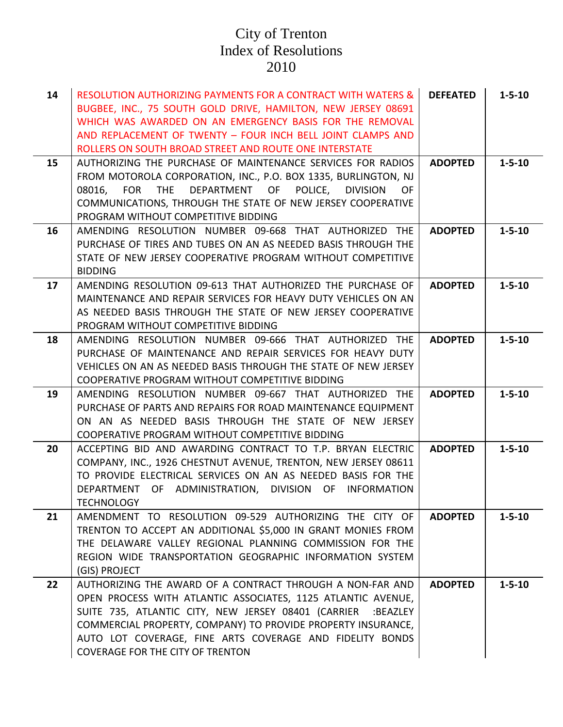| 14 | <b>RESOLUTION AUTHORIZING PAYMENTS FOR A CONTRACT WITH WATERS &amp;</b><br>BUGBEE, INC., 75 SOUTH GOLD DRIVE, HAMILTON, NEW JERSEY 08691<br>WHICH WAS AWARDED ON AN EMERGENCY BASIS FOR THE REMOVAL<br>AND REPLACEMENT OF TWENTY - FOUR INCH BELL JOINT CLAMPS AND<br>ROLLERS ON SOUTH BROAD STREET AND ROUTE ONE INTERSTATE                                 | <b>DEFEATED</b> | $1 - 5 - 10$ |
|----|--------------------------------------------------------------------------------------------------------------------------------------------------------------------------------------------------------------------------------------------------------------------------------------------------------------------------------------------------------------|-----------------|--------------|
| 15 | AUTHORIZING THE PURCHASE OF MAINTENANCE SERVICES FOR RADIOS<br>FROM MOTOROLA CORPORATION, INC., P.O. BOX 1335, BURLINGTON, NJ<br>DEPARTMENT OF POLICE,<br>08016, FOR THE<br><b>DIVISION</b><br>OF.<br>COMMUNICATIONS, THROUGH THE STATE OF NEW JERSEY COOPERATIVE<br>PROGRAM WITHOUT COMPETITIVE BIDDING                                                     | <b>ADOPTED</b>  | $1 - 5 - 10$ |
| 16 | AMENDING RESOLUTION NUMBER 09-668 THAT AUTHORIZED THE<br>PURCHASE OF TIRES AND TUBES ON AN AS NEEDED BASIS THROUGH THE<br>STATE OF NEW JERSEY COOPERATIVE PROGRAM WITHOUT COMPETITIVE<br><b>BIDDING</b>                                                                                                                                                      | <b>ADOPTED</b>  | $1 - 5 - 10$ |
| 17 | AMENDING RESOLUTION 09-613 THAT AUTHORIZED THE PURCHASE OF<br>MAINTENANCE AND REPAIR SERVICES FOR HEAVY DUTY VEHICLES ON AN<br>AS NEEDED BASIS THROUGH THE STATE OF NEW JERSEY COOPERATIVE<br>PROGRAM WITHOUT COMPETITIVE BIDDING                                                                                                                            | <b>ADOPTED</b>  | $1 - 5 - 10$ |
| 18 | AMENDING RESOLUTION NUMBER 09-666 THAT AUTHORIZED THE<br>PURCHASE OF MAINTENANCE AND REPAIR SERVICES FOR HEAVY DUTY<br>VEHICLES ON AN AS NEEDED BASIS THROUGH THE STATE OF NEW JERSEY<br>COOPERATIVE PROGRAM WITHOUT COMPETITIVE BIDDING                                                                                                                     | <b>ADOPTED</b>  | $1 - 5 - 10$ |
| 19 | AMENDING RESOLUTION NUMBER 09-667 THAT AUTHORIZED THE<br>PURCHASE OF PARTS AND REPAIRS FOR ROAD MAINTENANCE EQUIPMENT<br>ON AN AS NEEDED BASIS THROUGH THE STATE OF NEW JERSEY<br>COOPERATIVE PROGRAM WITHOUT COMPETITIVE BIDDING                                                                                                                            | <b>ADOPTED</b>  | $1 - 5 - 10$ |
| 20 | ACCEPTING BID AND AWARDING CONTRACT TO T.P. BRYAN ELECTRIC<br>COMPANY, INC., 1926 CHESTNUT AVENUE, TRENTON, NEW JERSEY 08611<br>TO PROVIDE ELECTRICAL SERVICES ON AN AS NEEDED BASIS FOR THE<br>DEPARTMENT OF ADMINISTRATION, DIVISION OF INFORMATION<br><b>TECHNOLOGY</b>                                                                                   | <b>ADOPTED</b>  | $1 - 5 - 10$ |
| 21 | AMENDMENT TO RESOLUTION 09-529 AUTHORIZING THE CITY OF<br>TRENTON TO ACCEPT AN ADDITIONAL \$5,000 IN GRANT MONIES FROM<br>THE DELAWARE VALLEY REGIONAL PLANNING COMMISSION FOR THE<br>REGION WIDE TRANSPORTATION GEOGRAPHIC INFORMATION SYSTEM<br>(GIS) PROJECT                                                                                              | <b>ADOPTED</b>  | $1 - 5 - 10$ |
| 22 | AUTHORIZING THE AWARD OF A CONTRACT THROUGH A NON-FAR AND<br>OPEN PROCESS WITH ATLANTIC ASSOCIATES, 1125 ATLANTIC AVENUE,<br>SUITE 735, ATLANTIC CITY, NEW JERSEY 08401 (CARRIER<br>:BEAZLEY<br>COMMERCIAL PROPERTY, COMPANY) TO PROVIDE PROPERTY INSURANCE,<br>AUTO LOT COVERAGE, FINE ARTS COVERAGE AND FIDELITY BONDS<br>COVERAGE FOR THE CITY OF TRENTON | <b>ADOPTED</b>  | $1 - 5 - 10$ |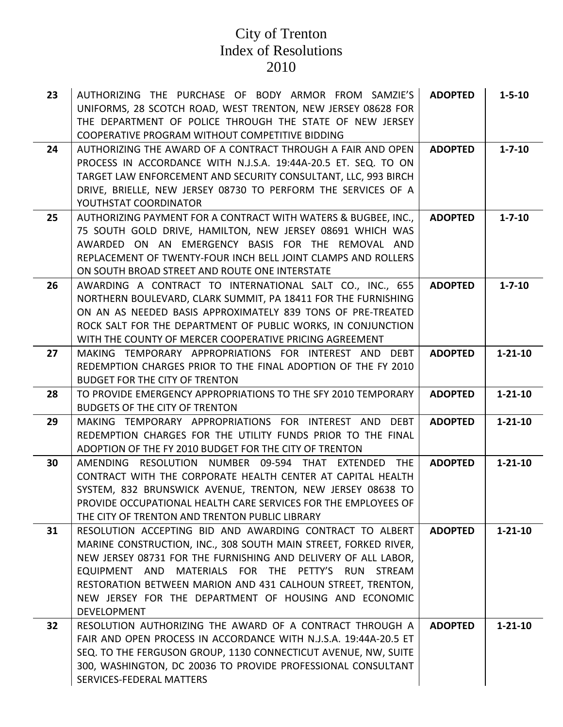| 23 | AUTHORIZING THE PURCHASE OF BODY ARMOR FROM SAMZIE'S                                                                          | <b>ADOPTED</b> | $1 - 5 - 10$  |
|----|-------------------------------------------------------------------------------------------------------------------------------|----------------|---------------|
|    | UNIFORMS, 28 SCOTCH ROAD, WEST TRENTON, NEW JERSEY 08628 FOR                                                                  |                |               |
|    | THE DEPARTMENT OF POLICE THROUGH THE STATE OF NEW JERSEY                                                                      |                |               |
|    | COOPERATIVE PROGRAM WITHOUT COMPETITIVE BIDDING                                                                               |                |               |
| 24 | AUTHORIZING THE AWARD OF A CONTRACT THROUGH A FAIR AND OPEN<br>PROCESS IN ACCORDANCE WITH N.J.S.A. 19:44A-20.5 ET. SEQ. TO ON | <b>ADOPTED</b> | $1 - 7 - 10$  |
|    | TARGET LAW ENFORCEMENT AND SECURITY CONSULTANT, LLC, 993 BIRCH                                                                |                |               |
|    | DRIVE, BRIELLE, NEW JERSEY 08730 TO PERFORM THE SERVICES OF A                                                                 |                |               |
|    | YOUTHSTAT COORDINATOR                                                                                                         |                |               |
| 25 | AUTHORIZING PAYMENT FOR A CONTRACT WITH WATERS & BUGBEE, INC.,                                                                | <b>ADOPTED</b> | $1 - 7 - 10$  |
|    | 75 SOUTH GOLD DRIVE, HAMILTON, NEW JERSEY 08691 WHICH WAS                                                                     |                |               |
|    | AWARDED ON AN EMERGENCY BASIS FOR THE REMOVAL AND                                                                             |                |               |
|    | REPLACEMENT OF TWENTY-FOUR INCH BELL JOINT CLAMPS AND ROLLERS                                                                 |                |               |
|    | ON SOUTH BROAD STREET AND ROUTE ONE INTERSTATE                                                                                |                |               |
| 26 | AWARDING A CONTRACT TO INTERNATIONAL SALT CO., INC., 655                                                                      | <b>ADOPTED</b> | $1 - 7 - 10$  |
|    | NORTHERN BOULEVARD, CLARK SUMMIT, PA 18411 FOR THE FURNISHING                                                                 |                |               |
|    | ON AN AS NEEDED BASIS APPROXIMATELY 839 TONS OF PRE-TREATED                                                                   |                |               |
|    | ROCK SALT FOR THE DEPARTMENT OF PUBLIC WORKS, IN CONJUNCTION                                                                  |                |               |
|    | WITH THE COUNTY OF MERCER COOPERATIVE PRICING AGREEMENT                                                                       |                |               |
| 27 | MAKING TEMPORARY APPROPRIATIONS FOR INTEREST AND DEBT                                                                         | <b>ADOPTED</b> | $1 - 21 - 10$ |
|    | REDEMPTION CHARGES PRIOR TO THE FINAL ADOPTION OF THE FY 2010                                                                 |                |               |
|    | <b>BUDGET FOR THE CITY OF TRENTON</b>                                                                                         |                |               |
| 28 | TO PROVIDE EMERGENCY APPROPRIATIONS TO THE SFY 2010 TEMPORARY                                                                 | <b>ADOPTED</b> | $1 - 21 - 10$ |
|    |                                                                                                                               |                |               |
|    | <b>BUDGETS OF THE CITY OF TRENTON</b>                                                                                         |                |               |
| 29 | MAKING TEMPORARY APPROPRIATIONS FOR INTEREST AND DEBT                                                                         | <b>ADOPTED</b> | $1 - 21 - 10$ |
|    | REDEMPTION CHARGES FOR THE UTILITY FUNDS PRIOR TO THE FINAL                                                                   |                |               |
|    | ADOPTION OF THE FY 2010 BUDGET FOR THE CITY OF TRENTON                                                                        |                |               |
| 30 | RESOLUTION NUMBER 09-594 THAT EXTENDED THE<br>AMENDING                                                                        | <b>ADOPTED</b> | $1 - 21 - 10$ |
|    | CONTRACT WITH THE CORPORATE HEALTH CENTER AT CAPITAL HEALTH                                                                   |                |               |
|    | SYSTEM, 832 BRUNSWICK AVENUE, TRENTON, NEW JERSEY 08638 TO                                                                    |                |               |
|    | PROVIDE OCCUPATIONAL HEALTH CARE SERVICES FOR THE EMPLOYEES OF                                                                |                |               |
|    | THE CITY OF TRENTON AND TRENTON PUBLIC LIBRARY                                                                                |                |               |
| 31 | RESOLUTION ACCEPTING BID AND AWARDING CONTRACT TO ALBERT                                                                      | <b>ADOPTED</b> | $1 - 21 - 10$ |
|    | MARINE CONSTRUCTION, INC., 308 SOUTH MAIN STREET, FORKED RIVER,                                                               |                |               |
|    | NEW JERSEY 08731 FOR THE FURNISHING AND DELIVERY OF ALL LABOR,                                                                |                |               |
|    | EQUIPMENT AND MATERIALS FOR THE PETTY'S RUN STREAM                                                                            |                |               |
|    | RESTORATION BETWEEN MARION AND 431 CALHOUN STREET, TRENTON,<br>NEW JERSEY FOR THE DEPARTMENT OF HOUSING AND ECONOMIC          |                |               |
|    | DEVELOPMENT                                                                                                                   |                |               |
| 32 | RESOLUTION AUTHORIZING THE AWARD OF A CONTRACT THROUGH A                                                                      | <b>ADOPTED</b> | $1 - 21 - 10$ |
|    | FAIR AND OPEN PROCESS IN ACCORDANCE WITH N.J.S.A. 19:44A-20.5 ET                                                              |                |               |
|    | SEQ. TO THE FERGUSON GROUP, 1130 CONNECTICUT AVENUE, NW, SUITE                                                                |                |               |
|    | 300, WASHINGTON, DC 20036 TO PROVIDE PROFESSIONAL CONSULTANT                                                                  |                |               |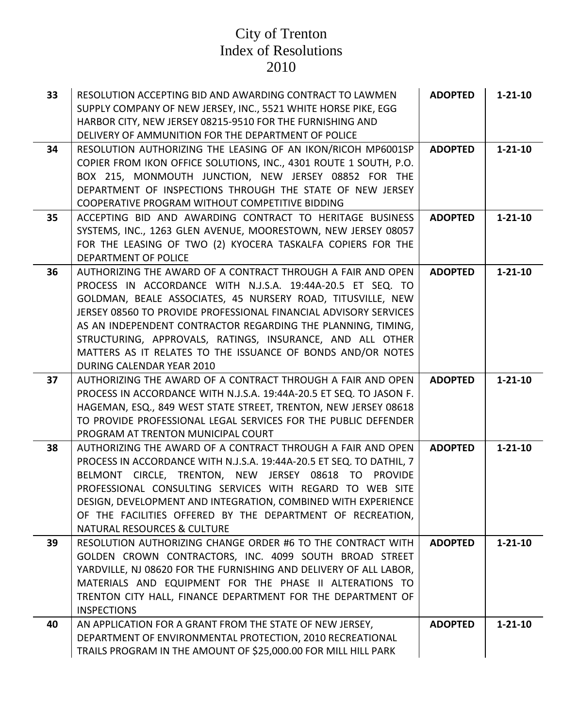| 33 | RESOLUTION ACCEPTING BID AND AWARDING CONTRACT TO LAWMEN<br>SUPPLY COMPANY OF NEW JERSEY, INC., 5521 WHITE HORSE PIKE, EGG<br>HARBOR CITY, NEW JERSEY 08215-9510 FOR THE FURNISHING AND<br>DELIVERY OF AMMUNITION FOR THE DEPARTMENT OF POLICE                                                                                                                                                                                                                                        | <b>ADOPTED</b> | $1 - 21 - 10$ |
|----|---------------------------------------------------------------------------------------------------------------------------------------------------------------------------------------------------------------------------------------------------------------------------------------------------------------------------------------------------------------------------------------------------------------------------------------------------------------------------------------|----------------|---------------|
| 34 | RESOLUTION AUTHORIZING THE LEASING OF AN IKON/RICOH MP6001SP<br>COPIER FROM IKON OFFICE SOLUTIONS, INC., 4301 ROUTE 1 SOUTH, P.O.<br>BOX 215, MONMOUTH JUNCTION, NEW JERSEY 08852 FOR THE<br>DEPARTMENT OF INSPECTIONS THROUGH THE STATE OF NEW JERSEY<br>COOPERATIVE PROGRAM WITHOUT COMPETITIVE BIDDING                                                                                                                                                                             | <b>ADOPTED</b> | $1 - 21 - 10$ |
| 35 | ACCEPTING BID AND AWARDING CONTRACT TO HERITAGE BUSINESS<br>SYSTEMS, INC., 1263 GLEN AVENUE, MOORESTOWN, NEW JERSEY 08057<br>FOR THE LEASING OF TWO (2) KYOCERA TASKALFA COPIERS FOR THE<br>DEPARTMENT OF POLICE                                                                                                                                                                                                                                                                      | <b>ADOPTED</b> | $1 - 21 - 10$ |
| 36 | AUTHORIZING THE AWARD OF A CONTRACT THROUGH A FAIR AND OPEN<br>PROCESS IN ACCORDANCE WITH N.J.S.A. 19:44A-20.5 ET SEQ. TO<br>GOLDMAN, BEALE ASSOCIATES, 45 NURSERY ROAD, TITUSVILLE, NEW<br>JERSEY 08560 TO PROVIDE PROFESSIONAL FINANCIAL ADVISORY SERVICES<br>AS AN INDEPENDENT CONTRACTOR REGARDING THE PLANNING, TIMING,<br>STRUCTURING, APPROVALS, RATINGS, INSURANCE, AND ALL OTHER<br>MATTERS AS IT RELATES TO THE ISSUANCE OF BONDS AND/OR NOTES<br>DURING CALENDAR YEAR 2010 | <b>ADOPTED</b> | $1 - 21 - 10$ |
| 37 | AUTHORIZING THE AWARD OF A CONTRACT THROUGH A FAIR AND OPEN<br>PROCESS IN ACCORDANCE WITH N.J.S.A. 19:44A-20.5 ET SEQ. TO JASON F.<br>HAGEMAN, ESQ., 849 WEST STATE STREET, TRENTON, NEW JERSEY 08618<br>TO PROVIDE PROFESSIONAL LEGAL SERVICES FOR THE PUBLIC DEFENDER<br>PROGRAM AT TRENTON MUNICIPAL COURT                                                                                                                                                                         | <b>ADOPTED</b> | $1 - 21 - 10$ |
| 38 | AUTHORIZING THE AWARD OF A CONTRACT THROUGH A FAIR AND OPEN<br>PROCESS IN ACCORDANCE WITH N.J.S.A. 19:44A-20.5 ET SEQ. TO DATHIL, 7<br>BELMONT CIRCLE, TRENTON, NEW JERSEY 08618 TO<br>PROVIDE<br>PROFESSIONAL CONSULTING SERVICES WITH REGARD TO WEB SITE<br>DESIGN, DEVELOPMENT AND INTEGRATION, COMBINED WITH EXPERIENCE<br>OF THE FACILITIES OFFERED BY THE DEPARTMENT OF RECREATION,<br>NATURAL RESOURCES & CULTURE                                                              | <b>ADOPTED</b> | $1 - 21 - 10$ |
| 39 | RESOLUTION AUTHORIZING CHANGE ORDER #6 TO THE CONTRACT WITH<br>GOLDEN CROWN CONTRACTORS, INC. 4099 SOUTH BROAD STREET<br>YARDVILLE, NJ 08620 FOR THE FURNISHING AND DELIVERY OF ALL LABOR,<br>MATERIALS AND EQUIPMENT FOR THE PHASE II ALTERATIONS TO<br>TRENTON CITY HALL, FINANCE DEPARTMENT FOR THE DEPARTMENT OF<br><b>INSPECTIONS</b>                                                                                                                                            | <b>ADOPTED</b> | $1 - 21 - 10$ |
| 40 | AN APPLICATION FOR A GRANT FROM THE STATE OF NEW JERSEY,<br>DEPARTMENT OF ENVIRONMENTAL PROTECTION, 2010 RECREATIONAL<br>TRAILS PROGRAM IN THE AMOUNT OF \$25,000.00 FOR MILL HILL PARK                                                                                                                                                                                                                                                                                               | <b>ADOPTED</b> | $1 - 21 - 10$ |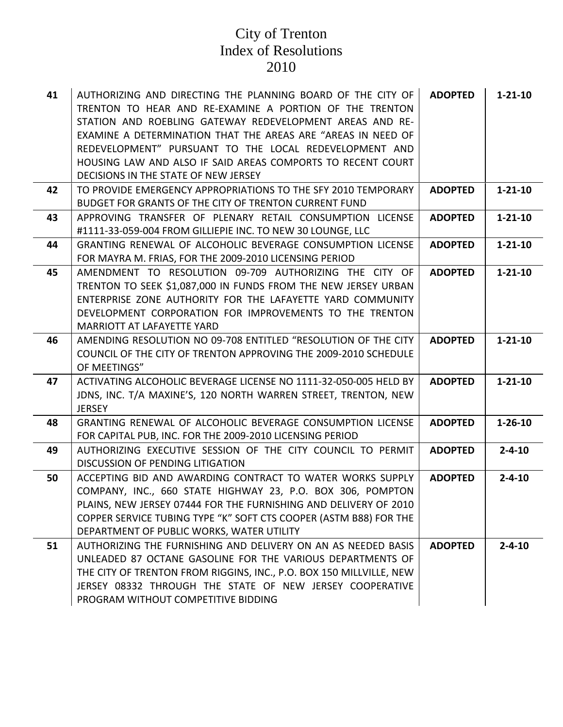| 41 | AUTHORIZING AND DIRECTING THE PLANNING BOARD OF THE CITY OF<br>TRENTON TO HEAR AND RE-EXAMINE A PORTION OF THE TRENTON<br>STATION AND ROEBLING GATEWAY REDEVELOPMENT AREAS AND RE-<br>EXAMINE A DETERMINATION THAT THE AREAS ARE "AREAS IN NEED OF<br>REDEVELOPMENT" PURSUANT TO THE LOCAL REDEVELOPMENT AND<br>HOUSING LAW AND ALSO IF SAID AREAS COMPORTS TO RECENT COURT<br>DECISIONS IN THE STATE OF NEW JERSEY | <b>ADOPTED</b> | $1 - 21 - 10$ |
|----|---------------------------------------------------------------------------------------------------------------------------------------------------------------------------------------------------------------------------------------------------------------------------------------------------------------------------------------------------------------------------------------------------------------------|----------------|---------------|
| 42 | TO PROVIDE EMERGENCY APPROPRIATIONS TO THE SFY 2010 TEMPORARY<br>BUDGET FOR GRANTS OF THE CITY OF TRENTON CURRENT FUND                                                                                                                                                                                                                                                                                              | <b>ADOPTED</b> | $1 - 21 - 10$ |
| 43 | APPROVING TRANSFER OF PLENARY RETAIL CONSUMPTION LICENSE<br>#1111-33-059-004 FROM GILLIEPIE INC. TO NEW 30 LOUNGE, LLC                                                                                                                                                                                                                                                                                              | <b>ADOPTED</b> | $1 - 21 - 10$ |
| 44 | GRANTING RENEWAL OF ALCOHOLIC BEVERAGE CONSUMPTION LICENSE<br>FOR MAYRA M. FRIAS, FOR THE 2009-2010 LICENSING PERIOD                                                                                                                                                                                                                                                                                                | <b>ADOPTED</b> | $1 - 21 - 10$ |
| 45 | AMENDMENT TO RESOLUTION 09-709 AUTHORIZING THE CITY OF<br>TRENTON TO SEEK \$1,087,000 IN FUNDS FROM THE NEW JERSEY URBAN<br>ENTERPRISE ZONE AUTHORITY FOR THE LAFAYETTE YARD COMMUNITY<br>DEVELOPMENT CORPORATION FOR IMPROVEMENTS TO THE TRENTON<br><b>MARRIOTT AT LAFAYETTE YARD</b>                                                                                                                              | <b>ADOPTED</b> | $1 - 21 - 10$ |
| 46 | AMENDING RESOLUTION NO 09-708 ENTITLED "RESOLUTION OF THE CITY<br>COUNCIL OF THE CITY OF TRENTON APPROVING THE 2009-2010 SCHEDULE<br>OF MEETINGS"                                                                                                                                                                                                                                                                   | <b>ADOPTED</b> | $1 - 21 - 10$ |
| 47 | ACTIVATING ALCOHOLIC BEVERAGE LICENSE NO 1111-32-050-005 HELD BY<br>JDNS, INC. T/A MAXINE'S, 120 NORTH WARREN STREET, TRENTON, NEW<br><b>JERSEY</b>                                                                                                                                                                                                                                                                 | <b>ADOPTED</b> | $1 - 21 - 10$ |
| 48 | GRANTING RENEWAL OF ALCOHOLIC BEVERAGE CONSUMPTION LICENSE<br>FOR CAPITAL PUB, INC. FOR THE 2009-2010 LICENSING PERIOD                                                                                                                                                                                                                                                                                              | <b>ADOPTED</b> | $1 - 26 - 10$ |
| 49 | AUTHORIZING EXECUTIVE SESSION OF THE CITY COUNCIL TO PERMIT<br><b>DISCUSSION OF PENDING LITIGATION</b>                                                                                                                                                                                                                                                                                                              | <b>ADOPTED</b> | $2 - 4 - 10$  |
| 50 | ACCEPTING BID AND AWARDING CONTRACT TO WATER WORKS SUPPLY<br>COMPANY, INC., 660 STATE HIGHWAY 23, P.O. BOX 306, POMPTON<br>PLAINS, NEW JERSEY 07444 FOR THE FURNISHING AND DELIVERY OF 2010<br>COPPER SERVICE TUBING TYPE "K" SOFT CTS COOPER (ASTM B88) FOR THE<br>DEPARTMENT OF PUBLIC WORKS, WATER UTILITY                                                                                                       | <b>ADOPTED</b> | $2 - 4 - 10$  |
| 51 | AUTHORIZING THE FURNISHING AND DELIVERY ON AN AS NEEDED BASIS<br>UNLEADED 87 OCTANE GASOLINE FOR THE VARIOUS DEPARTMENTS OF<br>THE CITY OF TRENTON FROM RIGGINS, INC., P.O. BOX 150 MILLVILLE, NEW<br>JERSEY 08332 THROUGH THE STATE OF NEW JERSEY COOPERATIVE<br>PROGRAM WITHOUT COMPETITIVE BIDDING                                                                                                               | <b>ADOPTED</b> | $2 - 4 - 10$  |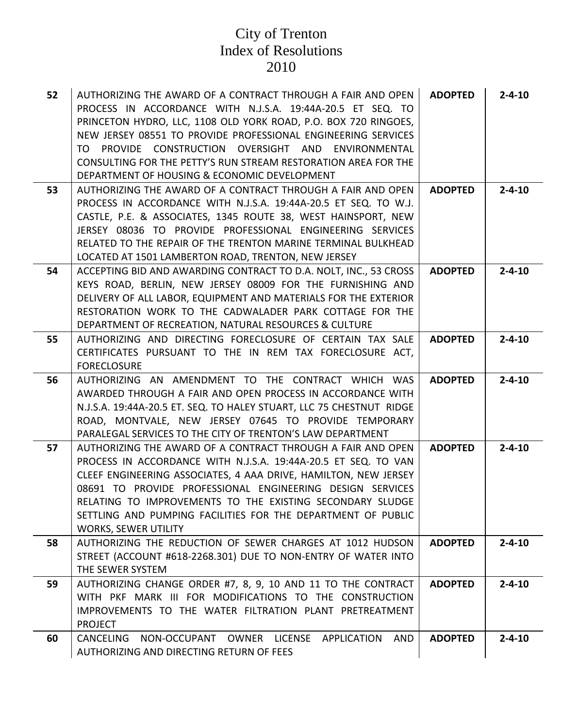| 52 | AUTHORIZING THE AWARD OF A CONTRACT THROUGH A FAIR AND OPEN<br>PROCESS IN ACCORDANCE WITH N.J.S.A. 19:44A-20.5 ET SEQ. TO<br>PRINCETON HYDRO, LLC, 1108 OLD YORK ROAD, P.O. BOX 720 RINGOES,<br>NEW JERSEY 08551 TO PROVIDE PROFESSIONAL ENGINEERING SERVICES<br>PROVIDE CONSTRUCTION OVERSIGHT AND ENVIRONMENTAL<br>TO.<br>CONSULTING FOR THE PETTY'S RUN STREAM RESTORATION AREA FOR THE<br>DEPARTMENT OF HOUSING & ECONOMIC DEVELOPMENT | <b>ADOPTED</b> | $2 - 4 - 10$ |
|----|--------------------------------------------------------------------------------------------------------------------------------------------------------------------------------------------------------------------------------------------------------------------------------------------------------------------------------------------------------------------------------------------------------------------------------------------|----------------|--------------|
| 53 | AUTHORIZING THE AWARD OF A CONTRACT THROUGH A FAIR AND OPEN<br>PROCESS IN ACCORDANCE WITH N.J.S.A. 19:44A-20.5 ET SEQ. TO W.J.                                                                                                                                                                                                                                                                                                             | <b>ADOPTED</b> | $2 - 4 - 10$ |
|    | CASTLE, P.E. & ASSOCIATES, 1345 ROUTE 38, WEST HAINSPORT, NEW                                                                                                                                                                                                                                                                                                                                                                              |                |              |
|    | JERSEY 08036 TO PROVIDE PROFESSIONAL ENGINEERING SERVICES                                                                                                                                                                                                                                                                                                                                                                                  |                |              |
|    | RELATED TO THE REPAIR OF THE TRENTON MARINE TERMINAL BULKHEAD                                                                                                                                                                                                                                                                                                                                                                              |                |              |
|    | LOCATED AT 1501 LAMBERTON ROAD, TRENTON, NEW JERSEY                                                                                                                                                                                                                                                                                                                                                                                        |                |              |
| 54 | ACCEPTING BID AND AWARDING CONTRACT TO D.A. NOLT, INC., 53 CROSS<br>KEYS ROAD, BERLIN, NEW JERSEY 08009 FOR THE FURNISHING AND                                                                                                                                                                                                                                                                                                             | <b>ADOPTED</b> | $2 - 4 - 10$ |
|    | DELIVERY OF ALL LABOR, EQUIPMENT AND MATERIALS FOR THE EXTERIOR                                                                                                                                                                                                                                                                                                                                                                            |                |              |
|    | RESTORATION WORK TO THE CADWALADER PARK COTTAGE FOR THE                                                                                                                                                                                                                                                                                                                                                                                    |                |              |
|    | DEPARTMENT OF RECREATION, NATURAL RESOURCES & CULTURE                                                                                                                                                                                                                                                                                                                                                                                      |                |              |
| 55 | AUTHORIZING AND DIRECTING FORECLOSURE OF CERTAIN TAX SALE                                                                                                                                                                                                                                                                                                                                                                                  | <b>ADOPTED</b> | $2 - 4 - 10$ |
|    | CERTIFICATES PURSUANT TO THE IN REM TAX FORECLOSURE ACT,<br><b>FORECLOSURE</b>                                                                                                                                                                                                                                                                                                                                                             |                |              |
| 56 | AUTHORIZING AN AMENDMENT TO THE CONTRACT WHICH WAS                                                                                                                                                                                                                                                                                                                                                                                         | <b>ADOPTED</b> | $2 - 4 - 10$ |
|    | AWARDED THROUGH A FAIR AND OPEN PROCESS IN ACCORDANCE WITH                                                                                                                                                                                                                                                                                                                                                                                 |                |              |
|    | N.J.S.A. 19:44A-20.5 ET. SEQ. TO HALEY STUART, LLC 75 CHESTNUT RIDGE                                                                                                                                                                                                                                                                                                                                                                       |                |              |
|    | ROAD, MONTVALE, NEW JERSEY 07645 TO PROVIDE TEMPORARY<br>PARALEGAL SERVICES TO THE CITY OF TRENTON'S LAW DEPARTMENT                                                                                                                                                                                                                                                                                                                        |                |              |
| 57 | AUTHORIZING THE AWARD OF A CONTRACT THROUGH A FAIR AND OPEN                                                                                                                                                                                                                                                                                                                                                                                | <b>ADOPTED</b> | $2 - 4 - 10$ |
|    | PROCESS IN ACCORDANCE WITH N.J.S.A. 19:44A-20.5 ET SEQ. TO VAN                                                                                                                                                                                                                                                                                                                                                                             |                |              |
|    | CLEEF ENGINEERING ASSOCIATES, 4 AAA DRIVE, HAMILTON, NEW JERSEY                                                                                                                                                                                                                                                                                                                                                                            |                |              |
|    | 08691 TO PROVIDE PROFESSIONAL ENGINEERING DESIGN SERVICES                                                                                                                                                                                                                                                                                                                                                                                  |                |              |
|    | RELATING TO IMPROVEMENTS TO THE EXISTING SECONDARY SLUDGE<br>SETTLING AND PUMPING FACILITIES FOR THE DEPARTMENT OF PUBLIC                                                                                                                                                                                                                                                                                                                  |                |              |
|    | <b>WORKS, SEWER UTILITY</b>                                                                                                                                                                                                                                                                                                                                                                                                                |                |              |
| 58 | AUTHORIZING THE REDUCTION OF SEWER CHARGES AT 1012 HUDSON                                                                                                                                                                                                                                                                                                                                                                                  | <b>ADOPTED</b> | $2 - 4 - 10$ |
|    | STREET (ACCOUNT #618-2268.301) DUE TO NON-ENTRY OF WATER INTO                                                                                                                                                                                                                                                                                                                                                                              |                |              |
|    | THE SEWER SYSTEM                                                                                                                                                                                                                                                                                                                                                                                                                           |                |              |
| 59 | AUTHORIZING CHANGE ORDER #7, 8, 9, 10 AND 11 TO THE CONTRACT<br>WITH PKF MARK III FOR MODIFICATIONS TO THE CONSTRUCTION                                                                                                                                                                                                                                                                                                                    | <b>ADOPTED</b> | $2 - 4 - 10$ |
|    | IMPROVEMENTS TO THE WATER FILTRATION PLANT PRETREATMENT                                                                                                                                                                                                                                                                                                                                                                                    |                |              |
|    | <b>PROJECT</b>                                                                                                                                                                                                                                                                                                                                                                                                                             |                |              |
| 60 | NON-OCCUPANT OWNER LICENSE APPLICATION<br>AND<br>CANCELING                                                                                                                                                                                                                                                                                                                                                                                 | <b>ADOPTED</b> | $2 - 4 - 10$ |
|    | AUTHORIZING AND DIRECTING RETURN OF FEES                                                                                                                                                                                                                                                                                                                                                                                                   |                |              |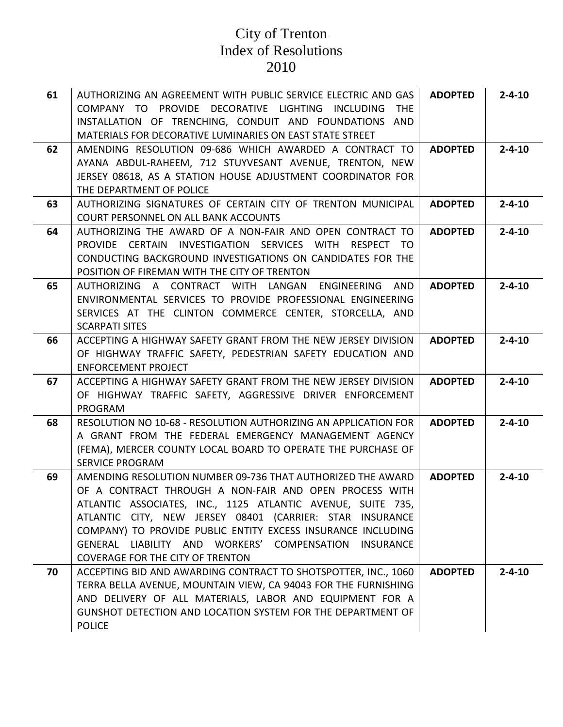| 61 | AUTHORIZING AN AGREEMENT WITH PUBLIC SERVICE ELECTRIC AND GAS<br>COMPANY TO PROVIDE DECORATIVE LIGHTING INCLUDING THE<br>INSTALLATION OF TRENCHING, CONDUIT AND FOUNDATIONS AND<br>MATERIALS FOR DECORATIVE LUMINARIES ON EAST STATE STREET                                                                                                                                                                                    | <b>ADOPTED</b> | $2 - 4 - 10$ |
|----|--------------------------------------------------------------------------------------------------------------------------------------------------------------------------------------------------------------------------------------------------------------------------------------------------------------------------------------------------------------------------------------------------------------------------------|----------------|--------------|
| 62 | AMENDING RESOLUTION 09-686 WHICH AWARDED A CONTRACT TO<br>AYANA ABDUL-RAHEEM, 712 STUYVESANT AVENUE, TRENTON, NEW<br>JERSEY 08618, AS A STATION HOUSE ADJUSTMENT COORDINATOR FOR<br>THE DEPARTMENT OF POLICE                                                                                                                                                                                                                   | <b>ADOPTED</b> | $2 - 4 - 10$ |
| 63 | AUTHORIZING SIGNATURES OF CERTAIN CITY OF TRENTON MUNICIPAL<br><b>COURT PERSONNEL ON ALL BANK ACCOUNTS</b>                                                                                                                                                                                                                                                                                                                     | <b>ADOPTED</b> | $2 - 4 - 10$ |
| 64 | AUTHORIZING THE AWARD OF A NON-FAIR AND OPEN CONTRACT TO<br>PROVIDE CERTAIN INVESTIGATION SERVICES WITH RESPECT TO<br>CONDUCTING BACKGROUND INVESTIGATIONS ON CANDIDATES FOR THE<br>POSITION OF FIREMAN WITH THE CITY OF TRENTON                                                                                                                                                                                               | <b>ADOPTED</b> | $2 - 4 - 10$ |
| 65 | <b>AUTHORIZING</b><br>A CONTRACT WITH LANGAN<br>ENGINEERING AND<br>ENVIRONMENTAL SERVICES TO PROVIDE PROFESSIONAL ENGINEERING<br>SERVICES AT THE CLINTON COMMERCE CENTER, STORCELLA, AND<br><b>SCARPATI SITES</b>                                                                                                                                                                                                              | <b>ADOPTED</b> | $2 - 4 - 10$ |
| 66 | ACCEPTING A HIGHWAY SAFETY GRANT FROM THE NEW JERSEY DIVISION<br>OF HIGHWAY TRAFFIC SAFETY, PEDESTRIAN SAFETY EDUCATION AND<br><b>ENFORCEMENT PROJECT</b>                                                                                                                                                                                                                                                                      | <b>ADOPTED</b> | $2 - 4 - 10$ |
| 67 | ACCEPTING A HIGHWAY SAFETY GRANT FROM THE NEW JERSEY DIVISION<br>OF HIGHWAY TRAFFIC SAFETY, AGGRESSIVE DRIVER ENFORCEMENT<br><b>PROGRAM</b>                                                                                                                                                                                                                                                                                    | <b>ADOPTED</b> | $2 - 4 - 10$ |
| 68 | RESOLUTION NO 10-68 - RESOLUTION AUTHORIZING AN APPLICATION FOR<br>A GRANT FROM THE FEDERAL EMERGENCY MANAGEMENT AGENCY<br>(FEMA), MERCER COUNTY LOCAL BOARD TO OPERATE THE PURCHASE OF<br><b>SERVICE PROGRAM</b>                                                                                                                                                                                                              | <b>ADOPTED</b> | $2 - 4 - 10$ |
| 69 | AMENDING RESOLUTION NUMBER 09-736 THAT AUTHORIZED THE AWARD<br>OF A CONTRACT THROUGH A NON-FAIR AND OPEN PROCESS WITH<br>ATLANTIC ASSOCIATES, INC., 1125 ATLANTIC AVENUE, SUITE 735,<br>ATLANTIC CITY, NEW JERSEY 08401 (CARRIER: STAR INSURANCE<br>COMPANY) TO PROVIDE PUBLIC ENTITY EXCESS INSURANCE INCLUDING<br>GENERAL LIABILITY AND WORKERS' COMPENSATION<br><b>INSURANCE</b><br><b>COVERAGE FOR THE CITY OF TRENTON</b> | <b>ADOPTED</b> | $2 - 4 - 10$ |
| 70 | ACCEPTING BID AND AWARDING CONTRACT TO SHOTSPOTTER, INC., 1060<br>TERRA BELLA AVENUE, MOUNTAIN VIEW, CA 94043 FOR THE FURNISHING<br>AND DELIVERY OF ALL MATERIALS, LABOR AND EQUIPMENT FOR A<br>GUNSHOT DETECTION AND LOCATION SYSTEM FOR THE DEPARTMENT OF<br><b>POLICE</b>                                                                                                                                                   | <b>ADOPTED</b> | $2 - 4 - 10$ |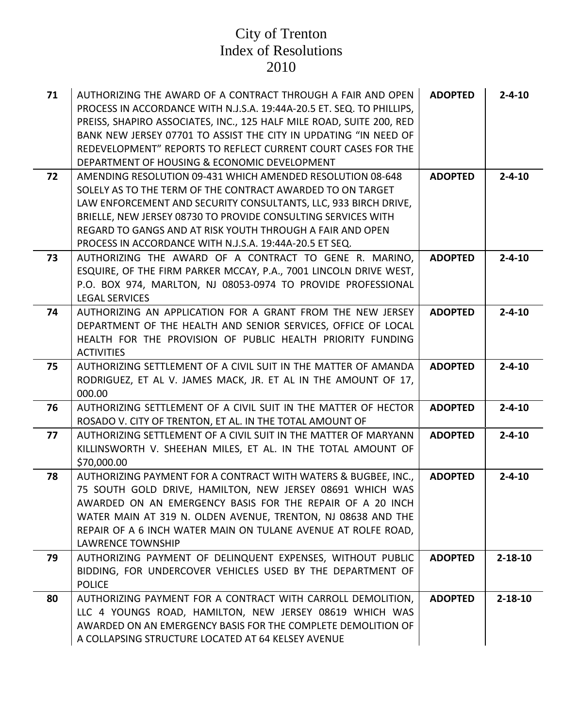| 71 | AUTHORIZING THE AWARD OF A CONTRACT THROUGH A FAIR AND OPEN<br>PROCESS IN ACCORDANCE WITH N.J.S.A. 19:44A-20.5 ET. SEQ. TO PHILLIPS,<br>PREISS, SHAPIRO ASSOCIATES, INC., 125 HALF MILE ROAD, SUITE 200, RED<br>BANK NEW JERSEY 07701 TO ASSIST THE CITY IN UPDATING "IN NEED OF<br>REDEVELOPMENT" REPORTS TO REFLECT CURRENT COURT CASES FOR THE<br>DEPARTMENT OF HOUSING & ECONOMIC DEVELOPMENT | <b>ADOPTED</b> | $2 - 4 - 10$  |
|----|---------------------------------------------------------------------------------------------------------------------------------------------------------------------------------------------------------------------------------------------------------------------------------------------------------------------------------------------------------------------------------------------------|----------------|---------------|
| 72 | AMENDING RESOLUTION 09-431 WHICH AMENDED RESOLUTION 08-648<br>SOLELY AS TO THE TERM OF THE CONTRACT AWARDED TO ON TARGET<br>LAW ENFORCEMENT AND SECURITY CONSULTANTS, LLC, 933 BIRCH DRIVE,<br>BRIELLE, NEW JERSEY 08730 TO PROVIDE CONSULTING SERVICES WITH<br>REGARD TO GANGS AND AT RISK YOUTH THROUGH A FAIR AND OPEN<br>PROCESS IN ACCORDANCE WITH N.J.S.A. 19:44A-20.5 ET SEQ.              | <b>ADOPTED</b> | $2 - 4 - 10$  |
| 73 | AUTHORIZING THE AWARD OF A CONTRACT TO GENE R. MARINO,<br>ESQUIRE, OF THE FIRM PARKER MCCAY, P.A., 7001 LINCOLN DRIVE WEST,<br>P.O. BOX 974, MARLTON, NJ 08053-0974 TO PROVIDE PROFESSIONAL<br><b>LEGAL SERVICES</b>                                                                                                                                                                              | <b>ADOPTED</b> | $2 - 4 - 10$  |
| 74 | AUTHORIZING AN APPLICATION FOR A GRANT FROM THE NEW JERSEY<br>DEPARTMENT OF THE HEALTH AND SENIOR SERVICES, OFFICE OF LOCAL<br>HEALTH FOR THE PROVISION OF PUBLIC HEALTH PRIORITY FUNDING<br><b>ACTIVITIES</b>                                                                                                                                                                                    | <b>ADOPTED</b> | $2 - 4 - 10$  |
| 75 | AUTHORIZING SETTLEMENT OF A CIVIL SUIT IN THE MATTER OF AMANDA<br>RODRIGUEZ, ET AL V. JAMES MACK, JR. ET AL IN THE AMOUNT OF 17,<br>000.00                                                                                                                                                                                                                                                        | <b>ADOPTED</b> | $2 - 4 - 10$  |
| 76 | AUTHORIZING SETTLEMENT OF A CIVIL SUIT IN THE MATTER OF HECTOR<br>ROSADO V. CITY OF TRENTON, ET AL. IN THE TOTAL AMOUNT OF                                                                                                                                                                                                                                                                        | <b>ADOPTED</b> | $2 - 4 - 10$  |
| 77 | AUTHORIZING SETTLEMENT OF A CIVIL SUIT IN THE MATTER OF MARYANN<br>KILLINSWORTH V. SHEEHAN MILES, ET AL. IN THE TOTAL AMOUNT OF<br>\$70,000.00                                                                                                                                                                                                                                                    | <b>ADOPTED</b> | $2 - 4 - 10$  |
| 78 | AUTHORIZING PAYMENT FOR A CONTRACT WITH WATERS & BUGBEE, INC.,<br>75 SOUTH GOLD DRIVE, HAMILTON, NEW JERSEY 08691 WHICH WAS<br>AWARDED ON AN EMERGENCY BASIS FOR THE REPAIR OF A 20 INCH<br>WATER MAIN AT 319 N. OLDEN AVENUE, TRENTON, NJ 08638 AND THE<br>REPAIR OF A 6 INCH WATER MAIN ON TULANE AVENUE AT ROLFE ROAD,<br><b>LAWRENCE TOWNSHIP</b>                                             | <b>ADOPTED</b> | $2 - 4 - 10$  |
| 79 | AUTHORIZING PAYMENT OF DELINQUENT EXPENSES, WITHOUT PUBLIC<br>BIDDING, FOR UNDERCOVER VEHICLES USED BY THE DEPARTMENT OF<br><b>POLICE</b>                                                                                                                                                                                                                                                         | <b>ADOPTED</b> | $2 - 18 - 10$ |
| 80 | AUTHORIZING PAYMENT FOR A CONTRACT WITH CARROLL DEMOLITION,<br>LLC 4 YOUNGS ROAD, HAMILTON, NEW JERSEY 08619 WHICH WAS<br>AWARDED ON AN EMERGENCY BASIS FOR THE COMPLETE DEMOLITION OF<br>A COLLAPSING STRUCTURE LOCATED AT 64 KELSEY AVENUE                                                                                                                                                      | <b>ADOPTED</b> | $2 - 18 - 10$ |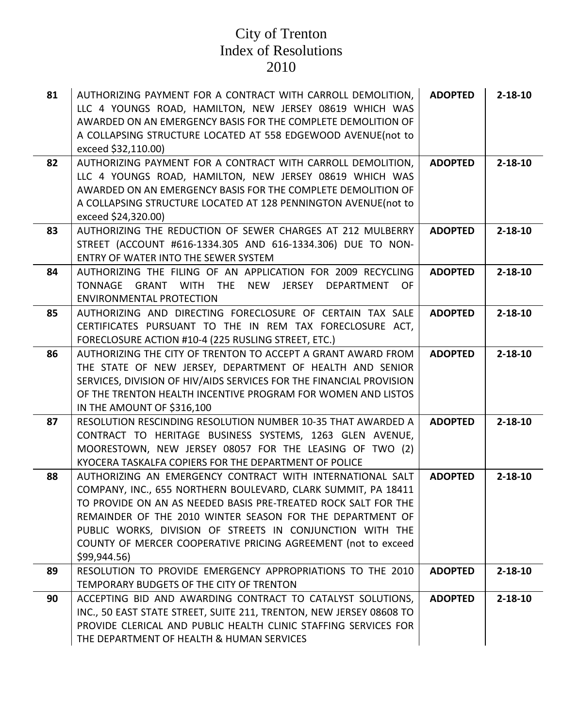| 81 | AUTHORIZING PAYMENT FOR A CONTRACT WITH CARROLL DEMOLITION,<br>LLC 4 YOUNGS ROAD, HAMILTON, NEW JERSEY 08619 WHICH WAS<br>AWARDED ON AN EMERGENCY BASIS FOR THE COMPLETE DEMOLITION OF<br>A COLLAPSING STRUCTURE LOCATED AT 558 EDGEWOOD AVENUE(not to<br>exceed \$32,110.00)                                                                                                                          | <b>ADOPTED</b> | $2 - 18 - 10$ |
|----|--------------------------------------------------------------------------------------------------------------------------------------------------------------------------------------------------------------------------------------------------------------------------------------------------------------------------------------------------------------------------------------------------------|----------------|---------------|
| 82 | AUTHORIZING PAYMENT FOR A CONTRACT WITH CARROLL DEMOLITION,<br>LLC 4 YOUNGS ROAD, HAMILTON, NEW JERSEY 08619 WHICH WAS<br>AWARDED ON AN EMERGENCY BASIS FOR THE COMPLETE DEMOLITION OF<br>A COLLAPSING STRUCTURE LOCATED AT 128 PENNINGTON AVENUE (not to<br>exceed \$24,320.00)                                                                                                                       | <b>ADOPTED</b> | $2 - 18 - 10$ |
| 83 | AUTHORIZING THE REDUCTION OF SEWER CHARGES AT 212 MULBERRY<br>STREET (ACCOUNT #616-1334.305 AND 616-1334.306) DUE TO NON-<br>ENTRY OF WATER INTO THE SEWER SYSTEM                                                                                                                                                                                                                                      | <b>ADOPTED</b> | $2 - 18 - 10$ |
| 84 | AUTHORIZING THE FILING OF AN APPLICATION FOR 2009 RECYCLING<br>GRANT WITH THE<br><b>TONNAGE</b><br>NEW<br>JERSEY<br>DEPARTMENT<br>0F<br><b>ENVIRONMENTAL PROTECTION</b>                                                                                                                                                                                                                                | <b>ADOPTED</b> | $2 - 18 - 10$ |
| 85 | AUTHORIZING AND DIRECTING FORECLOSURE OF CERTAIN TAX SALE<br>CERTIFICATES PURSUANT TO THE IN REM TAX FORECLOSURE ACT,<br>FORECLOSURE ACTION #10-4 (225 RUSLING STREET, ETC.)                                                                                                                                                                                                                           | <b>ADOPTED</b> | $2 - 18 - 10$ |
| 86 | AUTHORIZING THE CITY OF TRENTON TO ACCEPT A GRANT AWARD FROM<br>THE STATE OF NEW JERSEY, DEPARTMENT OF HEALTH AND SENIOR<br>SERVICES, DIVISION OF HIV/AIDS SERVICES FOR THE FINANCIAL PROVISION<br>OF THE TRENTON HEALTH INCENTIVE PROGRAM FOR WOMEN AND LISTOS<br>IN THE AMOUNT OF \$316,100                                                                                                          | <b>ADOPTED</b> | $2 - 18 - 10$ |
| 87 | RESOLUTION RESCINDING RESOLUTION NUMBER 10-35 THAT AWARDED A<br>CONTRACT TO HERITAGE BUSINESS SYSTEMS, 1263 GLEN AVENUE,<br>MOORESTOWN, NEW JERSEY 08057 FOR THE LEASING OF TWO (2)<br>KYOCERA TASKALFA COPIERS FOR THE DEPARTMENT OF POLICE                                                                                                                                                           | <b>ADOPTED</b> | $2 - 18 - 10$ |
| 88 | AUTHORIZING AN EMERGENCY CONTRACT WITH INTERNATIONAL SALT<br>COMPANY, INC., 655 NORTHERN BOULEVARD, CLARK SUMMIT, PA 18411<br>TO PROVIDE ON AN AS NEEDED BASIS PRE-TREATED ROCK SALT FOR THE<br>REMAINDER OF THE 2010 WINTER SEASON FOR THE DEPARTMENT OF<br>PUBLIC WORKS, DIVISION OF STREETS IN CONJUNCTION WITH THE<br>COUNTY OF MERCER COOPERATIVE PRICING AGREEMENT (not to exceed<br>\$99,944.56 | <b>ADOPTED</b> | $2 - 18 - 10$ |
| 89 | RESOLUTION TO PROVIDE EMERGENCY APPROPRIATIONS TO THE 2010<br>TEMPORARY BUDGETS OF THE CITY OF TRENTON                                                                                                                                                                                                                                                                                                 | <b>ADOPTED</b> | $2 - 18 - 10$ |
| 90 | ACCEPTING BID AND AWARDING CONTRACT TO CATALYST SOLUTIONS,<br>INC., 50 EAST STATE STREET, SUITE 211, TRENTON, NEW JERSEY 08608 TO<br>PROVIDE CLERICAL AND PUBLIC HEALTH CLINIC STAFFING SERVICES FOR<br>THE DEPARTMENT OF HEALTH & HUMAN SERVICES                                                                                                                                                      | <b>ADOPTED</b> | $2 - 18 - 10$ |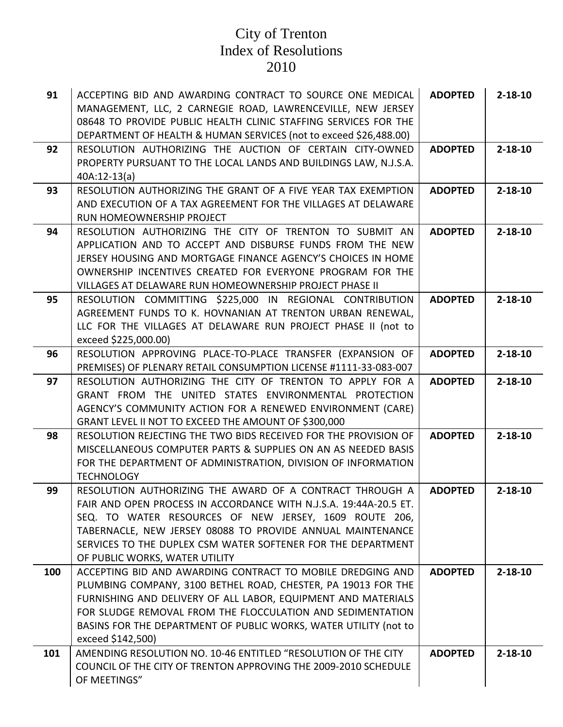| 91  | ACCEPTING BID AND AWARDING CONTRACT TO SOURCE ONE MEDICAL<br>MANAGEMENT, LLC, 2 CARNEGIE ROAD, LAWRENCEVILLE, NEW JERSEY<br>08648 TO PROVIDE PUBLIC HEALTH CLINIC STAFFING SERVICES FOR THE<br>DEPARTMENT OF HEALTH & HUMAN SERVICES (not to exceed \$26,488.00)                                                                                        | <b>ADOPTED</b> | $2 - 18 - 10$ |
|-----|---------------------------------------------------------------------------------------------------------------------------------------------------------------------------------------------------------------------------------------------------------------------------------------------------------------------------------------------------------|----------------|---------------|
| 92  | RESOLUTION AUTHORIZING THE AUCTION OF CERTAIN CITY-OWNED<br>PROPERTY PURSUANT TO THE LOCAL LANDS AND BUILDINGS LAW, N.J.S.A.<br>$40A:12-13(a)$                                                                                                                                                                                                          | <b>ADOPTED</b> | $2 - 18 - 10$ |
| 93  | RESOLUTION AUTHORIZING THE GRANT OF A FIVE YEAR TAX EXEMPTION<br>AND EXECUTION OF A TAX AGREEMENT FOR THE VILLAGES AT DELAWARE<br>RUN HOMEOWNERSHIP PROJECT                                                                                                                                                                                             | <b>ADOPTED</b> | $2 - 18 - 10$ |
| 94  | RESOLUTION AUTHORIZING THE CITY OF TRENTON TO SUBMIT AN<br>APPLICATION AND TO ACCEPT AND DISBURSE FUNDS FROM THE NEW<br>JERSEY HOUSING AND MORTGAGE FINANCE AGENCY'S CHOICES IN HOME<br>OWNERSHIP INCENTIVES CREATED FOR EVERYONE PROGRAM FOR THE<br>VILLAGES AT DELAWARE RUN HOMEOWNERSHIP PROJECT PHASE II                                            | <b>ADOPTED</b> | $2 - 18 - 10$ |
| 95  | RESOLUTION COMMITTING \$225,000 IN REGIONAL CONTRIBUTION<br>AGREEMENT FUNDS TO K. HOVNANIAN AT TRENTON URBAN RENEWAL,<br>LLC FOR THE VILLAGES AT DELAWARE RUN PROJECT PHASE II (not to<br>exceed \$225,000.00)                                                                                                                                          | <b>ADOPTED</b> | $2 - 18 - 10$ |
| 96  | RESOLUTION APPROVING PLACE-TO-PLACE TRANSFER (EXPANSION OF<br>PREMISES) OF PLENARY RETAIL CONSUMPTION LICENSE #1111-33-083-007                                                                                                                                                                                                                          | <b>ADOPTED</b> | $2 - 18 - 10$ |
| 97  | RESOLUTION AUTHORIZING THE CITY OF TRENTON TO APPLY FOR A<br>GRANT FROM THE UNITED STATES ENVIRONMENTAL PROTECTION<br>AGENCY'S COMMUNITY ACTION FOR A RENEWED ENVIRONMENT (CARE)<br>GRANT LEVEL II NOT TO EXCEED THE AMOUNT OF \$300,000                                                                                                                | <b>ADOPTED</b> | $2 - 18 - 10$ |
| 98  | RESOLUTION REJECTING THE TWO BIDS RECEIVED FOR THE PROVISION OF<br>MISCELLANEOUS COMPUTER PARTS & SUPPLIES ON AN AS NEEDED BASIS<br>FOR THE DEPARTMENT OF ADMINISTRATION, DIVISION OF INFORMATION<br><b>TECHNOLOGY</b>                                                                                                                                  | <b>ADOPTED</b> | $2 - 18 - 10$ |
| 99  | RESOLUTION AUTHORIZING THE AWARD OF A CONTRACT THROUGH A<br>FAIR AND OPEN PROCESS IN ACCORDANCE WITH N.J.S.A. 19:44A-20.5 ET.<br>SEQ. TO WATER RESOURCES OF NEW JERSEY, 1609 ROUTE 206,<br>TABERNACLE, NEW JERSEY 08088 TO PROVIDE ANNUAL MAINTENANCE<br>SERVICES TO THE DUPLEX CSM WATER SOFTENER FOR THE DEPARTMENT<br>OF PUBLIC WORKS, WATER UTILITY | <b>ADOPTED</b> | $2 - 18 - 10$ |
| 100 | ACCEPTING BID AND AWARDING CONTRACT TO MOBILE DREDGING AND<br>PLUMBING COMPANY, 3100 BETHEL ROAD, CHESTER, PA 19013 FOR THE<br>FURNISHING AND DELIVERY OF ALL LABOR, EQUIPMENT AND MATERIALS<br>FOR SLUDGE REMOVAL FROM THE FLOCCULATION AND SEDIMENTATION<br>BASINS FOR THE DEPARTMENT OF PUBLIC WORKS, WATER UTILITY (not to<br>exceed \$142,500)     | <b>ADOPTED</b> | $2 - 18 - 10$ |
| 101 | AMENDING RESOLUTION NO. 10-46 ENTITLED "RESOLUTION OF THE CITY<br>COUNCIL OF THE CITY OF TRENTON APPROVING THE 2009-2010 SCHEDULE<br>OF MEETINGS"                                                                                                                                                                                                       | <b>ADOPTED</b> | $2 - 18 - 10$ |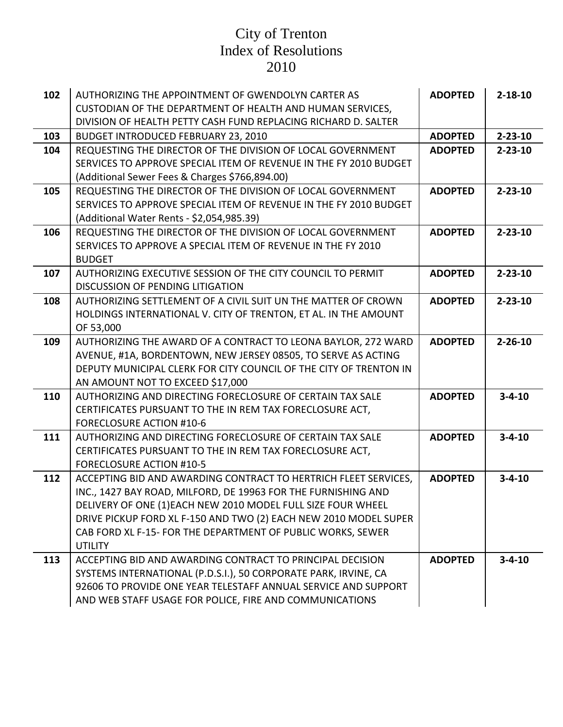| 102 | AUTHORIZING THE APPOINTMENT OF GWENDOLYN CARTER AS                | <b>ADOPTED</b> | $2 - 18 - 10$ |
|-----|-------------------------------------------------------------------|----------------|---------------|
|     | CUSTODIAN OF THE DEPARTMENT OF HEALTH AND HUMAN SERVICES,         |                |               |
|     | DIVISION OF HEALTH PETTY CASH FUND REPLACING RICHARD D. SALTER    |                |               |
| 103 | <b>BUDGET INTRODUCED FEBRUARY 23, 2010</b>                        | <b>ADOPTED</b> | $2 - 23 - 10$ |
| 104 | REQUESTING THE DIRECTOR OF THE DIVISION OF LOCAL GOVERNMENT       | <b>ADOPTED</b> | $2 - 23 - 10$ |
|     | SERVICES TO APPROVE SPECIAL ITEM OF REVENUE IN THE FY 2010 BUDGET |                |               |
|     | (Additional Sewer Fees & Charges \$766,894.00)                    |                |               |
| 105 | REQUESTING THE DIRECTOR OF THE DIVISION OF LOCAL GOVERNMENT       | <b>ADOPTED</b> | $2 - 23 - 10$ |
|     | SERVICES TO APPROVE SPECIAL ITEM OF REVENUE IN THE FY 2010 BUDGET |                |               |
|     | (Additional Water Rents - \$2,054,985.39)                         |                |               |
| 106 | REQUESTING THE DIRECTOR OF THE DIVISION OF LOCAL GOVERNMENT       | <b>ADOPTED</b> | $2 - 23 - 10$ |
|     | SERVICES TO APPROVE A SPECIAL ITEM OF REVENUE IN THE FY 2010      |                |               |
|     | <b>BUDGET</b>                                                     |                |               |
| 107 | AUTHORIZING EXECUTIVE SESSION OF THE CITY COUNCIL TO PERMIT       | <b>ADOPTED</b> | $2 - 23 - 10$ |
|     | <b>DISCUSSION OF PENDING LITIGATION</b>                           |                |               |
| 108 | AUTHORIZING SETTLEMENT OF A CIVIL SUIT UN THE MATTER OF CROWN     | <b>ADOPTED</b> | $2 - 23 - 10$ |
|     | HOLDINGS INTERNATIONAL V. CITY OF TRENTON, ET AL. IN THE AMOUNT   |                |               |
|     | OF 53,000                                                         |                |               |
| 109 | AUTHORIZING THE AWARD OF A CONTRACT TO LEONA BAYLOR, 272 WARD     | <b>ADOPTED</b> | $2 - 26 - 10$ |
|     | AVENUE, #1A, BORDENTOWN, NEW JERSEY 08505, TO SERVE AS ACTING     |                |               |
|     | DEPUTY MUNICIPAL CLERK FOR CITY COUNCIL OF THE CITY OF TRENTON IN |                |               |
|     | AN AMOUNT NOT TO EXCEED \$17,000                                  |                |               |
| 110 | AUTHORIZING AND DIRECTING FORECLOSURE OF CERTAIN TAX SALE         | <b>ADOPTED</b> | $3 - 4 - 10$  |
|     | CERTIFICATES PURSUANT TO THE IN REM TAX FORECLOSURE ACT,          |                |               |
|     | <b>FORECLOSURE ACTION #10-6</b>                                   |                |               |
| 111 | AUTHORIZING AND DIRECTING FORECLOSURE OF CERTAIN TAX SALE         | <b>ADOPTED</b> | $3 - 4 - 10$  |
|     | CERTIFICATES PURSUANT TO THE IN REM TAX FORECLOSURE ACT,          |                |               |
|     | <b>FORECLOSURE ACTION #10-5</b>                                   |                |               |
| 112 | ACCEPTING BID AND AWARDING CONTRACT TO HERTRICH FLEET SERVICES,   | <b>ADOPTED</b> | $3 - 4 - 10$  |
|     | INC., 1427 BAY ROAD, MILFORD, DE 19963 FOR THE FURNISHING AND     |                |               |
|     | DELIVERY OF ONE (1) EACH NEW 2010 MODEL FULL SIZE FOUR WHEEL      |                |               |
|     | DRIVE PICKUP FORD XL F-150 AND TWO (2) EACH NEW 2010 MODEL SUPER  |                |               |
|     | CAB FORD XL F-15- FOR THE DEPARTMENT OF PUBLIC WORKS, SEWER       |                |               |
|     | <b>UTILITY</b>                                                    |                |               |
| 113 | ACCEPTING BID AND AWARDING CONTRACT TO PRINCIPAL DECISION         | <b>ADOPTED</b> | $3 - 4 - 10$  |
|     | SYSTEMS INTERNATIONAL (P.D.S.I.), 50 CORPORATE PARK, IRVINE, CA   |                |               |
|     | 92606 TO PROVIDE ONE YEAR TELESTAFF ANNUAL SERVICE AND SUPPORT    |                |               |
|     | AND WEB STAFF USAGE FOR POLICE, FIRE AND COMMUNICATIONS           |                |               |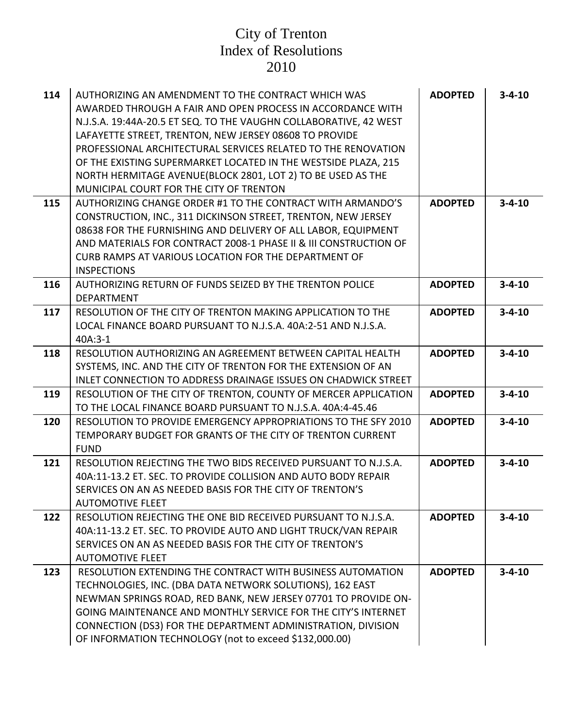| 114 | AUTHORIZING AN AMENDMENT TO THE CONTRACT WHICH WAS<br>AWARDED THROUGH A FAIR AND OPEN PROCESS IN ACCORDANCE WITH<br>N.J.S.A. 19:44A-20.5 ET SEQ. TO THE VAUGHN COLLABORATIVE, 42 WEST<br>LAFAYETTE STREET, TRENTON, NEW JERSEY 08608 TO PROVIDE<br>PROFESSIONAL ARCHITECTURAL SERVICES RELATED TO THE RENOVATION<br>OF THE EXISTING SUPERMARKET LOCATED IN THE WESTSIDE PLAZA, 215<br>NORTH HERMITAGE AVENUE (BLOCK 2801, LOT 2) TO BE USED AS THE<br>MUNICIPAL COURT FOR THE CITY OF TRENTON | <b>ADOPTED</b> | $3 - 4 - 10$ |
|-----|-----------------------------------------------------------------------------------------------------------------------------------------------------------------------------------------------------------------------------------------------------------------------------------------------------------------------------------------------------------------------------------------------------------------------------------------------------------------------------------------------|----------------|--------------|
| 115 | AUTHORIZING CHANGE ORDER #1 TO THE CONTRACT WITH ARMANDO'S<br>CONSTRUCTION, INC., 311 DICKINSON STREET, TRENTON, NEW JERSEY<br>08638 FOR THE FURNISHING AND DELIVERY OF ALL LABOR, EQUIPMENT<br>AND MATERIALS FOR CONTRACT 2008-1 PHASE II & III CONSTRUCTION OF<br>CURB RAMPS AT VARIOUS LOCATION FOR THE DEPARTMENT OF                                                                                                                                                                      | <b>ADOPTED</b> | $3 - 4 - 10$ |
|     | <b>INSPECTIONS</b>                                                                                                                                                                                                                                                                                                                                                                                                                                                                            |                |              |
| 116 | AUTHORIZING RETURN OF FUNDS SEIZED BY THE TRENTON POLICE<br><b>DEPARTMENT</b>                                                                                                                                                                                                                                                                                                                                                                                                                 | <b>ADOPTED</b> | $3 - 4 - 10$ |
| 117 | RESOLUTION OF THE CITY OF TRENTON MAKING APPLICATION TO THE<br>LOCAL FINANCE BOARD PURSUANT TO N.J.S.A. 40A:2-51 AND N.J.S.A.<br>$40A:3-1$                                                                                                                                                                                                                                                                                                                                                    | <b>ADOPTED</b> | $3 - 4 - 10$ |
| 118 | RESOLUTION AUTHORIZING AN AGREEMENT BETWEEN CAPITAL HEALTH<br>SYSTEMS, INC. AND THE CITY OF TRENTON FOR THE EXTENSION OF AN<br><b>INLET CONNECTION TO ADDRESS DRAINAGE ISSUES ON CHADWICK STREET</b>                                                                                                                                                                                                                                                                                          | <b>ADOPTED</b> | $3 - 4 - 10$ |
| 119 | RESOLUTION OF THE CITY OF TRENTON, COUNTY OF MERCER APPLICATION<br>TO THE LOCAL FINANCE BOARD PURSUANT TO N.J.S.A. 40A:4-45.46                                                                                                                                                                                                                                                                                                                                                                | <b>ADOPTED</b> | $3 - 4 - 10$ |
| 120 | RESOLUTION TO PROVIDE EMERGENCY APPROPRIATIONS TO THE SFY 2010<br>TEMPORARY BUDGET FOR GRANTS OF THE CITY OF TRENTON CURRENT<br><b>FUND</b>                                                                                                                                                                                                                                                                                                                                                   | <b>ADOPTED</b> | $3 - 4 - 10$ |
| 121 | RESOLUTION REJECTING THE TWO BIDS RECEIVED PURSUANT TO N.J.S.A.<br>40A:11-13.2 ET. SEC. TO PROVIDE COLLISION AND AUTO BODY REPAIR<br>SERVICES ON AN AS NEEDED BASIS FOR THE CITY OF TRENTON'S<br><b>AUTOMOTIVE FLEET</b>                                                                                                                                                                                                                                                                      | <b>ADOPTED</b> | $3 - 4 - 10$ |
| 122 | RESOLUTION REJECTING THE ONE BID RECEIVED PURSUANT TO N.J.S.A.<br>40A:11-13.2 ET. SEC. TO PROVIDE AUTO AND LIGHT TRUCK/VAN REPAIR<br>SERVICES ON AN AS NEEDED BASIS FOR THE CITY OF TRENTON'S<br><b>AUTOMOTIVE FLEET</b>                                                                                                                                                                                                                                                                      | <b>ADOPTED</b> | $3 - 4 - 10$ |
| 123 | RESOLUTION EXTENDING THE CONTRACT WITH BUSINESS AUTOMATION<br>TECHNOLOGIES, INC. (DBA DATA NETWORK SOLUTIONS), 162 EAST<br>NEWMAN SPRINGS ROAD, RED BANK, NEW JERSEY 07701 TO PROVIDE ON-<br>GOING MAINTENANCE AND MONTHLY SERVICE FOR THE CITY'S INTERNET<br>CONNECTION (DS3) FOR THE DEPARTMENT ADMINISTRATION, DIVISION<br>OF INFORMATION TECHNOLOGY (not to exceed \$132,000.00)                                                                                                          | <b>ADOPTED</b> | $3 - 4 - 10$ |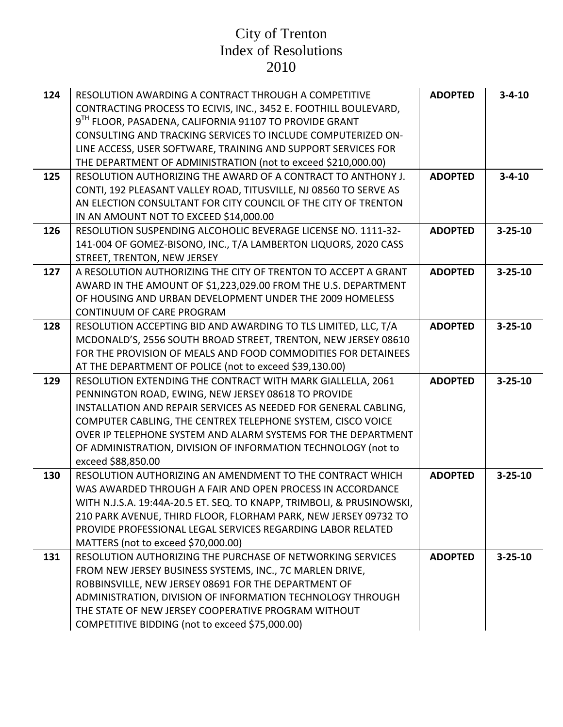| 124 | RESOLUTION AWARDING A CONTRACT THROUGH A COMPETITIVE<br>CONTRACTING PROCESS TO ECIVIS, INC., 3452 E. FOOTHILL BOULEVARD,       | <b>ADOPTED</b> | $3 - 4 - 10$  |
|-----|--------------------------------------------------------------------------------------------------------------------------------|----------------|---------------|
|     | 9 <sup>TH</sup> FLOOR, PASADENA, CALIFORNIA 91107 TO PROVIDE GRANT                                                             |                |               |
|     | CONSULTING AND TRACKING SERVICES TO INCLUDE COMPUTERIZED ON-                                                                   |                |               |
|     | LINE ACCESS, USER SOFTWARE, TRAINING AND SUPPORT SERVICES FOR                                                                  |                |               |
|     | THE DEPARTMENT OF ADMINISTRATION (not to exceed \$210,000.00)                                                                  |                |               |
| 125 | RESOLUTION AUTHORIZING THE AWARD OF A CONTRACT TO ANTHONY J.                                                                   | <b>ADOPTED</b> | $3 - 4 - 10$  |
|     | CONTI, 192 PLEASANT VALLEY ROAD, TITUSVILLE, NJ 08560 TO SERVE AS                                                              |                |               |
|     | AN ELECTION CONSULTANT FOR CITY COUNCIL OF THE CITY OF TRENTON                                                                 |                |               |
|     | IN AN AMOUNT NOT TO EXCEED \$14,000.00                                                                                         |                |               |
| 126 | RESOLUTION SUSPENDING ALCOHOLIC BEVERAGE LICENSE NO. 1111-32-                                                                  | <b>ADOPTED</b> | $3 - 25 - 10$ |
|     | 141-004 OF GOMEZ-BISONO, INC., T/A LAMBERTON LIQUORS, 2020 CASS                                                                |                |               |
|     | STREET, TRENTON, NEW JERSEY                                                                                                    |                |               |
| 127 | A RESOLUTION AUTHORIZING THE CITY OF TRENTON TO ACCEPT A GRANT                                                                 | <b>ADOPTED</b> | $3 - 25 - 10$ |
|     | AWARD IN THE AMOUNT OF \$1,223,029.00 FROM THE U.S. DEPARTMENT                                                                 |                |               |
|     | OF HOUSING AND URBAN DEVELOPMENT UNDER THE 2009 HOMELESS                                                                       |                |               |
|     | CONTINUUM OF CARE PROGRAM                                                                                                      |                |               |
| 128 | RESOLUTION ACCEPTING BID AND AWARDING TO TLS LIMITED, LLC, T/A                                                                 | <b>ADOPTED</b> | $3 - 25 - 10$ |
|     | MCDONALD'S, 2556 SOUTH BROAD STREET, TRENTON, NEW JERSEY 08610                                                                 |                |               |
|     | FOR THE PROVISION OF MEALS AND FOOD COMMODITIES FOR DETAINEES                                                                  |                |               |
|     | AT THE DEPARTMENT OF POLICE (not to exceed \$39,130.00)                                                                        |                |               |
| 129 | RESOLUTION EXTENDING THE CONTRACT WITH MARK GIALLELLA, 2061                                                                    | <b>ADOPTED</b> | $3 - 25 - 10$ |
|     | PENNINGTON ROAD, EWING, NEW JERSEY 08618 TO PROVIDE                                                                            |                |               |
|     | INSTALLATION AND REPAIR SERVICES AS NEEDED FOR GENERAL CABLING,<br>COMPUTER CABLING, THE CENTREX TELEPHONE SYSTEM, CISCO VOICE |                |               |
|     | OVER IP TELEPHONE SYSTEM AND ALARM SYSTEMS FOR THE DEPARTMENT                                                                  |                |               |
|     | OF ADMINISTRATION, DIVISION OF INFORMATION TECHNOLOGY (not to                                                                  |                |               |
|     | exceed \$88,850.00                                                                                                             |                |               |
| 130 | RESOLUTION AUTHORIZING AN AMENDMENT TO THE CONTRACT WHICH                                                                      | <b>ADOPTED</b> | $3 - 25 - 10$ |
|     | WAS AWARDED THROUGH A FAIR AND OPEN PROCESS IN ACCORDANCE                                                                      |                |               |
|     | WITH N.J.S.A. 19:44A-20.5 ET. SEQ. TO KNAPP, TRIMBOLI, & PRUSINOWSKI,                                                          |                |               |
|     | 210 PARK AVENUE, THIRD FLOOR, FLORHAM PARK, NEW JERSEY 09732 TO                                                                |                |               |
|     | PROVIDE PROFESSIONAL LEGAL SERVICES REGARDING LABOR RELATED                                                                    |                |               |
|     | MATTERS (not to exceed \$70,000.00)                                                                                            |                |               |
| 131 | RESOLUTION AUTHORIZING THE PURCHASE OF NETWORKING SERVICES                                                                     | <b>ADOPTED</b> | $3 - 25 - 10$ |
|     | FROM NEW JERSEY BUSINESS SYSTEMS, INC., 7C MARLEN DRIVE,                                                                       |                |               |
|     | ROBBINSVILLE, NEW JERSEY 08691 FOR THE DEPARTMENT OF                                                                           |                |               |
|     | ADMINISTRATION, DIVISION OF INFORMATION TECHNOLOGY THROUGH                                                                     |                |               |
|     | THE STATE OF NEW JERSEY COOPERATIVE PROGRAM WITHOUT                                                                            |                |               |
|     | COMPETITIVE BIDDING (not to exceed \$75,000.00)                                                                                |                |               |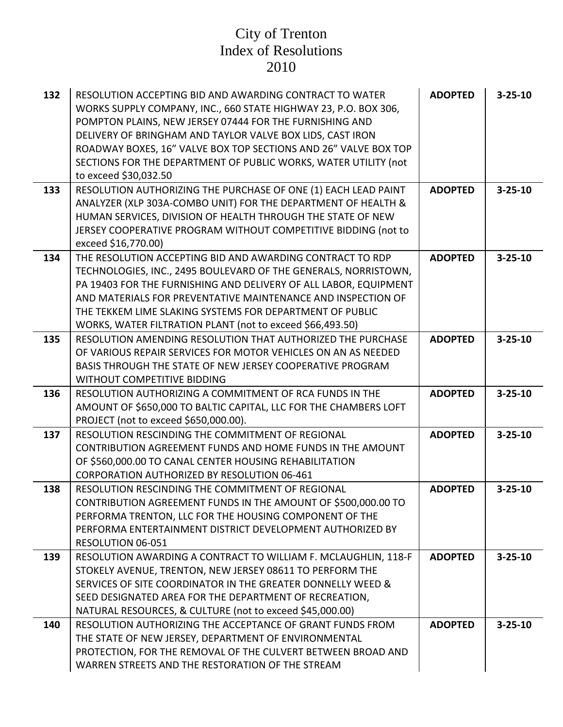| 132 | RESOLUTION ACCEPTING BID AND AWARDING CONTRACT TO WATER<br>WORKS SUPPLY COMPANY, INC., 660 STATE HIGHWAY 23, P.O. BOX 306,<br>POMPTON PLAINS, NEW JERSEY 07444 FOR THE FURNISHING AND<br>DELIVERY OF BRINGHAM AND TAYLOR VALVE BOX LIDS, CAST IRON<br>ROADWAY BOXES, 16" VALVE BOX TOP SECTIONS AND 26" VALVE BOX TOP<br>SECTIONS FOR THE DEPARTMENT OF PUBLIC WORKS, WATER UTILITY (not<br>to exceed \$30,032.50 | <b>ADOPTED</b> | $3 - 25 - 10$ |
|-----|-------------------------------------------------------------------------------------------------------------------------------------------------------------------------------------------------------------------------------------------------------------------------------------------------------------------------------------------------------------------------------------------------------------------|----------------|---------------|
| 133 | RESOLUTION AUTHORIZING THE PURCHASE OF ONE (1) EACH LEAD PAINT<br>ANALYZER (XLP 303A-COMBO UNIT) FOR THE DEPARTMENT OF HEALTH &<br>HUMAN SERVICES, DIVISION OF HEALTH THROUGH THE STATE OF NEW<br>JERSEY COOPERATIVE PROGRAM WITHOUT COMPETITIVE BIDDING (not to<br>exceed \$16,770.00)                                                                                                                           | <b>ADOPTED</b> | $3 - 25 - 10$ |
| 134 | THE RESOLUTION ACCEPTING BID AND AWARDING CONTRACT TO RDP<br>TECHNOLOGIES, INC., 2495 BOULEVARD OF THE GENERALS, NORRISTOWN,<br>PA 19403 FOR THE FURNISHING AND DELIVERY OF ALL LABOR, EQUIPMENT<br>AND MATERIALS FOR PREVENTATIVE MAINTENANCE AND INSPECTION OF<br>THE TEKKEM LIME SLAKING SYSTEMS FOR DEPARTMENT OF PUBLIC<br>WORKS, WATER FILTRATION PLANT (not to exceed \$66,493.50)                         | <b>ADOPTED</b> | $3 - 25 - 10$ |
| 135 | RESOLUTION AMENDING RESOLUTION THAT AUTHORIZED THE PURCHASE<br>OF VARIOUS REPAIR SERVICES FOR MOTOR VEHICLES ON AN AS NEEDED<br>BASIS THROUGH THE STATE OF NEW JERSEY COOPERATIVE PROGRAM<br>WITHOUT COMPETITIVE BIDDING                                                                                                                                                                                          | <b>ADOPTED</b> | $3 - 25 - 10$ |
| 136 | RESOLUTION AUTHORIZING A COMMITMENT OF RCA FUNDS IN THE<br>AMOUNT OF \$650,000 TO BALTIC CAPITAL, LLC FOR THE CHAMBERS LOFT<br>PROJECT (not to exceed \$650,000.00).                                                                                                                                                                                                                                              | <b>ADOPTED</b> | $3 - 25 - 10$ |
| 137 | RESOLUTION RESCINDING THE COMMITMENT OF REGIONAL<br><b>CONTRIBUTION AGREEMENT FUNDS AND HOME FUNDS IN THE AMOUNT</b><br>OF \$560,000.00 TO CANAL CENTER HOUSING REHABILITATION<br><b>CORPORATION AUTHORIZED BY RESOLUTION 06-461</b>                                                                                                                                                                              | <b>ADOPTED</b> | $3 - 25 - 10$ |
| 138 | RESOLUTION RESCINDING THE COMMITMENT OF REGIONAL<br>CONTRIBUTION AGREEMENT FUNDS IN THE AMOUNT OF \$500,000.00 TO<br>PERFORMA TRENTON, LLC FOR THE HOUSING COMPONENT OF THE<br>PERFORMA ENTERTAINMENT DISTRICT DEVELOPMENT AUTHORIZED BY<br>RESOLUTION 06-051                                                                                                                                                     | <b>ADOPTED</b> | $3 - 25 - 10$ |
| 139 | RESOLUTION AWARDING A CONTRACT TO WILLIAM F. MCLAUGHLIN, 118-F<br>STOKELY AVENUE, TRENTON, NEW JERSEY 08611 TO PERFORM THE<br>SERVICES OF SITE COORDINATOR IN THE GREATER DONNELLY WEED &<br>SEED DESIGNATED AREA FOR THE DEPARTMENT OF RECREATION,<br>NATURAL RESOURCES, & CULTURE (not to exceed \$45,000.00)                                                                                                   | <b>ADOPTED</b> | $3 - 25 - 10$ |
| 140 | RESOLUTION AUTHORIZING THE ACCEPTANCE OF GRANT FUNDS FROM<br>THE STATE OF NEW JERSEY, DEPARTMENT OF ENVIRONMENTAL<br>PROTECTION, FOR THE REMOVAL OF THE CULVERT BETWEEN BROAD AND<br>WARREN STREETS AND THE RESTORATION OF THE STREAM                                                                                                                                                                             | <b>ADOPTED</b> | $3 - 25 - 10$ |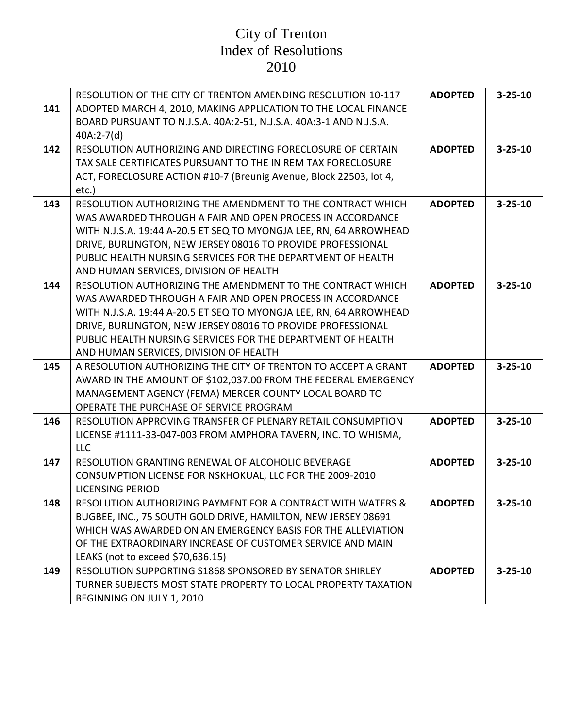| 141 | RESOLUTION OF THE CITY OF TRENTON AMENDING RESOLUTION 10-117<br>ADOPTED MARCH 4, 2010, MAKING APPLICATION TO THE LOCAL FINANCE<br>BOARD PURSUANT TO N.J.S.A. 40A:2-51, N.J.S.A. 40A:3-1 AND N.J.S.A.<br>$40A:2-7(d)$                                                                                                                                                  | <b>ADOPTED</b> | $3 - 25 - 10$ |
|-----|-----------------------------------------------------------------------------------------------------------------------------------------------------------------------------------------------------------------------------------------------------------------------------------------------------------------------------------------------------------------------|----------------|---------------|
| 142 | RESOLUTION AUTHORIZING AND DIRECTING FORECLOSURE OF CERTAIN<br>TAX SALE CERTIFICATES PURSUANT TO THE IN REM TAX FORECLOSURE<br>ACT, FORECLOSURE ACTION #10-7 (Breunig Avenue, Block 22503, lot 4,<br>etc.)                                                                                                                                                            | <b>ADOPTED</b> | $3 - 25 - 10$ |
| 143 | RESOLUTION AUTHORIZING THE AMENDMENT TO THE CONTRACT WHICH<br>WAS AWARDED THROUGH A FAIR AND OPEN PROCESS IN ACCORDANCE<br>WITH N.J.S.A. 19:44 A-20.5 ET SEQ TO MYONGJA LEE, RN, 64 ARROWHEAD<br>DRIVE, BURLINGTON, NEW JERSEY 08016 TO PROVIDE PROFESSIONAL<br>PUBLIC HEALTH NURSING SERVICES FOR THE DEPARTMENT OF HEALTH<br>AND HUMAN SERVICES, DIVISION OF HEALTH | <b>ADOPTED</b> | $3 - 25 - 10$ |
| 144 | RESOLUTION AUTHORIZING THE AMENDMENT TO THE CONTRACT WHICH<br>WAS AWARDED THROUGH A FAIR AND OPEN PROCESS IN ACCORDANCE<br>WITH N.J.S.A. 19:44 A-20.5 ET SEQ TO MYONGJA LEE, RN, 64 ARROWHEAD<br>DRIVE, BURLINGTON, NEW JERSEY 08016 TO PROVIDE PROFESSIONAL<br>PUBLIC HEALTH NURSING SERVICES FOR THE DEPARTMENT OF HEALTH<br>AND HUMAN SERVICES, DIVISION OF HEALTH | <b>ADOPTED</b> | $3 - 25 - 10$ |
| 145 | A RESOLUTION AUTHORIZING THE CITY OF TRENTON TO ACCEPT A GRANT<br>AWARD IN THE AMOUNT OF \$102,037.00 FROM THE FEDERAL EMERGENCY<br>MANAGEMENT AGENCY (FEMA) MERCER COUNTY LOCAL BOARD TO<br>OPERATE THE PURCHASE OF SERVICE PROGRAM                                                                                                                                  | <b>ADOPTED</b> | $3 - 25 - 10$ |
| 146 | RESOLUTION APPROVING TRANSFER OF PLENARY RETAIL CONSUMPTION<br>LICENSE #1111-33-047-003 FROM AMPHORA TAVERN, INC. TO WHISMA,<br><b>LLC</b>                                                                                                                                                                                                                            | <b>ADOPTED</b> | $3 - 25 - 10$ |
| 147 | RESOLUTION GRANTING RENEWAL OF ALCOHOLIC BEVERAGE<br>CONSUMPTION LICENSE FOR NSKHOKUAL, LLC FOR THE 2009-2010<br><b>LICENSING PERIOD</b>                                                                                                                                                                                                                              | <b>ADOPTED</b> | $3 - 25 - 10$ |
| 148 | RESOLUTION AUTHORIZING PAYMENT FOR A CONTRACT WITH WATERS &<br>BUGBEE, INC., 75 SOUTH GOLD DRIVE, HAMILTON, NEW JERSEY 08691<br>WHICH WAS AWARDED ON AN EMERGENCY BASIS FOR THE ALLEVIATION<br>OF THE EXTRAORDINARY INCREASE OF CUSTOMER SERVICE AND MAIN<br>LEAKS (not to exceed \$70,636.15)                                                                        | <b>ADOPTED</b> | $3 - 25 - 10$ |
| 149 | RESOLUTION SUPPORTING S1868 SPONSORED BY SENATOR SHIRLEY<br>TURNER SUBJECTS MOST STATE PROPERTY TO LOCAL PROPERTY TAXATION<br>BEGINNING ON JULY 1, 2010                                                                                                                                                                                                               | <b>ADOPTED</b> | $3 - 25 - 10$ |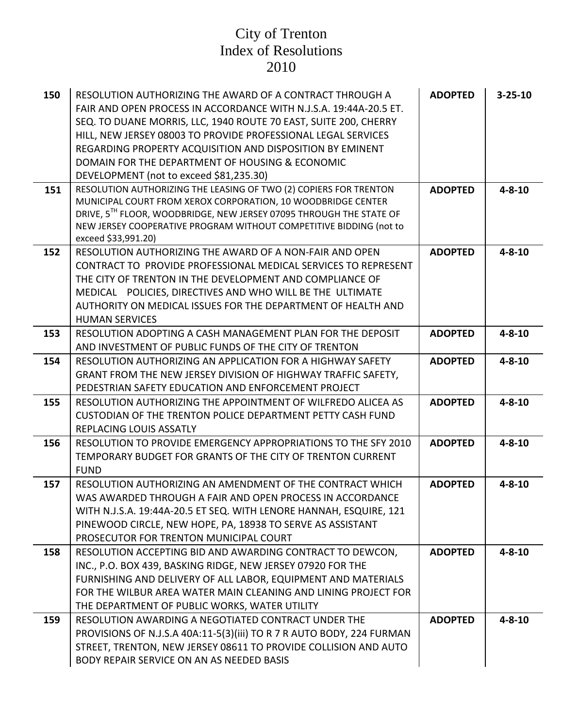| 150 | RESOLUTION AUTHORIZING THE AWARD OF A CONTRACT THROUGH A<br>FAIR AND OPEN PROCESS IN ACCORDANCE WITH N.J.S.A. 19:44A-20.5 ET.<br>SEQ. TO DUANE MORRIS, LLC, 1940 ROUTE 70 EAST, SUITE 200, CHERRY<br>HILL, NEW JERSEY 08003 TO PROVIDE PROFESSIONAL LEGAL SERVICES<br>REGARDING PROPERTY ACQUISITION AND DISPOSITION BY EMINENT<br>DOMAIN FOR THE DEPARTMENT OF HOUSING & ECONOMIC<br>DEVELOPMENT (not to exceed \$81,235.30) | <b>ADOPTED</b> | $3 - 25 - 10$ |
|-----|-------------------------------------------------------------------------------------------------------------------------------------------------------------------------------------------------------------------------------------------------------------------------------------------------------------------------------------------------------------------------------------------------------------------------------|----------------|---------------|
| 151 | RESOLUTION AUTHORIZING THE LEASING OF TWO (2) COPIERS FOR TRENTON<br>MUNICIPAL COURT FROM XEROX CORPORATION, 10 WOODBRIDGE CENTER<br>DRIVE, 5TH FLOOR, WOODBRIDGE, NEW JERSEY 07095 THROUGH THE STATE OF<br>NEW JERSEY COOPERATIVE PROGRAM WITHOUT COMPETITIVE BIDDING (not to<br>exceed \$33,991.20)                                                                                                                         | <b>ADOPTED</b> | $4 - 8 - 10$  |
| 152 | RESOLUTION AUTHORIZING THE AWARD OF A NON-FAIR AND OPEN<br>CONTRACT TO PROVIDE PROFESSIONAL MEDICAL SERVICES TO REPRESENT<br>THE CITY OF TRENTON IN THE DEVELOPMENT AND COMPLIANCE OF<br>MEDICAL POLICIES, DIRECTIVES AND WHO WILL BE THE ULTIMATE<br>AUTHORITY ON MEDICAL ISSUES FOR THE DEPARTMENT OF HEALTH AND<br><b>HUMAN SERVICES</b>                                                                                   | <b>ADOPTED</b> | $4 - 8 - 10$  |
| 153 | RESOLUTION ADOPTING A CASH MANAGEMENT PLAN FOR THE DEPOSIT<br>AND INVESTMENT OF PUBLIC FUNDS OF THE CITY OF TRENTON                                                                                                                                                                                                                                                                                                           | <b>ADOPTED</b> | $4 - 8 - 10$  |
| 154 | RESOLUTION AUTHORIZING AN APPLICATION FOR A HIGHWAY SAFETY<br>GRANT FROM THE NEW JERSEY DIVISION OF HIGHWAY TRAFFIC SAFETY,<br>PEDESTRIAN SAFETY EDUCATION AND ENFORCEMENT PROJECT                                                                                                                                                                                                                                            | <b>ADOPTED</b> | $4 - 8 - 10$  |
| 155 | RESOLUTION AUTHORIZING THE APPOINTMENT OF WILFREDO ALICEA AS<br>CUSTODIAN OF THE TRENTON POLICE DEPARTMENT PETTY CASH FUND<br>REPLACING LOUIS ASSATLY                                                                                                                                                                                                                                                                         | <b>ADOPTED</b> | $4 - 8 - 10$  |
| 156 | RESOLUTION TO PROVIDE EMERGENCY APPROPRIATIONS TO THE SFY 2010<br>TEMPORARY BUDGET FOR GRANTS OF THE CITY OF TRENTON CURRENT<br><b>FUND</b>                                                                                                                                                                                                                                                                                   | <b>ADOPTED</b> | $4 - 8 - 10$  |
| 157 | RESOLUTION AUTHORIZING AN AMENDMENT OF THE CONTRACT WHICH<br>WAS AWARDED THROUGH A FAIR AND OPEN PROCESS IN ACCORDANCE<br>WITH N.J.S.A. 19:44A-20.5 ET SEQ. WITH LENORE HANNAH, ESQUIRE, 121<br>PINEWOOD CIRCLE, NEW HOPE, PA, 18938 TO SERVE AS ASSISTANT<br>PROSECUTOR FOR TRENTON MUNICIPAL COURT                                                                                                                          | <b>ADOPTED</b> | $4 - 8 - 10$  |
| 158 | RESOLUTION ACCEPTING BID AND AWARDING CONTRACT TO DEWCON,<br>INC., P.O. BOX 439, BASKING RIDGE, NEW JERSEY 07920 FOR THE<br>FURNISHING AND DELIVERY OF ALL LABOR, EQUIPMENT AND MATERIALS<br>FOR THE WILBUR AREA WATER MAIN CLEANING AND LINING PROJECT FOR<br>THE DEPARTMENT OF PUBLIC WORKS, WATER UTILITY                                                                                                                  | <b>ADOPTED</b> | $4 - 8 - 10$  |
| 159 | RESOLUTION AWARDING A NEGOTIATED CONTRACT UNDER THE<br>PROVISIONS OF N.J.S.A 40A:11-5(3)(iii) TO R 7 R AUTO BODY, 224 FURMAN<br>STREET, TRENTON, NEW JERSEY 08611 TO PROVIDE COLLISION AND AUTO<br>BODY REPAIR SERVICE ON AN AS NEEDED BASIS                                                                                                                                                                                  | <b>ADOPTED</b> | $4 - 8 - 10$  |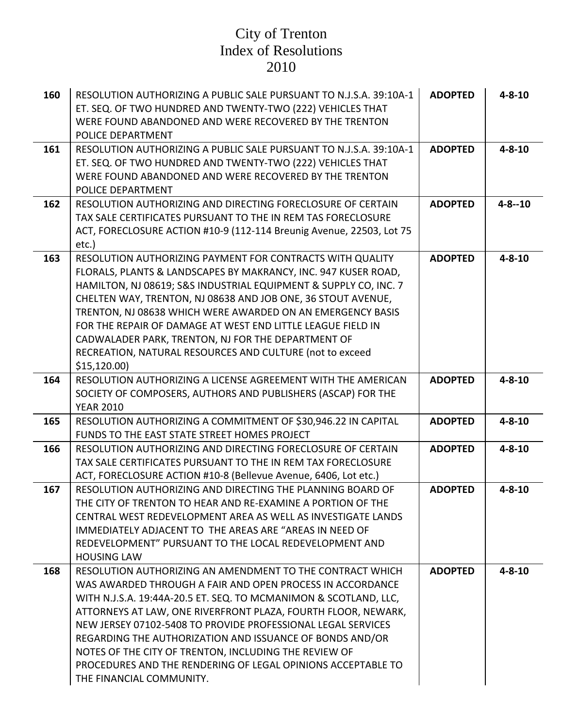| 160 | RESOLUTION AUTHORIZING A PUBLIC SALE PURSUANT TO N.J.S.A. 39:10A-1<br>ET. SEQ. OF TWO HUNDRED AND TWENTY-TWO (222) VEHICLES THAT<br>WERE FOUND ABANDONED AND WERE RECOVERED BY THE TRENTON<br>POLICE DEPARTMENT                                                                                                                                                                                                                                                                                                                              | <b>ADOPTED</b> | $4 - 8 - 10$ |
|-----|----------------------------------------------------------------------------------------------------------------------------------------------------------------------------------------------------------------------------------------------------------------------------------------------------------------------------------------------------------------------------------------------------------------------------------------------------------------------------------------------------------------------------------------------|----------------|--------------|
| 161 | RESOLUTION AUTHORIZING A PUBLIC SALE PURSUANT TO N.J.S.A. 39:10A-1<br>ET. SEQ. OF TWO HUNDRED AND TWENTY-TWO (222) VEHICLES THAT<br>WERE FOUND ABANDONED AND WERE RECOVERED BY THE TRENTON<br>POLICE DEPARTMENT                                                                                                                                                                                                                                                                                                                              | <b>ADOPTED</b> | $4 - 8 - 10$ |
| 162 | RESOLUTION AUTHORIZING AND DIRECTING FORECLOSURE OF CERTAIN<br>TAX SALE CERTIFICATES PURSUANT TO THE IN REM TAS FORECLOSURE<br>ACT, FORECLOSURE ACTION #10-9 (112-114 Breunig Avenue, 22503, Lot 75<br>etc.)                                                                                                                                                                                                                                                                                                                                 | <b>ADOPTED</b> | $4 - 8 - 10$ |
| 163 | RESOLUTION AUTHORIZING PAYMENT FOR CONTRACTS WITH QUALITY<br>FLORALS, PLANTS & LANDSCAPES BY MAKRANCY, INC. 947 KUSER ROAD,<br>HAMILTON, NJ 08619; S&S INDUSTRIAL EQUIPMENT & SUPPLY CO, INC. 7<br>CHELTEN WAY, TRENTON, NJ 08638 AND JOB ONE, 36 STOUT AVENUE,<br>TRENTON, NJ 08638 WHICH WERE AWARDED ON AN EMERGENCY BASIS<br>FOR THE REPAIR OF DAMAGE AT WEST END LITTLE LEAGUE FIELD IN<br>CADWALADER PARK, TRENTON, NJ FOR THE DEPARTMENT OF<br>RECREATION, NATURAL RESOURCES AND CULTURE (not to exceed<br>\$15,120.00                | <b>ADOPTED</b> | $4 - 8 - 10$ |
| 164 | RESOLUTION AUTHORIZING A LICENSE AGREEMENT WITH THE AMERICAN<br>SOCIETY OF COMPOSERS, AUTHORS AND PUBLISHERS (ASCAP) FOR THE<br><b>YEAR 2010</b>                                                                                                                                                                                                                                                                                                                                                                                             | <b>ADOPTED</b> | $4 - 8 - 10$ |
| 165 | RESOLUTION AUTHORIZING A COMMITMENT OF \$30,946.22 IN CAPITAL<br>FUNDS TO THE EAST STATE STREET HOMES PROJECT                                                                                                                                                                                                                                                                                                                                                                                                                                | <b>ADOPTED</b> | $4 - 8 - 10$ |
| 166 | RESOLUTION AUTHORIZING AND DIRECTING FORECLOSURE OF CERTAIN<br>TAX SALE CERTIFICATES PURSUANT TO THE IN REM TAX FORECLOSURE<br>ACT, FORECLOSURE ACTION #10-8 (Bellevue Avenue, 6406, Lot etc.)                                                                                                                                                                                                                                                                                                                                               | <b>ADOPTED</b> | $4 - 8 - 10$ |
| 167 | RESOLUTION AUTHORIZING AND DIRECTING THE PLANNING BOARD OF<br>THE CITY OF TRENTON TO HEAR AND RE-EXAMINE A PORTION OF THE<br>CENTRAL WEST REDEVELOPMENT AREA AS WELL AS INVESTIGATE LANDS<br>IMMEDIATELY ADJACENT TO THE AREAS ARE "AREAS IN NEED OF<br>REDEVELOPMENT" PURSUANT TO THE LOCAL REDEVELOPMENT AND<br><b>HOUSING LAW</b>                                                                                                                                                                                                         | <b>ADOPTED</b> | $4 - 8 - 10$ |
| 168 | RESOLUTION AUTHORIZING AN AMENDMENT TO THE CONTRACT WHICH<br>WAS AWARDED THROUGH A FAIR AND OPEN PROCESS IN ACCORDANCE<br>WITH N.J.S.A. 19:44A-20.5 ET. SEQ. TO MCMANIMON & SCOTLAND, LLC,<br>ATTORNEYS AT LAW, ONE RIVERFRONT PLAZA, FOURTH FLOOR, NEWARK,<br>NEW JERSEY 07102-5408 TO PROVIDE PROFESSIONAL LEGAL SERVICES<br>REGARDING THE AUTHORIZATION AND ISSUANCE OF BONDS AND/OR<br>NOTES OF THE CITY OF TRENTON, INCLUDING THE REVIEW OF<br>PROCEDURES AND THE RENDERING OF LEGAL OPINIONS ACCEPTABLE TO<br>THE FINANCIAL COMMUNITY. | <b>ADOPTED</b> | $4 - 8 - 10$ |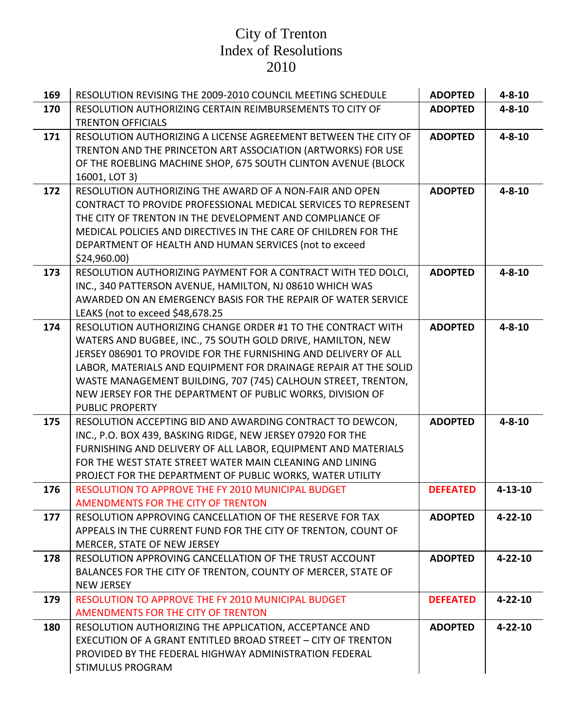| 169 | RESOLUTION REVISING THE 2009-2010 COUNCIL MEETING SCHEDULE                                                               | <b>ADOPTED</b>  | $4 - 8 - 10$  |
|-----|--------------------------------------------------------------------------------------------------------------------------|-----------------|---------------|
| 170 | RESOLUTION AUTHORIZING CERTAIN REIMBURSEMENTS TO CITY OF                                                                 | <b>ADOPTED</b>  | $4 - 8 - 10$  |
|     | <b>TRENTON OFFICIALS</b>                                                                                                 |                 |               |
| 171 | RESOLUTION AUTHORIZING A LICENSE AGREEMENT BETWEEN THE CITY OF                                                           | <b>ADOPTED</b>  | $4 - 8 - 10$  |
|     | TRENTON AND THE PRINCETON ART ASSOCIATION (ARTWORKS) FOR USE                                                             |                 |               |
|     | OF THE ROEBLING MACHINE SHOP, 675 SOUTH CLINTON AVENUE (BLOCK                                                            |                 |               |
|     | 16001, LOT 3)                                                                                                            |                 |               |
| 172 | RESOLUTION AUTHORIZING THE AWARD OF A NON-FAIR AND OPEN                                                                  | <b>ADOPTED</b>  | $4 - 8 - 10$  |
|     | CONTRACT TO PROVIDE PROFESSIONAL MEDICAL SERVICES TO REPRESENT                                                           |                 |               |
|     | THE CITY OF TRENTON IN THE DEVELOPMENT AND COMPLIANCE OF                                                                 |                 |               |
|     | MEDICAL POLICIES AND DIRECTIVES IN THE CARE OF CHILDREN FOR THE                                                          |                 |               |
|     | DEPARTMENT OF HEALTH AND HUMAN SERVICES (not to exceed                                                                   |                 |               |
|     | \$24,960.00                                                                                                              |                 |               |
| 173 | RESOLUTION AUTHORIZING PAYMENT FOR A CONTRACT WITH TED DOLCI,                                                            | <b>ADOPTED</b>  | $4 - 8 - 10$  |
|     | INC., 340 PATTERSON AVENUE, HAMILTON, NJ 08610 WHICH WAS                                                                 |                 |               |
|     | AWARDED ON AN EMERGENCY BASIS FOR THE REPAIR OF WATER SERVICE                                                            |                 |               |
|     | LEAKS (not to exceed \$48,678.25                                                                                         |                 |               |
| 174 | RESOLUTION AUTHORIZING CHANGE ORDER #1 TO THE CONTRACT WITH                                                              | <b>ADOPTED</b>  | $4 - 8 - 10$  |
|     | WATERS AND BUGBEE, INC., 75 SOUTH GOLD DRIVE, HAMILTON, NEW                                                              |                 |               |
|     | JERSEY 086901 TO PROVIDE FOR THE FURNISHING AND DELIVERY OF ALL                                                          |                 |               |
|     | LABOR, MATERIALS AND EQUIPMENT FOR DRAINAGE REPAIR AT THE SOLID                                                          |                 |               |
|     | WASTE MANAGEMENT BUILDING, 707 (745) CALHOUN STREET, TRENTON,                                                            |                 |               |
|     | NEW JERSEY FOR THE DEPARTMENT OF PUBLIC WORKS, DIVISION OF                                                               |                 |               |
| 175 | <b>PUBLIC PROPERTY</b>                                                                                                   | <b>ADOPTED</b>  | $4 - 8 - 10$  |
|     | RESOLUTION ACCEPTING BID AND AWARDING CONTRACT TO DEWCON,<br>INC., P.O. BOX 439, BASKING RIDGE, NEW JERSEY 07920 FOR THE |                 |               |
|     | FURNISHING AND DELIVERY OF ALL LABOR, EQUIPMENT AND MATERIALS                                                            |                 |               |
|     | FOR THE WEST STATE STREET WATER MAIN CLEANING AND LINING                                                                 |                 |               |
|     | PROJECT FOR THE DEPARTMENT OF PUBLIC WORKS, WATER UTILITY                                                                |                 |               |
| 176 | RESOLUTION TO APPROVE THE FY 2010 MUNICIPAL BUDGET                                                                       | <b>DEFEATED</b> | $4 - 13 - 10$ |
|     | AMENDMENTS FOR THE CITY OF TRENTON                                                                                       |                 |               |
| 177 | RESOLUTION APPROVING CANCELLATION OF THE RESERVE FOR TAX                                                                 | <b>ADOPTED</b>  | $4 - 22 - 10$ |
|     | APPEALS IN THE CURRENT FUND FOR THE CITY OF TRENTON, COUNT OF                                                            |                 |               |
|     | MERCER, STATE OF NEW JERSEY                                                                                              |                 |               |
| 178 | RESOLUTION APPROVING CANCELLATION OF THE TRUST ACCOUNT                                                                   | <b>ADOPTED</b>  | $4 - 22 - 10$ |
|     | BALANCES FOR THE CITY OF TRENTON, COUNTY OF MERCER, STATE OF                                                             |                 |               |
|     | <b>NEW JERSEY</b>                                                                                                        |                 |               |
| 179 | RESOLUTION TO APPROVE THE FY 2010 MUNICIPAL BUDGET                                                                       | <b>DEFEATED</b> | $4 - 22 - 10$ |
|     | AMENDMENTS FOR THE CITY OF TRENTON                                                                                       |                 |               |
| 180 | RESOLUTION AUTHORIZING THE APPLICATION, ACCEPTANCE AND                                                                   | <b>ADOPTED</b>  | $4 - 22 - 10$ |
|     | <b>EXECUTION OF A GRANT ENTITLED BROAD STREET - CITY OF TRENTON</b>                                                      |                 |               |
|     | PROVIDED BY THE FEDERAL HIGHWAY ADMINISTRATION FEDERAL                                                                   |                 |               |
|     | <b>STIMULUS PROGRAM</b>                                                                                                  |                 |               |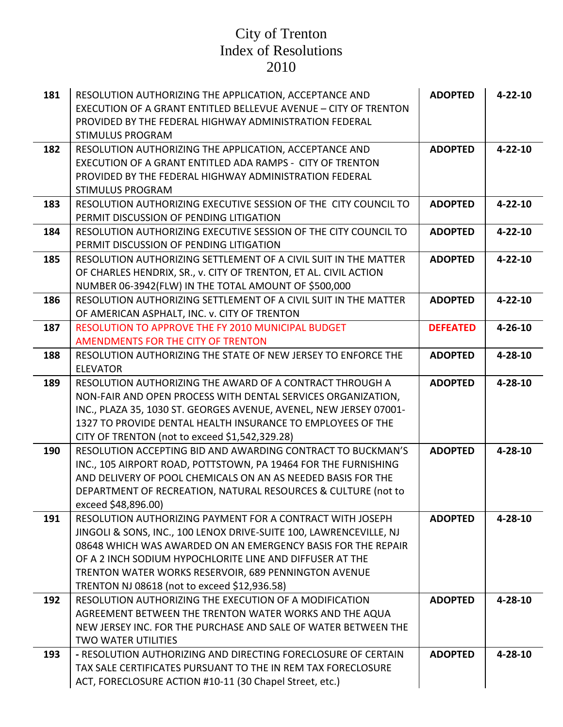| 181 | RESOLUTION AUTHORIZING THE APPLICATION, ACCEPTANCE AND<br>EXECUTION OF A GRANT ENTITLED BELLEVUE AVENUE - CITY OF TRENTON<br>PROVIDED BY THE FEDERAL HIGHWAY ADMINISTRATION FEDERAL<br><b>STIMULUS PROGRAM</b>                                                                                                                                                      | <b>ADOPTED</b>  | $4 - 22 - 10$ |
|-----|---------------------------------------------------------------------------------------------------------------------------------------------------------------------------------------------------------------------------------------------------------------------------------------------------------------------------------------------------------------------|-----------------|---------------|
| 182 | RESOLUTION AUTHORIZING THE APPLICATION, ACCEPTANCE AND<br>EXECUTION OF A GRANT ENTITLED ADA RAMPS - CITY OF TRENTON<br>PROVIDED BY THE FEDERAL HIGHWAY ADMINISTRATION FEDERAL<br><b>STIMULUS PROGRAM</b>                                                                                                                                                            | <b>ADOPTED</b>  | $4 - 22 - 10$ |
| 183 | RESOLUTION AUTHORIZING EXECUTIVE SESSION OF THE CITY COUNCIL TO<br>PERMIT DISCUSSION OF PENDING LITIGATION                                                                                                                                                                                                                                                          | <b>ADOPTED</b>  | $4 - 22 - 10$ |
| 184 | RESOLUTION AUTHORIZING EXECUTIVE SESSION OF THE CITY COUNCIL TO<br>PERMIT DISCUSSION OF PENDING LITIGATION                                                                                                                                                                                                                                                          | <b>ADOPTED</b>  | $4 - 22 - 10$ |
| 185 | RESOLUTION AUTHORIZING SETTLEMENT OF A CIVIL SUIT IN THE MATTER<br>OF CHARLES HENDRIX, SR., v. CITY OF TRENTON, ET AL. CIVIL ACTION<br>NUMBER 06-3942(FLW) IN THE TOTAL AMOUNT OF \$500,000                                                                                                                                                                         | <b>ADOPTED</b>  | $4 - 22 - 10$ |
| 186 | RESOLUTION AUTHORIZING SETTLEMENT OF A CIVIL SUIT IN THE MATTER<br>OF AMERICAN ASPHALT, INC. v. CITY OF TRENTON                                                                                                                                                                                                                                                     | <b>ADOPTED</b>  | $4 - 22 - 10$ |
| 187 | RESOLUTION TO APPROVE THE FY 2010 MUNICIPAL BUDGET<br>AMENDMENTS FOR THE CITY OF TRENTON                                                                                                                                                                                                                                                                            | <b>DEFEATED</b> | $4 - 26 - 10$ |
| 188 | RESOLUTION AUTHORIZING THE STATE OF NEW JERSEY TO ENFORCE THE<br><b>ELEVATOR</b>                                                                                                                                                                                                                                                                                    | <b>ADOPTED</b>  | $4 - 28 - 10$ |
| 189 | RESOLUTION AUTHORIZING THE AWARD OF A CONTRACT THROUGH A<br>NON-FAIR AND OPEN PROCESS WITH DENTAL SERVICES ORGANIZATION,<br>INC., PLAZA 35, 1030 ST. GEORGES AVENUE, AVENEL, NEW JERSEY 07001-<br>1327 TO PROVIDE DENTAL HEALTH INSURANCE TO EMPLOYEES OF THE<br>CITY OF TRENTON (not to exceed \$1,542,329.28)                                                     | <b>ADOPTED</b>  | $4 - 28 - 10$ |
| 190 | RESOLUTION ACCEPTING BID AND AWARDING CONTRACT TO BUCKMAN'S<br>INC., 105 AIRPORT ROAD, POTTSTOWN, PA 19464 FOR THE FURNISHING<br>AND DELIVERY OF POOL CHEMICALS ON AN AS NEEDED BASIS FOR THE<br>DEPARTMENT OF RECREATION, NATURAL RESOURCES & CULTURE (not to<br>exceed \$48,896.00)                                                                               | <b>ADOPTED</b>  | $4 - 28 - 10$ |
| 191 | RESOLUTION AUTHORIZING PAYMENT FOR A CONTRACT WITH JOSEPH<br>JINGOLI & SONS, INC., 100 LENOX DRIVE-SUITE 100, LAWRENCEVILLE, NJ<br>08648 WHICH WAS AWARDED ON AN EMERGENCY BASIS FOR THE REPAIR<br>OF A 2 INCH SODIUM HYPOCHLORITE LINE AND DIFFUSER AT THE<br>TRENTON WATER WORKS RESERVOIR, 689 PENNINGTON AVENUE<br>TRENTON NJ 08618 (not to exceed \$12,936.58) | <b>ADOPTED</b>  | $4 - 28 - 10$ |
| 192 | RESOLUTION AUTHORIZING THE EXECUTION OF A MODIFICATION<br>AGREEMENT BETWEEN THE TRENTON WATER WORKS AND THE AQUA<br>NEW JERSEY INC. FOR THE PURCHASE AND SALE OF WATER BETWEEN THE<br><b>TWO WATER UTILITIES</b>                                                                                                                                                    | <b>ADOPTED</b>  | $4 - 28 - 10$ |
| 193 | - RESOLUTION AUTHORIZING AND DIRECTING FORECLOSURE OF CERTAIN<br>TAX SALE CERTIFICATES PURSUANT TO THE IN REM TAX FORECLOSURE<br>ACT, FORECLOSURE ACTION #10-11 (30 Chapel Street, etc.)                                                                                                                                                                            | <b>ADOPTED</b>  | $4 - 28 - 10$ |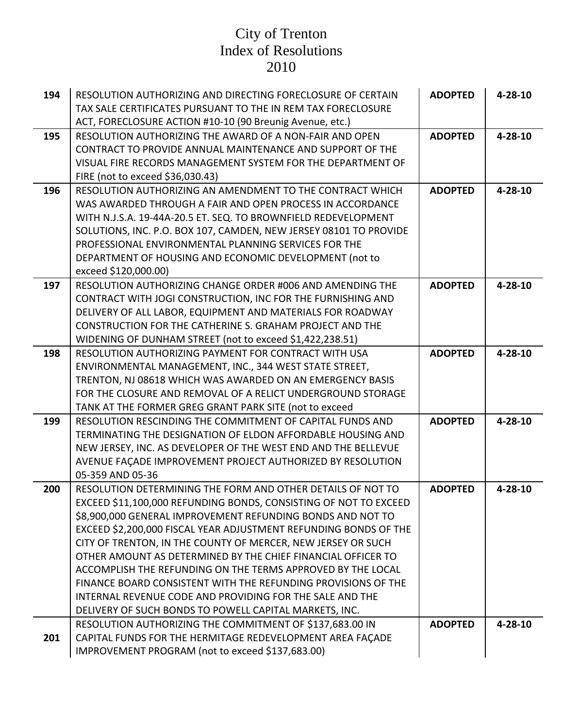| 194 | RESOLUTION AUTHORIZING AND DIRECTING FORECLOSURE OF CERTAIN                                                                  | <b>ADOPTED</b> | $4 - 28 - 10$ |
|-----|------------------------------------------------------------------------------------------------------------------------------|----------------|---------------|
|     | TAX SALE CERTIFICATES PURSUANT TO THE IN REM TAX FORECLOSURE                                                                 |                |               |
|     | ACT, FORECLOSURE ACTION #10-10 (90 Breunig Avenue, etc.)<br>RESOLUTION AUTHORIZING THE AWARD OF A NON-FAIR AND OPEN          |                |               |
| 195 |                                                                                                                              | <b>ADOPTED</b> | $4 - 28 - 10$ |
|     | CONTRACT TO PROVIDE ANNUAL MAINTENANCE AND SUPPORT OF THE                                                                    |                |               |
|     | VISUAL FIRE RECORDS MANAGEMENT SYSTEM FOR THE DEPARTMENT OF<br>FIRE (not to exceed \$36,030.43)                              |                |               |
| 196 | RESOLUTION AUTHORIZING AN AMENDMENT TO THE CONTRACT WHICH                                                                    | <b>ADOPTED</b> | $4 - 28 - 10$ |
|     | WAS AWARDED THROUGH A FAIR AND OPEN PROCESS IN ACCORDANCE                                                                    |                |               |
|     | WITH N.J.S.A. 19-44A-20.5 ET. SEQ. TO BROWNFIELD REDEVELOPMENT                                                               |                |               |
|     | SOLUTIONS, INC. P.O. BOX 107, CAMDEN, NEW JERSEY 08101 TO PROVIDE                                                            |                |               |
|     | PROFESSIONAL ENVIRONMENTAL PLANNING SERVICES FOR THE                                                                         |                |               |
|     | DEPARTMENT OF HOUSING AND ECONOMIC DEVELOPMENT (not to                                                                       |                |               |
|     | exceed \$120,000.00)                                                                                                         |                |               |
| 197 | RESOLUTION AUTHORIZING CHANGE ORDER #006 AND AMENDING THE                                                                    | <b>ADOPTED</b> | 4-28-10       |
|     | CONTRACT WITH JOGI CONSTRUCTION, INC FOR THE FURNISHING AND                                                                  |                |               |
|     | DELIVERY OF ALL LABOR, EQUIPMENT AND MATERIALS FOR ROADWAY                                                                   |                |               |
|     | CONSTRUCTION FOR THE CATHERINE S. GRAHAM PROJECT AND THE                                                                     |                |               |
|     | WIDENING OF DUNHAM STREET (not to exceed \$1,422,238.51)                                                                     |                |               |
| 198 | RESOLUTION AUTHORIZING PAYMENT FOR CONTRACT WITH USA                                                                         | <b>ADOPTED</b> | $4 - 28 - 10$ |
|     | ENVIRONMENTAL MANAGEMENT, INC., 344 WEST STATE STREET,                                                                       |                |               |
|     | TRENTON, NJ 08618 WHICH WAS AWARDED ON AN EMERGENCY BASIS                                                                    |                |               |
|     | FOR THE CLOSURE AND REMOVAL OF A RELICT UNDERGROUND STORAGE                                                                  |                |               |
|     | TANK AT THE FORMER GREG GRANT PARK SITE (not to exceed                                                                       |                |               |
| 199 | RESOLUTION RESCINDING THE COMMITMENT OF CAPITAL FUNDS AND                                                                    | <b>ADOPTED</b> | $4 - 28 - 10$ |
|     | TERMINATING THE DESIGNATION OF ELDON AFFORDABLE HOUSING AND                                                                  |                |               |
|     | NEW JERSEY, INC. AS DEVELOPER OF THE WEST END AND THE BELLEVUE                                                               |                |               |
|     | AVENUE FAÇADE IMPROVEMENT PROJECT AUTHORIZED BY RESOLUTION                                                                   |                |               |
|     | 05-359 AND 05-36                                                                                                             |                |               |
| 200 | RESOLUTION DETERMINING THE FORM AND OTHER DETAILS OF NOT TO                                                                  | <b>ADOPTED</b> | $4 - 28 - 10$ |
|     | EXCEED \$11,100,000 REFUNDING BONDS, CONSISTING OF NOT TO EXCEED                                                             |                |               |
|     | \$8,900,000 GENERAL IMPROVEMENT REFUNDING BONDS AND NOT TO                                                                   |                |               |
|     | EXCEED \$2,200,000 FISCAL YEAR ADJUSTMENT REFUNDING BONDS OF THE                                                             |                |               |
|     | CITY OF TRENTON, IN THE COUNTY OF MERCER, NEW JERSEY OR SUCH<br>OTHER AMOUNT AS DETERMINED BY THE CHIEF FINANCIAL OFFICER TO |                |               |
|     | ACCOMPLISH THE REFUNDING ON THE TERMS APPROVED BY THE LOCAL                                                                  |                |               |
|     | FINANCE BOARD CONSISTENT WITH THE REFUNDING PROVISIONS OF THE                                                                |                |               |
|     | INTERNAL REVENUE CODE AND PROVIDING FOR THE SALE AND THE                                                                     |                |               |
|     | DELIVERY OF SUCH BONDS TO POWELL CAPITAL MARKETS, INC.                                                                       |                |               |
|     | RESOLUTION AUTHORIZING THE COMMITMENT OF \$137,683.00 IN                                                                     | <b>ADOPTED</b> | $4 - 28 - 10$ |
| 201 | CAPITAL FUNDS FOR THE HERMITAGE REDEVELOPMENT AREA FACADE                                                                    |                |               |
|     | IMPROVEMENT PROGRAM (not to exceed \$137,683.00)                                                                             |                |               |
|     |                                                                                                                              |                |               |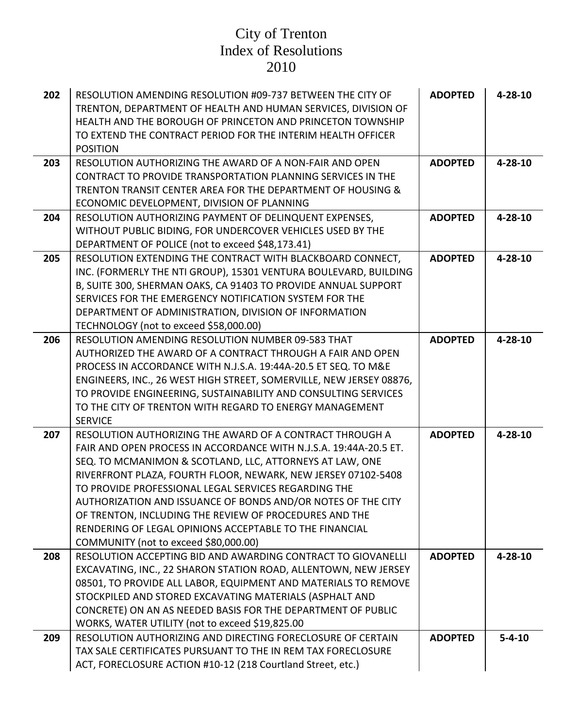| 202 | RESOLUTION AMENDING RESOLUTION #09-737 BETWEEN THE CITY OF<br>TRENTON, DEPARTMENT OF HEALTH AND HUMAN SERVICES, DIVISION OF<br><b>HEALTH AND THE BOROUGH OF PRINCETON AND PRINCETON TOWNSHIP</b><br>TO EXTEND THE CONTRACT PERIOD FOR THE INTERIM HEALTH OFFICER<br><b>POSITION</b>                                                                                                                                                                                                                                                              | <b>ADOPTED</b> | $4 - 28 - 10$ |
|-----|--------------------------------------------------------------------------------------------------------------------------------------------------------------------------------------------------------------------------------------------------------------------------------------------------------------------------------------------------------------------------------------------------------------------------------------------------------------------------------------------------------------------------------------------------|----------------|---------------|
| 203 | RESOLUTION AUTHORIZING THE AWARD OF A NON-FAIR AND OPEN<br><b>CONTRACT TO PROVIDE TRANSPORTATION PLANNING SERVICES IN THE</b><br>TRENTON TRANSIT CENTER AREA FOR THE DEPARTMENT OF HOUSING &<br>ECONOMIC DEVELOPMENT, DIVISION OF PLANNING                                                                                                                                                                                                                                                                                                       | <b>ADOPTED</b> | $4 - 28 - 10$ |
| 204 | RESOLUTION AUTHORIZING PAYMENT OF DELINQUENT EXPENSES,<br>WITHOUT PUBLIC BIDING, FOR UNDERCOVER VEHICLES USED BY THE<br>DEPARTMENT OF POLICE (not to exceed \$48,173.41)                                                                                                                                                                                                                                                                                                                                                                         | <b>ADOPTED</b> | $4 - 28 - 10$ |
| 205 | RESOLUTION EXTENDING THE CONTRACT WITH BLACKBOARD CONNECT,<br>INC. (FORMERLY THE NTI GROUP), 15301 VENTURA BOULEVARD, BUILDING<br>B, SUITE 300, SHERMAN OAKS, CA 91403 TO PROVIDE ANNUAL SUPPORT<br>SERVICES FOR THE EMERGENCY NOTIFICATION SYSTEM FOR THE<br>DEPARTMENT OF ADMINISTRATION, DIVISION OF INFORMATION<br>TECHNOLOGY (not to exceed \$58,000.00)                                                                                                                                                                                    | <b>ADOPTED</b> | $4 - 28 - 10$ |
| 206 | <b>RESOLUTION AMENDING RESOLUTION NUMBER 09-583 THAT</b><br>AUTHORIZED THE AWARD OF A CONTRACT THROUGH A FAIR AND OPEN<br>PROCESS IN ACCORDANCE WITH N.J.S.A. 19:44A-20.5 ET SEQ. TO M&E<br>ENGINEERS, INC., 26 WEST HIGH STREET, SOMERVILLE, NEW JERSEY 08876,<br>TO PROVIDE ENGINEERING, SUSTAINABILITY AND CONSULTING SERVICES<br>TO THE CITY OF TRENTON WITH REGARD TO ENERGY MANAGEMENT<br><b>SERVICE</b>                                                                                                                                   | <b>ADOPTED</b> | $4 - 28 - 10$ |
| 207 | RESOLUTION AUTHORIZING THE AWARD OF A CONTRACT THROUGH A<br>FAIR AND OPEN PROCESS IN ACCORDANCE WITH N.J.S.A. 19:44A-20.5 ET.<br>SEQ. TO MCMANIMON & SCOTLAND, LLC, ATTORNEYS AT LAW, ONE<br>RIVERFRONT PLAZA, FOURTH FLOOR, NEWARK, NEW JERSEY 07102-5408<br>TO PROVIDE PROFESSIONAL LEGAL SERVICES REGARDING THE<br>AUTHORIZATION AND ISSUANCE OF BONDS AND/OR NOTES OF THE CITY<br>OF TRENTON, INCLUDING THE REVIEW OF PROCEDURES AND THE<br>RENDERING OF LEGAL OPINIONS ACCEPTABLE TO THE FINANCIAL<br>COMMUNITY (not to exceed \$80,000.00) | <b>ADOPTED</b> | $4 - 28 - 10$ |
| 208 | RESOLUTION ACCEPTING BID AND AWARDING CONTRACT TO GIOVANELLI<br>EXCAVATING, INC., 22 SHARON STATION ROAD, ALLENTOWN, NEW JERSEY<br>08501, TO PROVIDE ALL LABOR, EQUIPMENT AND MATERIALS TO REMOVE<br>STOCKPILED AND STORED EXCAVATING MATERIALS (ASPHALT AND<br>CONCRETE) ON AN AS NEEDED BASIS FOR THE DEPARTMENT OF PUBLIC<br>WORKS, WATER UTILITY (not to exceed \$19,825.00                                                                                                                                                                  | <b>ADOPTED</b> | $4 - 28 - 10$ |
| 209 | RESOLUTION AUTHORIZING AND DIRECTING FORECLOSURE OF CERTAIN<br>TAX SALE CERTIFICATES PURSUANT TO THE IN REM TAX FORECLOSURE<br>ACT, FORECLOSURE ACTION #10-12 (218 Courtland Street, etc.)                                                                                                                                                                                                                                                                                                                                                       | <b>ADOPTED</b> | $5 - 4 - 10$  |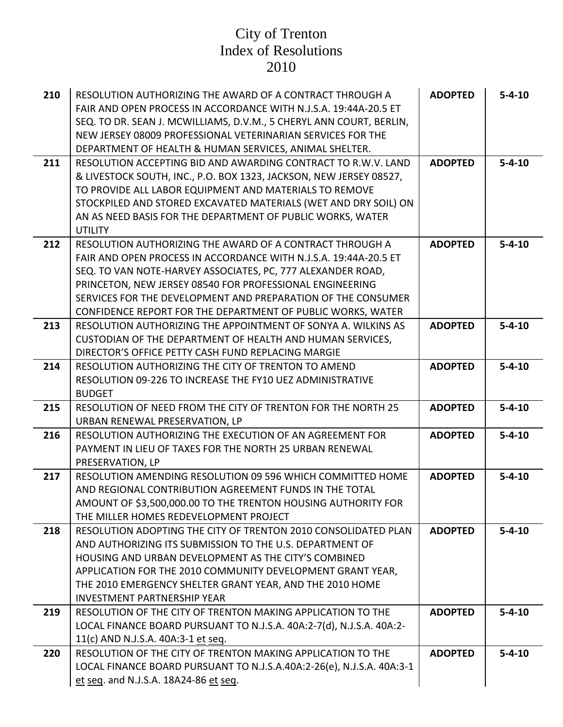| 210 | RESOLUTION AUTHORIZING THE AWARD OF A CONTRACT THROUGH A                                                         | <b>ADOPTED</b> | $5 - 4 - 10$ |
|-----|------------------------------------------------------------------------------------------------------------------|----------------|--------------|
|     | FAIR AND OPEN PROCESS IN ACCORDANCE WITH N.J.S.A. 19:44A-20.5 ET                                                 |                |              |
|     | SEQ. TO DR. SEAN J. MCWILLIAMS, D.V.M., 5 CHERYL ANN COURT, BERLIN,                                              |                |              |
|     | NEW JERSEY 08009 PROFESSIONAL VETERINARIAN SERVICES FOR THE                                                      |                |              |
|     | DEPARTMENT OF HEALTH & HUMAN SERVICES, ANIMAL SHELTER.                                                           |                |              |
| 211 | RESOLUTION ACCEPTING BID AND AWARDING CONTRACT TO R.W.V. LAND                                                    | <b>ADOPTED</b> | $5 - 4 - 10$ |
|     | & LIVESTOCK SOUTH, INC., P.O. BOX 1323, JACKSON, NEW JERSEY 08527,                                               |                |              |
|     | TO PROVIDE ALL LABOR EQUIPMENT AND MATERIALS TO REMOVE                                                           |                |              |
|     | STOCKPILED AND STORED EXCAVATED MATERIALS (WET AND DRY SOIL) ON                                                  |                |              |
|     | AN AS NEED BASIS FOR THE DEPARTMENT OF PUBLIC WORKS, WATER                                                       |                |              |
|     | <b>UTILITY</b>                                                                                                   |                |              |
| 212 | RESOLUTION AUTHORIZING THE AWARD OF A CONTRACT THROUGH A                                                         | <b>ADOPTED</b> | $5 - 4 - 10$ |
|     | FAIR AND OPEN PROCESS IN ACCORDANCE WITH N.J.S.A. 19:44A-20.5 ET                                                 |                |              |
|     | SEQ. TO VAN NOTE-HARVEY ASSOCIATES, PC, 777 ALEXANDER ROAD,                                                      |                |              |
|     | PRINCETON, NEW JERSEY 08540 FOR PROFESSIONAL ENGINEERING                                                         |                |              |
|     | SERVICES FOR THE DEVELOPMENT AND PREPARATION OF THE CONSUMER                                                     |                |              |
|     | CONFIDENCE REPORT FOR THE DEPARTMENT OF PUBLIC WORKS, WATER                                                      |                |              |
| 213 | RESOLUTION AUTHORIZING THE APPOINTMENT OF SONYA A. WILKINS AS                                                    | <b>ADOPTED</b> | $5 - 4 - 10$ |
|     | CUSTODIAN OF THE DEPARTMENT OF HEALTH AND HUMAN SERVICES,                                                        |                |              |
|     | DIRECTOR'S OFFICE PETTY CASH FUND REPLACING MARGIE                                                               |                |              |
| 214 | RESOLUTION AUTHORIZING THE CITY OF TRENTON TO AMEND                                                              | <b>ADOPTED</b> | $5 - 4 - 10$ |
|     | RESOLUTION 09-226 TO INCREASE THE FY10 UEZ ADMINISTRATIVE                                                        |                |              |
|     | <b>BUDGET</b>                                                                                                    |                |              |
| 215 | RESOLUTION OF NEED FROM THE CITY OF TRENTON FOR THE NORTH 25                                                     | <b>ADOPTED</b> | $5 - 4 - 10$ |
|     | URBAN RENEWAL PRESERVATION, LP                                                                                   |                |              |
| 216 | RESOLUTION AUTHORIZING THE EXECUTION OF AN AGREEMENT FOR                                                         | <b>ADOPTED</b> | $5 - 4 - 10$ |
|     | PAYMENT IN LIEU OF TAXES FOR THE NORTH 25 URBAN RENEWAL                                                          |                |              |
|     | PRESERVATION, LP                                                                                                 |                |              |
| 217 | RESOLUTION AMENDING RESOLUTION 09 596 WHICH COMMITTED HOME                                                       | <b>ADOPTED</b> | $5 - 4 - 10$ |
|     | AND REGIONAL CONTRIBUTION AGREEMENT FUNDS IN THE TOTAL                                                           |                |              |
|     | AMOUNT OF \$3,500,000.00 TO THE TRENTON HOUSING AUTHORITY FOR                                                    |                |              |
|     | THE MILLER HOMES REDEVELOPMENT PROJECT                                                                           |                |              |
| 218 | RESOLUTION ADOPTING THE CITY OF TRENTON 2010 CONSOLIDATED PLAN                                                   | <b>ADOPTED</b> | $5 - 4 - 10$ |
|     | AND AUTHORIZING ITS SUBMISSION TO THE U.S. DEPARTMENT OF<br>HOUSING AND URBAN DEVELOPMENT AS THE CITY'S COMBINED |                |              |
|     | APPLICATION FOR THE 2010 COMMUNITY DEVELOPMENT GRANT YEAR,                                                       |                |              |
|     | THE 2010 EMERGENCY SHELTER GRANT YEAR, AND THE 2010 HOME                                                         |                |              |
|     | <b>INVESTMENT PARTNERSHIP YEAR</b>                                                                               |                |              |
| 219 | RESOLUTION OF THE CITY OF TRENTON MAKING APPLICATION TO THE                                                      | <b>ADOPTED</b> | $5 - 4 - 10$ |
|     | LOCAL FINANCE BOARD PURSUANT TO N.J.S.A. 40A:2-7(d), N.J.S.A. 40A:2-                                             |                |              |
|     | 11(c) AND N.J.S.A. 40A:3-1 et seq.                                                                               |                |              |
| 220 | RESOLUTION OF THE CITY OF TRENTON MAKING APPLICATION TO THE                                                      | <b>ADOPTED</b> | $5 - 4 - 10$ |
|     | LOCAL FINANCE BOARD PURSUANT TO N.J.S.A.40A:2-26(e), N.J.S.A. 40A:3-1                                            |                |              |
|     | et seq. and N.J.S.A. 18A24-86 et seq.                                                                            |                |              |
|     |                                                                                                                  |                |              |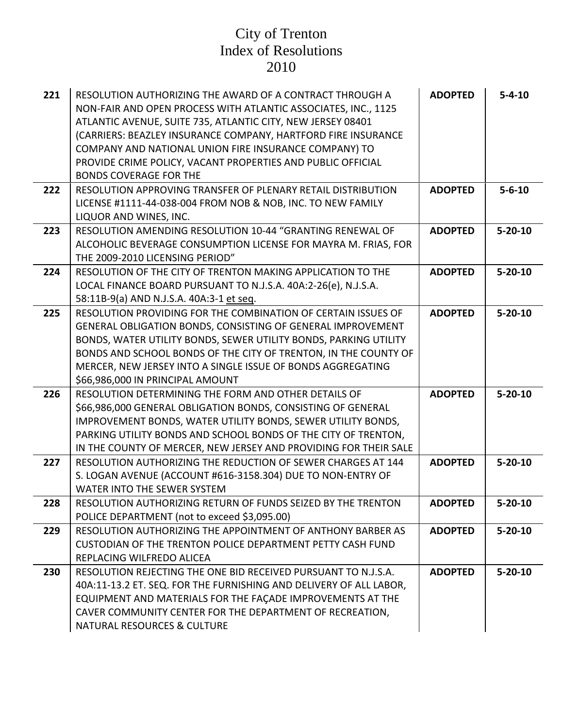| 221 | RESOLUTION AUTHORIZING THE AWARD OF A CONTRACT THROUGH A<br>NON-FAIR AND OPEN PROCESS WITH ATLANTIC ASSOCIATES, INC., 1125<br>ATLANTIC AVENUE, SUITE 735, ATLANTIC CITY, NEW JERSEY 08401<br>(CARRIERS: BEAZLEY INSURANCE COMPANY, HARTFORD FIRE INSURANCE<br>COMPANY AND NATIONAL UNION FIRE INSURANCE COMPANY) TO<br>PROVIDE CRIME POLICY, VACANT PROPERTIES AND PUBLIC OFFICIAL<br><b>BONDS COVERAGE FOR THE</b> | <b>ADOPTED</b> | $5 - 4 - 10$  |
|-----|---------------------------------------------------------------------------------------------------------------------------------------------------------------------------------------------------------------------------------------------------------------------------------------------------------------------------------------------------------------------------------------------------------------------|----------------|---------------|
| 222 | RESOLUTION APPROVING TRANSFER OF PLENARY RETAIL DISTRIBUTION<br>LICENSE #1111-44-038-004 FROM NOB & NOB, INC. TO NEW FAMILY<br>LIQUOR AND WINES, INC.                                                                                                                                                                                                                                                               | <b>ADOPTED</b> | $5 - 6 - 10$  |
| 223 | RESOLUTION AMENDING RESOLUTION 10-44 "GRANTING RENEWAL OF<br>ALCOHOLIC BEVERAGE CONSUMPTION LICENSE FOR MAYRA M. FRIAS, FOR<br>THE 2009-2010 LICENSING PERIOD"                                                                                                                                                                                                                                                      | <b>ADOPTED</b> | $5 - 20 - 10$ |
| 224 | RESOLUTION OF THE CITY OF TRENTON MAKING APPLICATION TO THE<br>LOCAL FINANCE BOARD PURSUANT TO N.J.S.A. 40A:2-26(e), N.J.S.A.<br>58:11B-9(a) AND N.J.S.A. 40A:3-1 et seq.                                                                                                                                                                                                                                           | <b>ADOPTED</b> | $5 - 20 - 10$ |
| 225 | RESOLUTION PROVIDING FOR THE COMBINATION OF CERTAIN ISSUES OF<br>GENERAL OBLIGATION BONDS, CONSISTING OF GENERAL IMPROVEMENT<br>BONDS, WATER UTILITY BONDS, SEWER UTILITY BONDS, PARKING UTILITY<br>BONDS AND SCHOOL BONDS OF THE CITY OF TRENTON, IN THE COUNTY OF<br>MERCER, NEW JERSEY INTO A SINGLE ISSUE OF BONDS AGGREGATING<br>\$66,986,000 IN PRINCIPAL AMOUNT                                              | <b>ADOPTED</b> | $5 - 20 - 10$ |
| 226 | RESOLUTION DETERMINING THE FORM AND OTHER DETAILS OF<br>\$66,986,000 GENERAL OBLIGATION BONDS, CONSISTING OF GENERAL<br>IMPROVEMENT BONDS, WATER UTILITY BONDS, SEWER UTILITY BONDS,<br>PARKING UTILITY BONDS AND SCHOOL BONDS OF THE CITY OF TRENTON,<br>IN THE COUNTY OF MERCER, NEW JERSEY AND PROVIDING FOR THEIR SALE                                                                                          | <b>ADOPTED</b> | $5 - 20 - 10$ |
| 227 | RESOLUTION AUTHORIZING THE REDUCTION OF SEWER CHARGES AT 144<br>S. LOGAN AVENUE (ACCOUNT #616-3158.304) DUE TO NON-ENTRY OF<br>WATER INTO THE SEWER SYSTEM                                                                                                                                                                                                                                                          | <b>ADOPTED</b> | $5 - 20 - 10$ |
| 228 | RESOLUTION AUTHORIZING RETURN OF FUNDS SEIZED BY THE TRENTON<br>POLICE DEPARTMENT (not to exceed \$3,095.00)                                                                                                                                                                                                                                                                                                        | <b>ADOPTED</b> | $5 - 20 - 10$ |
| 229 | RESOLUTION AUTHORIZING THE APPOINTMENT OF ANTHONY BARBER AS<br>CUSTODIAN OF THE TRENTON POLICE DEPARTMENT PETTY CASH FUND<br>REPLACING WILFREDO ALICEA                                                                                                                                                                                                                                                              | <b>ADOPTED</b> | $5 - 20 - 10$ |
| 230 | RESOLUTION REJECTING THE ONE BID RECEIVED PURSUANT TO N.J.S.A.<br>40A:11-13.2 ET. SEQ. FOR THE FURNISHING AND DELIVERY OF ALL LABOR,<br>EQUIPMENT AND MATERIALS FOR THE FAÇADE IMPROVEMENTS AT THE<br>CAVER COMMUNITY CENTER FOR THE DEPARTMENT OF RECREATION,<br>NATURAL RESOURCES & CULTURE                                                                                                                       | <b>ADOPTED</b> | $5 - 20 - 10$ |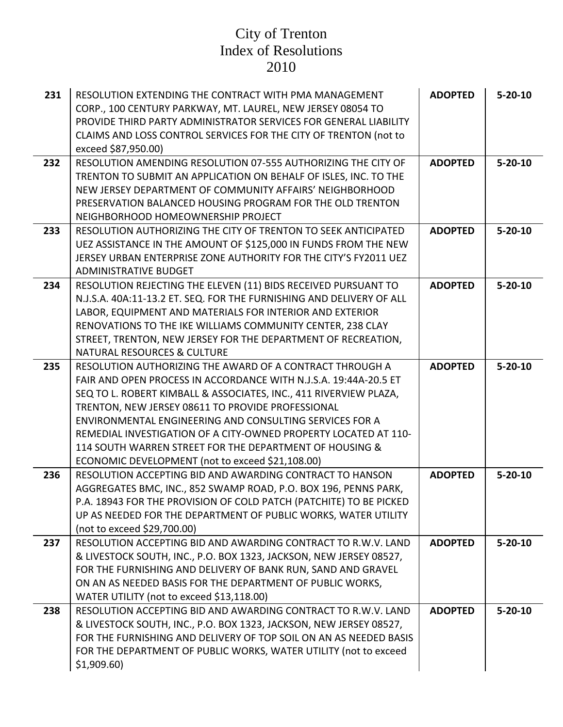| 231<br>232 | RESOLUTION EXTENDING THE CONTRACT WITH PMA MANAGEMENT<br>CORP., 100 CENTURY PARKWAY, MT. LAUREL, NEW JERSEY 08054 TO<br>PROVIDE THIRD PARTY ADMINISTRATOR SERVICES FOR GENERAL LIABILITY<br>CLAIMS AND LOSS CONTROL SERVICES FOR THE CITY OF TRENTON (not to<br>exceed \$87,950.00)<br>RESOLUTION AMENDING RESOLUTION 07-555 AUTHORIZING THE CITY OF                                                                                                                                                | <b>ADOPTED</b><br><b>ADOPTED</b> | $5 - 20 - 10$<br>$5 - 20 - 10$ |
|------------|-----------------------------------------------------------------------------------------------------------------------------------------------------------------------------------------------------------------------------------------------------------------------------------------------------------------------------------------------------------------------------------------------------------------------------------------------------------------------------------------------------|----------------------------------|--------------------------------|
|            | TRENTON TO SUBMIT AN APPLICATION ON BEHALF OF ISLES, INC. TO THE<br>NEW JERSEY DEPARTMENT OF COMMUNITY AFFAIRS' NEIGHBORHOOD<br>PRESERVATION BALANCED HOUSING PROGRAM FOR THE OLD TRENTON<br>NEIGHBORHOOD HOMEOWNERSHIP PROJECT                                                                                                                                                                                                                                                                     |                                  |                                |
| 233        | RESOLUTION AUTHORIZING THE CITY OF TRENTON TO SEEK ANTICIPATED<br>UEZ ASSISTANCE IN THE AMOUNT OF \$125,000 IN FUNDS FROM THE NEW<br>JERSEY URBAN ENTERPRISE ZONE AUTHORITY FOR THE CITY'S FY2011 UEZ                                                                                                                                                                                                                                                                                               | <b>ADOPTED</b>                   | $5 - 20 - 10$                  |
|            | <b>ADMINISTRATIVE BUDGET</b>                                                                                                                                                                                                                                                                                                                                                                                                                                                                        |                                  |                                |
| 234        | RESOLUTION REJECTING THE ELEVEN (11) BIDS RECEIVED PURSUANT TO<br>N.J.S.A. 40A:11-13.2 ET. SEQ. FOR THE FURNISHING AND DELIVERY OF ALL<br>LABOR, EQUIPMENT AND MATERIALS FOR INTERIOR AND EXTERIOR<br>RENOVATIONS TO THE IKE WILLIAMS COMMUNITY CENTER, 238 CLAY<br>STREET, TRENTON, NEW JERSEY FOR THE DEPARTMENT OF RECREATION,<br><b>NATURAL RESOURCES &amp; CULTURE</b>                                                                                                                         | <b>ADOPTED</b>                   | $5 - 20 - 10$                  |
| 235        | RESOLUTION AUTHORIZING THE AWARD OF A CONTRACT THROUGH A<br>FAIR AND OPEN PROCESS IN ACCORDANCE WITH N.J.S.A. 19:44A-20.5 ET<br>SEQ TO L. ROBERT KIMBALL & ASSOCIATES, INC., 411 RIVERVIEW PLAZA,<br>TRENTON, NEW JERSEY 08611 TO PROVIDE PROFESSIONAL<br>ENVIRONMENTAL ENGINEERING AND CONSULTING SERVICES FOR A<br>REMEDIAL INVESTIGATION OF A CITY-OWNED PROPERTY LOCATED AT 110-<br>114 SOUTH WARREN STREET FOR THE DEPARTMENT OF HOUSING &<br>ECONOMIC DEVELOPMENT (not to exceed \$21,108.00) | <b>ADOPTED</b>                   | $5 - 20 - 10$                  |
| 236        | RESOLUTION ACCEPTING BID AND AWARDING CONTRACT TO HANSON<br>AGGREGATES BMC, INC., 852 SWAMP ROAD, P.O. BOX 196, PENNS PARK,<br>P.A. 18943 FOR THE PROVISION OF COLD PATCH (PATCHITE) TO BE PICKED<br>UP AS NEEDED FOR THE DEPARTMENT OF PUBLIC WORKS, WATER UTILITY<br>(not to exceed \$29,700.00)                                                                                                                                                                                                  | <b>ADOPTED</b>                   | $5 - 20 - 10$                  |
| 237        | RESOLUTION ACCEPTING BID AND AWARDING CONTRACT TO R.W.V. LAND<br>& LIVESTOCK SOUTH, INC., P.O. BOX 1323, JACKSON, NEW JERSEY 08527,<br>FOR THE FURNISHING AND DELIVERY OF BANK RUN, SAND AND GRAVEL<br>ON AN AS NEEDED BASIS FOR THE DEPARTMENT OF PUBLIC WORKS,<br>WATER UTILITY (not to exceed \$13,118.00)                                                                                                                                                                                       | <b>ADOPTED</b>                   | $5 - 20 - 10$                  |
| 238        | RESOLUTION ACCEPTING BID AND AWARDING CONTRACT TO R.W.V. LAND<br>& LIVESTOCK SOUTH, INC., P.O. BOX 1323, JACKSON, NEW JERSEY 08527,<br>FOR THE FURNISHING AND DELIVERY OF TOP SOIL ON AN AS NEEDED BASIS<br>FOR THE DEPARTMENT OF PUBLIC WORKS, WATER UTILITY (not to exceed<br>\$1,909.60                                                                                                                                                                                                          | <b>ADOPTED</b>                   | $5 - 20 - 10$                  |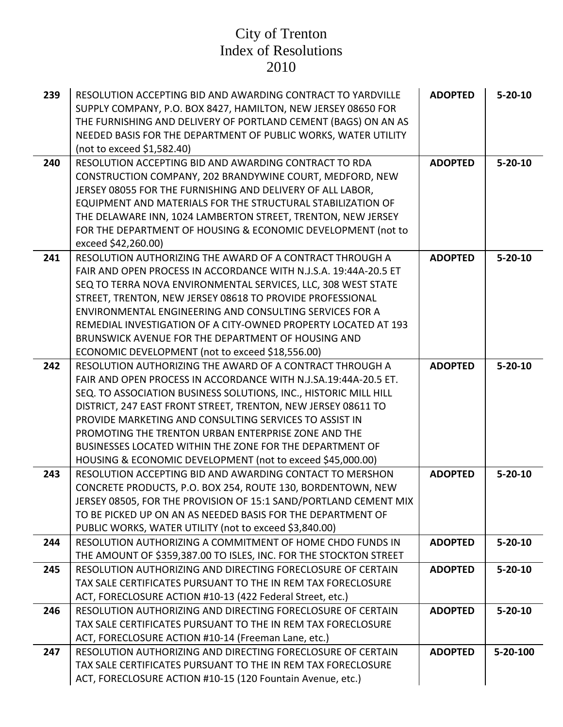| 239 | RESOLUTION ACCEPTING BID AND AWARDING CONTRACT TO YARDVILLE<br>SUPPLY COMPANY, P.O. BOX 8427, HAMILTON, NEW JERSEY 08650 FOR | <b>ADOPTED</b> | $5 - 20 - 10$ |
|-----|------------------------------------------------------------------------------------------------------------------------------|----------------|---------------|
|     | THE FURNISHING AND DELIVERY OF PORTLAND CEMENT (BAGS) ON AN AS                                                               |                |               |
|     | NEEDED BASIS FOR THE DEPARTMENT OF PUBLIC WORKS, WATER UTILITY                                                               |                |               |
|     | (not to exceed \$1,582.40)                                                                                                   |                |               |
| 240 | <b>RESOLUTION ACCEPTING BID AND AWARDING CONTRACT TO RDA</b>                                                                 | <b>ADOPTED</b> | $5 - 20 - 10$ |
|     | CONSTRUCTION COMPANY, 202 BRANDYWINE COURT, MEDFORD, NEW                                                                     |                |               |
|     | JERSEY 08055 FOR THE FURNISHING AND DELIVERY OF ALL LABOR,                                                                   |                |               |
|     | EQUIPMENT AND MATERIALS FOR THE STRUCTURAL STABILIZATION OF                                                                  |                |               |
|     | THE DELAWARE INN, 1024 LAMBERTON STREET, TRENTON, NEW JERSEY                                                                 |                |               |
|     | FOR THE DEPARTMENT OF HOUSING & ECONOMIC DEVELOPMENT (not to                                                                 |                |               |
|     | exceed \$42,260.00)                                                                                                          |                |               |
| 241 | RESOLUTION AUTHORIZING THE AWARD OF A CONTRACT THROUGH A                                                                     | <b>ADOPTED</b> | $5 - 20 - 10$ |
|     | FAIR AND OPEN PROCESS IN ACCORDANCE WITH N.J.S.A. 19:44A-20.5 ET                                                             |                |               |
|     | SEQ TO TERRA NOVA ENVIRONMENTAL SERVICES, LLC, 308 WEST STATE                                                                |                |               |
|     | STREET, TRENTON, NEW JERSEY 08618 TO PROVIDE PROFESSIONAL                                                                    |                |               |
|     | ENVIRONMENTAL ENGINEERING AND CONSULTING SERVICES FOR A                                                                      |                |               |
|     | REMEDIAL INVESTIGATION OF A CITY-OWNED PROPERTY LOCATED AT 193                                                               |                |               |
|     | BRUNSWICK AVENUE FOR THE DEPARTMENT OF HOUSING AND                                                                           |                |               |
|     | ECONOMIC DEVELOPMENT (not to exceed \$18,556.00)                                                                             |                |               |
| 242 | RESOLUTION AUTHORIZING THE AWARD OF A CONTRACT THROUGH A                                                                     | <b>ADOPTED</b> | $5 - 20 - 10$ |
|     | FAIR AND OPEN PROCESS IN ACCORDANCE WITH N.J.SA.19:44A-20.5 ET.                                                              |                |               |
|     | SEQ. TO ASSOCIATION BUSINESS SOLUTIONS, INC., HISTORIC MILL HILL                                                             |                |               |
|     | DISTRICT, 247 EAST FRONT STREET, TRENTON, NEW JERSEY 08611 TO                                                                |                |               |
|     | PROVIDE MARKETING AND CONSULTING SERVICES TO ASSIST IN                                                                       |                |               |
|     | PROMOTING THE TRENTON URBAN ENTERPRISE ZONE AND THE                                                                          |                |               |
|     | BUSINESSES LOCATED WITHIN THE ZONE FOR THE DEPARTMENT OF                                                                     |                |               |
|     | HOUSING & ECONOMIC DEVELOPMENT (not to exceed \$45,000.00)                                                                   |                |               |
| 243 | RESOLUTION ACCEPTING BID AND AWARDING CONTACT TO MERSHON                                                                     | <b>ADOPTED</b> | $5 - 20 - 10$ |
|     | CONCRETE PRODUCTS, P.O. BOX 254, ROUTE 130, BORDENTOWN, NEW                                                                  |                |               |
|     | JERSEY 08505, FOR THE PROVISION OF 15:1 SAND/PORTLAND CEMENT MIX                                                             |                |               |
|     | TO BE PICKED UP ON AN AS NEEDED BASIS FOR THE DEPARTMENT OF                                                                  |                |               |
|     | PUBLIC WORKS, WATER UTILITY (not to exceed \$3,840.00)                                                                       |                |               |
| 244 | RESOLUTION AUTHORIZING A COMMITMENT OF HOME CHDO FUNDS IN                                                                    | <b>ADOPTED</b> | $5 - 20 - 10$ |
|     | THE AMOUNT OF \$359,387.00 TO ISLES, INC. FOR THE STOCKTON STREET                                                            |                |               |
| 245 | RESOLUTION AUTHORIZING AND DIRECTING FORECLOSURE OF CERTAIN                                                                  | <b>ADOPTED</b> | $5 - 20 - 10$ |
|     | TAX SALE CERTIFICATES PURSUANT TO THE IN REM TAX FORECLOSURE                                                                 |                |               |
|     | ACT, FORECLOSURE ACTION #10-13 (422 Federal Street, etc.)                                                                    |                |               |
| 246 | RESOLUTION AUTHORIZING AND DIRECTING FORECLOSURE OF CERTAIN                                                                  | <b>ADOPTED</b> | $5 - 20 - 10$ |
|     | TAX SALE CERTIFICATES PURSUANT TO THE IN REM TAX FORECLOSURE                                                                 |                |               |
|     | ACT, FORECLOSURE ACTION #10-14 (Freeman Lane, etc.)                                                                          |                |               |
| 247 | RESOLUTION AUTHORIZING AND DIRECTING FORECLOSURE OF CERTAIN                                                                  | <b>ADOPTED</b> | 5-20-100      |
|     | TAX SALE CERTIFICATES PURSUANT TO THE IN REM TAX FORECLOSURE                                                                 |                |               |
|     | ACT, FORECLOSURE ACTION #10-15 (120 Fountain Avenue, etc.)                                                                   |                |               |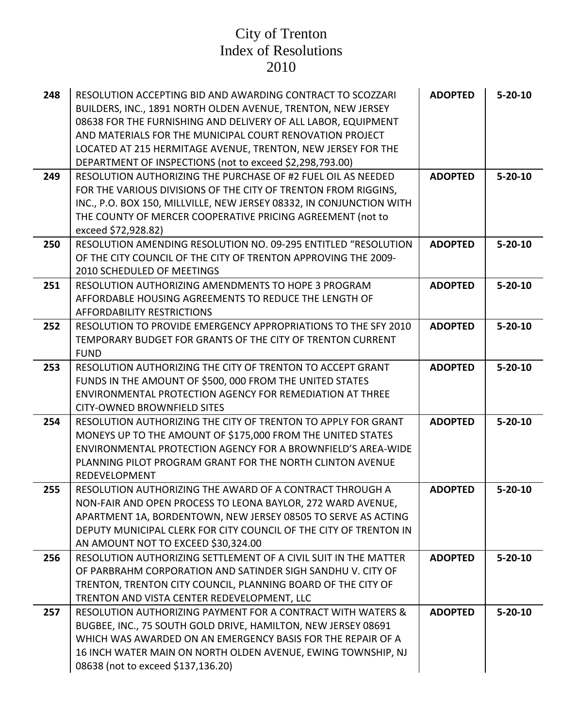| 248 | RESOLUTION ACCEPTING BID AND AWARDING CONTRACT TO SCOZZARI<br>BUILDERS, INC., 1891 NORTH OLDEN AVENUE, TRENTON, NEW JERSEY<br>08638 FOR THE FURNISHING AND DELIVERY OF ALL LABOR, EQUIPMENT<br>AND MATERIALS FOR THE MUNICIPAL COURT RENOVATION PROJECT<br>LOCATED AT 215 HERMITAGE AVENUE, TRENTON, NEW JERSEY FOR THE<br>DEPARTMENT OF INSPECTIONS (not to exceed \$2,298,793.00) | <b>ADOPTED</b> | $5 - 20 - 10$ |
|-----|-------------------------------------------------------------------------------------------------------------------------------------------------------------------------------------------------------------------------------------------------------------------------------------------------------------------------------------------------------------------------------------|----------------|---------------|
| 249 | RESOLUTION AUTHORIZING THE PURCHASE OF #2 FUEL OIL AS NEEDED<br>FOR THE VARIOUS DIVISIONS OF THE CITY OF TRENTON FROM RIGGINS,<br>INC., P.O. BOX 150, MILLVILLE, NEW JERSEY 08332, IN CONJUNCTION WITH<br>THE COUNTY OF MERCER COOPERATIVE PRICING AGREEMENT (not to<br>exceed \$72,928.82)                                                                                         | <b>ADOPTED</b> | $5 - 20 - 10$ |
| 250 | RESOLUTION AMENDING RESOLUTION NO. 09-295 ENTITLED "RESOLUTION<br>OF THE CITY COUNCIL OF THE CITY OF TRENTON APPROVING THE 2009-<br>2010 SCHEDULED OF MEETINGS                                                                                                                                                                                                                      | <b>ADOPTED</b> | $5 - 20 - 10$ |
| 251 | RESOLUTION AUTHORIZING AMENDMENTS TO HOPE 3 PROGRAM<br>AFFORDABLE HOUSING AGREEMENTS TO REDUCE THE LENGTH OF<br><b>AFFORDABILITY RESTRICTIONS</b>                                                                                                                                                                                                                                   | <b>ADOPTED</b> | $5 - 20 - 10$ |
| 252 | RESOLUTION TO PROVIDE EMERGENCY APPROPRIATIONS TO THE SFY 2010<br>TEMPORARY BUDGET FOR GRANTS OF THE CITY OF TRENTON CURRENT<br><b>FUND</b>                                                                                                                                                                                                                                         | <b>ADOPTED</b> | $5 - 20 - 10$ |
| 253 | RESOLUTION AUTHORIZING THE CITY OF TRENTON TO ACCEPT GRANT<br>FUNDS IN THE AMOUNT OF \$500, 000 FROM THE UNITED STATES<br><b>ENVIRONMENTAL PROTECTION AGENCY FOR REMEDIATION AT THREE</b><br><b>CITY-OWNED BROWNFIELD SITES</b>                                                                                                                                                     | <b>ADOPTED</b> | $5 - 20 - 10$ |
| 254 | RESOLUTION AUTHORIZING THE CITY OF TRENTON TO APPLY FOR GRANT<br>MONEYS UP TO THE AMOUNT OF \$175,000 FROM THE UNITED STATES<br>ENVIRONMENTAL PROTECTION AGENCY FOR A BROWNFIELD'S AREA-WIDE<br>PLANNING PILOT PROGRAM GRANT FOR THE NORTH CLINTON AVENUE<br>REDEVELOPMENT                                                                                                          | <b>ADOPTED</b> | $5 - 20 - 10$ |
| 255 | RESOLUTION AUTHORIZING THE AWARD OF A CONTRACT THROUGH A<br>NON-FAIR AND OPEN PROCESS TO LEONA BAYLOR, 272 WARD AVENUE,<br>APARTMENT 1A, BORDENTOWN, NEW JERSEY 08505 TO SERVE AS ACTING<br>DEPUTY MUNICIPAL CLERK FOR CITY COUNCIL OF THE CITY OF TRENTON IN<br>AN AMOUNT NOT TO EXCEED \$30,324.00                                                                                | <b>ADOPTED</b> | $5 - 20 - 10$ |
| 256 | RESOLUTION AUTHORIZING SETTLEMENT OF A CIVIL SUIT IN THE MATTER<br>OF PARBRAHM CORPORATION AND SATINDER SIGH SANDHU V. CITY OF<br>TRENTON, TRENTON CITY COUNCIL, PLANNING BOARD OF THE CITY OF<br>TRENTON AND VISTA CENTER REDEVELOPMENT, LLC                                                                                                                                       | <b>ADOPTED</b> | $5 - 20 - 10$ |
| 257 | RESOLUTION AUTHORIZING PAYMENT FOR A CONTRACT WITH WATERS &<br>BUGBEE, INC., 75 SOUTH GOLD DRIVE, HAMILTON, NEW JERSEY 08691<br>WHICH WAS AWARDED ON AN EMERGENCY BASIS FOR THE REPAIR OF A<br>16 INCH WATER MAIN ON NORTH OLDEN AVENUE, EWING TOWNSHIP, NJ<br>08638 (not to exceed \$137,136.20)                                                                                   | <b>ADOPTED</b> | $5 - 20 - 10$ |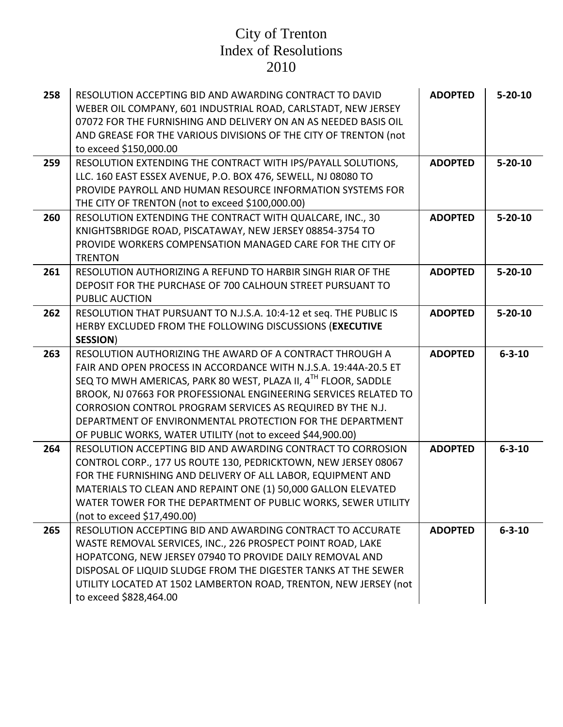| 258 | RESOLUTION ACCEPTING BID AND AWARDING CONTRACT TO DAVID<br>WEBER OIL COMPANY, 601 INDUSTRIAL ROAD, CARLSTADT, NEW JERSEY<br>07072 FOR THE FURNISHING AND DELIVERY ON AN AS NEEDED BASIS OIL<br>AND GREASE FOR THE VARIOUS DIVISIONS OF THE CITY OF TRENTON (not<br>to exceed \$150,000.00                                                                                                                                   | <b>ADOPTED</b> | $5 - 20 - 10$ |
|-----|-----------------------------------------------------------------------------------------------------------------------------------------------------------------------------------------------------------------------------------------------------------------------------------------------------------------------------------------------------------------------------------------------------------------------------|----------------|---------------|
| 259 | RESOLUTION EXTENDING THE CONTRACT WITH IPS/PAYALL SOLUTIONS,<br>LLC. 160 EAST ESSEX AVENUE, P.O. BOX 476, SEWELL, NJ 08080 TO<br>PROVIDE PAYROLL AND HUMAN RESOURCE INFORMATION SYSTEMS FOR<br>THE CITY OF TRENTON (not to exceed \$100,000.00)                                                                                                                                                                             | <b>ADOPTED</b> | $5 - 20 - 10$ |
| 260 | RESOLUTION EXTENDING THE CONTRACT WITH QUALCARE, INC., 30<br>KNIGHTSBRIDGE ROAD, PISCATAWAY, NEW JERSEY 08854-3754 TO<br>PROVIDE WORKERS COMPENSATION MANAGED CARE FOR THE CITY OF<br><b>TRENTON</b>                                                                                                                                                                                                                        | <b>ADOPTED</b> | $5 - 20 - 10$ |
| 261 | RESOLUTION AUTHORIZING A REFUND TO HARBIR SINGH RIAR OF THE<br>DEPOSIT FOR THE PURCHASE OF 700 CALHOUN STREET PURSUANT TO<br><b>PUBLIC AUCTION</b>                                                                                                                                                                                                                                                                          | <b>ADOPTED</b> | $5 - 20 - 10$ |
| 262 | RESOLUTION THAT PURSUANT TO N.J.S.A. 10:4-12 et seq. THE PUBLIC IS<br>HERBY EXCLUDED FROM THE FOLLOWING DISCUSSIONS (EXECUTIVE<br><b>SESSION)</b>                                                                                                                                                                                                                                                                           | <b>ADOPTED</b> | $5 - 20 - 10$ |
| 263 | RESOLUTION AUTHORIZING THE AWARD OF A CONTRACT THROUGH A                                                                                                                                                                                                                                                                                                                                                                    | <b>ADOPTED</b> | $6 - 3 - 10$  |
|     | FAIR AND OPEN PROCESS IN ACCORDANCE WITH N.J.S.A. 19:44A-20.5 ET<br>SEQ TO MWH AMERICAS, PARK 80 WEST, PLAZA II, 4TH FLOOR, SADDLE<br>BROOK, NJ 07663 FOR PROFESSIONAL ENGINEERING SERVICES RELATED TO<br>CORROSION CONTROL PROGRAM SERVICES AS REQUIRED BY THE N.J.<br>DEPARTMENT OF ENVIRONMENTAL PROTECTION FOR THE DEPARTMENT                                                                                           |                |               |
| 264 | OF PUBLIC WORKS, WATER UTILITY (not to exceed \$44,900.00)<br>RESOLUTION ACCEPTING BID AND AWARDING CONTRACT TO CORROSION<br>CONTROL CORP., 177 US ROUTE 130, PEDRICKTOWN, NEW JERSEY 08067<br>FOR THE FURNISHING AND DELIVERY OF ALL LABOR, EQUIPMENT AND<br>MATERIALS TO CLEAN AND REPAINT ONE (1) 50,000 GALLON ELEVATED<br>WATER TOWER FOR THE DEPARTMENT OF PUBLIC WORKS, SEWER UTILITY<br>(not to exceed \$17,490.00) | <b>ADOPTED</b> | $6 - 3 - 10$  |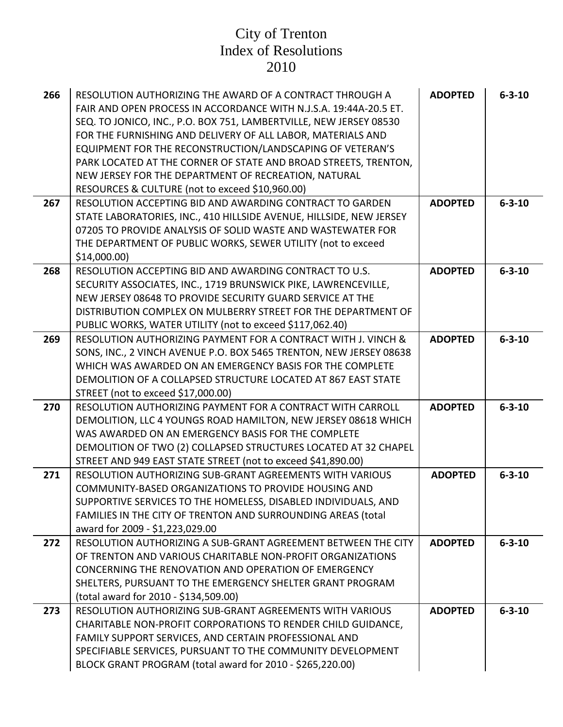| 266 | RESOLUTION AUTHORIZING THE AWARD OF A CONTRACT THROUGH A<br>FAIR AND OPEN PROCESS IN ACCORDANCE WITH N.J.S.A. 19:44A-20.5 ET.<br>SEQ. TO JONICO, INC., P.O. BOX 751, LAMBERTVILLE, NEW JERSEY 08530<br>FOR THE FURNISHING AND DELIVERY OF ALL LABOR, MATERIALS AND<br>EQUIPMENT FOR THE RECONSTRUCTION/LANDSCAPING OF VETERAN'S<br>PARK LOCATED AT THE CORNER OF STATE AND BROAD STREETS, TRENTON,<br>NEW JERSEY FOR THE DEPARTMENT OF RECREATION, NATURAL<br>RESOURCES & CULTURE (not to exceed \$10,960.00) | <b>ADOPTED</b> | $6 - 3 - 10$ |
|-----|---------------------------------------------------------------------------------------------------------------------------------------------------------------------------------------------------------------------------------------------------------------------------------------------------------------------------------------------------------------------------------------------------------------------------------------------------------------------------------------------------------------|----------------|--------------|
| 267 | RESOLUTION ACCEPTING BID AND AWARDING CONTRACT TO GARDEN                                                                                                                                                                                                                                                                                                                                                                                                                                                      | <b>ADOPTED</b> | $6 - 3 - 10$ |
|     | STATE LABORATORIES, INC., 410 HILLSIDE AVENUE, HILLSIDE, NEW JERSEY<br>07205 TO PROVIDE ANALYSIS OF SOLID WASTE AND WASTEWATER FOR                                                                                                                                                                                                                                                                                                                                                                            |                |              |
|     | THE DEPARTMENT OF PUBLIC WORKS, SEWER UTILITY (not to exceed                                                                                                                                                                                                                                                                                                                                                                                                                                                  |                |              |
|     | \$14,000.00                                                                                                                                                                                                                                                                                                                                                                                                                                                                                                   |                |              |
| 268 | RESOLUTION ACCEPTING BID AND AWARDING CONTRACT TO U.S.                                                                                                                                                                                                                                                                                                                                                                                                                                                        | <b>ADOPTED</b> | $6 - 3 - 10$ |
|     | SECURITY ASSOCIATES, INC., 1719 BRUNSWICK PIKE, LAWRENCEVILLE,                                                                                                                                                                                                                                                                                                                                                                                                                                                |                |              |
|     | NEW JERSEY 08648 TO PROVIDE SECURITY GUARD SERVICE AT THE                                                                                                                                                                                                                                                                                                                                                                                                                                                     |                |              |
|     | DISTRIBUTION COMPLEX ON MULBERRY STREET FOR THE DEPARTMENT OF<br>PUBLIC WORKS, WATER UTILITY (not to exceed \$117,062.40)                                                                                                                                                                                                                                                                                                                                                                                     |                |              |
| 269 | RESOLUTION AUTHORIZING PAYMENT FOR A CONTRACT WITH J. VINCH &                                                                                                                                                                                                                                                                                                                                                                                                                                                 | <b>ADOPTED</b> | $6 - 3 - 10$ |
|     | SONS, INC., 2 VINCH AVENUE P.O. BOX 5465 TRENTON, NEW JERSEY 08638                                                                                                                                                                                                                                                                                                                                                                                                                                            |                |              |
|     | WHICH WAS AWARDED ON AN EMERGENCY BASIS FOR THE COMPLETE                                                                                                                                                                                                                                                                                                                                                                                                                                                      |                |              |
|     | DEMOLITION OF A COLLAPSED STRUCTURE LOCATED AT 867 EAST STATE                                                                                                                                                                                                                                                                                                                                                                                                                                                 |                |              |
|     | STREET (not to exceed \$17,000.00)                                                                                                                                                                                                                                                                                                                                                                                                                                                                            |                |              |
| 270 | RESOLUTION AUTHORIZING PAYMENT FOR A CONTRACT WITH CARROLL<br>DEMOLITION, LLC 4 YOUNGS ROAD HAMILTON, NEW JERSEY 08618 WHICH                                                                                                                                                                                                                                                                                                                                                                                  | <b>ADOPTED</b> | $6 - 3 - 10$ |
|     | WAS AWARDED ON AN EMERGENCY BASIS FOR THE COMPLETE                                                                                                                                                                                                                                                                                                                                                                                                                                                            |                |              |
|     | DEMOLITION OF TWO (2) COLLAPSED STRUCTURES LOCATED AT 32 CHAPEL                                                                                                                                                                                                                                                                                                                                                                                                                                               |                |              |
|     | STREET AND 949 EAST STATE STREET (not to exceed \$41,890.00)                                                                                                                                                                                                                                                                                                                                                                                                                                                  |                |              |
| 271 | RESOLUTION AUTHORIZING SUB-GRANT AGREEMENTS WITH VARIOUS                                                                                                                                                                                                                                                                                                                                                                                                                                                      | <b>ADOPTED</b> | $6 - 3 - 10$ |
|     | COMMUNITY-BASED ORGANIZATIONS TO PROVIDE HOUSING AND                                                                                                                                                                                                                                                                                                                                                                                                                                                          |                |              |
|     | SUPPORTIVE SERVICES TO THE HOMELESS, DISABLED INDIVIDUALS, AND                                                                                                                                                                                                                                                                                                                                                                                                                                                |                |              |
|     | FAMILIES IN THE CITY OF TRENTON AND SURROUNDING AREAS (total<br>award for 2009 - \$1,223,029.00                                                                                                                                                                                                                                                                                                                                                                                                               |                |              |
| 272 | RESOLUTION AUTHORIZING A SUB-GRANT AGREEMENT BETWEEN THE CITY                                                                                                                                                                                                                                                                                                                                                                                                                                                 | <b>ADOPTED</b> | $6 - 3 - 10$ |
|     | OF TRENTON AND VARIOUS CHARITABLE NON-PROFIT ORGANIZATIONS                                                                                                                                                                                                                                                                                                                                                                                                                                                    |                |              |
|     | CONCERNING THE RENOVATION AND OPERATION OF EMERGENCY                                                                                                                                                                                                                                                                                                                                                                                                                                                          |                |              |
|     | SHELTERS, PURSUANT TO THE EMERGENCY SHELTER GRANT PROGRAM                                                                                                                                                                                                                                                                                                                                                                                                                                                     |                |              |
|     | (total award for 2010 - \$134,509.00)                                                                                                                                                                                                                                                                                                                                                                                                                                                                         |                |              |
| 273 | RESOLUTION AUTHORIZING SUB-GRANT AGREEMENTS WITH VARIOUS                                                                                                                                                                                                                                                                                                                                                                                                                                                      | <b>ADOPTED</b> | $6 - 3 - 10$ |
|     | CHARITABLE NON-PROFIT CORPORATIONS TO RENDER CHILD GUIDANCE,<br>FAMILY SUPPORT SERVICES, AND CERTAIN PROFESSIONAL AND                                                                                                                                                                                                                                                                                                                                                                                         |                |              |
|     | SPECIFIABLE SERVICES, PURSUANT TO THE COMMUNITY DEVELOPMENT                                                                                                                                                                                                                                                                                                                                                                                                                                                   |                |              |
|     | BLOCK GRANT PROGRAM (total award for 2010 - \$265,220.00)                                                                                                                                                                                                                                                                                                                                                                                                                                                     |                |              |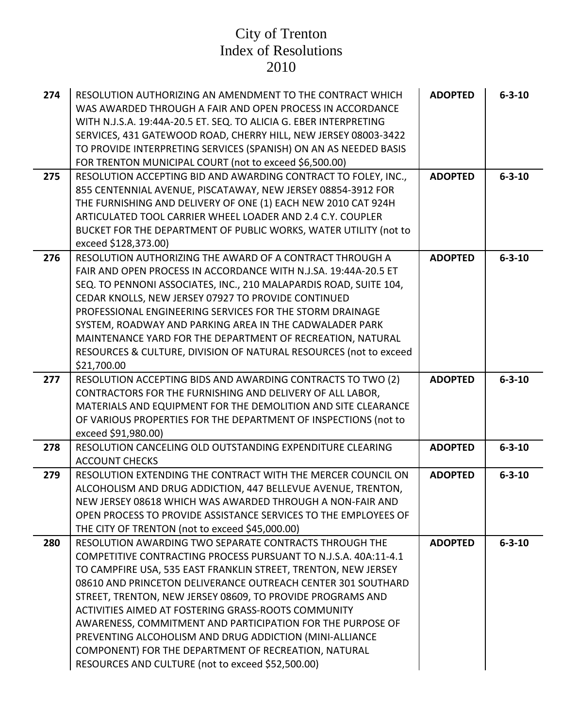| 274 | RESOLUTION AUTHORIZING AN AMENDMENT TO THE CONTRACT WHICH<br>WAS AWARDED THROUGH A FAIR AND OPEN PROCESS IN ACCORDANCE<br>WITH N.J.S.A. 19:44A-20.5 ET. SEQ. TO ALICIA G. EBER INTERPRETING<br>SERVICES, 431 GATEWOOD ROAD, CHERRY HILL, NEW JERSEY 08003-3422<br>TO PROVIDE INTERPRETING SERVICES (SPANISH) ON AN AS NEEDED BASIS<br>FOR TRENTON MUNICIPAL COURT (not to exceed \$6,500.00)                                                                                                                                                                                                                           | <b>ADOPTED</b> | $6 - 3 - 10$ |
|-----|------------------------------------------------------------------------------------------------------------------------------------------------------------------------------------------------------------------------------------------------------------------------------------------------------------------------------------------------------------------------------------------------------------------------------------------------------------------------------------------------------------------------------------------------------------------------------------------------------------------------|----------------|--------------|
| 275 | RESOLUTION ACCEPTING BID AND AWARDING CONTRACT TO FOLEY, INC.,<br>855 CENTENNIAL AVENUE, PISCATAWAY, NEW JERSEY 08854-3912 FOR<br>THE FURNISHING AND DELIVERY OF ONE (1) EACH NEW 2010 CAT 924H<br>ARTICULATED TOOL CARRIER WHEEL LOADER AND 2.4 C.Y. COUPLER<br>BUCKET FOR THE DEPARTMENT OF PUBLIC WORKS, WATER UTILITY (not to<br>exceed \$128,373.00)                                                                                                                                                                                                                                                              | <b>ADOPTED</b> | $6 - 3 - 10$ |
| 276 | RESOLUTION AUTHORIZING THE AWARD OF A CONTRACT THROUGH A<br>FAIR AND OPEN PROCESS IN ACCORDANCE WITH N.J.SA. 19:44A-20.5 ET<br>SEQ. TO PENNONI ASSOCIATES, INC., 210 MALAPARDIS ROAD, SUITE 104,<br>CEDAR KNOLLS, NEW JERSEY 07927 TO PROVIDE CONTINUED<br>PROFESSIONAL ENGINEERING SERVICES FOR THE STORM DRAINAGE<br>SYSTEM, ROADWAY AND PARKING AREA IN THE CADWALADER PARK<br>MAINTENANCE YARD FOR THE DEPARTMENT OF RECREATION, NATURAL<br>RESOURCES & CULTURE, DIVISION OF NATURAL RESOURCES (not to exceed<br>\$21,700.00                                                                                       | <b>ADOPTED</b> | $6 - 3 - 10$ |
| 277 | RESOLUTION ACCEPTING BIDS AND AWARDING CONTRACTS TO TWO (2)<br>CONTRACTORS FOR THE FURNISHING AND DELIVERY OF ALL LABOR,<br>MATERIALS AND EQUIPMENT FOR THE DEMOLITION AND SITE CLEARANCE<br>OF VARIOUS PROPERTIES FOR THE DEPARTMENT OF INSPECTIONS (not to<br>exceed \$91,980.00)                                                                                                                                                                                                                                                                                                                                    | <b>ADOPTED</b> | $6 - 3 - 10$ |
| 278 | RESOLUTION CANCELING OLD OUTSTANDING EXPENDITURE CLEARING<br><b>ACCOUNT CHECKS</b>                                                                                                                                                                                                                                                                                                                                                                                                                                                                                                                                     | <b>ADOPTED</b> | $6 - 3 - 10$ |
| 279 | RESOLUTION EXTENDING THE CONTRACT WITH THE MERCER COUNCIL ON<br>ALCOHOLISM AND DRUG ADDICTION, 447 BELLEVUE AVENUE, TRENTON,<br>NEW JERSEY 08618 WHICH WAS AWARDED THROUGH A NON-FAIR AND<br>OPEN PROCESS TO PROVIDE ASSISTANCE SERVICES TO THE EMPLOYEES OF<br>THE CITY OF TRENTON (not to exceed \$45,000.00)                                                                                                                                                                                                                                                                                                        | <b>ADOPTED</b> | $6 - 3 - 10$ |
| 280 | RESOLUTION AWARDING TWO SEPARATE CONTRACTS THROUGH THE<br>COMPETITIVE CONTRACTING PROCESS PURSUANT TO N.J.S.A. 40A:11-4.1<br>TO CAMPFIRE USA, 535 EAST FRANKLIN STREET, TRENTON, NEW JERSEY<br>08610 AND PRINCETON DELIVERANCE OUTREACH CENTER 301 SOUTHARD<br>STREET, TRENTON, NEW JERSEY 08609, TO PROVIDE PROGRAMS AND<br>ACTIVITIES AIMED AT FOSTERING GRASS-ROOTS COMMUNITY<br>AWARENESS, COMMITMENT AND PARTICIPATION FOR THE PURPOSE OF<br>PREVENTING ALCOHOLISM AND DRUG ADDICTION (MINI-ALLIANCE<br>COMPONENT) FOR THE DEPARTMENT OF RECREATION, NATURAL<br>RESOURCES AND CULTURE (not to exceed \$52,500.00) | <b>ADOPTED</b> | $6 - 3 - 10$ |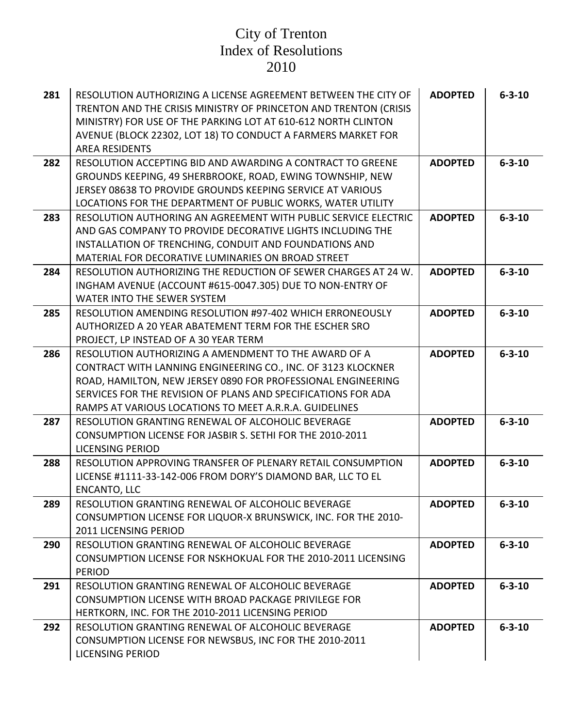| 281 | RESOLUTION AUTHORIZING A LICENSE AGREEMENT BETWEEN THE CITY OF<br>TRENTON AND THE CRISIS MINISTRY OF PRINCETON AND TRENTON (CRISIS<br>MINISTRY) FOR USE OF THE PARKING LOT AT 610-612 NORTH CLINTON<br>AVENUE (BLOCK 22302, LOT 18) TO CONDUCT A FARMERS MARKET FOR<br><b>AREA RESIDENTS</b>                    | <b>ADOPTED</b> | $6 - 3 - 10$ |
|-----|-----------------------------------------------------------------------------------------------------------------------------------------------------------------------------------------------------------------------------------------------------------------------------------------------------------------|----------------|--------------|
| 282 | RESOLUTION ACCEPTING BID AND AWARDING A CONTRACT TO GREENE<br>GROUNDS KEEPING, 49 SHERBROOKE, ROAD, EWING TOWNSHIP, NEW<br>JERSEY 08638 TO PROVIDE GROUNDS KEEPING SERVICE AT VARIOUS<br>LOCATIONS FOR THE DEPARTMENT OF PUBLIC WORKS, WATER UTILITY                                                            | <b>ADOPTED</b> | $6 - 3 - 10$ |
| 283 | RESOLUTION AUTHORING AN AGREEMENT WITH PUBLIC SERVICE ELECTRIC<br>AND GAS COMPANY TO PROVIDE DECORATIVE LIGHTS INCLUDING THE<br>INSTALLATION OF TRENCHING, CONDUIT AND FOUNDATIONS AND<br>MATERIAL FOR DECORATIVE LUMINARIES ON BROAD STREET                                                                    | <b>ADOPTED</b> | $6 - 3 - 10$ |
| 284 | RESOLUTION AUTHORIZING THE REDUCTION OF SEWER CHARGES AT 24 W.<br>INGHAM AVENUE (ACCOUNT #615-0047.305) DUE TO NON-ENTRY OF<br>WATER INTO THE SEWER SYSTEM                                                                                                                                                      | <b>ADOPTED</b> | $6 - 3 - 10$ |
| 285 | RESOLUTION AMENDING RESOLUTION #97-402 WHICH ERRONEOUSLY<br>AUTHORIZED A 20 YEAR ABATEMENT TERM FOR THE ESCHER SRO<br>PROJECT, LP INSTEAD OF A 30 YEAR TERM                                                                                                                                                     | <b>ADOPTED</b> | $6 - 3 - 10$ |
| 286 | RESOLUTION AUTHORIZING A AMENDMENT TO THE AWARD OF A<br>CONTRACT WITH LANNING ENGINEERING CO., INC. OF 3123 KLOCKNER<br>ROAD, HAMILTON, NEW JERSEY 0890 FOR PROFESSIONAL ENGINEERING<br>SERVICES FOR THE REVISION OF PLANS AND SPECIFICATIONS FOR ADA<br>RAMPS AT VARIOUS LOCATIONS TO MEET A.R.R.A. GUIDELINES | <b>ADOPTED</b> | $6 - 3 - 10$ |
| 287 | RESOLUTION GRANTING RENEWAL OF ALCOHOLIC BEVERAGE<br>CONSUMPTION LICENSE FOR JASBIR S. SETHI FOR THE 2010-2011<br><b>LICENSING PERIOD</b>                                                                                                                                                                       | <b>ADOPTED</b> | $6 - 3 - 10$ |
| 288 | RESOLUTION APPROVING TRANSFER OF PLENARY RETAIL CONSUMPTION<br>LICENSE #1111-33-142-006 FROM DORY'S DIAMOND BAR, LLC TO EL<br><b>ENCANTO, LLC</b>                                                                                                                                                               | <b>ADOPTED</b> | $6 - 3 - 10$ |
| 289 | RESOLUTION GRANTING RENEWAL OF ALCOHOLIC BEVERAGE<br>CONSUMPTION LICENSE FOR LIQUOR-X BRUNSWICK, INC. FOR THE 2010-<br>2011 LICENSING PERIOD                                                                                                                                                                    | <b>ADOPTED</b> | $6 - 3 - 10$ |
| 290 | RESOLUTION GRANTING RENEWAL OF ALCOHOLIC BEVERAGE<br>CONSUMPTION LICENSE FOR NSKHOKUAL FOR THE 2010-2011 LICENSING<br><b>PERIOD</b>                                                                                                                                                                             | <b>ADOPTED</b> | $6 - 3 - 10$ |
| 291 | RESOLUTION GRANTING RENEWAL OF ALCOHOLIC BEVERAGE<br>CONSUMPTION LICENSE WITH BROAD PACKAGE PRIVILEGE FOR<br>HERTKORN, INC. FOR THE 2010-2011 LICENSING PERIOD                                                                                                                                                  | <b>ADOPTED</b> | $6 - 3 - 10$ |
| 292 | RESOLUTION GRANTING RENEWAL OF ALCOHOLIC BEVERAGE<br>CONSUMPTION LICENSE FOR NEWSBUS, INC FOR THE 2010-2011<br><b>LICENSING PERIOD</b>                                                                                                                                                                          | <b>ADOPTED</b> | $6 - 3 - 10$ |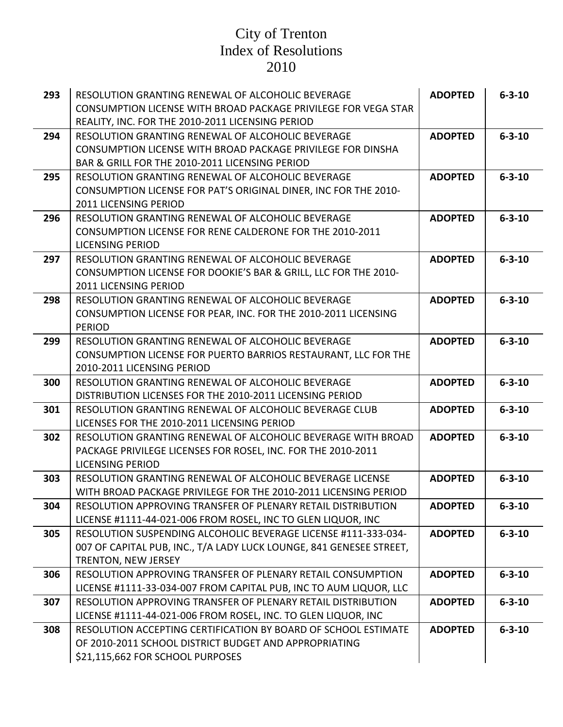| 293 | RESOLUTION GRANTING RENEWAL OF ALCOHOLIC BEVERAGE<br>CONSUMPTION LICENSE WITH BROAD PACKAGE PRIVILEGE FOR VEGA STAR | <b>ADOPTED</b> | $6 - 3 - 10$ |
|-----|---------------------------------------------------------------------------------------------------------------------|----------------|--------------|
|     | REALITY, INC. FOR THE 2010-2011 LICENSING PERIOD                                                                    |                |              |
| 294 | RESOLUTION GRANTING RENEWAL OF ALCOHOLIC BEVERAGE                                                                   | <b>ADOPTED</b> | $6 - 3 - 10$ |
|     | CONSUMPTION LICENSE WITH BROAD PACKAGE PRIVILEGE FOR DINSHA                                                         |                |              |
|     | BAR & GRILL FOR THE 2010-2011 LICENSING PERIOD                                                                      |                |              |
| 295 | RESOLUTION GRANTING RENEWAL OF ALCOHOLIC BEVERAGE                                                                   | <b>ADOPTED</b> | $6 - 3 - 10$ |
|     | CONSUMPTION LICENSE FOR PAT'S ORIGINAL DINER, INC FOR THE 2010-                                                     |                |              |
|     | 2011 LICENSING PERIOD                                                                                               |                |              |
| 296 | RESOLUTION GRANTING RENEWAL OF ALCOHOLIC BEVERAGE                                                                   | <b>ADOPTED</b> | $6 - 3 - 10$ |
|     | CONSUMPTION LICENSE FOR RENE CALDERONE FOR THE 2010-2011                                                            |                |              |
|     | <b>LICENSING PERIOD</b>                                                                                             |                |              |
| 297 | RESOLUTION GRANTING RENEWAL OF ALCOHOLIC BEVERAGE                                                                   | <b>ADOPTED</b> | $6 - 3 - 10$ |
|     | CONSUMPTION LICENSE FOR DOOKIE'S BAR & GRILL, LLC FOR THE 2010-                                                     |                |              |
|     | 2011 LICENSING PERIOD                                                                                               |                |              |
| 298 | RESOLUTION GRANTING RENEWAL OF ALCOHOLIC BEVERAGE                                                                   | <b>ADOPTED</b> | $6 - 3 - 10$ |
|     | CONSUMPTION LICENSE FOR PEAR, INC. FOR THE 2010-2011 LICENSING                                                      |                |              |
|     | <b>PERIOD</b>                                                                                                       |                |              |
| 299 | RESOLUTION GRANTING RENEWAL OF ALCOHOLIC BEVERAGE                                                                   | <b>ADOPTED</b> | $6 - 3 - 10$ |
|     | CONSUMPTION LICENSE FOR PUERTO BARRIOS RESTAURANT, LLC FOR THE                                                      |                |              |
|     | 2010-2011 LICENSING PERIOD                                                                                          |                |              |
| 300 | RESOLUTION GRANTING RENEWAL OF ALCOHOLIC BEVERAGE                                                                   | <b>ADOPTED</b> | $6 - 3 - 10$ |
|     |                                                                                                                     |                |              |
|     |                                                                                                                     |                |              |
|     | DISTRIBUTION LICENSES FOR THE 2010-2011 LICENSING PERIOD                                                            |                |              |
| 301 | RESOLUTION GRANTING RENEWAL OF ALCOHOLIC BEVERAGE CLUB                                                              | <b>ADOPTED</b> | $6 - 3 - 10$ |
|     | LICENSES FOR THE 2010-2011 LICENSING PERIOD                                                                         |                |              |
| 302 | RESOLUTION GRANTING RENEWAL OF ALCOHOLIC BEVERAGE WITH BROAD                                                        | <b>ADOPTED</b> | $6 - 3 - 10$ |
|     | PACKAGE PRIVILEGE LICENSES FOR ROSEL, INC. FOR THE 2010-2011                                                        |                |              |
|     | <b>LICENSING PERIOD</b>                                                                                             |                |              |
| 303 | RESOLUTION GRANTING RENEWAL OF ALCOHOLIC BEVERAGE LICENSE                                                           | <b>ADOPTED</b> | $6 - 3 - 10$ |
|     | WITH BROAD PACKAGE PRIVILEGE FOR THE 2010-2011 LICENSING PERIOD                                                     |                |              |
| 304 | RESOLUTION APPROVING TRANSFER OF PLENARY RETAIL DISTRIBUTION                                                        | <b>ADOPTED</b> | $6 - 3 - 10$ |
|     | LICENSE #1111-44-021-006 FROM ROSEL, INC TO GLEN LIQUOR, INC                                                        |                |              |
| 305 | RESOLUTION SUSPENDING ALCOHOLIC BEVERAGE LICENSE #111-333-034-                                                      | <b>ADOPTED</b> | $6 - 3 - 10$ |
|     | 007 OF CAPITAL PUB, INC., T/A LADY LUCK LOUNGE, 841 GENESEE STREET,                                                 |                |              |
|     | TRENTON, NEW JERSEY                                                                                                 |                |              |
| 306 | RESOLUTION APPROVING TRANSFER OF PLENARY RETAIL CONSUMPTION                                                         | <b>ADOPTED</b> | $6 - 3 - 10$ |
|     | LICENSE #1111-33-034-007 FROM CAPITAL PUB, INC TO AUM LIQUOR, LLC                                                   |                |              |
| 307 | RESOLUTION APPROVING TRANSFER OF PLENARY RETAIL DISTRIBUTION                                                        | <b>ADOPTED</b> | $6 - 3 - 10$ |
|     | LICENSE #1111-44-021-006 FROM ROSEL, INC. TO GLEN LIQUOR, INC                                                       |                |              |
| 308 | RESOLUTION ACCEPTING CERTIFICATION BY BOARD OF SCHOOL ESTIMATE                                                      | <b>ADOPTED</b> | $6 - 3 - 10$ |
|     | OF 2010-2011 SCHOOL DISTRICT BUDGET AND APPROPRIATING                                                               |                |              |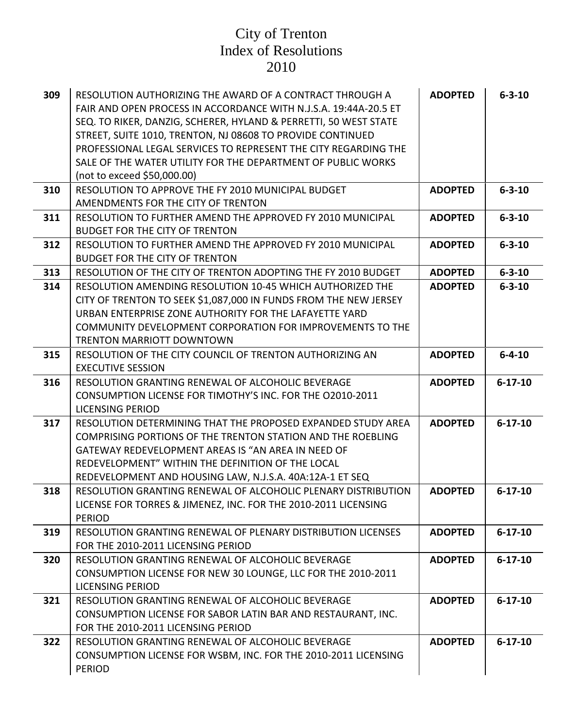| 309 | RESOLUTION AUTHORIZING THE AWARD OF A CONTRACT THROUGH A<br>FAIR AND OPEN PROCESS IN ACCORDANCE WITH N.J.S.A. 19:44A-20.5 ET<br>SEQ. TO RIKER, DANZIG, SCHERER, HYLAND & PERRETTI, 50 WEST STATE<br>STREET, SUITE 1010, TRENTON, NJ 08608 TO PROVIDE CONTINUED<br>PROFESSIONAL LEGAL SERVICES TO REPRESENT THE CITY REGARDING THE<br>SALE OF THE WATER UTILITY FOR THE DEPARTMENT OF PUBLIC WORKS<br>(not to exceed \$50,000.00) | <b>ADOPTED</b> | $6 - 3 - 10$  |
|-----|----------------------------------------------------------------------------------------------------------------------------------------------------------------------------------------------------------------------------------------------------------------------------------------------------------------------------------------------------------------------------------------------------------------------------------|----------------|---------------|
| 310 | RESOLUTION TO APPROVE THE FY 2010 MUNICIPAL BUDGET<br>AMENDMENTS FOR THE CITY OF TRENTON                                                                                                                                                                                                                                                                                                                                         | <b>ADOPTED</b> | $6 - 3 - 10$  |
| 311 | RESOLUTION TO FURTHER AMEND THE APPROVED FY 2010 MUNICIPAL<br><b>BUDGET FOR THE CITY OF TRENTON</b>                                                                                                                                                                                                                                                                                                                              | <b>ADOPTED</b> | $6 - 3 - 10$  |
| 312 | RESOLUTION TO FURTHER AMEND THE APPROVED FY 2010 MUNICIPAL<br><b>BUDGET FOR THE CITY OF TRENTON</b>                                                                                                                                                                                                                                                                                                                              | <b>ADOPTED</b> | $6 - 3 - 10$  |
| 313 | RESOLUTION OF THE CITY OF TRENTON ADOPTING THE FY 2010 BUDGET                                                                                                                                                                                                                                                                                                                                                                    | <b>ADOPTED</b> | $6 - 3 - 10$  |
| 314 | RESOLUTION AMENDING RESOLUTION 10-45 WHICH AUTHORIZED THE<br>CITY OF TRENTON TO SEEK \$1,087,000 IN FUNDS FROM THE NEW JERSEY<br>URBAN ENTERPRISE ZONE AUTHORITY FOR THE LAFAYETTE YARD<br>COMMUNITY DEVELOPMENT CORPORATION FOR IMPROVEMENTS TO THE<br><b>TRENTON MARRIOTT DOWNTOWN</b>                                                                                                                                         | <b>ADOPTED</b> | $6 - 3 - 10$  |
| 315 | RESOLUTION OF THE CITY COUNCIL OF TRENTON AUTHORIZING AN<br><b>EXECUTIVE SESSION</b>                                                                                                                                                                                                                                                                                                                                             | <b>ADOPTED</b> | $6 - 4 - 10$  |
| 316 | RESOLUTION GRANTING RENEWAL OF ALCOHOLIC BEVERAGE<br>CONSUMPTION LICENSE FOR TIMOTHY'S INC. FOR THE 02010-2011<br><b>LICENSING PERIOD</b>                                                                                                                                                                                                                                                                                        | <b>ADOPTED</b> | $6 - 17 - 10$ |
| 317 | RESOLUTION DETERMINING THAT THE PROPOSED EXPANDED STUDY AREA<br>COMPRISING PORTIONS OF THE TRENTON STATION AND THE ROEBLING<br>GATEWAY REDEVELOPMENT AREAS IS "AN AREA IN NEED OF<br>REDEVELOPMENT" WITHIN THE DEFINITION OF THE LOCAL<br>REDEVELOPMENT AND HOUSING LAW, N.J.S.A. 40A:12A-1 ET SEQ                                                                                                                               | <b>ADOPTED</b> | $6 - 17 - 10$ |
| 318 | RESOLUTION GRANTING RENEWAL OF ALCOHOLIC PLENARY DISTRIBUTION<br>LICENSE FOR TORRES & JIMENEZ, INC. FOR THE 2010-2011 LICENSING<br><b>PERIOD</b>                                                                                                                                                                                                                                                                                 | <b>ADOPTED</b> | $6 - 17 - 10$ |
| 319 | RESOLUTION GRANTING RENEWAL OF PLENARY DISTRIBUTION LICENSES<br>FOR THE 2010-2011 LICENSING PERIOD                                                                                                                                                                                                                                                                                                                               | <b>ADOPTED</b> | $6 - 17 - 10$ |
| 320 | RESOLUTION GRANTING RENEWAL OF ALCOHOLIC BEVERAGE<br>CONSUMPTION LICENSE FOR NEW 30 LOUNGE, LLC FOR THE 2010-2011<br><b>LICENSING PERIOD</b>                                                                                                                                                                                                                                                                                     | <b>ADOPTED</b> | $6 - 17 - 10$ |
| 321 | RESOLUTION GRANTING RENEWAL OF ALCOHOLIC BEVERAGE<br>CONSUMPTION LICENSE FOR SABOR LATIN BAR AND RESTAURANT, INC.<br>FOR THE 2010-2011 LICENSING PERIOD                                                                                                                                                                                                                                                                          | <b>ADOPTED</b> | $6 - 17 - 10$ |
| 322 | RESOLUTION GRANTING RENEWAL OF ALCOHOLIC BEVERAGE<br>CONSUMPTION LICENSE FOR WSBM, INC. FOR THE 2010-2011 LICENSING<br><b>PERIOD</b>                                                                                                                                                                                                                                                                                             | <b>ADOPTED</b> | $6 - 17 - 10$ |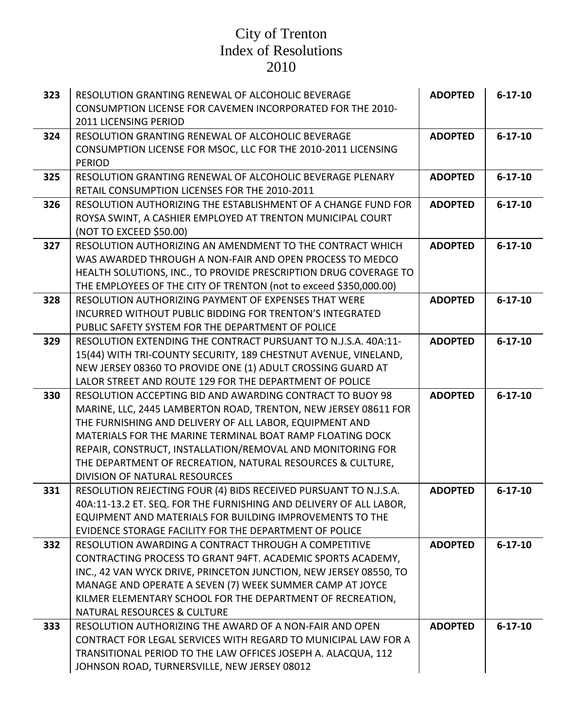| 323 | RESOLUTION GRANTING RENEWAL OF ALCOHOLIC BEVERAGE<br>CONSUMPTION LICENSE FOR CAVEMEN INCORPORATED FOR THE 2010-               | <b>ADOPTED</b> | $6 - 17 - 10$ |
|-----|-------------------------------------------------------------------------------------------------------------------------------|----------------|---------------|
|     | 2011 LICENSING PERIOD                                                                                                         |                |               |
| 324 | RESOLUTION GRANTING RENEWAL OF ALCOHOLIC BEVERAGE                                                                             | <b>ADOPTED</b> | $6 - 17 - 10$ |
|     | CONSUMPTION LICENSE FOR MSOC, LLC FOR THE 2010-2011 LICENSING                                                                 |                |               |
|     | <b>PERIOD</b>                                                                                                                 |                |               |
| 325 | RESOLUTION GRANTING RENEWAL OF ALCOHOLIC BEVERAGE PLENARY                                                                     | <b>ADOPTED</b> | $6 - 17 - 10$ |
|     | RETAIL CONSUMPTION LICENSES FOR THE 2010-2011                                                                                 |                |               |
| 326 | RESOLUTION AUTHORIZING THE ESTABLISHMENT OF A CHANGE FUND FOR                                                                 | <b>ADOPTED</b> | $6 - 17 - 10$ |
|     | ROYSA SWINT, A CASHIER EMPLOYED AT TRENTON MUNICIPAL COURT                                                                    |                |               |
|     | (NOT TO EXCEED \$50.00)                                                                                                       |                |               |
| 327 | RESOLUTION AUTHORIZING AN AMENDMENT TO THE CONTRACT WHICH                                                                     | <b>ADOPTED</b> | $6 - 17 - 10$ |
|     | WAS AWARDED THROUGH A NON-FAIR AND OPEN PROCESS TO MEDCO                                                                      |                |               |
|     | HEALTH SOLUTIONS, INC., TO PROVIDE PRESCRIPTION DRUG COVERAGE TO                                                              |                |               |
| 328 | THE EMPLOYEES OF THE CITY OF TRENTON (not to exceed \$350,000.00)<br>RESOLUTION AUTHORIZING PAYMENT OF EXPENSES THAT WERE     | <b>ADOPTED</b> | $6 - 17 - 10$ |
|     | INCURRED WITHOUT PUBLIC BIDDING FOR TRENTON'S INTEGRATED                                                                      |                |               |
|     | PUBLIC SAFETY SYSTEM FOR THE DEPARTMENT OF POLICE                                                                             |                |               |
| 329 | RESOLUTION EXTENDING THE CONTRACT PURSUANT TO N.J.S.A. 40A:11-                                                                | <b>ADOPTED</b> | $6 - 17 - 10$ |
|     | 15(44) WITH TRI-COUNTY SECURITY, 189 CHESTNUT AVENUE, VINELAND,                                                               |                |               |
|     | NEW JERSEY 08360 TO PROVIDE ONE (1) ADULT CROSSING GUARD AT                                                                   |                |               |
|     | LALOR STREET AND ROUTE 129 FOR THE DEPARTMENT OF POLICE                                                                       |                |               |
| 330 | RESOLUTION ACCEPTING BID AND AWARDING CONTRACT TO BUOY 98                                                                     | <b>ADOPTED</b> | $6 - 17 - 10$ |
|     | MARINE, LLC, 2445 LAMBERTON ROAD, TRENTON, NEW JERSEY 08611 FOR                                                               |                |               |
|     | THE FURNISHING AND DELIVERY OF ALL LABOR, EQUIPMENT AND                                                                       |                |               |
|     | MATERIALS FOR THE MARINE TERMINAL BOAT RAMP FLOATING DOCK                                                                     |                |               |
|     | REPAIR, CONSTRUCT, INSTALLATION/REMOVAL AND MONITORING FOR                                                                    |                |               |
|     | THE DEPARTMENT OF RECREATION, NATURAL RESOURCES & CULTURE,                                                                    |                |               |
|     | <b>DIVISION OF NATURAL RESOURCES</b>                                                                                          |                |               |
| 331 | RESOLUTION REJECTING FOUR (4) BIDS RECEIVED PURSUANT TO N.J.S.A.                                                              | <b>ADOPTED</b> | $6 - 17 - 10$ |
|     | 40A:11-13.2 ET. SEQ. FOR THE FURNISHING AND DELIVERY OF ALL LABOR,                                                            |                |               |
|     | EQUIPMENT AND MATERIALS FOR BUILDING IMPROVEMENTS TO THE                                                                      |                |               |
|     | EVIDENCE STORAGE FACILITY FOR THE DEPARTMENT OF POLICE                                                                        |                |               |
| 332 | RESOLUTION AWARDING A CONTRACT THROUGH A COMPETITIVE                                                                          | <b>ADOPTED</b> | $6 - 17 - 10$ |
|     | CONTRACTING PROCESS TO GRANT 94FT. ACADEMIC SPORTS ACADEMY,                                                                   |                |               |
|     | INC., 42 VAN WYCK DRIVE, PRINCETON JUNCTION, NEW JERSEY 08550, TO<br>MANAGE AND OPERATE A SEVEN (7) WEEK SUMMER CAMP AT JOYCE |                |               |
|     | KILMER ELEMENTARY SCHOOL FOR THE DEPARTMENT OF RECREATION,                                                                    |                |               |
|     | <b>NATURAL RESOURCES &amp; CULTURE</b>                                                                                        |                |               |
| 333 | RESOLUTION AUTHORIZING THE AWARD OF A NON-FAIR AND OPEN                                                                       | <b>ADOPTED</b> | $6 - 17 - 10$ |
|     | CONTRACT FOR LEGAL SERVICES WITH REGARD TO MUNICIPAL LAW FOR A                                                                |                |               |
|     | TRANSITIONAL PERIOD TO THE LAW OFFICES JOSEPH A. ALACQUA, 112                                                                 |                |               |
|     | JOHNSON ROAD, TURNERSVILLE, NEW JERSEY 08012                                                                                  |                |               |
|     |                                                                                                                               |                |               |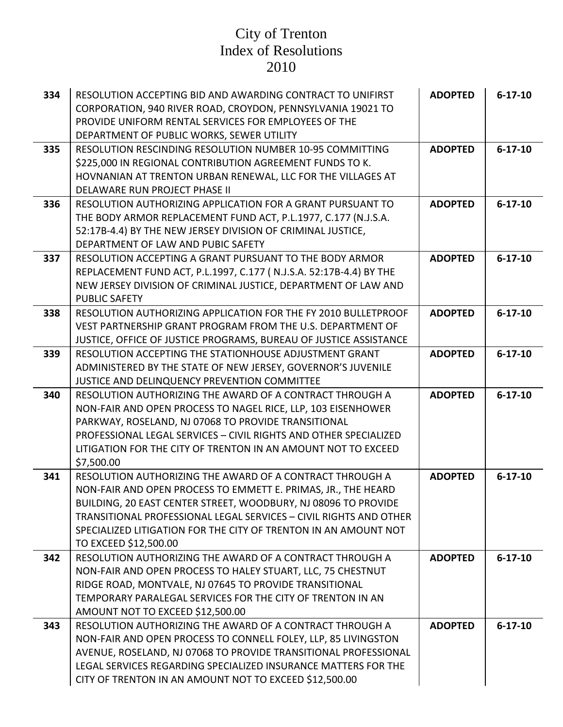| 334 | RESOLUTION ACCEPTING BID AND AWARDING CONTRACT TO UNIFIRST<br>CORPORATION, 940 RIVER ROAD, CROYDON, PENNSYLVANIA 19021 TO<br>PROVIDE UNIFORM RENTAL SERVICES FOR EMPLOYEES OF THE<br>DEPARTMENT OF PUBLIC WORKS, SEWER UTILITY                                                                                                                               | <b>ADOPTED</b> | $6 - 17 - 10$ |
|-----|--------------------------------------------------------------------------------------------------------------------------------------------------------------------------------------------------------------------------------------------------------------------------------------------------------------------------------------------------------------|----------------|---------------|
| 335 | RESOLUTION RESCINDING RESOLUTION NUMBER 10-95 COMMITTING<br>\$225,000 IN REGIONAL CONTRIBUTION AGREEMENT FUNDS TO K.<br>HOVNANIAN AT TRENTON URBAN RENEWAL, LLC FOR THE VILLAGES AT<br>DELAWARE RUN PROJECT PHASE II                                                                                                                                         | <b>ADOPTED</b> | $6 - 17 - 10$ |
| 336 | <b>RESOLUTION AUTHORIZING APPLICATION FOR A GRANT PURSUANT TO</b><br>THE BODY ARMOR REPLACEMENT FUND ACT, P.L.1977, C.177 (N.J.S.A.<br>52:17B-4.4) BY THE NEW JERSEY DIVISION OF CRIMINAL JUSTICE,<br>DEPARTMENT OF LAW AND PUBIC SAFETY                                                                                                                     | <b>ADOPTED</b> | $6 - 17 - 10$ |
| 337 | RESOLUTION ACCEPTING A GRANT PURSUANT TO THE BODY ARMOR<br>REPLACEMENT FUND ACT, P.L.1997, C.177 (N.J.S.A. 52:17B-4.4) BY THE<br>NEW JERSEY DIVISION OF CRIMINAL JUSTICE, DEPARTMENT OF LAW AND<br><b>PUBLIC SAFETY</b>                                                                                                                                      | <b>ADOPTED</b> | $6 - 17 - 10$ |
| 338 | RESOLUTION AUTHORIZING APPLICATION FOR THE FY 2010 BULLETPROOF<br>VEST PARTNERSHIP GRANT PROGRAM FROM THE U.S. DEPARTMENT OF<br>JUSTICE, OFFICE OF JUSTICE PROGRAMS, BUREAU OF JUSTICE ASSISTANCE                                                                                                                                                            | <b>ADOPTED</b> | $6 - 17 - 10$ |
| 339 | RESOLUTION ACCEPTING THE STATIONHOUSE ADJUSTMENT GRANT<br>ADMINISTERED BY THE STATE OF NEW JERSEY, GOVERNOR'S JUVENILE<br>JUSTICE AND DELINQUENCY PREVENTION COMMITTEE                                                                                                                                                                                       | <b>ADOPTED</b> | $6 - 17 - 10$ |
| 340 | RESOLUTION AUTHORIZING THE AWARD OF A CONTRACT THROUGH A<br>NON-FAIR AND OPEN PROCESS TO NAGEL RICE, LLP, 103 EISENHOWER<br>PARKWAY, ROSELAND, NJ 07068 TO PROVIDE TRANSITIONAL<br>PROFESSIONAL LEGAL SERVICES - CIVIL RIGHTS AND OTHER SPECIALIZED<br>LITIGATION FOR THE CITY OF TRENTON IN AN AMOUNT NOT TO EXCEED<br>\$7,500.00                           | <b>ADOPTED</b> | $6 - 17 - 10$ |
| 341 | RESOLUTION AUTHORIZING THE AWARD OF A CONTRACT THROUGH A<br>NON-FAIR AND OPEN PROCESS TO EMMETT E. PRIMAS, JR., THE HEARD<br>BUILDING, 20 EAST CENTER STREET, WOODBURY, NJ 08096 TO PROVIDE<br>TRANSITIONAL PROFESSIONAL LEGAL SERVICES - CIVIL RIGHTS AND OTHER<br>SPECIALIZED LITIGATION FOR THE CITY OF TRENTON IN AN AMOUNT NOT<br>TO EXCEED \$12,500.00 | <b>ADOPTED</b> | $6 - 17 - 10$ |
| 342 | RESOLUTION AUTHORIZING THE AWARD OF A CONTRACT THROUGH A<br>NON-FAIR AND OPEN PROCESS TO HALEY STUART, LLC, 75 CHESTNUT<br>RIDGE ROAD, MONTVALE, NJ 07645 TO PROVIDE TRANSITIONAL<br>TEMPORARY PARALEGAL SERVICES FOR THE CITY OF TRENTON IN AN<br>AMOUNT NOT TO EXCEED \$12,500.00                                                                          | <b>ADOPTED</b> | $6 - 17 - 10$ |
| 343 | RESOLUTION AUTHORIZING THE AWARD OF A CONTRACT THROUGH A<br>NON-FAIR AND OPEN PROCESS TO CONNELL FOLEY, LLP, 85 LIVINGSTON<br>AVENUE, ROSELAND, NJ 07068 TO PROVIDE TRANSITIONAL PROFESSIONAL<br>LEGAL SERVICES REGARDING SPECIALIZED INSURANCE MATTERS FOR THE<br>CITY OF TRENTON IN AN AMOUNT NOT TO EXCEED \$12,500.00                                    | <b>ADOPTED</b> | $6 - 17 - 10$ |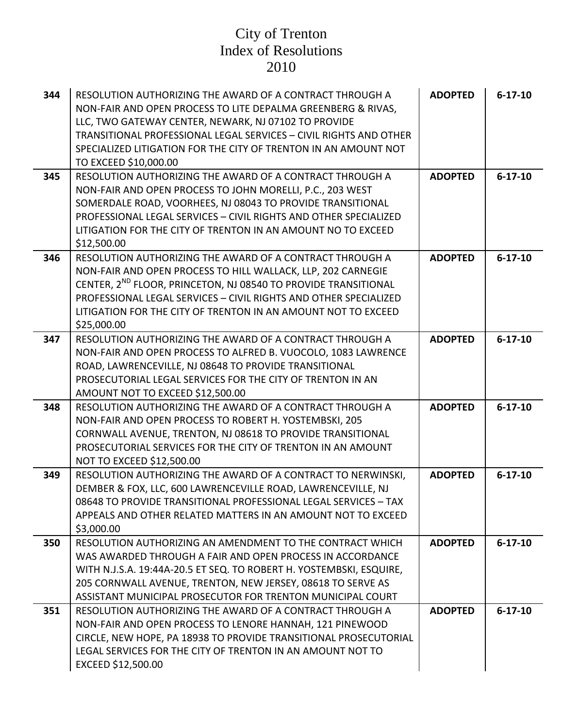| 344 | RESOLUTION AUTHORIZING THE AWARD OF A CONTRACT THROUGH A<br>NON-FAIR AND OPEN PROCESS TO LITE DEPALMA GREENBERG & RIVAS,<br>LLC, TWO GATEWAY CENTER, NEWARK, NJ 07102 TO PROVIDE<br>TRANSITIONAL PROFESSIONAL LEGAL SERVICES - CIVIL RIGHTS AND OTHER<br>SPECIALIZED LITIGATION FOR THE CITY OF TRENTON IN AN AMOUNT NOT<br>TO EXCEED \$10,000.00          | <b>ADOPTED</b> | $6 - 17 - 10$ |
|-----|------------------------------------------------------------------------------------------------------------------------------------------------------------------------------------------------------------------------------------------------------------------------------------------------------------------------------------------------------------|----------------|---------------|
| 345 | RESOLUTION AUTHORIZING THE AWARD OF A CONTRACT THROUGH A<br>NON-FAIR AND OPEN PROCESS TO JOHN MORELLI, P.C., 203 WEST<br>SOMERDALE ROAD, VOORHEES, NJ 08043 TO PROVIDE TRANSITIONAL<br>PROFESSIONAL LEGAL SERVICES - CIVIL RIGHTS AND OTHER SPECIALIZED<br>LITIGATION FOR THE CITY OF TRENTON IN AN AMOUNT NO TO EXCEED<br>\$12,500.00                     | <b>ADOPTED</b> | $6 - 17 - 10$ |
| 346 | RESOLUTION AUTHORIZING THE AWARD OF A CONTRACT THROUGH A<br>NON-FAIR AND OPEN PROCESS TO HILL WALLACK, LLP, 202 CARNEGIE<br>CENTER, 2 <sup>ND</sup> FLOOR, PRINCETON, NJ 08540 TO PROVIDE TRANSITIONAL<br>PROFESSIONAL LEGAL SERVICES - CIVIL RIGHTS AND OTHER SPECIALIZED<br>LITIGATION FOR THE CITY OF TRENTON IN AN AMOUNT NOT TO EXCEED<br>\$25,000.00 | <b>ADOPTED</b> | $6 - 17 - 10$ |
| 347 | RESOLUTION AUTHORIZING THE AWARD OF A CONTRACT THROUGH A<br>NON-FAIR AND OPEN PROCESS TO ALFRED B. VUOCOLO, 1083 LAWRENCE<br>ROAD, LAWRENCEVILLE, NJ 08648 TO PROVIDE TRANSITIONAL<br>PROSECUTORIAL LEGAL SERVICES FOR THE CITY OF TRENTON IN AN<br>AMOUNT NOT TO EXCEED \$12,500.00                                                                       | <b>ADOPTED</b> | $6 - 17 - 10$ |
| 348 | RESOLUTION AUTHORIZING THE AWARD OF A CONTRACT THROUGH A<br>NON-FAIR AND OPEN PROCESS TO ROBERT H. YOSTEMBSKI, 205<br>CORNWALL AVENUE, TRENTON, NJ 08618 TO PROVIDE TRANSITIONAL<br>PROSECUTORIAL SERVICES FOR THE CITY OF TRENTON IN AN AMOUNT<br>NOT TO EXCEED \$12,500.00                                                                               | <b>ADOPTED</b> | $6 - 17 - 10$ |
| 349 | RESOLUTION AUTHORIZING THE AWARD OF A CONTRACT TO NERWINSKI,<br>DEMBER & FOX, LLC, 600 LAWRENCEVILLE ROAD, LAWRENCEVILLE, NJ<br>08648 TO PROVIDE TRANSITIONAL PROFESSIONAL LEGAL SERVICES - TAX<br>APPEALS AND OTHER RELATED MATTERS IN AN AMOUNT NOT TO EXCEED<br>\$3,000.00                                                                              | <b>ADOPTED</b> | $6 - 17 - 10$ |
| 350 | RESOLUTION AUTHORIZING AN AMENDMENT TO THE CONTRACT WHICH<br>WAS AWARDED THROUGH A FAIR AND OPEN PROCESS IN ACCORDANCE<br>WITH N.J.S.A. 19:44A-20.5 ET SEQ. TO ROBERT H. YOSTEMBSKI, ESQUIRE,<br>205 CORNWALL AVENUE, TRENTON, NEW JERSEY, 08618 TO SERVE AS<br>ASSISTANT MUNICIPAL PROSECUTOR FOR TRENTON MUNICIPAL COURT                                 | <b>ADOPTED</b> | $6 - 17 - 10$ |
| 351 | RESOLUTION AUTHORIZING THE AWARD OF A CONTRACT THROUGH A<br>NON-FAIR AND OPEN PROCESS TO LENORE HANNAH, 121 PINEWOOD<br>CIRCLE, NEW HOPE, PA 18938 TO PROVIDE TRANSITIONAL PROSECUTORIAL<br>LEGAL SERVICES FOR THE CITY OF TRENTON IN AN AMOUNT NOT TO<br>EXCEED \$12,500.00                                                                               | <b>ADOPTED</b> | $6 - 17 - 10$ |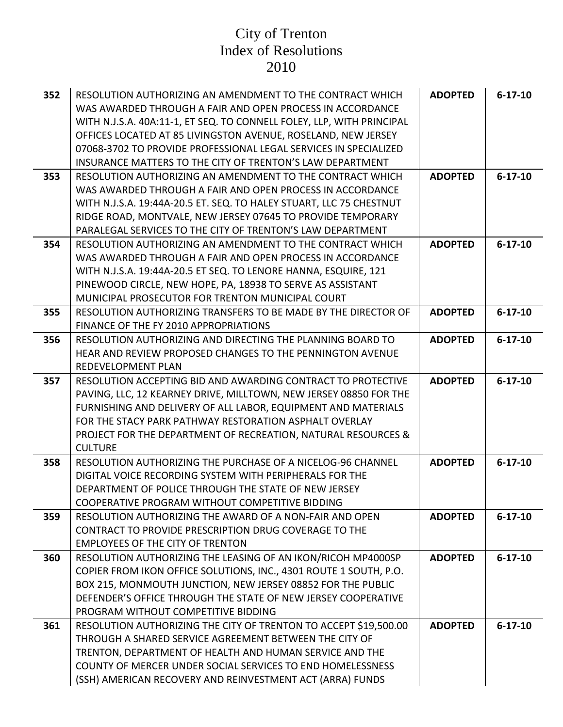| 352 | RESOLUTION AUTHORIZING AN AMENDMENT TO THE CONTRACT WHICH             | <b>ADOPTED</b> | $6 - 17 - 10$ |
|-----|-----------------------------------------------------------------------|----------------|---------------|
|     | WAS AWARDED THROUGH A FAIR AND OPEN PROCESS IN ACCORDANCE             |                |               |
|     | WITH N.J.S.A. 40A:11-1, ET SEQ. TO CONNELL FOLEY, LLP, WITH PRINCIPAL |                |               |
|     | OFFICES LOCATED AT 85 LIVINGSTON AVENUE, ROSELAND, NEW JERSEY         |                |               |
|     | 07068-3702 TO PROVIDE PROFESSIONAL LEGAL SERVICES IN SPECIALIZED      |                |               |
|     | INSURANCE MATTERS TO THE CITY OF TRENTON'S LAW DEPARTMENT             |                |               |
| 353 | RESOLUTION AUTHORIZING AN AMENDMENT TO THE CONTRACT WHICH             | <b>ADOPTED</b> | $6 - 17 - 10$ |
|     | WAS AWARDED THROUGH A FAIR AND OPEN PROCESS IN ACCORDANCE             |                |               |
|     | WITH N.J.S.A. 19:44A-20.5 ET. SEQ. TO HALEY STUART, LLC 75 CHESTNUT   |                |               |
|     | RIDGE ROAD, MONTVALE, NEW JERSEY 07645 TO PROVIDE TEMPORARY           |                |               |
|     | PARALEGAL SERVICES TO THE CITY OF TRENTON'S LAW DEPARTMENT            |                |               |
| 354 | RESOLUTION AUTHORIZING AN AMENDMENT TO THE CONTRACT WHICH             | <b>ADOPTED</b> | $6 - 17 - 10$ |
|     | WAS AWARDED THROUGH A FAIR AND OPEN PROCESS IN ACCORDANCE             |                |               |
|     | WITH N.J.S.A. 19:44A-20.5 ET SEQ. TO LENORE HANNA, ESQUIRE, 121       |                |               |
|     | PINEWOOD CIRCLE, NEW HOPE, PA, 18938 TO SERVE AS ASSISTANT            |                |               |
|     | MUNICIPAL PROSECUTOR FOR TRENTON MUNICIPAL COURT                      |                |               |
| 355 | RESOLUTION AUTHORIZING TRANSFERS TO BE MADE BY THE DIRECTOR OF        | <b>ADOPTED</b> | $6 - 17 - 10$ |
|     | FINANCE OF THE FY 2010 APPROPRIATIONS                                 |                |               |
| 356 | RESOLUTION AUTHORIZING AND DIRECTING THE PLANNING BOARD TO            | <b>ADOPTED</b> | $6 - 17 - 10$ |
|     | HEAR AND REVIEW PROPOSED CHANGES TO THE PENNINGTON AVENUE             |                |               |
|     | <b>REDEVELOPMENT PLAN</b>                                             |                |               |
| 357 | RESOLUTION ACCEPTING BID AND AWARDING CONTRACT TO PROTECTIVE          | <b>ADOPTED</b> | $6 - 17 - 10$ |
|     | PAVING, LLC, 12 KEARNEY DRIVE, MILLTOWN, NEW JERSEY 08850 FOR THE     |                |               |
|     | FURNISHING AND DELIVERY OF ALL LABOR, EQUIPMENT AND MATERIALS         |                |               |
|     | FOR THE STACY PARK PATHWAY RESTORATION ASPHALT OVERLAY                |                |               |
|     | PROJECT FOR THE DEPARTMENT OF RECREATION, NATURAL RESOURCES &         |                |               |
|     | <b>CULTURE</b>                                                        |                |               |
| 358 | RESOLUTION AUTHORIZING THE PURCHASE OF A NICELOG-96 CHANNEL           | <b>ADOPTED</b> | $6 - 17 - 10$ |
|     | DIGITAL VOICE RECORDING SYSTEM WITH PERIPHERALS FOR THE               |                |               |
|     | DEPARTMENT OF POLICE THROUGH THE STATE OF NEW JERSEY                  |                |               |
|     | COOPERATIVE PROGRAM WITHOUT COMPETITIVE BIDDING                       |                |               |
| 359 | RESOLUTION AUTHORIZING THE AWARD OF A NON-FAIR AND OPEN               | <b>ADOPTED</b> | $6 - 17 - 10$ |
|     | CONTRACT TO PROVIDE PRESCRIPTION DRUG COVERAGE TO THE                 |                |               |
|     | <b>EMPLOYEES OF THE CITY OF TRENTON</b>                               |                |               |
| 360 | RESOLUTION AUTHORIZING THE LEASING OF AN IKON/RICOH MP4000SP          | <b>ADOPTED</b> | $6 - 17 - 10$ |
|     | COPIER FROM IKON OFFICE SOLUTIONS, INC., 4301 ROUTE 1 SOUTH, P.O.     |                |               |
|     | BOX 215, MONMOUTH JUNCTION, NEW JERSEY 08852 FOR THE PUBLIC           |                |               |
|     | DEFENDER'S OFFICE THROUGH THE STATE OF NEW JERSEY COOPERATIVE         |                |               |
|     | PROGRAM WITHOUT COMPETITIVE BIDDING                                   |                |               |
| 361 | RESOLUTION AUTHORIZING THE CITY OF TRENTON TO ACCEPT \$19,500.00      | <b>ADOPTED</b> | $6 - 17 - 10$ |
|     | THROUGH A SHARED SERVICE AGREEMENT BETWEEN THE CITY OF                |                |               |
|     | TRENTON, DEPARTMENT OF HEALTH AND HUMAN SERVICE AND THE               |                |               |
|     | <b>COUNTY OF MERCER UNDER SOCIAL SERVICES TO END HOMELESSNESS</b>     |                |               |
|     | (SSH) AMERICAN RECOVERY AND REINVESTMENT ACT (ARRA) FUNDS             |                |               |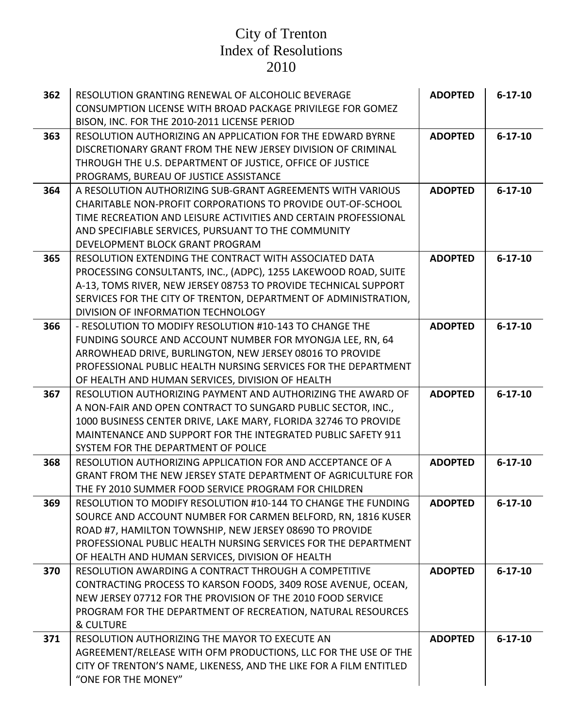| 362 | RESOLUTION GRANTING RENEWAL OF ALCOHOLIC BEVERAGE                                                                               | <b>ADOPTED</b> | $6 - 17 - 10$ |
|-----|---------------------------------------------------------------------------------------------------------------------------------|----------------|---------------|
|     | CONSUMPTION LICENSE WITH BROAD PACKAGE PRIVILEGE FOR GOMEZ                                                                      |                |               |
|     | BISON, INC. FOR THE 2010-2011 LICENSE PERIOD                                                                                    |                |               |
| 363 | RESOLUTION AUTHORIZING AN APPLICATION FOR THE EDWARD BYRNE                                                                      | <b>ADOPTED</b> | $6 - 17 - 10$ |
|     | DISCRETIONARY GRANT FROM THE NEW JERSEY DIVISION OF CRIMINAL                                                                    |                |               |
|     | THROUGH THE U.S. DEPARTMENT OF JUSTICE, OFFICE OF JUSTICE                                                                       |                |               |
|     | PROGRAMS, BUREAU OF JUSTICE ASSISTANCE                                                                                          |                |               |
| 364 | A RESOLUTION AUTHORIZING SUB-GRANT AGREEMENTS WITH VARIOUS                                                                      | <b>ADOPTED</b> | $6 - 17 - 10$ |
|     | CHARITABLE NON-PROFIT CORPORATIONS TO PROVIDE OUT-OF-SCHOOL                                                                     |                |               |
|     | TIME RECREATION AND LEISURE ACTIVITIES AND CERTAIN PROFESSIONAL                                                                 |                |               |
|     | AND SPECIFIABLE SERVICES, PURSUANT TO THE COMMUNITY                                                                             |                |               |
|     | DEVELOPMENT BLOCK GRANT PROGRAM                                                                                                 |                |               |
| 365 | RESOLUTION EXTENDING THE CONTRACT WITH ASSOCIATED DATA                                                                          | <b>ADOPTED</b> | $6 - 17 - 10$ |
|     | PROCESSING CONSULTANTS, INC., (ADPC), 1255 LAKEWOOD ROAD, SUITE                                                                 |                |               |
|     | A-13, TOMS RIVER, NEW JERSEY 08753 TO PROVIDE TECHNICAL SUPPORT                                                                 |                |               |
|     | SERVICES FOR THE CITY OF TRENTON, DEPARTMENT OF ADMINISTRATION,                                                                 |                |               |
|     | DIVISION OF INFORMATION TECHNOLOGY                                                                                              |                |               |
| 366 | - RESOLUTION TO MODIFY RESOLUTION #10-143 TO CHANGE THE                                                                         | <b>ADOPTED</b> | $6 - 17 - 10$ |
|     | FUNDING SOURCE AND ACCOUNT NUMBER FOR MYONGJA LEE, RN, 64                                                                       |                |               |
|     | ARROWHEAD DRIVE, BURLINGTON, NEW JERSEY 08016 TO PROVIDE                                                                        |                |               |
|     | PROFESSIONAL PUBLIC HEALTH NURSING SERVICES FOR THE DEPARTMENT                                                                  |                |               |
|     | OF HEALTH AND HUMAN SERVICES, DIVISION OF HEALTH                                                                                |                |               |
| 367 | RESOLUTION AUTHORIZING PAYMENT AND AUTHORIZING THE AWARD OF                                                                     | <b>ADOPTED</b> | $6 - 17 - 10$ |
|     | A NON-FAIR AND OPEN CONTRACT TO SUNGARD PUBLIC SECTOR, INC.,                                                                    |                |               |
|     | 1000 BUSINESS CENTER DRIVE, LAKE MARY, FLORIDA 32746 TO PROVIDE<br>MAINTENANCE AND SUPPORT FOR THE INTEGRATED PUBLIC SAFETY 911 |                |               |
|     | SYSTEM FOR THE DEPARTMENT OF POLICE                                                                                             |                |               |
| 368 | RESOLUTION AUTHORIZING APPLICATION FOR AND ACCEPTANCE OF A                                                                      | <b>ADOPTED</b> | $6 - 17 - 10$ |
|     | GRANT FROM THE NEW JERSEY STATE DEPARTMENT OF AGRICULTURE FOR                                                                   |                |               |
|     | THE FY 2010 SUMMER FOOD SERVICE PROGRAM FOR CHILDREN                                                                            |                |               |
| 369 | RESOLUTION TO MODIFY RESOLUTION #10-144 TO CHANGE THE FUNDING                                                                   | <b>ADOPTED</b> | $6 - 17 - 10$ |
|     | SOURCE AND ACCOUNT NUMBER FOR CARMEN BELFORD, RN, 1816 KUSER                                                                    |                |               |
|     | ROAD #7, HAMILTON TOWNSHIP, NEW JERSEY 08690 TO PROVIDE                                                                         |                |               |
|     | PROFESSIONAL PUBLIC HEALTH NURSING SERVICES FOR THE DEPARTMENT                                                                  |                |               |
|     | OF HEALTH AND HUMAN SERVICES, DIVISION OF HEALTH                                                                                |                |               |
| 370 | RESOLUTION AWARDING A CONTRACT THROUGH A COMPETITIVE                                                                            | <b>ADOPTED</b> | $6 - 17 - 10$ |
|     | CONTRACTING PROCESS TO KARSON FOODS, 3409 ROSE AVENUE, OCEAN,                                                                   |                |               |
|     | NEW JERSEY 07712 FOR THE PROVISION OF THE 2010 FOOD SERVICE                                                                     |                |               |
|     | PROGRAM FOR THE DEPARTMENT OF RECREATION, NATURAL RESOURCES                                                                     |                |               |
|     | <b>&amp; CULTURE</b>                                                                                                            |                |               |
| 371 | RESOLUTION AUTHORIZING THE MAYOR TO EXECUTE AN                                                                                  | <b>ADOPTED</b> | $6 - 17 - 10$ |
|     | AGREEMENT/RELEASE WITH OFM PRODUCTIONS, LLC FOR THE USE OF THE                                                                  |                |               |
|     | CITY OF TRENTON'S NAME, LIKENESS, AND THE LIKE FOR A FILM ENTITLED                                                              |                |               |
|     | "ONE FOR THE MONEY"                                                                                                             |                |               |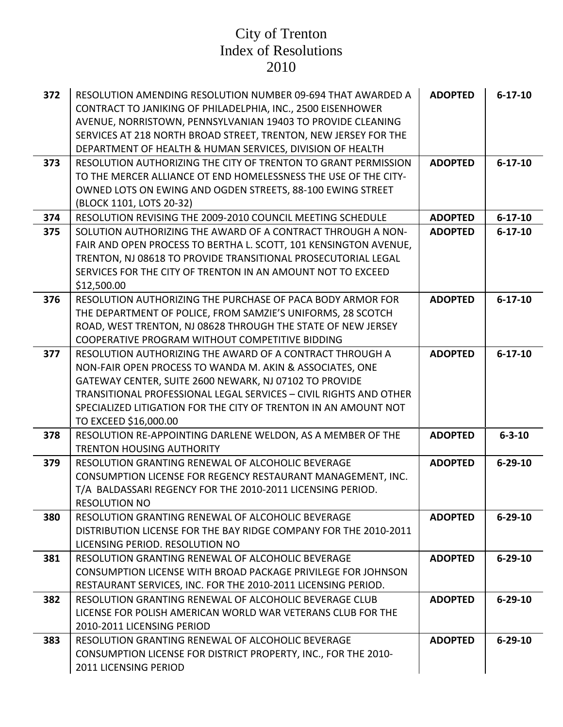| 372 | RESOLUTION AMENDING RESOLUTION NUMBER 09-694 THAT AWARDED A         | <b>ADOPTED</b> | $6 - 17 - 10$ |
|-----|---------------------------------------------------------------------|----------------|---------------|
|     | CONTRACT TO JANIKING OF PHILADELPHIA, INC., 2500 EISENHOWER         |                |               |
|     | AVENUE, NORRISTOWN, PENNSYLVANIAN 19403 TO PROVIDE CLEANING         |                |               |
|     | SERVICES AT 218 NORTH BROAD STREET, TRENTON, NEW JERSEY FOR THE     |                |               |
|     | DEPARTMENT OF HEALTH & HUMAN SERVICES, DIVISION OF HEALTH           |                |               |
| 373 | RESOLUTION AUTHORIZING THE CITY OF TRENTON TO GRANT PERMISSION      | <b>ADOPTED</b> | $6 - 17 - 10$ |
|     | TO THE MERCER ALLIANCE OT END HOMELESSNESS THE USE OF THE CITY-     |                |               |
|     | OWNED LOTS ON EWING AND OGDEN STREETS, 88-100 EWING STREET          |                |               |
|     | (BLOCK 1101, LOTS 20-32)                                            |                |               |
| 374 | RESOLUTION REVISING THE 2009-2010 COUNCIL MEETING SCHEDULE          | <b>ADOPTED</b> | $6 - 17 - 10$ |
| 375 | SOLUTION AUTHORIZING THE AWARD OF A CONTRACT THROUGH A NON-         | <b>ADOPTED</b> | $6 - 17 - 10$ |
|     | FAIR AND OPEN PROCESS TO BERTHA L. SCOTT, 101 KENSINGTON AVENUE,    |                |               |
|     | TRENTON, NJ 08618 TO PROVIDE TRANSITIONAL PROSECUTORIAL LEGAL       |                |               |
|     | SERVICES FOR THE CITY OF TRENTON IN AN AMOUNT NOT TO EXCEED         |                |               |
|     | \$12,500.00                                                         |                |               |
| 376 | RESOLUTION AUTHORIZING THE PURCHASE OF PACA BODY ARMOR FOR          | <b>ADOPTED</b> | $6 - 17 - 10$ |
|     | THE DEPARTMENT OF POLICE, FROM SAMZIE'S UNIFORMS, 28 SCOTCH         |                |               |
|     | ROAD, WEST TRENTON, NJ 08628 THROUGH THE STATE OF NEW JERSEY        |                |               |
|     | COOPERATIVE PROGRAM WITHOUT COMPETITIVE BIDDING                     |                |               |
| 377 | RESOLUTION AUTHORIZING THE AWARD OF A CONTRACT THROUGH A            | <b>ADOPTED</b> | $6 - 17 - 10$ |
|     | NON-FAIR OPEN PROCESS TO WANDA M. AKIN & ASSOCIATES, ONE            |                |               |
|     | GATEWAY CENTER, SUITE 2600 NEWARK, NJ 07102 TO PROVIDE              |                |               |
|     | TRANSITIONAL PROFESSIONAL LEGAL SERVICES - CIVIL RIGHTS AND OTHER   |                |               |
|     | SPECIALIZED LITIGATION FOR THE CITY OF TRENTON IN AN AMOUNT NOT     |                |               |
|     | TO EXCEED \$16,000.00                                               |                |               |
| 378 | RESOLUTION RE-APPOINTING DARLENE WELDON, AS A MEMBER OF THE         | <b>ADOPTED</b> | $6 - 3 - 10$  |
|     | <b>TRENTON HOUSING AUTHORITY</b>                                    |                |               |
| 379 | RESOLUTION GRANTING RENEWAL OF ALCOHOLIC BEVERAGE                   | <b>ADOPTED</b> | $6 - 29 - 10$ |
|     | CONSUMPTION LICENSE FOR REGENCY RESTAURANT MANAGEMENT, INC.         |                |               |
|     | T/A BALDASSARI REGENCY FOR THE 2010-2011 LICENSING PERIOD.          |                |               |
|     | <b>RESOLUTION NO</b>                                                |                |               |
| 380 | RESOLUTION GRANTING RENEWAL OF ALCOHOLIC BEVERAGE                   | <b>ADOPTED</b> | $6 - 29 - 10$ |
|     | DISTRIBUTION LICENSE FOR THE BAY RIDGE COMPANY FOR THE 2010-2011    |                |               |
|     | LICENSING PERIOD. RESOLUTION NO                                     |                |               |
| 381 | RESOLUTION GRANTING RENEWAL OF ALCOHOLIC BEVERAGE                   | <b>ADOPTED</b> | $6 - 29 - 10$ |
|     | <b>CONSUMPTION LICENSE WITH BROAD PACKAGE PRIVILEGE FOR JOHNSON</b> |                |               |
|     | RESTAURANT SERVICES, INC. FOR THE 2010-2011 LICENSING PERIOD.       |                |               |
| 382 | RESOLUTION GRANTING RENEWAL OF ALCOHOLIC BEVERAGE CLUB              | <b>ADOPTED</b> | $6 - 29 - 10$ |
|     | LICENSE FOR POLISH AMERICAN WORLD WAR VETERANS CLUB FOR THE         |                |               |
|     | 2010-2011 LICENSING PERIOD                                          |                |               |
| 383 | RESOLUTION GRANTING RENEWAL OF ALCOHOLIC BEVERAGE                   | <b>ADOPTED</b> | $6 - 29 - 10$ |
|     | CONSUMPTION LICENSE FOR DISTRICT PROPERTY, INC., FOR THE 2010-      |                |               |
|     | 2011 LICENSING PERIOD                                               |                |               |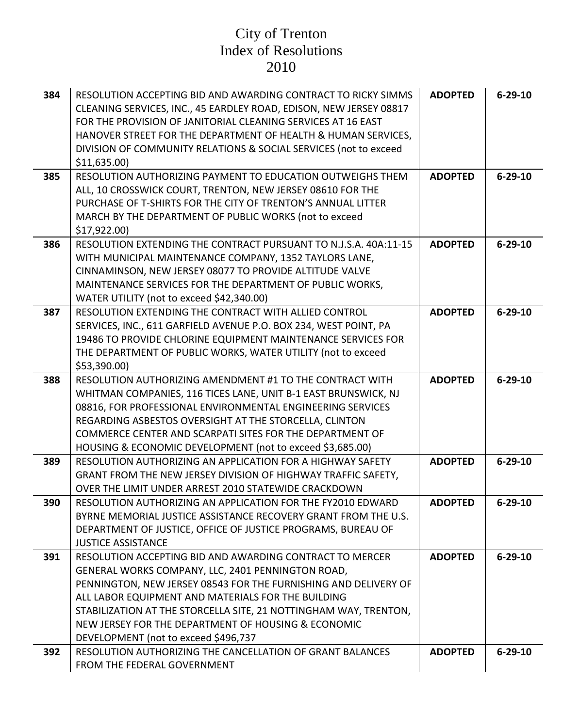| 384 | RESOLUTION ACCEPTING BID AND AWARDING CONTRACT TO RICKY SIMMS<br>CLEANING SERVICES, INC., 45 EARDLEY ROAD, EDISON, NEW JERSEY 08817<br>FOR THE PROVISION OF JANITORIAL CLEANING SERVICES AT 16 EAST<br>HANOVER STREET FOR THE DEPARTMENT OF HEALTH & HUMAN SERVICES,<br>DIVISION OF COMMUNITY RELATIONS & SOCIAL SERVICES (not to exceed<br>\$11,635.00                                                   | <b>ADOPTED</b> | $6 - 29 - 10$ |
|-----|-----------------------------------------------------------------------------------------------------------------------------------------------------------------------------------------------------------------------------------------------------------------------------------------------------------------------------------------------------------------------------------------------------------|----------------|---------------|
| 385 | RESOLUTION AUTHORIZING PAYMENT TO EDUCATION OUTWEIGHS THEM<br>ALL, 10 CROSSWICK COURT, TRENTON, NEW JERSEY 08610 FOR THE<br>PURCHASE OF T-SHIRTS FOR THE CITY OF TRENTON'S ANNUAL LITTER<br>MARCH BY THE DEPARTMENT OF PUBLIC WORKS (not to exceed<br>\$17,922.00                                                                                                                                         | <b>ADOPTED</b> | $6 - 29 - 10$ |
| 386 | RESOLUTION EXTENDING THE CONTRACT PURSUANT TO N.J.S.A. 40A:11-15<br>WITH MUNICIPAL MAINTENANCE COMPANY, 1352 TAYLORS LANE,<br>CINNAMINSON, NEW JERSEY 08077 TO PROVIDE ALTITUDE VALVE<br>MAINTENANCE SERVICES FOR THE DEPARTMENT OF PUBLIC WORKS,<br>WATER UTILITY (not to exceed \$42,340.00)                                                                                                            | <b>ADOPTED</b> | $6 - 29 - 10$ |
| 387 | RESOLUTION EXTENDING THE CONTRACT WITH ALLIED CONTROL<br>SERVICES, INC., 611 GARFIELD AVENUE P.O. BOX 234, WEST POINT, PA<br>19486 TO PROVIDE CHLORINE EQUIPMENT MAINTENANCE SERVICES FOR<br>THE DEPARTMENT OF PUBLIC WORKS, WATER UTILITY (not to exceed<br>\$53,390.00)                                                                                                                                 | <b>ADOPTED</b> | $6 - 29 - 10$ |
| 388 | RESOLUTION AUTHORIZING AMENDMENT #1 TO THE CONTRACT WITH<br>WHITMAN COMPANIES, 116 TICES LANE, UNIT B-1 EAST BRUNSWICK, NJ<br>08816, FOR PROFESSIONAL ENVIRONMENTAL ENGINEERING SERVICES<br>REGARDING ASBESTOS OVERSIGHT AT THE STORCELLA, CLINTON<br>COMMERCE CENTER AND SCARPATI SITES FOR THE DEPARTMENT OF<br>HOUSING & ECONOMIC DEVELOPMENT (not to exceed \$3,685.00)                               | <b>ADOPTED</b> | $6 - 29 - 10$ |
| 389 | RESOLUTION AUTHORIZING AN APPLICATION FOR A HIGHWAY SAFETY<br>GRANT FROM THE NEW JERSEY DIVISION OF HIGHWAY TRAFFIC SAFETY,<br>OVER THE LIMIT UNDER ARREST 2010 STATEWIDE CRACKDOWN                                                                                                                                                                                                                       | <b>ADOPTED</b> | $6 - 29 - 10$ |
| 390 | RESOLUTION AUTHORIZING AN APPLICATION FOR THE FY2010 EDWARD<br>BYRNE MEMORIAL JUSTICE ASSISTANCE RECOVERY GRANT FROM THE U.S.<br>DEPARTMENT OF JUSTICE, OFFICE OF JUSTICE PROGRAMS, BUREAU OF<br><b>JUSTICE ASSISTANCE</b>                                                                                                                                                                                | <b>ADOPTED</b> | $6 - 29 - 10$ |
| 391 | RESOLUTION ACCEPTING BID AND AWARDING CONTRACT TO MERCER<br>GENERAL WORKS COMPANY, LLC, 2401 PENNINGTON ROAD,<br>PENNINGTON, NEW JERSEY 08543 FOR THE FURNISHING AND DELIVERY OF<br>ALL LABOR EQUIPMENT AND MATERIALS FOR THE BUILDING<br>STABILIZATION AT THE STORCELLA SITE, 21 NOTTINGHAM WAY, TRENTON,<br>NEW JERSEY FOR THE DEPARTMENT OF HOUSING & ECONOMIC<br>DEVELOPMENT (not to exceed \$496,737 | <b>ADOPTED</b> | $6 - 29 - 10$ |
| 392 | RESOLUTION AUTHORIZING THE CANCELLATION OF GRANT BALANCES<br>FROM THE FEDERAL GOVERNMENT                                                                                                                                                                                                                                                                                                                  | <b>ADOPTED</b> | $6 - 29 - 10$ |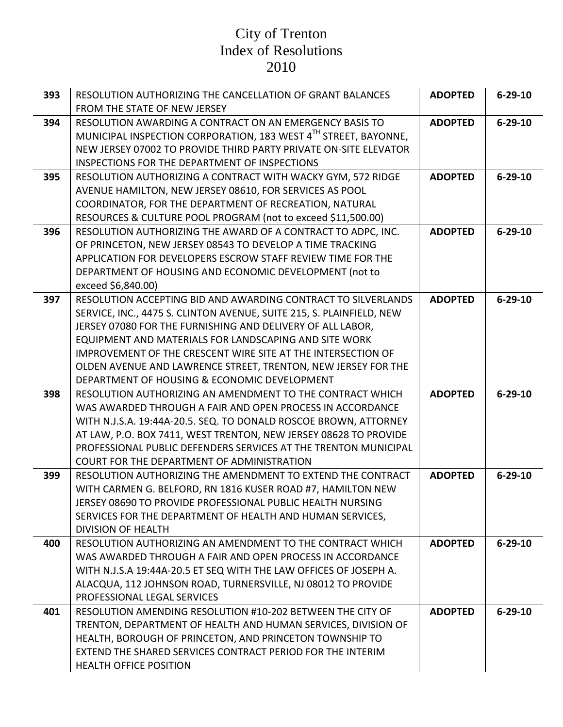| 393 | RESOLUTION AUTHORIZING THE CANCELLATION OF GRANT BALANCES<br>FROM THE STATE OF NEW JERSEY                                                                                                                                                                                                                                                                                                                                                     | <b>ADOPTED</b> | $6 - 29 - 10$ |
|-----|-----------------------------------------------------------------------------------------------------------------------------------------------------------------------------------------------------------------------------------------------------------------------------------------------------------------------------------------------------------------------------------------------------------------------------------------------|----------------|---------------|
| 394 | RESOLUTION AWARDING A CONTRACT ON AN EMERGENCY BASIS TO<br>MUNICIPAL INSPECTION CORPORATION, 183 WEST 4TH STREET, BAYONNE,<br>NEW JERSEY 07002 TO PROVIDE THIRD PARTY PRIVATE ON-SITE ELEVATOR<br>INSPECTIONS FOR THE DEPARTMENT OF INSPECTIONS                                                                                                                                                                                               | <b>ADOPTED</b> | $6 - 29 - 10$ |
| 395 | RESOLUTION AUTHORIZING A CONTRACT WITH WACKY GYM, 572 RIDGE<br>AVENUE HAMILTON, NEW JERSEY 08610, FOR SERVICES AS POOL<br>COORDINATOR, FOR THE DEPARTMENT OF RECREATION, NATURAL<br>RESOURCES & CULTURE POOL PROGRAM (not to exceed \$11,500.00)                                                                                                                                                                                              | <b>ADOPTED</b> | $6 - 29 - 10$ |
| 396 | RESOLUTION AUTHORIZING THE AWARD OF A CONTRACT TO ADPC, INC.<br>OF PRINCETON, NEW JERSEY 08543 TO DEVELOP A TIME TRACKING<br>APPLICATION FOR DEVELOPERS ESCROW STAFF REVIEW TIME FOR THE<br>DEPARTMENT OF HOUSING AND ECONOMIC DEVELOPMENT (not to<br>exceed \$6,840.00)                                                                                                                                                                      | <b>ADOPTED</b> | $6 - 29 - 10$ |
| 397 | RESOLUTION ACCEPTING BID AND AWARDING CONTRACT TO SILVERLANDS<br>SERVICE, INC., 4475 S. CLINTON AVENUE, SUITE 215, S. PLAINFIELD, NEW<br>JERSEY 07080 FOR THE FURNISHING AND DELIVERY OF ALL LABOR,<br>EQUIPMENT AND MATERIALS FOR LANDSCAPING AND SITE WORK<br>IMPROVEMENT OF THE CRESCENT WIRE SITE AT THE INTERSECTION OF<br>OLDEN AVENUE AND LAWRENCE STREET, TRENTON, NEW JERSEY FOR THE<br>DEPARTMENT OF HOUSING & ECONOMIC DEVELOPMENT | <b>ADOPTED</b> | $6 - 29 - 10$ |
| 398 | RESOLUTION AUTHORIZING AN AMENDMENT TO THE CONTRACT WHICH<br>WAS AWARDED THROUGH A FAIR AND OPEN PROCESS IN ACCORDANCE<br>WITH N.J.S.A. 19:44A-20.5. SEQ. TO DONALD ROSCOE BROWN, ATTORNEY<br>AT LAW, P.O. BOX 7411, WEST TRENTON, NEW JERSEY 08628 TO PROVIDE<br>PROFESSIONAL PUBLIC DEFENDERS SERVICES AT THE TRENTON MUNICIPAL<br>COURT FOR THE DEPARTMENT OF ADMINISTRATION                                                               | <b>ADOPTED</b> | $6 - 29 - 10$ |
| 399 | RESOLUTION AUTHORIZING THE AMENDMENT TO EXTEND THE CONTRACT<br>WITH CARMEN G. BELFORD, RN 1816 KUSER ROAD #7, HAMILTON NEW<br>JERSEY 08690 TO PROVIDE PROFESSIONAL PUBLIC HEALTH NURSING<br>SERVICES FOR THE DEPARTMENT OF HEALTH AND HUMAN SERVICES,<br><b>DIVISION OF HEALTH</b>                                                                                                                                                            | <b>ADOPTED</b> | $6 - 29 - 10$ |
| 400 | RESOLUTION AUTHORIZING AN AMENDMENT TO THE CONTRACT WHICH<br>WAS AWARDED THROUGH A FAIR AND OPEN PROCESS IN ACCORDANCE<br>WITH N.J.S.A 19:44A-20.5 ET SEQ WITH THE LAW OFFICES OF JOSEPH A.<br>ALACQUA, 112 JOHNSON ROAD, TURNERSVILLE, NJ 08012 TO PROVIDE<br>PROFESSIONAL LEGAL SERVICES                                                                                                                                                    | <b>ADOPTED</b> | $6 - 29 - 10$ |
| 401 | RESOLUTION AMENDING RESOLUTION #10-202 BETWEEN THE CITY OF<br>TRENTON, DEPARTMENT OF HEALTH AND HUMAN SERVICES, DIVISION OF<br>HEALTH, BOROUGH OF PRINCETON, AND PRINCETON TOWNSHIP TO<br>EXTEND THE SHARED SERVICES CONTRACT PERIOD FOR THE INTERIM<br><b>HEALTH OFFICE POSITION</b>                                                                                                                                                         | <b>ADOPTED</b> | $6 - 29 - 10$ |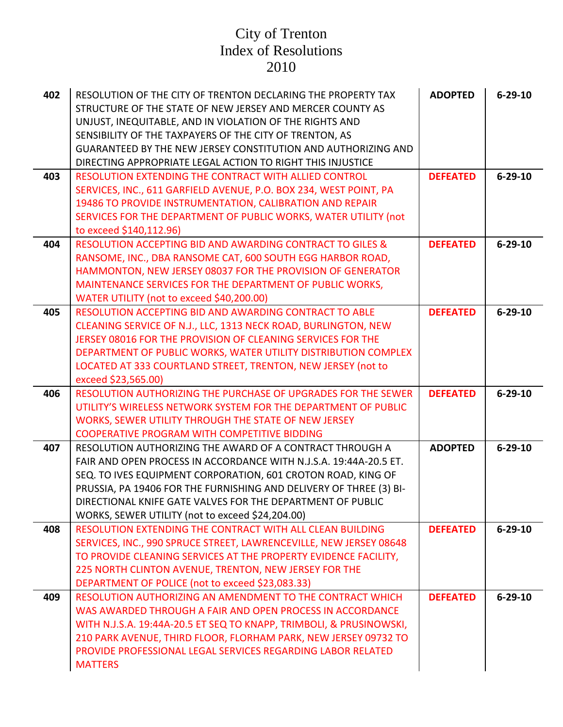| 402 | RESOLUTION OF THE CITY OF TRENTON DECLARING THE PROPERTY TAX<br>STRUCTURE OF THE STATE OF NEW JERSEY AND MERCER COUNTY AS<br>UNJUST, INEQUITABLE, AND IN VIOLATION OF THE RIGHTS AND<br>SENSIBILITY OF THE TAXPAYERS OF THE CITY OF TRENTON, AS<br><b>GUARANTEED BY THE NEW JERSEY CONSTITUTION AND AUTHORIZING AND</b><br>DIRECTING APPROPRIATE LEGAL ACTION TO RIGHT THIS INJUSTICE | <b>ADOPTED</b>  | $6 - 29 - 10$ |
|-----|---------------------------------------------------------------------------------------------------------------------------------------------------------------------------------------------------------------------------------------------------------------------------------------------------------------------------------------------------------------------------------------|-----------------|---------------|
| 403 | RESOLUTION EXTENDING THE CONTRACT WITH ALLIED CONTROL<br>SERVICES, INC., 611 GARFIELD AVENUE, P.O. BOX 234, WEST POINT, PA<br>19486 TO PROVIDE INSTRUMENTATION, CALIBRATION AND REPAIR<br>SERVICES FOR THE DEPARTMENT OF PUBLIC WORKS, WATER UTILITY (not<br>to exceed \$140,112.96)                                                                                                  | <b>DEFEATED</b> | $6 - 29 - 10$ |
| 404 | <b>RESOLUTION ACCEPTING BID AND AWARDING CONTRACT TO GILES &amp;</b><br>RANSOME, INC., DBA RANSOME CAT, 600 SOUTH EGG HARBOR ROAD,<br>HAMMONTON, NEW JERSEY 08037 FOR THE PROVISION OF GENERATOR<br>MAINTENANCE SERVICES FOR THE DEPARTMENT OF PUBLIC WORKS,<br>WATER UTILITY (not to exceed \$40,200.00)                                                                             | <b>DEFEATED</b> | $6 - 29 - 10$ |
| 405 | <b>RESOLUTION ACCEPTING BID AND AWARDING CONTRACT TO ABLE</b><br>CLEANING SERVICE OF N.J., LLC, 1313 NECK ROAD, BURLINGTON, NEW<br>JERSEY 08016 FOR THE PROVISION OF CLEANING SERVICES FOR THE<br>DEPARTMENT OF PUBLIC WORKS, WATER UTILITY DISTRIBUTION COMPLEX<br>LOCATED AT 333 COURTLAND STREET, TRENTON, NEW JERSEY (not to<br>exceed \$23,565.00)                               | <b>DEFEATED</b> | $6 - 29 - 10$ |
| 406 | RESOLUTION AUTHORIZING THE PURCHASE OF UPGRADES FOR THE SEWER<br>UTILITY'S WIRELESS NETWORK SYSTEM FOR THE DEPARTMENT OF PUBLIC<br>WORKS, SEWER UTILITY THROUGH THE STATE OF NEW JERSEY<br><b>COOPERATIVE PROGRAM WITH COMPETITIVE BIDDING</b>                                                                                                                                        | <b>DEFEATED</b> | $6 - 29 - 10$ |
| 407 | RESOLUTION AUTHORIZING THE AWARD OF A CONTRACT THROUGH A<br>FAIR AND OPEN PROCESS IN ACCORDANCE WITH N.J.S.A. 19:44A-20.5 ET.<br>SEQ. TO IVES EQUIPMENT CORPORATION, 601 CROTON ROAD, KING OF<br>PRUSSIA, PA 19406 FOR THE FURNISHING AND DELIVERY OF THREE (3) BI-<br>DIRECTIONAL KNIFE GATE VALVES FOR THE DEPARTMENT OF PUBLIC<br>WORKS, SEWER UTILITY (not to exceed \$24,204.00) | <b>ADOPTED</b>  | $6 - 29 - 10$ |
| 408 | RESOLUTION EXTENDING THE CONTRACT WITH ALL CLEAN BUILDING<br>SERVICES, INC., 990 SPRUCE STREET, LAWRENCEVILLE, NEW JERSEY 08648<br>TO PROVIDE CLEANING SERVICES AT THE PROPERTY EVIDENCE FACILITY,<br>225 NORTH CLINTON AVENUE, TRENTON, NEW JERSEY FOR THE<br>DEPARTMENT OF POLICE (not to exceed \$23,083.33)                                                                       | <b>DEFEATED</b> | $6 - 29 - 10$ |
| 409 | RESOLUTION AUTHORIZING AN AMENDMENT TO THE CONTRACT WHICH<br>WAS AWARDED THROUGH A FAIR AND OPEN PROCESS IN ACCORDANCE<br>WITH N.J.S.A. 19:44A-20.5 ET SEQ TO KNAPP, TRIMBOLI, & PRUSINOWSKI,<br>210 PARK AVENUE, THIRD FLOOR, FLORHAM PARK, NEW JERSEY 09732 TO<br>PROVIDE PROFESSIONAL LEGAL SERVICES REGARDING LABOR RELATED<br><b>MATTERS</b>                                     | <b>DEFEATED</b> | $6 - 29 - 10$ |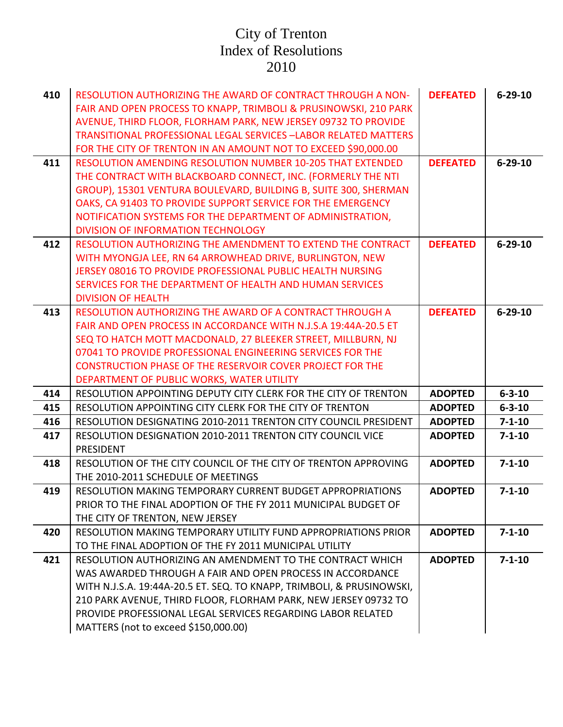| 410 | <b>RESOLUTION AUTHORIZING THE AWARD OF CONTRACT THROUGH A NON-</b>     | <b>DEFEATED</b> | $6 - 29 - 10$ |
|-----|------------------------------------------------------------------------|-----------------|---------------|
|     | FAIR AND OPEN PROCESS TO KNAPP, TRIMBOLI & PRUSINOWSKI, 210 PARK       |                 |               |
|     | AVENUE, THIRD FLOOR, FLORHAM PARK, NEW JERSEY 09732 TO PROVIDE         |                 |               |
|     | <b>TRANSITIONAL PROFESSIONAL LEGAL SERVICES -LABOR RELATED MATTERS</b> |                 |               |
|     | FOR THE CITY OF TRENTON IN AN AMOUNT NOT TO EXCEED \$90,000.00         |                 |               |
| 411 | <b>RESOLUTION AMENDING RESOLUTION NUMBER 10-205 THAT EXTENDED</b>      | <b>DEFEATED</b> | $6 - 29 - 10$ |
|     | THE CONTRACT WITH BLACKBOARD CONNECT, INC. (FORMERLY THE NTI           |                 |               |
|     | GROUP), 15301 VENTURA BOULEVARD, BUILDING B, SUITE 300, SHERMAN        |                 |               |
|     | OAKS, CA 91403 TO PROVIDE SUPPORT SERVICE FOR THE EMERGENCY            |                 |               |
|     | NOTIFICATION SYSTEMS FOR THE DEPARTMENT OF ADMINISTRATION,             |                 |               |
|     | DIVISION OF INFORMATION TECHNOLOGY                                     |                 |               |
| 412 | RESOLUTION AUTHORIZING THE AMENDMENT TO EXTEND THE CONTRACT            | <b>DEFEATED</b> | $6 - 29 - 10$ |
|     | WITH MYONGJA LEE, RN 64 ARROWHEAD DRIVE, BURLINGTON, NEW               |                 |               |
|     | JERSEY 08016 TO PROVIDE PROFESSIONAL PUBLIC HEALTH NURSING             |                 |               |
|     | SERVICES FOR THE DEPARTMENT OF HEALTH AND HUMAN SERVICES               |                 |               |
|     | <b>DIVISION OF HEALTH</b>                                              |                 |               |
| 413 | RESOLUTION AUTHORIZING THE AWARD OF A CONTRACT THROUGH A               | <b>DEFEATED</b> | $6 - 29 - 10$ |
|     | FAIR AND OPEN PROCESS IN ACCORDANCE WITH N.J.S.A 19:44A-20.5 ET        |                 |               |
|     | SEQ TO HATCH MOTT MACDONALD, 27 BLEEKER STREET, MILLBURN, NJ           |                 |               |
|     | 07041 TO PROVIDE PROFESSIONAL ENGINEERING SERVICES FOR THE             |                 |               |
|     | <b>CONSTRUCTION PHASE OF THE RESERVOIR COVER PROJECT FOR THE</b>       |                 |               |
|     | DEPARTMENT OF PUBLIC WORKS, WATER UTILITY                              |                 |               |
| 414 | RESOLUTION APPOINTING DEPUTY CITY CLERK FOR THE CITY OF TRENTON        | <b>ADOPTED</b>  | $6 - 3 - 10$  |
| 415 | RESOLUTION APPOINTING CITY CLERK FOR THE CITY OF TRENTON               | <b>ADOPTED</b>  | $6 - 3 - 10$  |
| 416 | RESOLUTION DESIGNATING 2010-2011 TRENTON CITY COUNCIL PRESIDENT        | <b>ADOPTED</b>  | $7 - 1 - 10$  |
| 417 | RESOLUTION DESIGNATION 2010-2011 TRENTON CITY COUNCIL VICE             | <b>ADOPTED</b>  | $7 - 1 - 10$  |
|     | PRESIDENT                                                              |                 |               |
| 418 | RESOLUTION OF THE CITY COUNCIL OF THE CITY OF TRENTON APPROVING        | <b>ADOPTED</b>  | $7 - 1 - 10$  |
|     | THE 2010-2011 SCHEDULE OF MEETINGS                                     |                 |               |
| 419 | RESOLUTION MAKING TEMPORARY CURRENT BUDGET APPROPRIATIONS              | <b>ADOPTED</b>  | $7 - 1 - 10$  |
|     | PRIOR TO THE FINAL ADOPTION OF THE FY 2011 MUNICIPAL BUDGET OF         |                 |               |
|     | THE CITY OF TRENTON, NEW JERSEY                                        |                 |               |
| 420 | RESOLUTION MAKING TEMPORARY UTILITY FUND APPROPRIATIONS PRIOR          | <b>ADOPTED</b>  | $7 - 1 - 10$  |
|     | TO THE FINAL ADOPTION OF THE FY 2011 MUNICIPAL UTILITY                 |                 |               |
| 421 | RESOLUTION AUTHORIZING AN AMENDMENT TO THE CONTRACT WHICH              | <b>ADOPTED</b>  | $7 - 1 - 10$  |
|     | WAS AWARDED THROUGH A FAIR AND OPEN PROCESS IN ACCORDANCE              |                 |               |
|     | WITH N.J.S.A. 19:44A-20.5 ET. SEQ. TO KNAPP, TRIMBOLI, & PRUSINOWSKI,  |                 |               |
|     | 210 PARK AVENUE, THIRD FLOOR, FLORHAM PARK, NEW JERSEY 09732 TO        |                 |               |
|     | PROVIDE PROFESSIONAL LEGAL SERVICES REGARDING LABOR RELATED            |                 |               |
|     | MATTERS (not to exceed \$150,000.00)                                   |                 |               |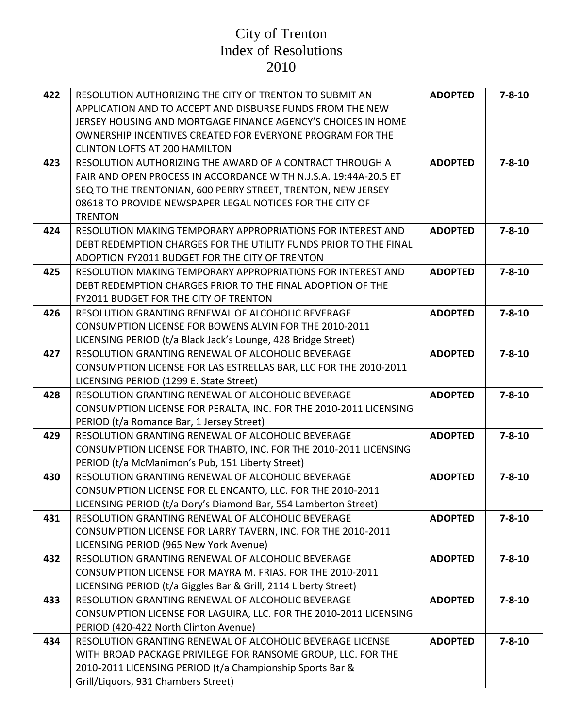| 422 | RESOLUTION AUTHORIZING THE CITY OF TRENTON TO SUBMIT AN           | <b>ADOPTED</b> | $7 - 8 - 10$ |
|-----|-------------------------------------------------------------------|----------------|--------------|
|     | APPLICATION AND TO ACCEPT AND DISBURSE FUNDS FROM THE NEW         |                |              |
|     | JERSEY HOUSING AND MORTGAGE FINANCE AGENCY'S CHOICES IN HOME      |                |              |
|     | OWNERSHIP INCENTIVES CREATED FOR EVERYONE PROGRAM FOR THE         |                |              |
|     | <b>CLINTON LOFTS AT 200 HAMILTON</b>                              |                |              |
| 423 | RESOLUTION AUTHORIZING THE AWARD OF A CONTRACT THROUGH A          | <b>ADOPTED</b> | $7 - 8 - 10$ |
|     | FAIR AND OPEN PROCESS IN ACCORDANCE WITH N.J.S.A. 19:44A-20.5 ET  |                |              |
|     | SEQ TO THE TRENTONIAN, 600 PERRY STREET, TRENTON, NEW JERSEY      |                |              |
|     | 08618 TO PROVIDE NEWSPAPER LEGAL NOTICES FOR THE CITY OF          |                |              |
|     | <b>TRENTON</b>                                                    |                |              |
| 424 | RESOLUTION MAKING TEMPORARY APPROPRIATIONS FOR INTEREST AND       | <b>ADOPTED</b> | $7 - 8 - 10$ |
|     | DEBT REDEMPTION CHARGES FOR THE UTILITY FUNDS PRIOR TO THE FINAL  |                |              |
|     | ADOPTION FY2011 BUDGET FOR THE CITY OF TRENTON                    |                |              |
| 425 | RESOLUTION MAKING TEMPORARY APPROPRIATIONS FOR INTEREST AND       | <b>ADOPTED</b> | $7 - 8 - 10$ |
|     | DEBT REDEMPTION CHARGES PRIOR TO THE FINAL ADOPTION OF THE        |                |              |
|     | FY2011 BUDGET FOR THE CITY OF TRENTON                             |                |              |
| 426 | RESOLUTION GRANTING RENEWAL OF ALCOHOLIC BEVERAGE                 | <b>ADOPTED</b> | $7 - 8 - 10$ |
|     | CONSUMPTION LICENSE FOR BOWENS ALVIN FOR THE 2010-2011            |                |              |
|     | LICENSING PERIOD (t/a Black Jack's Lounge, 428 Bridge Street)     |                |              |
| 427 | RESOLUTION GRANTING RENEWAL OF ALCOHOLIC BEVERAGE                 | <b>ADOPTED</b> | $7 - 8 - 10$ |
|     | CONSUMPTION LICENSE FOR LAS ESTRELLAS BAR, LLC FOR THE 2010-2011  |                |              |
|     | LICENSING PERIOD (1299 E. State Street)                           |                |              |
| 428 | RESOLUTION GRANTING RENEWAL OF ALCOHOLIC BEVERAGE                 | <b>ADOPTED</b> | $7 - 8 - 10$ |
|     | CONSUMPTION LICENSE FOR PERALTA, INC. FOR THE 2010-2011 LICENSING |                |              |
|     | PERIOD (t/a Romance Bar, 1 Jersey Street)                         |                |              |
| 429 | RESOLUTION GRANTING RENEWAL OF ALCOHOLIC BEVERAGE                 | <b>ADOPTED</b> | $7 - 8 - 10$ |
|     | CONSUMPTION LICENSE FOR THABTO, INC. FOR THE 2010-2011 LICENSING  |                |              |
|     | PERIOD (t/a McManimon's Pub, 151 Liberty Street)                  |                |              |
| 430 | RESOLUTION GRANTING RENEWAL OF ALCOHOLIC BEVERAGE                 | <b>ADOPTED</b> | $7 - 8 - 10$ |
|     | CONSUMPTION LICENSE FOR EL ENCANTO, LLC. FOR THE 2010-2011        |                |              |
|     | LICENSING PERIOD (t/a Dory's Diamond Bar, 554 Lamberton Street)   |                |              |
| 431 | RESOLUTION GRANTING RENEWAL OF ALCOHOLIC BEVERAGE                 | <b>ADOPTED</b> | $7 - 8 - 10$ |
|     | CONSUMPTION LICENSE FOR LARRY TAVERN, INC. FOR THE 2010-2011      |                |              |
|     | LICENSING PERIOD (965 New York Avenue)                            |                |              |
| 432 | RESOLUTION GRANTING RENEWAL OF ALCOHOLIC BEVERAGE                 | <b>ADOPTED</b> | $7 - 8 - 10$ |
|     | CONSUMPTION LICENSE FOR MAYRA M. FRIAS. FOR THE 2010-2011         |                |              |
|     | LICENSING PERIOD (t/a Giggles Bar & Grill, 2114 Liberty Street)   |                |              |
| 433 | RESOLUTION GRANTING RENEWAL OF ALCOHOLIC BEVERAGE                 | <b>ADOPTED</b> | $7 - 8 - 10$ |
|     | CONSUMPTION LICENSE FOR LAGUIRA, LLC. FOR THE 2010-2011 LICENSING |                |              |
|     | PERIOD (420-422 North Clinton Avenue)                             |                |              |
| 434 | RESOLUTION GRANTING RENEWAL OF ALCOHOLIC BEVERAGE LICENSE         | <b>ADOPTED</b> | $7 - 8 - 10$ |
|     | WITH BROAD PACKAGE PRIVILEGE FOR RANSOME GROUP, LLC. FOR THE      |                |              |
|     | 2010-2011 LICENSING PERIOD (t/a Championship Sports Bar &         |                |              |
|     | Grill/Liquors, 931 Chambers Street)                               |                |              |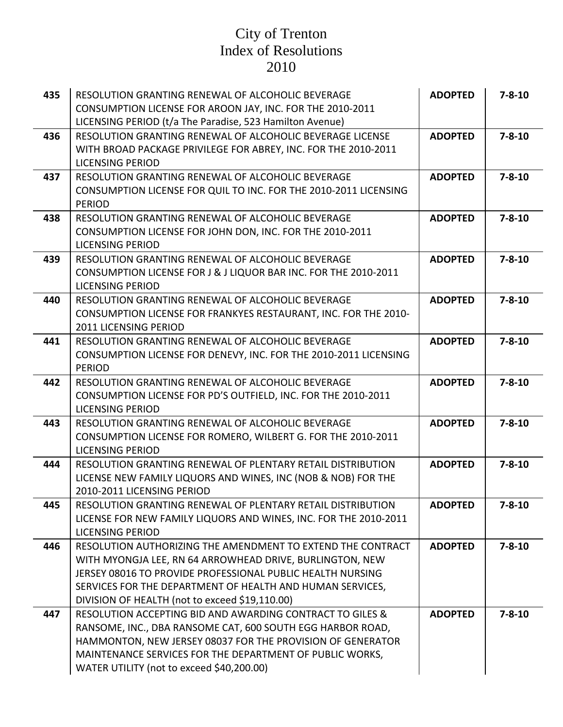| 435 | RESOLUTION GRANTING RENEWAL OF ALCOHOLIC BEVERAGE                                           | <b>ADOPTED</b> | $7 - 8 - 10$ |
|-----|---------------------------------------------------------------------------------------------|----------------|--------------|
|     | CONSUMPTION LICENSE FOR AROON JAY, INC. FOR THE 2010-2011                                   |                |              |
|     | LICENSING PERIOD (t/a The Paradise, 523 Hamilton Avenue)                                    |                |              |
| 436 | RESOLUTION GRANTING RENEWAL OF ALCOHOLIC BEVERAGE LICENSE                                   | <b>ADOPTED</b> | $7 - 8 - 10$ |
|     | WITH BROAD PACKAGE PRIVILEGE FOR ABREY, INC. FOR THE 2010-2011                              |                |              |
|     | <b>LICENSING PERIOD</b>                                                                     |                |              |
| 437 | RESOLUTION GRANTING RENEWAL OF ALCOHOLIC BEVERAGE                                           | <b>ADOPTED</b> | $7 - 8 - 10$ |
|     | CONSUMPTION LICENSE FOR QUIL TO INC. FOR THE 2010-2011 LICENSING                            |                |              |
|     | <b>PERIOD</b>                                                                               |                |              |
| 438 | RESOLUTION GRANTING RENEWAL OF ALCOHOLIC BEVERAGE                                           | <b>ADOPTED</b> | $7 - 8 - 10$ |
|     | CONSUMPTION LICENSE FOR JOHN DON, INC. FOR THE 2010-2011<br><b>LICENSING PERIOD</b>         |                |              |
| 439 | RESOLUTION GRANTING RENEWAL OF ALCOHOLIC BEVERAGE                                           | <b>ADOPTED</b> | $7 - 8 - 10$ |
|     | CONSUMPTION LICENSE FOR J & J LIQUOR BAR INC. FOR THE 2010-2011                             |                |              |
|     | <b>LICENSING PERIOD</b>                                                                     |                |              |
| 440 | RESOLUTION GRANTING RENEWAL OF ALCOHOLIC BEVERAGE                                           | <b>ADOPTED</b> | $7 - 8 - 10$ |
|     | CONSUMPTION LICENSE FOR FRANKYES RESTAURANT, INC. FOR THE 2010-                             |                |              |
|     | 2011 LICENSING PERIOD                                                                       |                |              |
| 441 | RESOLUTION GRANTING RENEWAL OF ALCOHOLIC BEVERAGE                                           | <b>ADOPTED</b> | $7 - 8 - 10$ |
|     | CONSUMPTION LICENSE FOR DENEVY, INC. FOR THE 2010-2011 LICENSING                            |                |              |
|     | <b>PERIOD</b>                                                                               |                |              |
| 442 | RESOLUTION GRANTING RENEWAL OF ALCOHOLIC BEVERAGE                                           | <b>ADOPTED</b> | $7 - 8 - 10$ |
|     | CONSUMPTION LICENSE FOR PD'S OUTFIELD, INC. FOR THE 2010-2011                               |                |              |
|     | <b>LICENSING PERIOD</b>                                                                     |                |              |
| 443 | RESOLUTION GRANTING RENEWAL OF ALCOHOLIC BEVERAGE                                           | <b>ADOPTED</b> | $7 - 8 - 10$ |
|     | CONSUMPTION LICENSE FOR ROMERO, WILBERT G. FOR THE 2010-2011                                |                |              |
|     | <b>LICENSING PERIOD</b>                                                                     |                |              |
| 444 | RESOLUTION GRANTING RENEWAL OF PLENTARY RETAIL DISTRIBUTION                                 | <b>ADOPTED</b> | $7 - 8 - 10$ |
|     | LICENSE NEW FAMILY LIQUORS AND WINES, INC (NOB & NOB) FOR THE<br>2010-2011 LICENSING PERIOD |                |              |
| 445 | RESOLUTION GRANTING RENEWAL OF PLENTARY RETAIL DISTRIBUTION                                 | <b>ADOPTED</b> | $7 - 8 - 10$ |
|     | LICENSE FOR NEW FAMILY LIQUORS AND WINES, INC. FOR THE 2010-2011                            |                |              |
|     | <b>LICENSING PERIOD</b>                                                                     |                |              |
| 446 | RESOLUTION AUTHORIZING THE AMENDMENT TO EXTEND THE CONTRACT                                 | <b>ADOPTED</b> | $7 - 8 - 10$ |
|     | WITH MYONGJA LEE, RN 64 ARROWHEAD DRIVE, BURLINGTON, NEW                                    |                |              |
|     | JERSEY 08016 TO PROVIDE PROFESSIONAL PUBLIC HEALTH NURSING                                  |                |              |
|     | SERVICES FOR THE DEPARTMENT OF HEALTH AND HUMAN SERVICES,                                   |                |              |
|     | DIVISION OF HEALTH (not to exceed \$19,110.00)                                              |                |              |
| 447 | RESOLUTION ACCEPTING BID AND AWARDING CONTRACT TO GILES &                                   | <b>ADOPTED</b> | $7 - 8 - 10$ |
|     | RANSOME, INC., DBA RANSOME CAT, 600 SOUTH EGG HARBOR ROAD,                                  |                |              |
|     | HAMMONTON, NEW JERSEY 08037 FOR THE PROVISION OF GENERATOR                                  |                |              |
|     | MAINTENANCE SERVICES FOR THE DEPARTMENT OF PUBLIC WORKS,                                    |                |              |
|     | WATER UTILITY (not to exceed \$40,200.00)                                                   |                |              |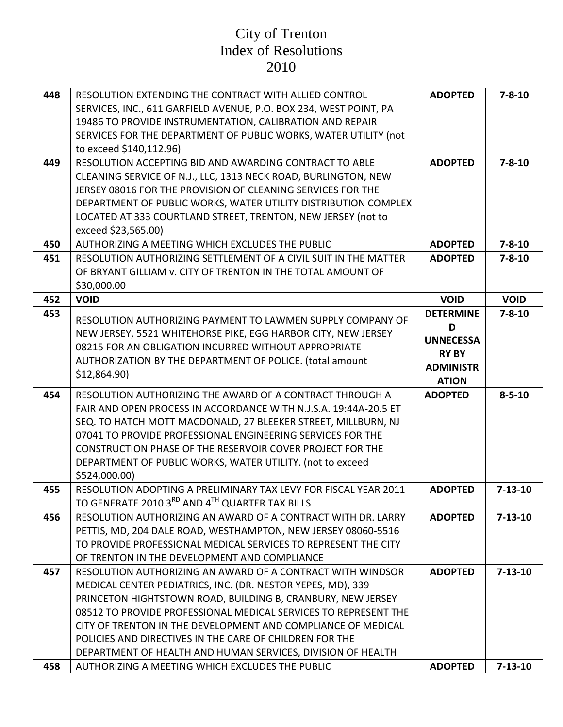| 448 | RESOLUTION EXTENDING THE CONTRACT WITH ALLIED CONTROL<br>SERVICES, INC., 611 GARFIELD AVENUE, P.O. BOX 234, WEST POINT, PA<br>19486 TO PROVIDE INSTRUMENTATION, CALIBRATION AND REPAIR<br>SERVICES FOR THE DEPARTMENT OF PUBLIC WORKS, WATER UTILITY (not<br>to exceed \$140,112.96)                                                                                                                                                                  | <b>ADOPTED</b>                                                                                | $7 - 8 - 10$  |
|-----|-------------------------------------------------------------------------------------------------------------------------------------------------------------------------------------------------------------------------------------------------------------------------------------------------------------------------------------------------------------------------------------------------------------------------------------------------------|-----------------------------------------------------------------------------------------------|---------------|
| 449 | RESOLUTION ACCEPTING BID AND AWARDING CONTRACT TO ABLE<br>CLEANING SERVICE OF N.J., LLC, 1313 NECK ROAD, BURLINGTON, NEW<br>JERSEY 08016 FOR THE PROVISION OF CLEANING SERVICES FOR THE<br>DEPARTMENT OF PUBLIC WORKS, WATER UTILITY DISTRIBUTION COMPLEX<br>LOCATED AT 333 COURTLAND STREET, TRENTON, NEW JERSEY (not to<br>exceed \$23,565.00)                                                                                                      | <b>ADOPTED</b>                                                                                | $7 - 8 - 10$  |
| 450 | AUTHORIZING A MEETING WHICH EXCLUDES THE PUBLIC                                                                                                                                                                                                                                                                                                                                                                                                       | <b>ADOPTED</b>                                                                                | $7 - 8 - 10$  |
| 451 | RESOLUTION AUTHORIZING SETTLEMENT OF A CIVIL SUIT IN THE MATTER<br>OF BRYANT GILLIAM v. CITY OF TRENTON IN THE TOTAL AMOUNT OF<br>\$30,000.00                                                                                                                                                                                                                                                                                                         | <b>ADOPTED</b>                                                                                | $7 - 8 - 10$  |
| 452 | <b>VOID</b>                                                                                                                                                                                                                                                                                                                                                                                                                                           | <b>VOID</b>                                                                                   | <b>VOID</b>   |
| 453 | RESOLUTION AUTHORIZING PAYMENT TO LAWMEN SUPPLY COMPANY OF<br>NEW JERSEY, 5521 WHITEHORSE PIKE, EGG HARBOR CITY, NEW JERSEY<br>08215 FOR AN OBLIGATION INCURRED WITHOUT APPROPRIATE<br>AUTHORIZATION BY THE DEPARTMENT OF POLICE. (total amount<br>\$12,864.90                                                                                                                                                                                        | <b>DETERMINE</b><br>D<br><b>UNNECESSA</b><br><b>RY BY</b><br><b>ADMINISTR</b><br><b>ATION</b> | $7 - 8 - 10$  |
| 454 | RESOLUTION AUTHORIZING THE AWARD OF A CONTRACT THROUGH A<br>FAIR AND OPEN PROCESS IN ACCORDANCE WITH N.J.S.A. 19:44A-20.5 ET<br>SEQ. TO HATCH MOTT MACDONALD, 27 BLEEKER STREET, MILLBURN, NJ<br>07041 TO PROVIDE PROFESSIONAL ENGINEERING SERVICES FOR THE<br><b>CONSTRUCTION PHASE OF THE RESERVOIR COVER PROJECT FOR THE</b><br>DEPARTMENT OF PUBLIC WORKS, WATER UTILITY. (not to exceed<br>\$524,000.00)                                         | <b>ADOPTED</b>                                                                                | $8 - 5 - 10$  |
| 455 | RESOLUTION ADOPTING A PRELIMINARY TAX LEVY FOR FISCAL YEAR 2011<br>TO GENERATE 2010 3RD AND 4TH QUARTER TAX BILLS                                                                                                                                                                                                                                                                                                                                     | <b>ADOPTED</b>                                                                                | $7 - 13 - 10$ |
| 456 | RESOLUTION AUTHORIZING AN AWARD OF A CONTRACT WITH DR. LARRY<br>PETTIS, MD, 204 DALE ROAD, WESTHAMPTON, NEW JERSEY 08060-5516<br>TO PROVIDE PROFESSIONAL MEDICAL SERVICES TO REPRESENT THE CITY<br>OF TRENTON IN THE DEVELOPMENT AND COMPLIANCE                                                                                                                                                                                                       | <b>ADOPTED</b>                                                                                | $7 - 13 - 10$ |
| 457 | RESOLUTION AUTHORIZING AN AWARD OF A CONTRACT WITH WINDSOR<br>MEDICAL CENTER PEDIATRICS, INC. (DR. NESTOR YEPES, MD), 339<br>PRINCETON HIGHTSTOWN ROAD, BUILDING B, CRANBURY, NEW JERSEY<br>08512 TO PROVIDE PROFESSIONAL MEDICAL SERVICES TO REPRESENT THE<br>CITY OF TRENTON IN THE DEVELOPMENT AND COMPLIANCE OF MEDICAL<br>POLICIES AND DIRECTIVES IN THE CARE OF CHILDREN FOR THE<br>DEPARTMENT OF HEALTH AND HUMAN SERVICES, DIVISION OF HEALTH | <b>ADOPTED</b>                                                                                | $7 - 13 - 10$ |
| 458 | AUTHORIZING A MEETING WHICH EXCLUDES THE PUBLIC                                                                                                                                                                                                                                                                                                                                                                                                       | <b>ADOPTED</b>                                                                                | $7 - 13 - 10$ |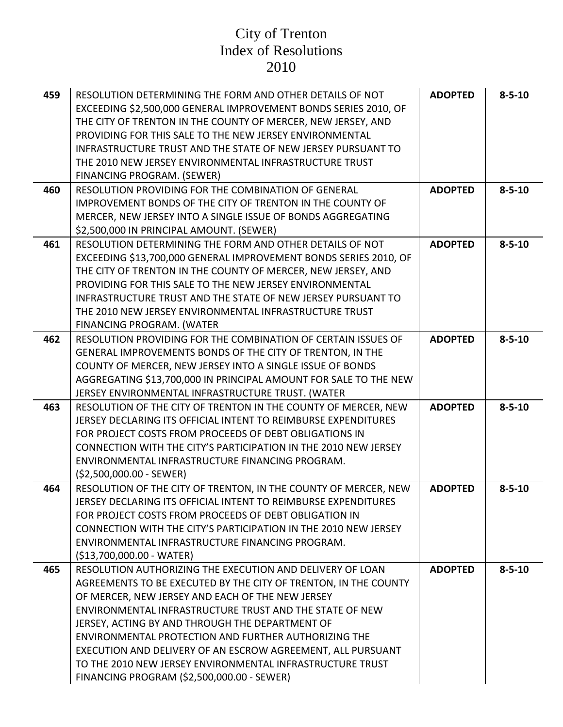| 459 | RESOLUTION DETERMINING THE FORM AND OTHER DETAILS OF NOT<br>EXCEEDING \$2,500,000 GENERAL IMPROVEMENT BONDS SERIES 2010, OF<br>THE CITY OF TRENTON IN THE COUNTY OF MERCER, NEW JERSEY, AND<br>PROVIDING FOR THIS SALE TO THE NEW JERSEY ENVIRONMENTAL<br><b>INFRASTRUCTURE TRUST AND THE STATE OF NEW JERSEY PURSUANT TO</b><br>THE 2010 NEW JERSEY ENVIRONMENTAL INFRASTRUCTURE TRUST<br>FINANCING PROGRAM. (SEWER)                                                                                                            | <b>ADOPTED</b> | $8 - 5 - 10$ |
|-----|----------------------------------------------------------------------------------------------------------------------------------------------------------------------------------------------------------------------------------------------------------------------------------------------------------------------------------------------------------------------------------------------------------------------------------------------------------------------------------------------------------------------------------|----------------|--------------|
| 460 | RESOLUTION PROVIDING FOR THE COMBINATION OF GENERAL<br><b>IMPROVEMENT BONDS OF THE CITY OF TRENTON IN THE COUNTY OF</b><br>MERCER, NEW JERSEY INTO A SINGLE ISSUE OF BONDS AGGREGATING<br>\$2,500,000 IN PRINCIPAL AMOUNT. (SEWER)                                                                                                                                                                                                                                                                                               | <b>ADOPTED</b> | $8 - 5 - 10$ |
| 461 | RESOLUTION DETERMINING THE FORM AND OTHER DETAILS OF NOT<br>EXCEEDING \$13,700,000 GENERAL IMPROVEMENT BONDS SERIES 2010, OF<br>THE CITY OF TRENTON IN THE COUNTY OF MERCER, NEW JERSEY, AND<br>PROVIDING FOR THIS SALE TO THE NEW JERSEY ENVIRONMENTAL<br>INFRASTRUCTURE TRUST AND THE STATE OF NEW JERSEY PURSUANT TO<br>THE 2010 NEW JERSEY ENVIRONMENTAL INFRASTRUCTURE TRUST<br>FINANCING PROGRAM. (WATER                                                                                                                   | <b>ADOPTED</b> | $8 - 5 - 10$ |
| 462 | RESOLUTION PROVIDING FOR THE COMBINATION OF CERTAIN ISSUES OF<br>GENERAL IMPROVEMENTS BONDS OF THE CITY OF TRENTON, IN THE<br>COUNTY OF MERCER, NEW JERSEY INTO A SINGLE ISSUE OF BONDS<br>AGGREGATING \$13,700,000 IN PRINCIPAL AMOUNT FOR SALE TO THE NEW<br>JERSEY ENVIRONMENTAL INFRASTRUCTURE TRUST. (WATER                                                                                                                                                                                                                 | <b>ADOPTED</b> | $8 - 5 - 10$ |
| 463 | RESOLUTION OF THE CITY OF TRENTON IN THE COUNTY OF MERCER, NEW<br>JERSEY DECLARING ITS OFFICIAL INTENT TO REIMBURSE EXPENDITURES<br>FOR PROJECT COSTS FROM PROCEEDS OF DEBT OBLIGATIONS IN<br>CONNECTION WITH THE CITY'S PARTICIPATION IN THE 2010 NEW JERSEY<br>ENVIRONMENTAL INFRASTRUCTURE FINANCING PROGRAM.<br>$($2,500,000.00 - SEWER)$                                                                                                                                                                                    | <b>ADOPTED</b> | $8 - 5 - 10$ |
| 464 | RESOLUTION OF THE CITY OF TRENTON, IN THE COUNTY OF MERCER, NEW<br>JERSEY DECLARING ITS OFFICIAL INTENT TO REIMBURSE EXPENDITURES<br>FOR PROJECT COSTS FROM PROCEEDS OF DEBT OBLIGATION IN<br>CONNECTION WITH THE CITY'S PARTICIPATION IN THE 2010 NEW JERSEY<br>ENVIRONMENTAL INFRASTRUCTURE FINANCING PROGRAM.<br>(\$13,700,000.00 - WATER)                                                                                                                                                                                    | <b>ADOPTED</b> | $8 - 5 - 10$ |
| 465 | RESOLUTION AUTHORIZING THE EXECUTION AND DELIVERY OF LOAN<br>AGREEMENTS TO BE EXECUTED BY THE CITY OF TRENTON, IN THE COUNTY<br>OF MERCER, NEW JERSEY AND EACH OF THE NEW JERSEY<br>ENVIRONMENTAL INFRASTRUCTURE TRUST AND THE STATE OF NEW<br>JERSEY, ACTING BY AND THROUGH THE DEPARTMENT OF<br>ENVIRONMENTAL PROTECTION AND FURTHER AUTHORIZING THE<br>EXECUTION AND DELIVERY OF AN ESCROW AGREEMENT, ALL PURSUANT<br>TO THE 2010 NEW JERSEY ENVIRONMENTAL INFRASTRUCTURE TRUST<br>FINANCING PROGRAM (\$2,500,000.00 - SEWER) | <b>ADOPTED</b> | $8 - 5 - 10$ |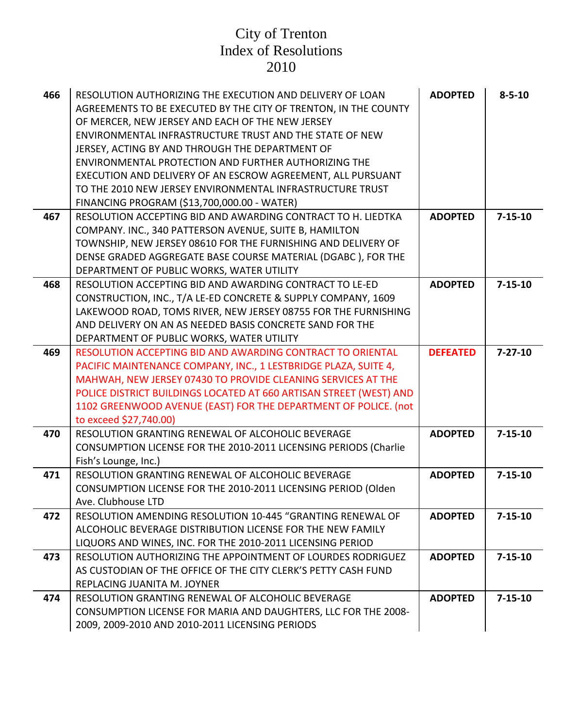| 466 | RESOLUTION AUTHORIZING THE EXECUTION AND DELIVERY OF LOAN<br>AGREEMENTS TO BE EXECUTED BY THE CITY OF TRENTON, IN THE COUNTY<br>OF MERCER, NEW JERSEY AND EACH OF THE NEW JERSEY<br>ENVIRONMENTAL INFRASTRUCTURE TRUST AND THE STATE OF NEW<br>JERSEY, ACTING BY AND THROUGH THE DEPARTMENT OF<br>ENVIRONMENTAL PROTECTION AND FURTHER AUTHORIZING THE<br>EXECUTION AND DELIVERY OF AN ESCROW AGREEMENT, ALL PURSUANT<br>TO THE 2010 NEW JERSEY ENVIRONMENTAL INFRASTRUCTURE TRUST<br>FINANCING PROGRAM (\$13,700,000.00 - WATER) | <b>ADOPTED</b>  | $8 - 5 - 10$  |
|-----|-----------------------------------------------------------------------------------------------------------------------------------------------------------------------------------------------------------------------------------------------------------------------------------------------------------------------------------------------------------------------------------------------------------------------------------------------------------------------------------------------------------------------------------|-----------------|---------------|
| 467 | RESOLUTION ACCEPTING BID AND AWARDING CONTRACT TO H. LIEDTKA<br>COMPANY. INC., 340 PATTERSON AVENUE, SUITE B, HAMILTON                                                                                                                                                                                                                                                                                                                                                                                                            | <b>ADOPTED</b>  | $7 - 15 - 10$ |
|     | TOWNSHIP, NEW JERSEY 08610 FOR THE FURNISHING AND DELIVERY OF                                                                                                                                                                                                                                                                                                                                                                                                                                                                     |                 |               |
|     | DENSE GRADED AGGREGATE BASE COURSE MATERIAL (DGABC), FOR THE                                                                                                                                                                                                                                                                                                                                                                                                                                                                      |                 |               |
|     | DEPARTMENT OF PUBLIC WORKS, WATER UTILITY                                                                                                                                                                                                                                                                                                                                                                                                                                                                                         |                 |               |
| 468 | RESOLUTION ACCEPTING BID AND AWARDING CONTRACT TO LE-ED                                                                                                                                                                                                                                                                                                                                                                                                                                                                           | <b>ADOPTED</b>  | $7 - 15 - 10$ |
|     | CONSTRUCTION, INC., T/A LE-ED CONCRETE & SUPPLY COMPANY, 1609                                                                                                                                                                                                                                                                                                                                                                                                                                                                     |                 |               |
|     | LAKEWOOD ROAD, TOMS RIVER, NEW JERSEY 08755 FOR THE FURNISHING                                                                                                                                                                                                                                                                                                                                                                                                                                                                    |                 |               |
|     | AND DELIVERY ON AN AS NEEDED BASIS CONCRETE SAND FOR THE                                                                                                                                                                                                                                                                                                                                                                                                                                                                          |                 |               |
|     | DEPARTMENT OF PUBLIC WORKS, WATER UTILITY                                                                                                                                                                                                                                                                                                                                                                                                                                                                                         |                 |               |
| 469 | RESOLUTION ACCEPTING BID AND AWARDING CONTRACT TO ORIENTAL<br>PACIFIC MAINTENANCE COMPANY, INC., 1 LESTBRIDGE PLAZA, SUITE 4,                                                                                                                                                                                                                                                                                                                                                                                                     | <b>DEFEATED</b> | $7 - 27 - 10$ |
|     | MAHWAH, NEW JERSEY 07430 TO PROVIDE CLEANING SERVICES AT THE                                                                                                                                                                                                                                                                                                                                                                                                                                                                      |                 |               |
|     | POLICE DISTRICT BUILDINGS LOCATED AT 660 ARTISAN STREET (WEST) AND                                                                                                                                                                                                                                                                                                                                                                                                                                                                |                 |               |
|     | 1102 GREENWOOD AVENUE (EAST) FOR THE DEPARTMENT OF POLICE. (not                                                                                                                                                                                                                                                                                                                                                                                                                                                                   |                 |               |
|     | to exceed \$27,740.00)                                                                                                                                                                                                                                                                                                                                                                                                                                                                                                            |                 |               |
| 470 | RESOLUTION GRANTING RENEWAL OF ALCOHOLIC BEVERAGE                                                                                                                                                                                                                                                                                                                                                                                                                                                                                 | <b>ADOPTED</b>  | $7 - 15 - 10$ |
|     | CONSUMPTION LICENSE FOR THE 2010-2011 LICENSING PERIODS (Charlie                                                                                                                                                                                                                                                                                                                                                                                                                                                                  |                 |               |
|     | Fish's Lounge, Inc.)                                                                                                                                                                                                                                                                                                                                                                                                                                                                                                              |                 |               |
| 471 | RESOLUTION GRANTING RENEWAL OF ALCOHOLIC BEVERAGE                                                                                                                                                                                                                                                                                                                                                                                                                                                                                 | <b>ADOPTED</b>  | $7 - 15 - 10$ |
|     | CONSUMPTION LICENSE FOR THE 2010-2011 LICENSING PERIOD (Olden<br>Ave. Clubhouse LTD                                                                                                                                                                                                                                                                                                                                                                                                                                               |                 |               |
| 472 | RESOLUTION AMENDING RESOLUTION 10-445 "GRANTING RENEWAL OF                                                                                                                                                                                                                                                                                                                                                                                                                                                                        | <b>ADOPTED</b>  | $7 - 15 - 10$ |
|     | ALCOHOLIC BEVERAGE DISTRIBUTION LICENSE FOR THE NEW FAMILY                                                                                                                                                                                                                                                                                                                                                                                                                                                                        |                 |               |
|     | LIQUORS AND WINES, INC. FOR THE 2010-2011 LICENSING PERIOD                                                                                                                                                                                                                                                                                                                                                                                                                                                                        |                 |               |
| 473 | RESOLUTION AUTHORIZING THE APPOINTMENT OF LOURDES RODRIGUEZ                                                                                                                                                                                                                                                                                                                                                                                                                                                                       | <b>ADOPTED</b>  | $7 - 15 - 10$ |
|     | AS CUSTODIAN OF THE OFFICE OF THE CITY CLERK'S PETTY CASH FUND                                                                                                                                                                                                                                                                                                                                                                                                                                                                    |                 |               |
|     | REPLACING JUANITA M. JOYNER                                                                                                                                                                                                                                                                                                                                                                                                                                                                                                       |                 |               |
| 474 | RESOLUTION GRANTING RENEWAL OF ALCOHOLIC BEVERAGE                                                                                                                                                                                                                                                                                                                                                                                                                                                                                 | <b>ADOPTED</b>  | $7 - 15 - 10$ |
|     | CONSUMPTION LICENSE FOR MARIA AND DAUGHTERS, LLC FOR THE 2008-                                                                                                                                                                                                                                                                                                                                                                                                                                                                    |                 |               |
|     | 2009, 2009-2010 AND 2010-2011 LICENSING PERIODS                                                                                                                                                                                                                                                                                                                                                                                                                                                                                   |                 |               |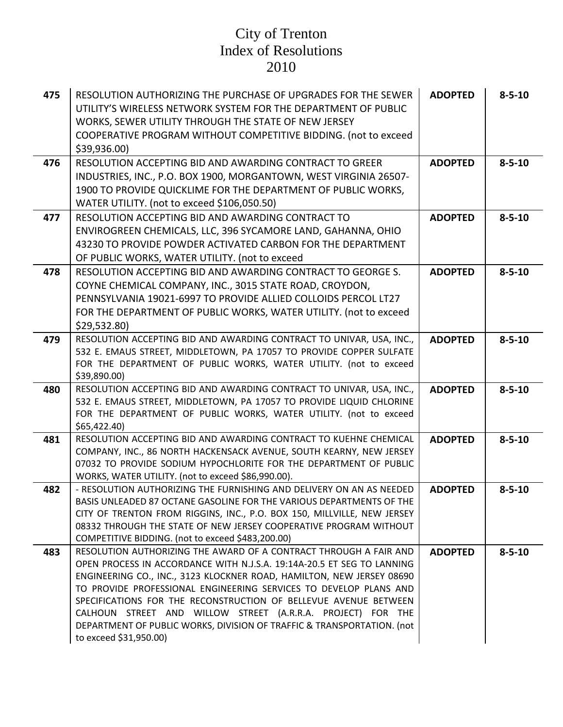| 475 | RESOLUTION AUTHORIZING THE PURCHASE OF UPGRADES FOR THE SEWER<br>UTILITY'S WIRELESS NETWORK SYSTEM FOR THE DEPARTMENT OF PUBLIC<br>WORKS, SEWER UTILITY THROUGH THE STATE OF NEW JERSEY<br>COOPERATIVE PROGRAM WITHOUT COMPETITIVE BIDDING. (not to exceed<br>\$39,936.00)                                                                                                                                                                                                                                                       | <b>ADOPTED</b> | $8 - 5 - 10$ |
|-----|----------------------------------------------------------------------------------------------------------------------------------------------------------------------------------------------------------------------------------------------------------------------------------------------------------------------------------------------------------------------------------------------------------------------------------------------------------------------------------------------------------------------------------|----------------|--------------|
| 476 | RESOLUTION ACCEPTING BID AND AWARDING CONTRACT TO GREER<br>INDUSTRIES, INC., P.O. BOX 1900, MORGANTOWN, WEST VIRGINIA 26507-<br>1900 TO PROVIDE QUICKLIME FOR THE DEPARTMENT OF PUBLIC WORKS,<br>WATER UTILITY. (not to exceed \$106,050.50)                                                                                                                                                                                                                                                                                     | <b>ADOPTED</b> | $8 - 5 - 10$ |
| 477 | RESOLUTION ACCEPTING BID AND AWARDING CONTRACT TO<br>ENVIROGREEN CHEMICALS, LLC, 396 SYCAMORE LAND, GAHANNA, OHIO<br>43230 TO PROVIDE POWDER ACTIVATED CARBON FOR THE DEPARTMENT<br>OF PUBLIC WORKS, WATER UTILITY. (not to exceed                                                                                                                                                                                                                                                                                               | <b>ADOPTED</b> | $8 - 5 - 10$ |
| 478 | RESOLUTION ACCEPTING BID AND AWARDING CONTRACT TO GEORGE S.<br>COYNE CHEMICAL COMPANY, INC., 3015 STATE ROAD, CROYDON,<br>PENNSYLVANIA 19021-6997 TO PROVIDE ALLIED COLLOIDS PERCOL LT27<br>FOR THE DEPARTMENT OF PUBLIC WORKS, WATER UTILITY. (not to exceed<br>\$29,532.80                                                                                                                                                                                                                                                     | <b>ADOPTED</b> | $8 - 5 - 10$ |
| 479 | RESOLUTION ACCEPTING BID AND AWARDING CONTRACT TO UNIVAR, USA, INC.,<br>532 E. EMAUS STREET, MIDDLETOWN, PA 17057 TO PROVIDE COPPER SULFATE<br>FOR THE DEPARTMENT OF PUBLIC WORKS, WATER UTILITY. (not to exceed<br>\$39,890.00)                                                                                                                                                                                                                                                                                                 | <b>ADOPTED</b> | $8 - 5 - 10$ |
| 480 | RESOLUTION ACCEPTING BID AND AWARDING CONTRACT TO UNIVAR, USA, INC.,<br>532 E. EMAUS STREET, MIDDLETOWN, PA 17057 TO PROVIDE LIQUID CHLORINE<br>FOR THE DEPARTMENT OF PUBLIC WORKS, WATER UTILITY. (not to exceed<br>\$65,422.40\$                                                                                                                                                                                                                                                                                               | <b>ADOPTED</b> | $8 - 5 - 10$ |
| 481 | RESOLUTION ACCEPTING BID AND AWARDING CONTRACT TO KUEHNE CHEMICAL<br>COMPANY, INC., 86 NORTH HACKENSACK AVENUE, SOUTH KEARNY, NEW JERSEY<br>07032 TO PROVIDE SODIUM HYPOCHLORITE FOR THE DEPARTMENT OF PUBLIC<br>WORKS, WATER UTILITY. (not to exceed \$86,990.00).                                                                                                                                                                                                                                                              | <b>ADOPTED</b> | $8 - 5 - 10$ |
| 482 | - RESOLUTION AUTHORIZING THE FURNISHING AND DELIVERY ON AN AS NEEDED<br>BASIS UNLEADED 87 OCTANE GASOLINE FOR THE VARIOUS DEPARTMENTS OF THE<br>CITY OF TRENTON FROM RIGGINS, INC., P.O. BOX 150, MILLVILLE, NEW JERSEY<br>08332 THROUGH THE STATE OF NEW JERSEY COOPERATIVE PROGRAM WITHOUT<br>COMPETITIVE BIDDING. (not to exceed \$483,200.00)                                                                                                                                                                                | <b>ADOPTED</b> | $8 - 5 - 10$ |
| 483 | RESOLUTION AUTHORIZING THE AWARD OF A CONTRACT THROUGH A FAIR AND<br>OPEN PROCESS IN ACCORDANCE WITH N.J.S.A. 19:14A-20.5 ET SEG TO LANNING<br>ENGINEERING CO., INC., 3123 KLOCKNER ROAD, HAMILTON, NEW JERSEY 08690<br>TO PROVIDE PROFESSIONAL ENGINEERING SERVICES TO DEVELOP PLANS AND<br>SPECIFICATIONS FOR THE RECONSTRUCTION OF BELLEVUE AVENUE BETWEEN<br>CALHOUN STREET AND WILLOW STREET (A.R.R.A. PROJECT) FOR THE<br>DEPARTMENT OF PUBLIC WORKS, DIVISION OF TRAFFIC & TRANSPORTATION. (not<br>to exceed \$31,950.00) | <b>ADOPTED</b> | $8 - 5 - 10$ |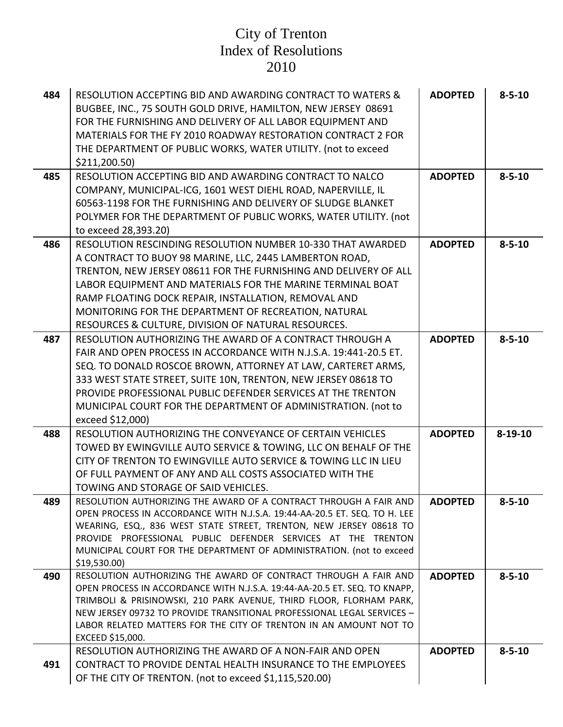| 484 | RESOLUTION ACCEPTING BID AND AWARDING CONTRACT TO WATERS &<br>BUGBEE, INC., 75 SOUTH GOLD DRIVE, HAMILTON, NEW JERSEY 08691<br>FOR THE FURNISHING AND DELIVERY OF ALL LABOR EQUIPMENT AND<br>MATERIALS FOR THE FY 2010 ROADWAY RESTORATION CONTRACT 2 FOR<br>THE DEPARTMENT OF PUBLIC WORKS, WATER UTILITY. (not to exceed<br>\$211,200.50                                                                                      | <b>ADOPTED</b> | $8 - 5 - 10$  |
|-----|---------------------------------------------------------------------------------------------------------------------------------------------------------------------------------------------------------------------------------------------------------------------------------------------------------------------------------------------------------------------------------------------------------------------------------|----------------|---------------|
| 485 | RESOLUTION ACCEPTING BID AND AWARDING CONTRACT TO NALCO<br>COMPANY, MUNICIPAL-ICG, 1601 WEST DIEHL ROAD, NAPERVILLE, IL<br>60563-1198 FOR THE FURNISHING AND DELIVERY OF SLUDGE BLANKET<br>POLYMER FOR THE DEPARTMENT OF PUBLIC WORKS, WATER UTILITY. (not<br>to exceed 28,393.20)                                                                                                                                              | <b>ADOPTED</b> | $8 - 5 - 10$  |
| 486 | RESOLUTION RESCINDING RESOLUTION NUMBER 10-330 THAT AWARDED<br>A CONTRACT TO BUOY 98 MARINE, LLC, 2445 LAMBERTON ROAD,<br>TRENTON, NEW JERSEY 08611 FOR THE FURNISHING AND DELIVERY OF ALL<br>LABOR EQUIPMENT AND MATERIALS FOR THE MARINE TERMINAL BOAT<br>RAMP FLOATING DOCK REPAIR, INSTALLATION, REMOVAL AND<br>MONITORING FOR THE DEPARTMENT OF RECREATION, NATURAL<br>RESOURCES & CULTURE, DIVISION OF NATURAL RESOURCES. | <b>ADOPTED</b> | $8 - 5 - 10$  |
| 487 | RESOLUTION AUTHORIZING THE AWARD OF A CONTRACT THROUGH A<br>FAIR AND OPEN PROCESS IN ACCORDANCE WITH N.J.S.A. 19:441-20.5 ET.<br>SEQ. TO DONALD ROSCOE BROWN, ATTORNEY AT LAW, CARTERET ARMS,<br>333 WEST STATE STREET, SUITE 10N, TRENTON, NEW JERSEY 08618 TO<br>PROVIDE PROFESSIONAL PUBLIC DEFENDER SERVICES AT THE TRENTON<br>MUNICIPAL COURT FOR THE DEPARTMENT OF ADMINISTRATION. (not to<br>exceed \$12,000)            | <b>ADOPTED</b> | $8 - 5 - 10$  |
| 488 | RESOLUTION AUTHORIZING THE CONVEYANCE OF CERTAIN VEHICLES<br>TOWED BY EWINGVILLE AUTO SERVICE & TOWING, LLC ON BEHALF OF THE<br>CITY OF TRENTON TO EWINGVILLE AUTO SERVICE & TOWING LLC IN LIEU<br>OF FULL PAYMENT OF ANY AND ALL COSTS ASSOCIATED WITH THE<br>TOWING AND STORAGE OF SAID VEHICLES.                                                                                                                             | <b>ADOPTED</b> | $8 - 19 - 10$ |
| 489 | RESOLUTION AUTHORIZING THE AWARD OF A CONTRACT THROUGH A FAIR AND<br>OPEN PROCESS IN ACCORDANCE WITH N.J.S.A. 19:44-AA-20.5 ET. SEQ. TO H. LEE<br>WEARING, ESQ., 836 WEST STATE STREET, TRENTON, NEW JERSEY 08618 TO<br>PROVIDE PROFESSIONAL PUBLIC DEFENDER SERVICES AT THE TRENTON<br>MUNICIPAL COURT FOR THE DEPARTMENT OF ADMINISTRATION. (not to exceed<br>\$19,530.00                                                     | <b>ADOPTED</b> | $8 - 5 - 10$  |
| 490 | RESOLUTION AUTHORIZING THE AWARD OF CONTRACT THROUGH A FAIR AND<br>OPEN PROCESS IN ACCORDANCE WITH N.J.S.A. 19:44-AA-20.5 ET. SEQ. TO KNAPP,<br>TRIMBOLI & PRISINOWSKI, 210 PARK AVENUE, THIRD FLOOR, FLORHAM PARK,<br>NEW JERSEY 09732 TO PROVIDE TRANSITIONAL PROFESSIONAL LEGAL SERVICES -<br>LABOR RELATED MATTERS FOR THE CITY OF TRENTON IN AN AMOUNT NOT TO<br>EXCEED \$15,000.                                          | <b>ADOPTED</b> | $8 - 5 - 10$  |
| 491 | RESOLUTION AUTHORIZING THE AWARD OF A NON-FAIR AND OPEN<br>CONTRACT TO PROVIDE DENTAL HEALTH INSURANCE TO THE EMPLOYEES<br>OF THE CITY OF TRENTON. (not to exceed \$1,115,520.00)                                                                                                                                                                                                                                               | <b>ADOPTED</b> | $8 - 5 - 10$  |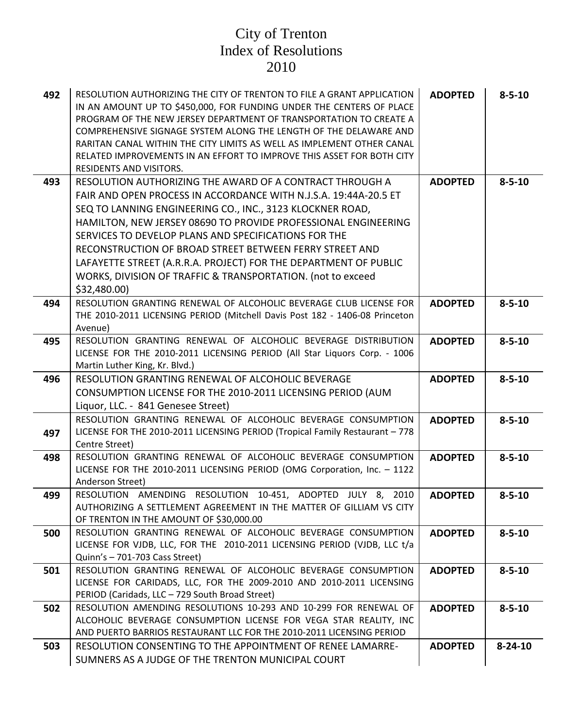| 492 | RESOLUTION AUTHORIZING THE CITY OF TRENTON TO FILE A GRANT APPLICATION<br>IN AN AMOUNT UP TO \$450,000, FOR FUNDING UNDER THE CENTERS OF PLACE<br>PROGRAM OF THE NEW JERSEY DEPARTMENT OF TRANSPORTATION TO CREATE A<br>COMPREHENSIVE SIGNAGE SYSTEM ALONG THE LENGTH OF THE DELAWARE AND<br>RARITAN CANAL WITHIN THE CITY LIMITS AS WELL AS IMPLEMENT OTHER CANAL<br>RELATED IMPROVEMENTS IN AN EFFORT TO IMPROVE THIS ASSET FOR BOTH CITY<br><b>RESIDENTS AND VISITORS.</b>                                                     | <b>ADOPTED</b> | $8 - 5 - 10$  |
|-----|-----------------------------------------------------------------------------------------------------------------------------------------------------------------------------------------------------------------------------------------------------------------------------------------------------------------------------------------------------------------------------------------------------------------------------------------------------------------------------------------------------------------------------------|----------------|---------------|
| 493 | RESOLUTION AUTHORIZING THE AWARD OF A CONTRACT THROUGH A<br>FAIR AND OPEN PROCESS IN ACCORDANCE WITH N.J.S.A. 19:44A-20.5 ET<br>SEQ TO LANNING ENGINEERING CO., INC., 3123 KLOCKNER ROAD,<br>HAMILTON, NEW JERSEY 08690 TO PROVIDE PROFESSIONAL ENGINEERING<br>SERVICES TO DEVELOP PLANS AND SPECIFICATIONS FOR THE<br>RECONSTRUCTION OF BROAD STREET BETWEEN FERRY STREET AND<br>LAFAYETTE STREET (A.R.R.A. PROJECT) FOR THE DEPARTMENT OF PUBLIC<br>WORKS, DIVISION OF TRAFFIC & TRANSPORTATION. (not to exceed<br>\$32,480.00) | <b>ADOPTED</b> | $8 - 5 - 10$  |
| 494 | RESOLUTION GRANTING RENEWAL OF ALCOHOLIC BEVERAGE CLUB LICENSE FOR<br>THE 2010-2011 LICENSING PERIOD (Mitchell Davis Post 182 - 1406-08 Princeton<br>Avenue)                                                                                                                                                                                                                                                                                                                                                                      | <b>ADOPTED</b> | $8 - 5 - 10$  |
| 495 | RESOLUTION GRANTING RENEWAL OF ALCOHOLIC BEVERAGE DISTRIBUTION<br>LICENSE FOR THE 2010-2011 LICENSING PERIOD (All Star Liquors Corp. - 1006<br>Martin Luther King, Kr. Blvd.)                                                                                                                                                                                                                                                                                                                                                     | <b>ADOPTED</b> | $8 - 5 - 10$  |
| 496 | RESOLUTION GRANTING RENEWAL OF ALCOHOLIC BEVERAGE<br>CONSUMPTION LICENSE FOR THE 2010-2011 LICENSING PERIOD (AUM<br>Liquor, LLC. - 841 Genesee Street)                                                                                                                                                                                                                                                                                                                                                                            | <b>ADOPTED</b> | $8 - 5 - 10$  |
| 497 | RESOLUTION GRANTING RENEWAL OF ALCOHOLIC BEVERAGE CONSUMPTION<br>LICENSE FOR THE 2010-2011 LICENSING PERIOD (Tropical Family Restaurant - 778<br>Centre Street)                                                                                                                                                                                                                                                                                                                                                                   | <b>ADOPTED</b> | $8 - 5 - 10$  |
| 498 | RESOLUTION GRANTING RENEWAL OF ALCOHOLIC BEVERAGE CONSUMPTION<br>LICENSE FOR THE 2010-2011 LICENSING PERIOD (OMG Corporation, Inc. - 1122<br>Anderson Street)                                                                                                                                                                                                                                                                                                                                                                     | <b>ADOPTED</b> | $8 - 5 - 10$  |
| 499 | RESOLUTION AMENDING RESOLUTION 10-451, ADOPTED JULY 8, 2010<br>AUTHORIZING A SETTLEMENT AGREEMENT IN THE MATTER OF GILLIAM VS CITY<br>OF TRENTON IN THE AMOUNT OF \$30,000.00                                                                                                                                                                                                                                                                                                                                                     | <b>ADOPTED</b> | $8 - 5 - 10$  |
| 500 | RESOLUTION GRANTING RENEWAL OF ALCOHOLIC BEVERAGE CONSUMPTION<br>LICENSE FOR VJDB, LLC, FOR THE 2010-2011 LICENSING PERIOD (VJDB, LLC t/a<br>Quinn's - 701-703 Cass Street)                                                                                                                                                                                                                                                                                                                                                       | <b>ADOPTED</b> | $8 - 5 - 10$  |
| 501 | RESOLUTION GRANTING RENEWAL OF ALCOHOLIC BEVERAGE CONSUMPTION<br>LICENSE FOR CARIDADS, LLC, FOR THE 2009-2010 AND 2010-2011 LICENSING<br>PERIOD (Caridads, LLC - 729 South Broad Street)                                                                                                                                                                                                                                                                                                                                          | <b>ADOPTED</b> | $8 - 5 - 10$  |
| 502 | RESOLUTION AMENDING RESOLUTIONS 10-293 AND 10-299 FOR RENEWAL OF<br>ALCOHOLIC BEVERAGE CONSUMPTION LICENSE FOR VEGA STAR REALITY, INC<br>AND PUERTO BARRIOS RESTAURANT LLC FOR THE 2010-2011 LICENSING PERIOD                                                                                                                                                                                                                                                                                                                     | <b>ADOPTED</b> | $8 - 5 - 10$  |
| 503 | RESOLUTION CONSENTING TO THE APPOINTMENT OF RENEE LAMARRE-<br>SUMNERS AS A JUDGE OF THE TRENTON MUNICIPAL COURT                                                                                                                                                                                                                                                                                                                                                                                                                   | <b>ADOPTED</b> | $8 - 24 - 10$ |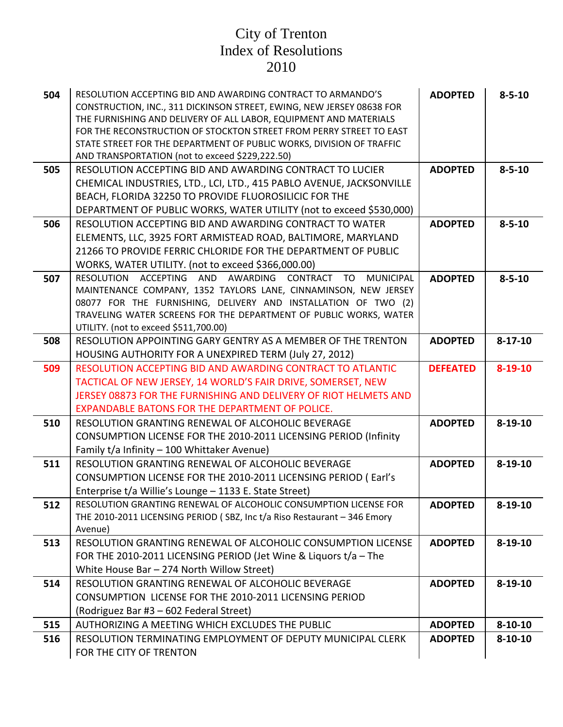| 504 | RESOLUTION ACCEPTING BID AND AWARDING CONTRACT TO ARMANDO'S                                                                       | <b>ADOPTED</b>  | $8 - 5 - 10$  |
|-----|-----------------------------------------------------------------------------------------------------------------------------------|-----------------|---------------|
|     | CONSTRUCTION, INC., 311 DICKINSON STREET, EWING, NEW JERSEY 08638 FOR                                                             |                 |               |
|     | THE FURNISHING AND DELIVERY OF ALL LABOR, EQUIPMENT AND MATERIALS                                                                 |                 |               |
|     | FOR THE RECONSTRUCTION OF STOCKTON STREET FROM PERRY STREET TO EAST                                                               |                 |               |
|     | STATE STREET FOR THE DEPARTMENT OF PUBLIC WORKS, DIVISION OF TRAFFIC                                                              |                 |               |
|     | AND TRANSPORTATION (not to exceed \$229,222.50)                                                                                   |                 |               |
| 505 | RESOLUTION ACCEPTING BID AND AWARDING CONTRACT TO LUCIER                                                                          | <b>ADOPTED</b>  | $8 - 5 - 10$  |
|     | CHEMICAL INDUSTRIES, LTD., LCI, LTD., 415 PABLO AVENUE, JACKSONVILLE                                                              |                 |               |
|     | BEACH, FLORIDA 32250 TO PROVIDE FLUOROSILICIC FOR THE                                                                             |                 |               |
|     | DEPARTMENT OF PUBLIC WORKS, WATER UTILITY (not to exceed \$530,000)                                                               |                 |               |
| 506 | RESOLUTION ACCEPTING BID AND AWARDING CONTRACT TO WATER                                                                           | <b>ADOPTED</b>  | $8 - 5 - 10$  |
|     | ELEMENTS, LLC, 3925 FORT ARMISTEAD ROAD, BALTIMORE, MARYLAND                                                                      |                 |               |
|     | 21266 TO PROVIDE FERRIC CHLORIDE FOR THE DEPARTMENT OF PUBLIC                                                                     |                 |               |
|     | WORKS, WATER UTILITY. (not to exceed \$366,000.00)                                                                                |                 |               |
| 507 | RESOLUTION ACCEPTING AND AWARDING CONTRACT TO<br><b>MUNICIPAL</b>                                                                 | <b>ADOPTED</b>  | $8 - 5 - 10$  |
|     | MAINTENANCE COMPANY, 1352 TAYLORS LANE, CINNAMINSON, NEW JERSEY<br>08077 FOR THE FURNISHING, DELIVERY AND INSTALLATION OF TWO (2) |                 |               |
|     | TRAVELING WATER SCREENS FOR THE DEPARTMENT OF PUBLIC WORKS, WATER                                                                 |                 |               |
|     | UTILITY. (not to exceed \$511,700.00)                                                                                             |                 |               |
| 508 | RESOLUTION APPOINTING GARY GENTRY AS A MEMBER OF THE TRENTON                                                                      | <b>ADOPTED</b>  | $8 - 17 - 10$ |
|     | HOUSING AUTHORITY FOR A UNEXPIRED TERM (July 27, 2012)                                                                            |                 |               |
| 509 | RESOLUTION ACCEPTING BID AND AWARDING CONTRACT TO ATLANTIC                                                                        | <b>DEFEATED</b> | $8 - 19 - 10$ |
|     | TACTICAL OF NEW JERSEY, 14 WORLD'S FAIR DRIVE, SOMERSET, NEW                                                                      |                 |               |
|     | JERSEY 08873 FOR THE FURNISHING AND DELIVERY OF RIOT HELMETS AND                                                                  |                 |               |
|     | EXPANDABLE BATONS FOR THE DEPARTMENT OF POLICE.                                                                                   |                 |               |
| 510 | RESOLUTION GRANTING RENEWAL OF ALCOHOLIC BEVERAGE                                                                                 | <b>ADOPTED</b>  | $8 - 19 - 10$ |
|     | CONSUMPTION LICENSE FOR THE 2010-2011 LICENSING PERIOD (Infinity                                                                  |                 |               |
|     | Family t/a Infinity - 100 Whittaker Avenue)                                                                                       |                 |               |
| 511 | RESOLUTION GRANTING RENEWAL OF ALCOHOLIC BEVERAGE                                                                                 | <b>ADOPTED</b>  | $8 - 19 - 10$ |
|     | CONSUMPTION LICENSE FOR THE 2010-2011 LICENSING PERIOD (Earl's                                                                    |                 |               |
|     | Enterprise t/a Willie's Lounge - 1133 E. State Street)                                                                            |                 |               |
| 512 | RESOLUTION GRANTING RENEWAL OF ALCOHOLIC CONSUMPTION LICENSE FOR                                                                  | <b>ADOPTED</b>  | $8 - 19 - 10$ |
|     | THE 2010-2011 LICENSING PERIOD (SBZ, Inc t/a Riso Restaurant - 346 Emory                                                          |                 |               |
|     | Avenue)                                                                                                                           |                 |               |
| 513 | RESOLUTION GRANTING RENEWAL OF ALCOHOLIC CONSUMPTION LICENSE                                                                      | <b>ADOPTED</b>  | $8 - 19 - 10$ |
|     | FOR THE 2010-2011 LICENSING PERIOD (Jet Wine & Liquors t/a - The                                                                  |                 |               |
|     | White House Bar - 274 North Willow Street)                                                                                        |                 |               |
| 514 | RESOLUTION GRANTING RENEWAL OF ALCOHOLIC BEVERAGE                                                                                 | <b>ADOPTED</b>  | $8 - 19 - 10$ |
|     | CONSUMPTION LICENSE FOR THE 2010-2011 LICENSING PERIOD                                                                            |                 |               |
|     | (Rodriguez Bar #3 - 602 Federal Street)                                                                                           |                 |               |
| 515 | AUTHORIZING A MEETING WHICH EXCLUDES THE PUBLIC                                                                                   | <b>ADOPTED</b>  | $8 - 10 - 10$ |
| 516 | RESOLUTION TERMINATING EMPLOYMENT OF DEPUTY MUNICIPAL CLERK                                                                       | <b>ADOPTED</b>  | $8 - 10 - 10$ |
|     | FOR THE CITY OF TRENTON                                                                                                           |                 |               |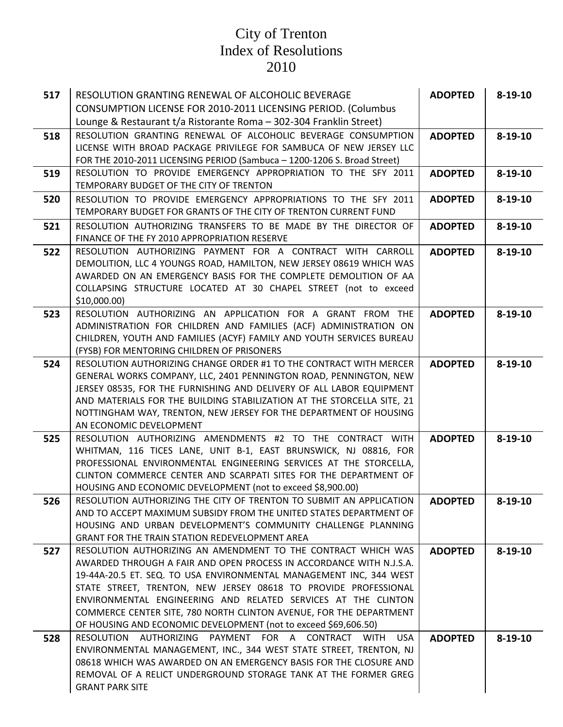| 517 | RESOLUTION GRANTING RENEWAL OF ALCOHOLIC BEVERAGE                                                                                     | <b>ADOPTED</b> | $8 - 19 - 10$ |
|-----|---------------------------------------------------------------------------------------------------------------------------------------|----------------|---------------|
|     | <b>CONSUMPTION LICENSE FOR 2010-2011 LICENSING PERIOD. (Columbus</b>                                                                  |                |               |
|     | Lounge & Restaurant t/a Ristorante Roma - 302-304 Franklin Street)                                                                    |                |               |
| 518 | RESOLUTION GRANTING RENEWAL OF ALCOHOLIC BEVERAGE CONSUMPTION                                                                         | <b>ADOPTED</b> | $8 - 19 - 10$ |
|     | LICENSE WITH BROAD PACKAGE PRIVILEGE FOR SAMBUCA OF NEW JERSEY LLC                                                                    |                |               |
|     | FOR THE 2010-2011 LICENSING PERIOD (Sambuca - 1200-1206 S. Broad Street)                                                              |                |               |
| 519 | RESOLUTION TO PROVIDE EMERGENCY APPROPRIATION TO THE SFY 2011                                                                         | <b>ADOPTED</b> | $8 - 19 - 10$ |
|     | TEMPORARY BUDGET OF THE CITY OF TRENTON                                                                                               |                |               |
| 520 | RESOLUTION TO PROVIDE EMERGENCY APPROPRIATIONS TO THE SFY 2011                                                                        | <b>ADOPTED</b> | $8 - 19 - 10$ |
|     | TEMPORARY BUDGET FOR GRANTS OF THE CITY OF TRENTON CURRENT FUND                                                                       |                |               |
| 521 | RESOLUTION AUTHORIZING TRANSFERS TO BE MADE BY THE DIRECTOR OF                                                                        | <b>ADOPTED</b> | $8 - 19 - 10$ |
|     | FINANCE OF THE FY 2010 APPROPRIATION RESERVE                                                                                          |                |               |
| 522 | RESOLUTION AUTHORIZING PAYMENT FOR A CONTRACT WITH CARROLL                                                                            | <b>ADOPTED</b> | $8 - 19 - 10$ |
|     | DEMOLITION, LLC 4 YOUNGS ROAD, HAMILTON, NEW JERSEY 08619 WHICH WAS                                                                   |                |               |
|     | AWARDED ON AN EMERGENCY BASIS FOR THE COMPLETE DEMOLITION OF AA                                                                       |                |               |
|     | COLLAPSING STRUCTURE LOCATED AT 30 CHAPEL STREET (not to exceed<br>\$10,000.00                                                        |                |               |
| 523 | RESOLUTION AUTHORIZING AN APPLICATION FOR A GRANT FROM THE                                                                            | <b>ADOPTED</b> | $8 - 19 - 10$ |
|     | ADMINISTRATION FOR CHILDREN AND FAMILIES (ACF) ADMINISTRATION ON                                                                      |                |               |
|     | CHILDREN, YOUTH AND FAMILIES (ACYF) FAMILY AND YOUTH SERVICES BUREAU                                                                  |                |               |
|     | (FYSB) FOR MENTORING CHILDREN OF PRISONERS                                                                                            |                |               |
| 524 | RESOLUTION AUTHORIZING CHANGE ORDER #1 TO THE CONTRACT WITH MERCER                                                                    | <b>ADOPTED</b> | $8 - 19 - 10$ |
|     | GENERAL WORKS COMPANY, LLC, 2401 PENNINGTON ROAD, PENNINGTON, NEW                                                                     |                |               |
|     | JERSEY 08535, FOR THE FURNISHING AND DELIVERY OF ALL LABOR EQUIPMENT                                                                  |                |               |
|     | AND MATERIALS FOR THE BUILDING STABILIZATION AT THE STORCELLA SITE, 21                                                                |                |               |
|     | NOTTINGHAM WAY, TRENTON, NEW JERSEY FOR THE DEPARTMENT OF HOUSING                                                                     |                |               |
|     | AN ECONOMIC DEVELOPMENT                                                                                                               |                |               |
| 525 | RESOLUTION AUTHORIZING AMENDMENTS #2 TO THE CONTRACT WITH                                                                             | <b>ADOPTED</b> | $8 - 19 - 10$ |
|     | WHITMAN, 116 TICES LANE, UNIT B-1, EAST BRUNSWICK, NJ 08816, FOR<br>PROFESSIONAL ENVIRONMENTAL ENGINEERING SERVICES AT THE STORCELLA, |                |               |
|     | CLINTON COMMERCE CENTER AND SCARPATI SITES FOR THE DEPARTMENT OF                                                                      |                |               |
|     | HOUSING AND ECONOMIC DEVELOPMENT (not to exceed \$8,900.00)                                                                           |                |               |
| 526 | RESOLUTION AUTHORIZING THE CITY OF TRENTON TO SUBMIT AN APPLICATION                                                                   | <b>ADOPTED</b> | $8 - 19 - 10$ |
|     | AND TO ACCEPT MAXIMUM SUBSIDY FROM THE UNITED STATES DEPARTMENT OF                                                                    |                |               |
|     | HOUSING AND URBAN DEVELOPMENT'S COMMUNITY CHALLENGE PLANNING                                                                          |                |               |
|     | GRANT FOR THE TRAIN STATION REDEVELOPMENT AREA                                                                                        |                |               |
| 527 | RESOLUTION AUTHORIZING AN AMENDMENT TO THE CONTRACT WHICH WAS                                                                         | <b>ADOPTED</b> | $8 - 19 - 10$ |
|     | AWARDED THROUGH A FAIR AND OPEN PROCESS IN ACCORDANCE WITH N.J.S.A.                                                                   |                |               |
|     | 19-44A-20.5 ET. SEQ. TO USA ENVIRONMENTAL MANAGEMENT INC, 344 WEST                                                                    |                |               |
|     | STATE STREET, TRENTON, NEW JERSEY 08618 TO PROVIDE PROFESSIONAL                                                                       |                |               |
|     | ENVIRONMENTAL ENGINEERING AND RELATED SERVICES AT THE CLINTON                                                                         |                |               |
|     | COMMERCE CENTER SITE, 780 NORTH CLINTON AVENUE, FOR THE DEPARTMENT<br>OF HOUSING AND ECONOMIC DEVELOPMENT (not to exceed \$69,606.50) |                |               |
| 528 | RESOLUTION AUTHORIZING PAYMENT FOR A CONTRACT WITH<br><b>USA</b>                                                                      | <b>ADOPTED</b> | $8 - 19 - 10$ |
|     | ENVIRONMENTAL MANAGEMENT, INC., 344 WEST STATE STREET, TRENTON, NJ                                                                    |                |               |
|     | 08618 WHICH WAS AWARDED ON AN EMERGENCY BASIS FOR THE CLOSURE AND                                                                     |                |               |
|     | REMOVAL OF A RELICT UNDERGROUND STORAGE TANK AT THE FORMER GREG                                                                       |                |               |
|     | <b>GRANT PARK SITE</b>                                                                                                                |                |               |
|     |                                                                                                                                       |                |               |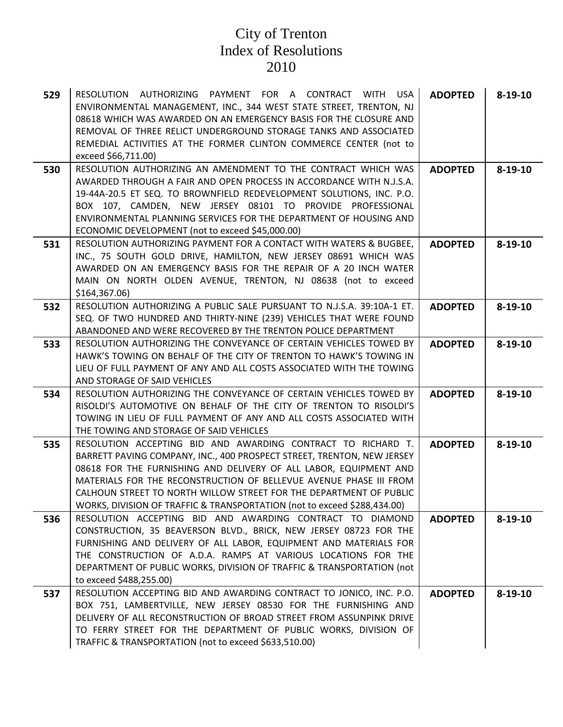| 529 | RESOLUTION AUTHORIZING PAYMENT FOR A CONTRACT WITH USA<br>ENVIRONMENTAL MANAGEMENT, INC., 344 WEST STATE STREET, TRENTON, NJ<br>08618 WHICH WAS AWARDED ON AN EMERGENCY BASIS FOR THE CLOSURE AND<br>REMOVAL OF THREE RELICT UNDERGROUND STORAGE TANKS AND ASSOCIATED<br>REMEDIAL ACTIVITIES AT THE FORMER CLINTON COMMERCE CENTER (not to<br>exceed \$66,711.00)                                                                   | <b>ADOPTED</b> | $8 - 19 - 10$ |
|-----|-------------------------------------------------------------------------------------------------------------------------------------------------------------------------------------------------------------------------------------------------------------------------------------------------------------------------------------------------------------------------------------------------------------------------------------|----------------|---------------|
| 530 | RESOLUTION AUTHORIZING AN AMENDMENT TO THE CONTRACT WHICH WAS<br>AWARDED THROUGH A FAIR AND OPEN PROCESS IN ACCORDANCE WITH N.J.S.A.<br>19-44A-20.5 ET SEQ. TO BROWNFIELD REDEVELOPMENT SOLUTIONS, INC. P.O.<br>BOX 107, CAMDEN, NEW JERSEY 08101 TO PROVIDE PROFESSIONAL<br>ENVIRONMENTAL PLANNING SERVICES FOR THE DEPARTMENT OF HOUSING AND<br>ECONOMIC DEVELOPMENT (not to exceed \$45,000.00)                                  | <b>ADOPTED</b> | $8 - 19 - 10$ |
| 531 | RESOLUTION AUTHORIZING PAYMENT FOR A CONTACT WITH WATERS & BUGBEE,<br>INC., 75 SOUTH GOLD DRIVE, HAMILTON, NEW JERSEY 08691 WHICH WAS<br>AWARDED ON AN EMERGENCY BASIS FOR THE REPAIR OF A 20 INCH WATER<br>MAIN ON NORTH OLDEN AVENUE, TRENTON, NJ 08638 (not to exceed<br>\$164,367.06\$                                                                                                                                          | <b>ADOPTED</b> | $8 - 19 - 10$ |
| 532 | RESOLUTION AUTHORIZING A PUBLIC SALE PURSUANT TO N.J.S.A. 39:10A-1 ET.<br>SEQ. OF TWO HUNDRED AND THIRTY-NINE (239) VEHICLES THAT WERE FOUND<br>ABANDONED AND WERE RECOVERED BY THE TRENTON POLICE DEPARTMENT                                                                                                                                                                                                                       | <b>ADOPTED</b> | $8 - 19 - 10$ |
| 533 | RESOLUTION AUTHORIZING THE CONVEYANCE OF CERTAIN VEHICLES TOWED BY<br>HAWK'S TOWING ON BEHALF OF THE CITY OF TRENTON TO HAWK'S TOWING IN<br>LIEU OF FULL PAYMENT OF ANY AND ALL COSTS ASSOCIATED WITH THE TOWING<br>AND STORAGE OF SAID VEHICLES                                                                                                                                                                                    | <b>ADOPTED</b> | $8 - 19 - 10$ |
| 534 | RESOLUTION AUTHORIZING THE CONVEYANCE OF CERTAIN VEHICLES TOWED BY<br>RISOLDI'S AUTOMOTIVE ON BEHALF OF THE CITY OF TRENTON TO RISOLDI'S<br>TOWING IN LIEU OF FULL PAYMENT OF ANY AND ALL COSTS ASSOCIATED WITH<br>THE TOWING AND STORAGE OF SAID VEHICLES                                                                                                                                                                          | <b>ADOPTED</b> | $8 - 19 - 10$ |
| 535 | RESOLUTION ACCEPTING BID AND AWARDING CONTRACT TO RICHARD T.<br>BARRETT PAVING COMPANY, INC., 400 PROSPECT STREET, TRENTON, NEW JERSEY<br>08618 FOR THE FURNISHING AND DELIVERY OF ALL LABOR, EQUIPMENT AND<br>MATERIALS FOR THE RECONSTRUCTION OF BELLEVUE AVENUE PHASE III FROM<br>CALHOUN STREET TO NORTH WILLOW STREET FOR THE DEPARTMENT OF PUBLIC<br>WORKS, DIVISION OF TRAFFIC & TRANSPORTATION (not to exceed \$288,434.00) | <b>ADOPTED</b> | $8 - 19 - 10$ |
| 536 | RESOLUTION ACCEPTING BID AND AWARDING CONTRACT TO DIAMOND<br>CONSTRUCTION, 35 BEAVERSON BLVD., BRICK, NEW JERSEY 08723 FOR THE<br>FURNISHING AND DELIVERY OF ALL LABOR, EQUIPMENT AND MATERIALS FOR<br>THE CONSTRUCTION OF A.D.A. RAMPS AT VARIOUS LOCATIONS FOR THE<br>DEPARTMENT OF PUBLIC WORKS, DIVISION OF TRAFFIC & TRANSPORTATION (not<br>to exceed \$488,255.00)                                                            | <b>ADOPTED</b> | $8 - 19 - 10$ |
| 537 | RESOLUTION ACCEPTING BID AND AWARDING CONTRACT TO JONICO, INC. P.O.<br>BOX 751, LAMBERTVILLE, NEW JERSEY 08530 FOR THE FURNISHING AND<br>DELIVERY OF ALL RECONSTRUCTION OF BROAD STREET FROM ASSUNPINK DRIVE<br>TO FERRY STREET FOR THE DEPARTMENT OF PUBLIC WORKS, DIVISION OF<br>TRAFFIC & TRANSPORTATION (not to exceed \$633,510.00)                                                                                            | <b>ADOPTED</b> | $8 - 19 - 10$ |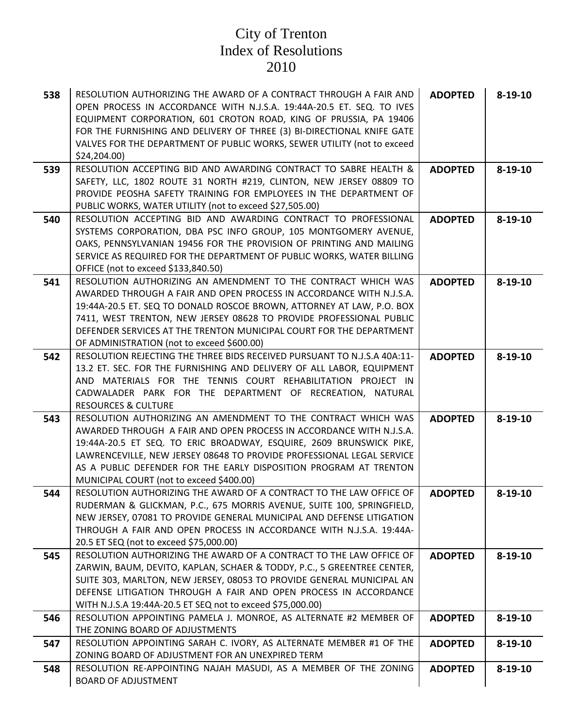| 538 | RESOLUTION AUTHORIZING THE AWARD OF A CONTRACT THROUGH A FAIR AND<br>OPEN PROCESS IN ACCORDANCE WITH N.J.S.A. 19:44A-20.5 ET. SEQ. TO IVES<br>EQUIPMENT CORPORATION, 601 CROTON ROAD, KING OF PRUSSIA, PA 19406<br>FOR THE FURNISHING AND DELIVERY OF THREE (3) BI-DIRECTIONAL KNIFE GATE<br>VALVES FOR THE DEPARTMENT OF PUBLIC WORKS, SEWER UTILITY (not to exceed<br>\$24,204.00)                      | <b>ADOPTED</b> | $8 - 19 - 10$ |
|-----|-----------------------------------------------------------------------------------------------------------------------------------------------------------------------------------------------------------------------------------------------------------------------------------------------------------------------------------------------------------------------------------------------------------|----------------|---------------|
| 539 | RESOLUTION ACCEPTING BID AND AWARDING CONTRACT TO SABRE HEALTH &<br>SAFETY, LLC, 1802 ROUTE 31 NORTH #219, CLINTON, NEW JERSEY 08809 TO<br>PROVIDE PEOSHA SAFETY TRAINING FOR EMPLOYEES IN THE DEPARTMENT OF<br>PUBLIC WORKS, WATER UTILITY (not to exceed \$27,505.00)                                                                                                                                   | <b>ADOPTED</b> | $8 - 19 - 10$ |
| 540 | RESOLUTION ACCEPTING BID AND AWARDING CONTRACT TO PROFESSIONAL<br>SYSTEMS CORPORATION, DBA PSC INFO GROUP, 105 MONTGOMERY AVENUE,<br>OAKS, PENNSYLVANIAN 19456 FOR THE PROVISION OF PRINTING AND MAILING<br>SERVICE AS REQUIRED FOR THE DEPARTMENT OF PUBLIC WORKS, WATER BILLING<br>OFFICE (not to exceed \$133,840.50)                                                                                  | <b>ADOPTED</b> | $8 - 19 - 10$ |
| 541 | RESOLUTION AUTHORIZING AN AMENDMENT TO THE CONTRACT WHICH WAS<br>AWARDED THROUGH A FAIR AND OPEN PROCESS IN ACCORDANCE WITH N.J.S.A.<br>19:44A-20.5 ET. SEQ TO DONALD ROSCOE BROWN, ATTORNEY AT LAW, P.O. BOX<br>7411, WEST TRENTON, NEW JERSEY 08628 TO PROVIDE PROFESSIONAL PUBLIC<br>DEFENDER SERVICES AT THE TRENTON MUNICIPAL COURT FOR THE DEPARTMENT<br>OF ADMINISTRATION (not to exceed \$600.00) | <b>ADOPTED</b> | $8 - 19 - 10$ |
| 542 | RESOLUTION REJECTING THE THREE BIDS RECEIVED PURSUANT TO N.J.S.A 40A:11-<br>13.2 ET. SEC. FOR THE FURNISHING AND DELIVERY OF ALL LABOR, EQUIPMENT<br>AND MATERIALS FOR THE TENNIS COURT REHABILITATION PROJECT IN<br>CADWALADER PARK FOR THE DEPARTMENT OF RECREATION, NATURAL<br><b>RESOURCES &amp; CULTURE</b>                                                                                          | <b>ADOPTED</b> | $8 - 19 - 10$ |
| 543 | RESOLUTION AUTHORIZING AN AMENDMENT TO THE CONTRACT WHICH WAS<br>AWARDED THROUGH A FAIR AND OPEN PROCESS IN ACCORDANCE WITH N.J.S.A.<br>19:44A-20.5 ET SEQ. TO ERIC BROADWAY, ESQUIRE, 2609 BRUNSWICK PIKE,<br>LAWRENCEVILLE, NEW JERSEY 08648 TO PROVIDE PROFESSIONAL LEGAL SERVICE<br>AS A PUBLIC DEFENDER FOR THE EARLY DISPOSITION PROGRAM AT TRENTON<br>MUNICIPAL COURT (not to exceed \$400.00)     | <b>ADOPTED</b> | $8 - 19 - 10$ |
| 544 | RESOLUTION AUTHORIZING THE AWARD OF A CONTRACT TO THE LAW OFFICE OF<br>RUDERMAN & GLICKMAN, P.C., 675 MORRIS AVENUE, SUITE 100, SPRINGFIELD,<br>NEW JERSEY, 07081 TO PROVIDE GENERAL MUNICIPAL AND DEFENSE LITIGATION<br>THROUGH A FAIR AND OPEN PROCESS IN ACCORDANCE WITH N.J.S.A. 19:44A-<br>20.5 ET SEQ (not to exceed \$75,000.00)                                                                   | <b>ADOPTED</b> | $8 - 19 - 10$ |
| 545 | RESOLUTION AUTHORIZING THE AWARD OF A CONTRACT TO THE LAW OFFICE OF<br>ZARWIN, BAUM, DEVITO, KAPLAN, SCHAER & TODDY, P.C., 5 GREENTREE CENTER,<br>SUITE 303, MARLTON, NEW JERSEY, 08053 TO PROVIDE GENERAL MUNICIPAL AN<br>DEFENSE LITIGATION THROUGH A FAIR AND OPEN PROCESS IN ACCORDANCE<br>WITH N.J.S.A 19:44A-20.5 ET SEQ not to exceed \$75,000.00)                                                 | <b>ADOPTED</b> | $8 - 19 - 10$ |
| 546 | RESOLUTION APPOINTING PAMELA J. MONROE, AS ALTERNATE #2 MEMBER OF<br>THE ZONING BOARD OF ADJUSTMENTS                                                                                                                                                                                                                                                                                                      | <b>ADOPTED</b> | $8 - 19 - 10$ |
| 547 | RESOLUTION APPOINTING SARAH C. IVORY, AS ALTERNATE MEMBER #1 OF THE<br>ZONING BOARD OF ADJUSTMENT FOR AN UNEXPIRED TERM                                                                                                                                                                                                                                                                                   | <b>ADOPTED</b> | $8 - 19 - 10$ |
| 548 | RESOLUTION RE-APPOINTING NAJAH MASUDI, AS A MEMBER OF THE ZONING<br><b>BOARD OF ADJUSTMENT</b>                                                                                                                                                                                                                                                                                                            | <b>ADOPTED</b> | $8 - 19 - 10$ |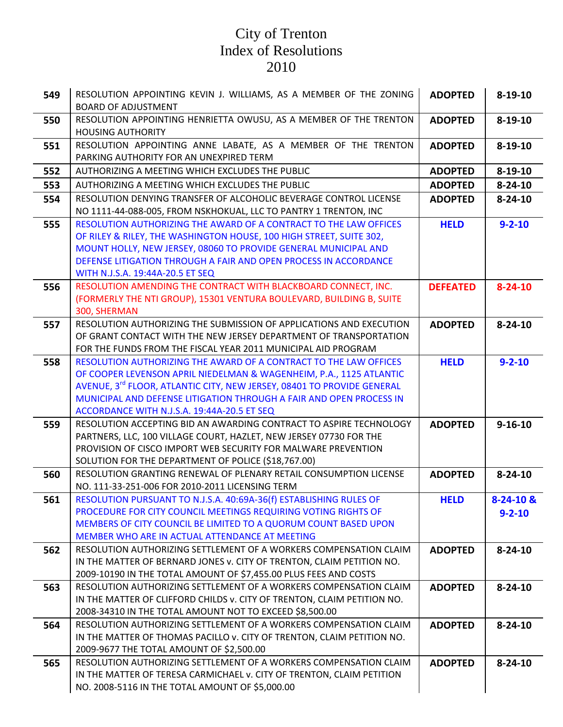| 549 | RESOLUTION APPOINTING KEVIN J. WILLIAMS, AS A MEMBER OF THE ZONING                                                                 | <b>ADOPTED</b>  | $8 - 19 - 10$ |
|-----|------------------------------------------------------------------------------------------------------------------------------------|-----------------|---------------|
|     | <b>BOARD OF ADJUSTMENT</b>                                                                                                         |                 |               |
| 550 | RESOLUTION APPOINTING HENRIETTA OWUSU, AS A MEMBER OF THE TRENTON<br><b>HOUSING AUTHORITY</b>                                      | <b>ADOPTED</b>  | $8 - 19 - 10$ |
| 551 | RESOLUTION APPOINTING ANNE LABATE, AS A MEMBER OF THE TRENTON                                                                      | <b>ADOPTED</b>  | $8 - 19 - 10$ |
|     | PARKING AUTHORITY FOR AN UNEXPIRED TERM                                                                                            |                 |               |
| 552 | AUTHORIZING A MEETING WHICH EXCLUDES THE PUBLIC                                                                                    | <b>ADOPTED</b>  | $8 - 19 - 10$ |
| 553 | AUTHORIZING A MEETING WHICH EXCLUDES THE PUBLIC                                                                                    | <b>ADOPTED</b>  | $8 - 24 - 10$ |
| 554 | RESOLUTION DENYING TRANSFER OF ALCOHOLIC BEVERAGE CONTROL LICENSE                                                                  | <b>ADOPTED</b>  | $8 - 24 - 10$ |
|     | NO 1111-44-088-005, FROM NSKHOKUAL, LLC TO PANTRY 1 TRENTON, INC                                                                   |                 |               |
| 555 | RESOLUTION AUTHORIZING THE AWARD OF A CONTRACT TO THE LAW OFFICES                                                                  | <b>HELD</b>     | $9 - 2 - 10$  |
|     | OF RILEY & RILEY, THE WASHINGTON HOUSE, 100 HIGH STREET, SUITE 302,                                                                |                 |               |
|     | MOUNT HOLLY, NEW JERSEY, 08060 TO PROVIDE GENERAL MUNICIPAL AND                                                                    |                 |               |
|     | DEFENSE LITIGATION THROUGH A FAIR AND OPEN PROCESS IN ACCORDANCE                                                                   |                 |               |
|     | WITH N.J.S.A. 19:44A-20.5 ET SEQ                                                                                                   |                 |               |
| 556 | RESOLUTION AMENDING THE CONTRACT WITH BLACKBOARD CONNECT, INC.                                                                     | <b>DEFEATED</b> | $8 - 24 - 10$ |
|     | (FORMERLY THE NTI GROUP), 15301 VENTURA BOULEVARD, BUILDING B, SUITE                                                               |                 |               |
|     | 300, SHERMAN                                                                                                                       |                 |               |
| 557 | RESOLUTION AUTHORIZING THE SUBMISSION OF APPLICATIONS AND EXECUTION                                                                | <b>ADOPTED</b>  | $8 - 24 - 10$ |
|     | OF GRANT CONTACT WITH THE NEW JERSEY DEPARTMENT OF TRANSPORTATION<br>FOR THE FUNDS FROM THE FISCAL YEAR 2011 MUNICIPAL AID PROGRAM |                 |               |
| 558 | RESOLUTION AUTHORIZING THE AWARD OF A CONTRACT TO THE LAW OFFICES                                                                  | <b>HELD</b>     | $9 - 2 - 10$  |
|     | OF COOPER LEVENSON APRIL NIEDELMAN & WAGENHEIM, P.A., 1125 ATLANTIC                                                                |                 |               |
|     | AVENUE, 3 <sup>rd</sup> FLOOR, ATLANTIC CITY, NEW JERSEY, 08401 TO PROVIDE GENERAL                                                 |                 |               |
|     | MUNICIPAL AND DEFENSE LITIGATION THROUGH A FAIR AND OPEN PROCESS IN                                                                |                 |               |
|     | ACCORDANCE WITH N.J.S.A. 19:44A-20.5 ET SEQ                                                                                        |                 |               |
| 559 | RESOLUTION ACCEPTING BID AN AWARDING CONTRACT TO ASPIRE TECHNOLOGY                                                                 | <b>ADOPTED</b>  | $9 - 16 - 10$ |
|     | PARTNERS, LLC, 100 VILLAGE COURT, HAZLET, NEW JERSEY 07730 FOR THE                                                                 |                 |               |
|     | PROVISION OF CISCO IMPORT WEB SECURITY FOR MALWARE PREVENTION                                                                      |                 |               |
|     | SOLUTION FOR THE DEPARTMENT OF POLICE (\$18,767.00)                                                                                |                 |               |
| 560 | RESOLUTION GRANTING RENEWAL OF PLENARY RETAIL CONSUMPTION LICENSE                                                                  | <b>ADOPTED</b>  | $8 - 24 - 10$ |
|     | NO. 111-33-251-006 FOR 2010-2011 LICENSING TERM                                                                                    |                 |               |
| 561 | RESOLUTION PURSUANT TO N.J.S.A. 40:69A-36(f) ESTABLISHING RULES OF                                                                 | <b>HELD</b>     | $8-24-10$ &   |
|     | PROCEDURE FOR CITY COUNCIL MEETINGS REQUIRING VOTING RIGHTS OF                                                                     |                 | $9 - 2 - 10$  |
|     | MEMBERS OF CITY COUNCIL BE LIMITED TO A QUORUM COUNT BASED UPON                                                                    |                 |               |
|     | MEMBER WHO ARE IN ACTUAL ATTENDANCE AT MEETING<br>RESOLUTION AUTHORIZING SETTLEMENT OF A WORKERS COMPENSATION CLAIM                |                 |               |
| 562 | IN THE MATTER OF BERNARD JONES v. CITY OF TRENTON, CLAIM PETITION NO.                                                              | <b>ADOPTED</b>  | $8 - 24 - 10$ |
|     | 2009-10190 IN THE TOTAL AMOUNT OF \$7,455.00 PLUS FEES AND COSTS                                                                   |                 |               |
| 563 | RESOLUTION AUTHORIZING SETTLEMENT OF A WORKERS COMPENSATION CLAIM                                                                  | <b>ADOPTED</b>  | $8 - 24 - 10$ |
|     | IN THE MATTER OF CLIFFORD CHILDS v. CITY OF TRENTON, CLAIM PETITION NO.                                                            |                 |               |
|     | 2008-34310 IN THE TOTAL AMOUNT NOT TO EXCEED \$8,500.00                                                                            |                 |               |
| 564 | RESOLUTION AUTHORIZING SETTLEMENT OF A WORKERS COMPENSATION CLAIM                                                                  | <b>ADOPTED</b>  | $8 - 24 - 10$ |
|     | IN THE MATTER OF THOMAS PACILLO v. CITY OF TRENTON, CLAIM PETITION NO.                                                             |                 |               |
|     | 2009-9677 THE TOTAL AMOUNT OF \$2,500.00                                                                                           |                 |               |
| 565 | RESOLUTION AUTHORIZING SETTLEMENT OF A WORKERS COMPENSATION CLAIM                                                                  | <b>ADOPTED</b>  | $8 - 24 - 10$ |
|     | IN THE MATTER OF TERESA CARMICHAEL v. CITY OF TRENTON, CLAIM PETITION                                                              |                 |               |
|     | NO. 2008-5116 IN THE TOTAL AMOUNT OF \$5,000.00                                                                                    |                 |               |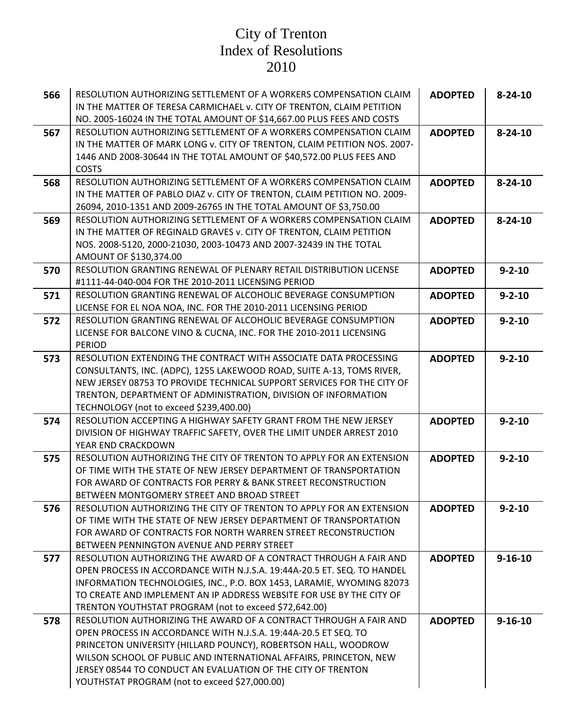| 566 | RESOLUTION AUTHORIZING SETTLEMENT OF A WORKERS COMPENSATION CLAIM<br>IN THE MATTER OF TERESA CARMICHAEL v. CITY OF TRENTON, CLAIM PETITION<br>NO. 2005-16024 IN THE TOTAL AMOUNT OF \$14,667.00 PLUS FEES AND COSTS                                                                                                                                                                          | <b>ADOPTED</b> | $8 - 24 - 10$ |
|-----|----------------------------------------------------------------------------------------------------------------------------------------------------------------------------------------------------------------------------------------------------------------------------------------------------------------------------------------------------------------------------------------------|----------------|---------------|
| 567 | RESOLUTION AUTHORIZING SETTLEMENT OF A WORKERS COMPENSATION CLAIM<br>IN THE MATTER OF MARK LONG v. CITY OF TRENTON, CLAIM PETITION NOS. 2007-<br>1446 AND 2008-30644 IN THE TOTAL AMOUNT OF \$40,572.00 PLUS FEES AND<br><b>COSTS</b>                                                                                                                                                        | <b>ADOPTED</b> | $8 - 24 - 10$ |
| 568 | RESOLUTION AUTHORIZING SETTLEMENT OF A WORKERS COMPENSATION CLAIM<br>IN THE MATTER OF PABLO DIAZ v. CITY OF TRENTON, CLAIM PETITION NO. 2009-<br>26094, 2010-1351 AND 2009-26765 IN THE TOTAL AMOUNT OF \$3,750.00                                                                                                                                                                           | <b>ADOPTED</b> | $8 - 24 - 10$ |
| 569 | RESOLUTION AUTHORIZING SETTLEMENT OF A WORKERS COMPENSATION CLAIM<br>IN THE MATTER OF REGINALD GRAVES v. CITY OF TRENTON, CLAIM PETITION<br>NOS. 2008-5120, 2000-21030, 2003-10473 AND 2007-32439 IN THE TOTAL<br>AMOUNT OF \$130,374.00                                                                                                                                                     | <b>ADOPTED</b> | $8 - 24 - 10$ |
| 570 | RESOLUTION GRANTING RENEWAL OF PLENARY RETAIL DISTRIBUTION LICENSE<br>#1111-44-040-004 FOR THE 2010-2011 LICENSING PERIOD                                                                                                                                                                                                                                                                    | <b>ADOPTED</b> | $9 - 2 - 10$  |
| 571 | RESOLUTION GRANTING RENEWAL OF ALCOHOLIC BEVERAGE CONSUMPTION<br>LICENSE FOR EL NOA NOA, INC. FOR THE 2010-2011 LICENSING PERIOD                                                                                                                                                                                                                                                             | <b>ADOPTED</b> | $9 - 2 - 10$  |
| 572 | RESOLUTION GRANTING RENEWAL OF ALCOHOLIC BEVERAGE CONSUMPTION<br>LICENSE FOR BALCONE VINO & CUCNA, INC. FOR THE 2010-2011 LICENSING<br><b>PERIOD</b>                                                                                                                                                                                                                                         | <b>ADOPTED</b> | $9 - 2 - 10$  |
| 573 | RESOLUTION EXTENDING THE CONTRACT WITH ASSOCIATE DATA PROCESSING<br>CONSULTANTS, INC. (ADPC), 1255 LAKEWOOD ROAD, SUITE A-13, TOMS RIVER,<br>NEW JERSEY 08753 TO PROVIDE TECHNICAL SUPPORT SERVICES FOR THE CITY OF<br>TRENTON, DEPARTMENT OF ADMINISTRATION, DIVISION OF INFORMATION<br>TECHNOLOGY (not to exceed \$239,400.00)                                                             | <b>ADOPTED</b> | $9 - 2 - 10$  |
| 574 | RESOLUTION ACCEPTING A HIGHWAY SAFETY GRANT FROM THE NEW JERSEY<br>DIVISION OF HIGHWAY TRAFFIC SAFETY, OVER THE LIMIT UNDER ARREST 2010<br>YEAR END CRACKDOWN                                                                                                                                                                                                                                | <b>ADOPTED</b> | $9 - 2 - 10$  |
| 575 | RESOLUTION AUTHORIZING THE CITY OF TRENTON TO APPLY FOR AN EXTENSION<br>OF TIME WITH THE STATE OF NEW JERSEY DEPARTMENT OF TRANSPORTATION<br>FOR AWARD OF CONTRACTS FOR PERRY & BANK STREET RECONSTRUCTION<br>BETWEEN MONTGOMERY STREET AND BROAD STREET                                                                                                                                     | <b>ADOPTED</b> | $9 - 2 - 10$  |
| 576 | RESOLUTION AUTHORIZING THE CITY OF TRENTON TO APPLY FOR AN EXTENSION<br>OF TIME WITH THE STATE OF NEW JERSEY DEPARTMENT OF TRANSPORTATION<br>FOR AWARD OF CONTRACTS FOR NORTH WARREN STREET RECONSTRUCTION<br>BETWEEN PENNINGTON AVENUE AND PERRY STREET                                                                                                                                     | <b>ADOPTED</b> | $9 - 2 - 10$  |
| 577 | RESOLUTION AUTHORIZING THE AWARD OF A CONTRACT THROUGH A FAIR AND<br>OPEN PROCESS IN ACCORDANCE WITH N.J.S.A. 19:44A-20.5 ET. SEQ. TO HANDEL<br>INFORMATION TECHNOLOGIES, INC., P.O. BOX 1453, LARAMIE, WYOMING 82073<br>TO CREATE AND IMPLEMENT AN IP ADDRESS WEBSITE FOR USE BY THE CITY OF<br>TRENTON YOUTHSTAT PROGRAM (not to exceed \$72,642.00)                                       | <b>ADOPTED</b> | $9 - 16 - 10$ |
| 578 | RESOLUTION AUTHORIZING THE AWARD OF A CONTRACT THROUGH A FAIR AND<br>OPEN PROCESS IN ACCORDANCE WITH N.J.S.A. 19:44A-20.5 ET SEQ. TO<br>PRINCETON UNIVERSITY (HILLARD POUNCY), ROBERTSON HALL, WOODROW<br>WILSON SCHOOL OF PUBLIC AND INTERNATIONAL AFFAIRS, PRINCETON, NEW<br>JERSEY 08544 TO CONDUCT AN EVALUATION OF THE CITY OF TRENTON<br>YOUTHSTAT PROGRAM (not to exceed \$27,000.00) | <b>ADOPTED</b> | $9 - 16 - 10$ |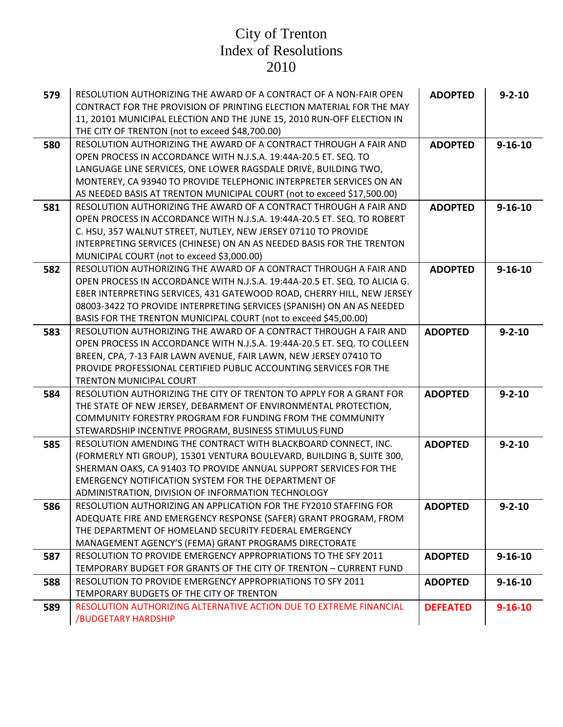| 579 | RESOLUTION AUTHORIZING THE AWARD OF A CONTRACT OF A NON-FAIR OPEN<br>CONTRACT FOR THE PROVISION OF PRINTING ELECTION MATERIAL FOR THE MAY<br>11, 20101 MUNICIPAL ELECTION AND THE JUNE 15, 2010 RUN-OFF ELECTION IN<br>THE CITY OF TRENTON (not to exceed \$48,700.00)                                                                                                 | <b>ADOPTED</b>  | $9 - 2 - 10$  |
|-----|------------------------------------------------------------------------------------------------------------------------------------------------------------------------------------------------------------------------------------------------------------------------------------------------------------------------------------------------------------------------|-----------------|---------------|
| 580 | RESOLUTION AUTHORIZING THE AWARD OF A CONTRACT THROUGH A FAIR AND<br>OPEN PROCESS IN ACCORDANCE WITH N.J.S.A. 19:44A-20.5 ET. SEQ. TO<br>LANGUAGE LINE SERVICES, ONE LOWER RAGSDALE DRIVE, BUILDING TWO,<br>MONTEREY, CA 93940 TO PROVIDE TELEPHONIC INTERPRETER SERVICES ON AN<br>AS NEEDED BASIS AT TRENTON MUNICIPAL COURT (not to exceed \$17,500.00)              | <b>ADOPTED</b>  | $9 - 16 - 10$ |
| 581 | RESOLUTION AUTHORIZING THE AWARD OF A CONTRACT THROUGH A FAIR AND<br>OPEN PROCESS IN ACCORDANCE WITH N.J.S.A. 19:44A-20.5 ET. SEQ. TO ROBERT<br>C. HSU, 357 WALNUT STREET, NUTLEY, NEW JERSEY 07110 TO PROVIDE<br>INTERPRETING SERVICES (CHINESE) ON AN AS NEEDED BASIS FOR THE TRENTON<br>MUNICIPAL COURT (not to exceed \$3,000.00)                                  | <b>ADOPTED</b>  | $9 - 16 - 10$ |
| 582 | RESOLUTION AUTHORIZING THE AWARD OF A CONTRACT THROUGH A FAIR AND<br>OPEN PROCESS IN ACCORDANCE WITH N.J.S.A. 19:44A-20.5 ET. SEQ. TO ALICIA G.<br>EBER INTERPRETING SERVICES, 431 GATEWOOD ROAD, CHERRY HILL, NEW JERSEY<br>08003-3422 TO PROVIDE INTERPRETING SERVICES (SPANISH) ON AN AS NEEDED<br>BASIS FOR THE TRENTON MUNICIPAL COURT (not to exceed \$45,00.00) | <b>ADOPTED</b>  | $9 - 16 - 10$ |
| 583 | RESOLUTION AUTHORIZING THE AWARD OF A CONTRACT THROUGH A FAIR AND<br>OPEN PROCESS IN ACCORDANCE WITH N.J.S.A. 19:44A-20.5 ET. SEQ. TO COLLEEN<br>BREEN, CPA, 7-13 FAIR LAWN AVENUE, FAIR LAWN, NEW JERSEY 07410 TO<br>PROVIDE PROFESSIONAL CERTIFIED PUBLIC ACCOUNTING SERVICES FOR THE<br><b>TRENTON MUNICIPAL COURT</b>                                              | <b>ADOPTED</b>  | $9 - 2 - 10$  |
| 584 | RESOLUTION AUTHORIZING THE CITY OF TRENTON TO APPLY FOR A GRANT FOR<br>THE STATE OF NEW JERSEY, DEBARMENT OF ENVIRONMENTAL PROTECTION,<br>COMMUNITY FORESTRY PROGRAM FOR FUNDING FROM THE COMMUNITY<br>STEWARDSHIP INCENTIVE PROGRAM, BUSINESS STIMULUS FUND                                                                                                           | <b>ADOPTED</b>  | $9 - 2 - 10$  |
| 585 | RESOLUTION AMENDING THE CONTRACT WITH BLACKBOARD CONNECT, INC.<br>(FORMERLY NTI GROUP), 15301 VENTURA BOULEVARD, BUILDING B, SUITE 300,<br>SHERMAN OAKS, CA 91403 TO PROVIDE ANNUAL SUPPORT SERVICES FOR THE<br><b>EMERGENCY NOTIFICATION SYSTEM FOR THE DEPARTMENT OF</b><br>ADMINISTRATION, DIVISION OF INFORMATION TECHNOLOGY                                       | <b>ADOPTED</b>  | $9 - 2 - 10$  |
| 586 | RESOLUTION AUTHORIZING AN APPLICATION FOR THE FY2010 STAFFING FOR<br>ADEQUATE FIRE AND EMERGENCY RESPONSE (SAFER) GRANT PROGRAM, FROM<br>THE DEPARTMENT OF HOMELAND SECURITY FEDERAL EMERGENCY<br>MANAGEMENT AGENCY'S (FEMA) GRANT PROGRAMS DIRECTORATE                                                                                                                | <b>ADOPTED</b>  | $9 - 2 - 10$  |
| 587 | RESOLUTION TO PROVIDE EMERGENCY APPROPRIATIONS TO THE SFY 2011<br>TEMPORARY BUDGET FOR GRANTS OF THE CITY OF TRENTON - CURRENT FUND                                                                                                                                                                                                                                    | <b>ADOPTED</b>  | $9 - 16 - 10$ |
| 588 | RESOLUTION TO PROVIDE EMERGENCY APPROPRIATIONS TO SFY 2011<br>TEMPORARY BUDGETS OF THE CITY OF TRENTON                                                                                                                                                                                                                                                                 | <b>ADOPTED</b>  | $9 - 16 - 10$ |
| 589 | RESOLUTION AUTHORIZING ALTERNATIVE ACTION DUE TO EXTREME FINANCIAL<br>/BUDGETARY HARDSHIP                                                                                                                                                                                                                                                                              | <b>DEFEATED</b> | $9 - 16 - 10$ |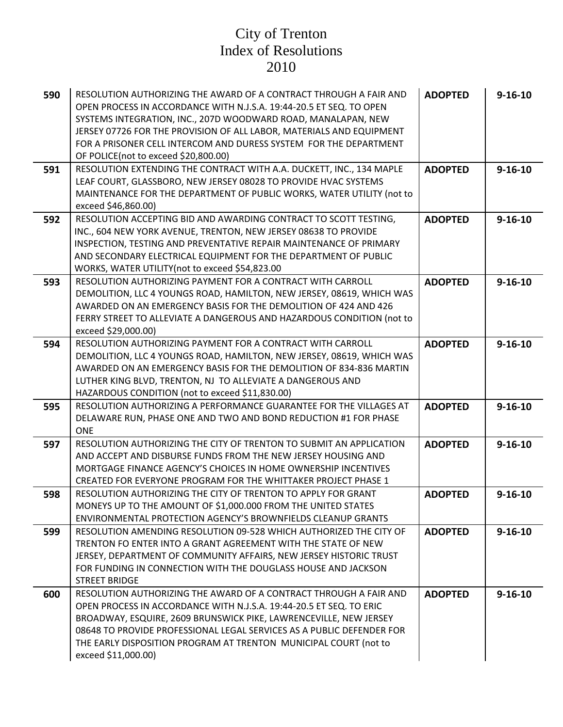| 590 | RESOLUTION AUTHORIZING THE AWARD OF A CONTRACT THROUGH A FAIR AND<br>OPEN PROCESS IN ACCORDANCE WITH N.J.S.A. 19:44-20.5 ET SEQ. TO OPEN<br>SYSTEMS INTEGRATION, INC., 207D WOODWARD ROAD, MANALAPAN, NEW<br>JERSEY 07726 FOR THE PROVISION OF ALL LABOR, MATERIALS AND EQUIPMENT<br>FOR A PRISONER CELL INTERCOM AND DURESS SYSTEM FOR THE DEPARTMENT<br>OF POLICE(not to exceed \$20,800.00) | <b>ADOPTED</b> | $9 - 16 - 10$ |
|-----|------------------------------------------------------------------------------------------------------------------------------------------------------------------------------------------------------------------------------------------------------------------------------------------------------------------------------------------------------------------------------------------------|----------------|---------------|
| 591 | RESOLUTION EXTENDING THE CONTRACT WITH A.A. DUCKETT, INC., 134 MAPLE<br>LEAF COURT, GLASSBORO, NEW JERSEY 08028 TO PROVIDE HVAC SYSTEMS<br>MAINTENANCE FOR THE DEPARTMENT OF PUBLIC WORKS, WATER UTILITY (not to<br>exceed \$46,860.00)                                                                                                                                                        | <b>ADOPTED</b> | $9 - 16 - 10$ |
| 592 | RESOLUTION ACCEPTING BID AND AWARDING CONTRACT TO SCOTT TESTING,<br>INC., 604 NEW YORK AVENUE, TRENTON, NEW JERSEY 08638 TO PROVIDE<br>INSPECTION, TESTING AND PREVENTATIVE REPAIR MAINTENANCE OF PRIMARY<br>AND SECONDARY ELECTRICAL EQUIPMENT FOR THE DEPARTMENT OF PUBLIC<br>WORKS, WATER UTILITY (not to exceed \$54,823.00                                                                | <b>ADOPTED</b> | $9 - 16 - 10$ |
| 593 | RESOLUTION AUTHORIZING PAYMENT FOR A CONTRACT WITH CARROLL<br>DEMOLITION, LLC 4 YOUNGS ROAD, HAMILTON, NEW JERSEY, 08619, WHICH WAS<br>AWARDED ON AN EMERGENCY BASIS FOR THE DEMOLITION OF 424 AND 426<br>FERRY STREET TO ALLEVIATE A DANGEROUS AND HAZARDOUS CONDITION (not to<br>exceed \$29,000.00)                                                                                         | <b>ADOPTED</b> | $9 - 16 - 10$ |
| 594 | RESOLUTION AUTHORIZING PAYMENT FOR A CONTRACT WITH CARROLL<br>DEMOLITION, LLC 4 YOUNGS ROAD, HAMILTON, NEW JERSEY, 08619, WHICH WAS<br>AWARDED ON AN EMERGENCY BASIS FOR THE DEMOLITION OF 834-836 MARTIN<br>LUTHER KING BLVD, TRENTON, NJ TO ALLEVIATE A DANGEROUS AND<br>HAZARDOUS CONDITION (not to exceed \$11,830.00)                                                                     | <b>ADOPTED</b> | $9 - 16 - 10$ |
| 595 | RESOLUTION AUTHORIZING A PERFORMANCE GUARANTEE FOR THE VILLAGES AT<br>DELAWARE RUN, PHASE ONE AND TWO AND BOND REDUCTION #1 FOR PHASE<br><b>ONE</b>                                                                                                                                                                                                                                            | <b>ADOPTED</b> | $9 - 16 - 10$ |
| 597 | RESOLUTION AUTHORIZING THE CITY OF TRENTON TO SUBMIT AN APPLICATION<br>AND ACCEPT AND DISBURSE FUNDS FROM THE NEW JERSEY HOUSING AND<br>MORTGAGE FINANCE AGENCY'S CHOICES IN HOME OWNERSHIP INCENTIVES<br>CREATED FOR EVERYONE PROGRAM FOR THE WHITTAKER PROJECT PHASE 1                                                                                                                       | <b>ADOPTED</b> | $9 - 16 - 10$ |
| 598 | RESOLUTION AUTHORIZING THE CITY OF TRENTON TO APPLY FOR GRANT<br>MONEYS UP TO THE AMOUNT OF \$1,000.000 FROM THE UNITED STATES<br>ENVIRONMENTAL PROTECTION AGENCY'S BROWNFIELDS CLEANUP GRANTS                                                                                                                                                                                                 | <b>ADOPTED</b> | $9 - 16 - 10$ |
| 599 | RESOLUTION AMENDING RESOLUTION 09-528 WHICH AUTHORIZED THE CITY OF<br>TRENTON FO ENTER INTO A GRANT AGREEMENT WITH THE STATE OF NEW<br>JERSEY, DEPARTMENT OF COMMUNITY AFFAIRS, NEW JERSEY HISTORIC TRUST<br>FOR FUNDING IN CONNECTION WITH THE DOUGLASS HOUSE AND JACKSON<br><b>STREET BRIDGE</b>                                                                                             | <b>ADOPTED</b> | $9 - 16 - 10$ |
| 600 | RESOLUTION AUTHORIZING THE AWARD OF A CONTRACT THROUGH A FAIR AND<br>OPEN PROCESS IN ACCORDANCE WITH N.J.S.A. 19:44-20.5 ET SEQ. TO ERIC<br>BROADWAY, ESQUIRE, 2609 BRUNSWICK PIKE, LAWRENCEVILLE, NEW JERSEY<br>08648 TO PROVIDE PROFESSIONAL LEGAL SERVICES AS A PUBLIC DEFENDER FOR<br>THE EARLY DISPOSITION PROGRAM AT TRENTON MUNICIPAL COURT (not to<br>exceed \$11,000.00)              | <b>ADOPTED</b> | $9 - 16 - 10$ |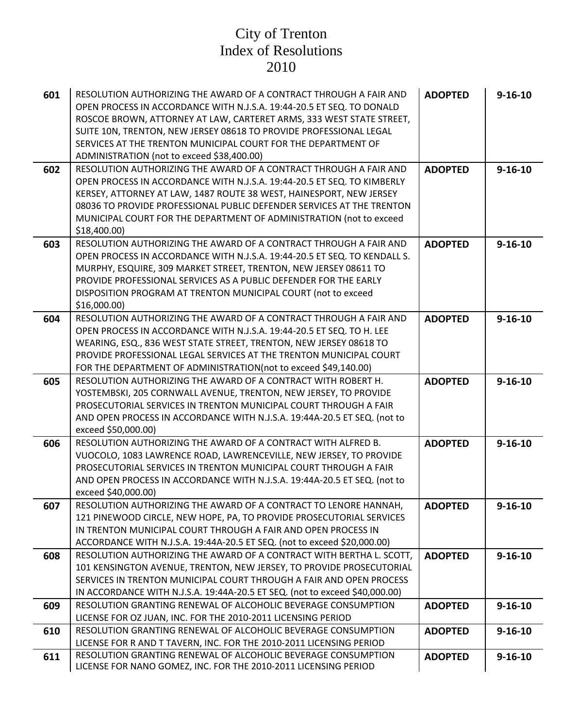| 601 | RESOLUTION AUTHORIZING THE AWARD OF A CONTRACT THROUGH A FAIR AND<br>OPEN PROCESS IN ACCORDANCE WITH N.J.S.A. 19:44-20.5 ET SEQ. TO DONALD<br>ROSCOE BROWN, ATTORNEY AT LAW, CARTERET ARMS, 333 WEST STATE STREET,<br>SUITE 10N, TRENTON, NEW JERSEY 08618 TO PROVIDE PROFESSIONAL LEGAL<br>SERVICES AT THE TRENTON MUNICIPAL COURT FOR THE DEPARTMENT OF<br>ADMINISTRATION (not to exceed \$38,400.00) | <b>ADOPTED</b> | $9 - 16 - 10$ |
|-----|---------------------------------------------------------------------------------------------------------------------------------------------------------------------------------------------------------------------------------------------------------------------------------------------------------------------------------------------------------------------------------------------------------|----------------|---------------|
| 602 | RESOLUTION AUTHORIZING THE AWARD OF A CONTRACT THROUGH A FAIR AND<br>OPEN PROCESS IN ACCORDANCE WITH N.J.S.A. 19:44-20.5 ET SEQ. TO KIMBERLY<br>KERSEY, ATTORNEY AT LAW, 1487 ROUTE 38 WEST, HAINESPORT, NEW JERSEY<br>08036 TO PROVIDE PROFESSIONAL PUBLIC DEFENDER SERVICES AT THE TRENTON<br>MUNICIPAL COURT FOR THE DEPARTMENT OF ADMINISTRATION (not to exceed<br>\$18,400.00                      | <b>ADOPTED</b> | $9 - 16 - 10$ |
| 603 | RESOLUTION AUTHORIZING THE AWARD OF A CONTRACT THROUGH A FAIR AND<br>OPEN PROCESS IN ACCORDANCE WITH N.J.S.A. 19:44-20.5 ET SEQ. TO KENDALL S.<br>MURPHY, ESQUIRE, 309 MARKET STREET, TRENTON, NEW JERSEY 08611 TO<br>PROVIDE PROFESSIONAL SERVICES AS A PUBLIC DEFENDER FOR THE EARLY<br>DISPOSITION PROGRAM AT TRENTON MUNICIPAL COURT (not to exceed<br>\$16,000.00                                  | <b>ADOPTED</b> | $9 - 16 - 10$ |
| 604 | RESOLUTION AUTHORIZING THE AWARD OF A CONTRACT THROUGH A FAIR AND<br>OPEN PROCESS IN ACCORDANCE WITH N.J.S.A. 19:44-20.5 ET SEQ. TO H. LEE<br>WEARING, ESQ., 836 WEST STATE STREET, TRENTON, NEW JERSEY 08618 TO<br>PROVIDE PROFESSIONAL LEGAL SERVICES AT THE TRENTON MUNICIPAL COURT<br>FOR THE DEPARTMENT OF ADMINISTRATION(not to exceed \$49,140.00)                                               | <b>ADOPTED</b> | $9 - 16 - 10$ |
| 605 | RESOLUTION AUTHORIZING THE AWARD OF A CONTRACT WITH ROBERT H.<br>YOSTEMBSKI, 205 CORNWALL AVENUE, TRENTON, NEW JERSEY, TO PROVIDE<br>PROSECUTORIAL SERVICES IN TRENTON MUNICIPAL COURT THROUGH A FAIR<br>AND OPEN PROCESS IN ACCORDANCE WITH N.J.S.A. 19:44A-20.5 ET SEQ. (not to<br>exceed \$50,000.00)                                                                                                | <b>ADOPTED</b> | $9 - 16 - 10$ |
| 606 | RESOLUTION AUTHORIZING THE AWARD OF A CONTRACT WITH ALFRED B.<br>VUOCOLO, 1083 LAWRENCE ROAD, LAWRENCEVILLE, NEW JERSEY, TO PROVIDE<br>PROSECUTORIAL SERVICES IN TRENTON MUNICIPAL COURT THROUGH A FAIR<br>AND OPEN PROCESS IN ACCORDANCE WITH N.J.S.A. 19:44A-20.5 ET SEQ. (not to<br>exceed \$40,000.00)                                                                                              | <b>ADOPTED</b> | $9 - 16 - 10$ |
| 607 | RESOLUTION AUTHORIZING THE AWARD OF A CONTRACT TO LENORE HANNAH,<br>121 PINEWOOD CIRCLE, NEW HOPE, PA, TO PROVIDE PROSECUTORIAL SERVICES<br>IN TRENTON MUNICIPAL COURT THROUGH A FAIR AND OPEN PROCESS IN<br>ACCORDANCE WITH N.J.S.A. 19:44A-20.5 ET SEQ. (not to exceed \$20,000.00)                                                                                                                   | <b>ADOPTED</b> | $9 - 16 - 10$ |
| 608 | RESOLUTION AUTHORIZING THE AWARD OF A CONTRACT WITH BERTHA L. SCOTT,<br>101 KENSINGTON AVENUE, TRENTON, NEW JERSEY, TO PROVIDE PROSECUTORIAL<br>SERVICES IN TRENTON MUNICIPAL COURT THROUGH A FAIR AND OPEN PROCESS<br>IN ACCORDANCE WITH N.J.S.A. 19:44A-20.5 ET SEQ. (not to exceed \$40,000.00)                                                                                                      | <b>ADOPTED</b> | $9 - 16 - 10$ |
| 609 | RESOLUTION GRANTING RENEWAL OF ALCOHOLIC BEVERAGE CONSUMPTION<br>LICENSE FOR OZ JUAN, INC. FOR THE 2010-2011 LICENSING PERIOD                                                                                                                                                                                                                                                                           | <b>ADOPTED</b> | $9 - 16 - 10$ |
| 610 | RESOLUTION GRANTING RENEWAL OF ALCOHOLIC BEVERAGE CONSUMPTION<br>LICENSE FOR R AND T TAVERN, INC. FOR THE 2010-2011 LICENSING PERIOD                                                                                                                                                                                                                                                                    | <b>ADOPTED</b> | $9 - 16 - 10$ |
| 611 | RESOLUTION GRANTING RENEWAL OF ALCOHOLIC BEVERAGE CONSUMPTION<br>LICENSE FOR NANO GOMEZ, INC. FOR THE 2010-2011 LICENSING PERIOD                                                                                                                                                                                                                                                                        | <b>ADOPTED</b> | $9 - 16 - 10$ |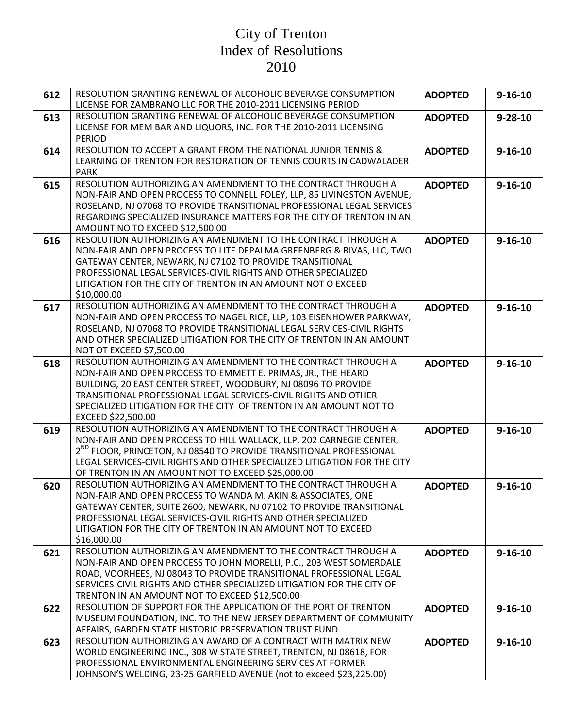| 612 | RESOLUTION GRANTING RENEWAL OF ALCOHOLIC BEVERAGE CONSUMPTION<br>LICENSE FOR ZAMBRANO LLC FOR THE 2010-2011 LICENSING PERIOD                                                                                                                                                                                                                                    | <b>ADOPTED</b> | $9 - 16 - 10$ |
|-----|-----------------------------------------------------------------------------------------------------------------------------------------------------------------------------------------------------------------------------------------------------------------------------------------------------------------------------------------------------------------|----------------|---------------|
| 613 | RESOLUTION GRANTING RENEWAL OF ALCOHOLIC BEVERAGE CONSUMPTION<br>LICENSE FOR MEM BAR AND LIQUORS, INC. FOR THE 2010-2011 LICENSING<br><b>PERIOD</b>                                                                                                                                                                                                             | <b>ADOPTED</b> | $9 - 28 - 10$ |
| 614 | RESOLUTION TO ACCEPT A GRANT FROM THE NATIONAL JUNIOR TENNIS &<br>LEARNING OF TRENTON FOR RESTORATION OF TENNIS COURTS IN CADWALADER<br><b>PARK</b>                                                                                                                                                                                                             | <b>ADOPTED</b> | $9 - 16 - 10$ |
| 615 | RESOLUTION AUTHORIZING AN AMENDMENT TO THE CONTRACT THROUGH A<br>NON-FAIR AND OPEN PROCESS TO CONNELL FOLEY, LLP, 85 LIVINGSTON AVENUE,<br>ROSELAND, NJ 07068 TO PROVIDE TRANSITIONAL PROFESSIONAL LEGAL SERVICES<br>REGARDING SPECIALIZED INSURANCE MATTERS FOR THE CITY OF TRENTON IN AN<br>AMOUNT NO TO EXCEED \$12,500.00                                   | <b>ADOPTED</b> | $9 - 16 - 10$ |
| 616 | RESOLUTION AUTHORIZING AN AMENDMENT TO THE CONTRACT THROUGH A<br>NON-FAIR AND OPEN PROCESS TO LITE DEPALMA GREENBERG & RIVAS, LLC, TWO<br>GATEWAY CENTER, NEWARK, NJ 07102 TO PROVIDE TRANSITIONAL<br>PROFESSIONAL LEGAL SERVICES-CIVIL RIGHTS AND OTHER SPECIALIZED<br>LITIGATION FOR THE CITY OF TRENTON IN AN AMOUNT NOT O EXCEED<br>\$10,000.00             | <b>ADOPTED</b> | $9 - 16 - 10$ |
| 617 | RESOLUTION AUTHORIZING AN AMENDMENT TO THE CONTRACT THROUGH A<br>NON-FAIR AND OPEN PROCESS TO NAGEL RICE, LLP, 103 EISENHOWER PARKWAY,<br>ROSELAND, NJ 07068 TO PROVIDE TRANSITIONAL LEGAL SERVICES-CIVIL RIGHTS<br>AND OTHER SPECIALIZED LITIGATION FOR THE CITY OF TRENTON IN AN AMOUNT<br>NOT OT EXCEED \$7,500.00                                           | <b>ADOPTED</b> | $9 - 16 - 10$ |
| 618 | RESOLUTION AUTHORIZING AN AMENDMENT TO THE CONTRACT THROUGH A<br>NON-FAIR AND OPEN PROCESS TO EMMETT E. PRIMAS, JR., THE HEARD<br>BUILDING, 20 EAST CENTER STREET, WOODBURY, NJ 08096 TO PROVIDE<br>TRANSITIONAL PROFESSIONAL LEGAL SERVICES-CIVIL RIGHTS AND OTHER<br>SPECIALIZED LITIGATION FOR THE CITY OF TRENTON IN AN AMOUNT NOT TO<br>EXCEED \$22,500.00 | <b>ADOPTED</b> | $9 - 16 - 10$ |
| 619 | RESOLUTION AUTHORIZING AN AMENDMENT TO THE CONTRACT THROUGH A<br>NON-FAIR AND OPEN PROCESS TO HILL WALLACK, LLP, 202 CARNEGIE CENTER,<br>2 <sup>ND</sup> FLOOR, PRINCETON, NJ 08540 TO PROVIDE TRANSITIONAL PROFESSIONAL<br>LEGAL SERVICES-CIVIL RIGHTS AND OTHER SPECIALIZED LITIGATION FOR THE CITY<br>OF TRENTON IN AN AMOUNT NOT TO EXCEED \$25,000.00      | <b>ADOPTED</b> | $9 - 16 - 10$ |
| 620 | RESOLUTION AUTHORIZING AN AMENDMENT TO THE CONTRACT THROUGH A<br>NON-FAIR AND OPEN PROCESS TO WANDA M. AKIN & ASSOCIATES, ONE<br>GATEWAY CENTER, SUITE 2600, NEWARK, NJ 07102 TO PROVIDE TRANSITIONAL<br>PROFESSIONAL LEGAL SERVICES-CIVIL RIGHTS AND OTHER SPECIALIZED<br>LITIGATION FOR THE CITY OF TRENTON IN AN AMOUNT NOT TO EXCEED<br>\$16,000.00         | <b>ADOPTED</b> | $9 - 16 - 10$ |
| 621 | RESOLUTION AUTHORIZING AN AMENDMENT TO THE CONTRACT THROUGH A<br>NON-FAIR AND OPEN PROCESS TO JOHN MORELLI, P.C., 203 WEST SOMERDALE<br>ROAD, VOORHEES, NJ 08043 TO PROVIDE TRANSITIONAL PROFESSIONAL LEGAL<br>SERVICES-CIVIL RIGHTS AND OTHER SPECIALIZED LITIGATION FOR THE CITY OF<br>TRENTON IN AN AMOUNT NOT TO EXCEED \$12,500.00                         | <b>ADOPTED</b> | $9 - 16 - 10$ |
| 622 | RESOLUTION OF SUPPORT FOR THE APPLICATION OF THE PORT OF TRENTON<br>MUSEUM FOUNDATION, INC. TO THE NEW JERSEY DEPARTMENT OF COMMUNITY<br>AFFAIRS, GARDEN STATE HISTORIC PRESERVATION TRUST FUND                                                                                                                                                                 | <b>ADOPTED</b> | $9 - 16 - 10$ |
| 623 | RESOLUTION AUTHORIZING AN AWARD OF A CONTRACT WITH MATRIX NEW<br>WORLD ENGINEERING INC., 308 W STATE STREET, TRENTON, NJ 08618, FOR<br>PROFESSIONAL ENVIRONMENTAL ENGINEERING SERVICES AT FORMER<br>JOHNSON'S WELDING, 23-25 GARFIELD AVENUE (not to exceed \$23,225.00)                                                                                        | <b>ADOPTED</b> | $9 - 16 - 10$ |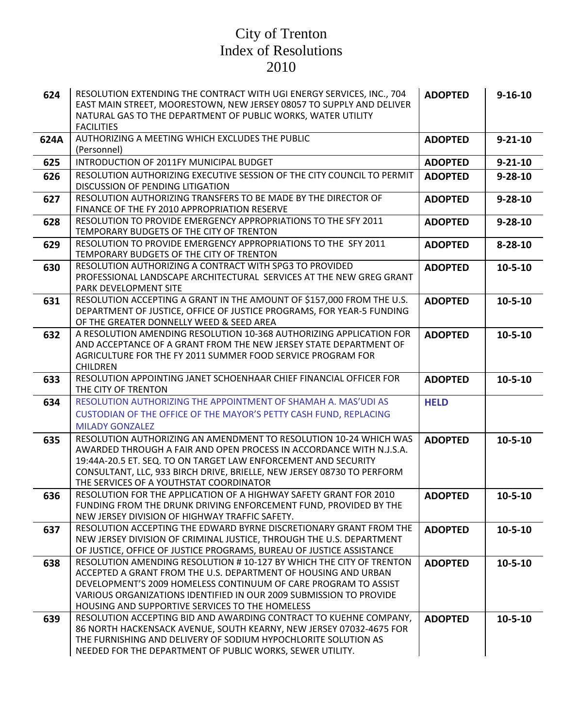| 624  | RESOLUTION EXTENDING THE CONTRACT WITH UGI ENERGY SERVICES, INC., 704<br>EAST MAIN STREET, MOORESTOWN, NEW JERSEY 08057 TO SUPPLY AND DELIVER | <b>ADOPTED</b> | $9 - 16 - 10$ |
|------|-----------------------------------------------------------------------------------------------------------------------------------------------|----------------|---------------|
|      | NATURAL GAS TO THE DEPARTMENT OF PUBLIC WORKS, WATER UTILITY<br><b>FACILITIES</b>                                                             |                |               |
| 624A | AUTHORIZING A MEETING WHICH EXCLUDES THE PUBLIC<br>(Personnel)                                                                                | <b>ADOPTED</b> | $9 - 21 - 10$ |
| 625  | INTRODUCTION OF 2011FY MUNICIPAL BUDGET                                                                                                       | <b>ADOPTED</b> | $9 - 21 - 10$ |
| 626  | RESOLUTION AUTHORIZING EXECUTIVE SESSION OF THE CITY COUNCIL TO PERMIT                                                                        | <b>ADOPTED</b> | $9 - 28 - 10$ |
|      | DISCUSSION OF PENDING LITIGATION                                                                                                              |                |               |
| 627  | RESOLUTION AUTHORIZING TRANSFERS TO BE MADE BY THE DIRECTOR OF                                                                                | <b>ADOPTED</b> | $9 - 28 - 10$ |
|      | FINANCE OF THE FY 2010 APPROPRIATION RESERVE<br>RESOLUTION TO PROVIDE EMERGENCY APPROPRIATIONS TO THE SFY 2011                                |                |               |
| 628  | TEMPORARY BUDGETS OF THE CITY OF TRENTON                                                                                                      | <b>ADOPTED</b> | $9 - 28 - 10$ |
| 629  | RESOLUTION TO PROVIDE EMERGENCY APPROPRIATIONS TO THE SFY 2011                                                                                | <b>ADOPTED</b> | $8 - 28 - 10$ |
|      | TEMPORARY BUDGETS OF THE CITY OF TRENTON                                                                                                      |                |               |
| 630  | RESOLUTION AUTHORIZING A CONTRACT WITH SPG3 TO PROVIDED                                                                                       | <b>ADOPTED</b> | $10 - 5 - 10$ |
|      | PROFESSIONAL LANDSCAPE ARCHITECTURAL SERVICES AT THE NEW GREG GRANT<br>PARK DEVELOPMENT SITE                                                  |                |               |
| 631  | RESOLUTION ACCEPTING A GRANT IN THE AMOUNT OF \$157,000 FROM THE U.S.                                                                         | <b>ADOPTED</b> | $10 - 5 - 10$ |
|      | DEPARTMENT OF JUSTICE, OFFICE OF JUSTICE PROGRAMS, FOR YEAR-5 FUNDING                                                                         |                |               |
|      | OF THE GREATER DONNELLY WEED & SEED AREA                                                                                                      |                |               |
| 632  | A RESOLUTION AMENDING RESOLUTION 10-368 AUTHORIZING APPLICATION FOR                                                                           | <b>ADOPTED</b> | $10 - 5 - 10$ |
|      | AND ACCEPTANCE OF A GRANT FROM THE NEW JERSEY STATE DEPARTMENT OF                                                                             |                |               |
|      | AGRICULTURE FOR THE FY 2011 SUMMER FOOD SERVICE PROGRAM FOR<br><b>CHILDREN</b>                                                                |                |               |
| 633  | RESOLUTION APPOINTING JANET SCHOENHAAR CHIEF FINANCIAL OFFICER FOR                                                                            | <b>ADOPTED</b> | $10 - 5 - 10$ |
|      | THE CITY OF TRENTON                                                                                                                           |                |               |
| 634  | RESOLUTION AUTHORIZING THE APPOINTMENT OF SHAMAH A. MAS'UDI AS                                                                                | <b>HELD</b>    |               |
|      | CUSTODIAN OF THE OFFICE OF THE MAYOR'S PETTY CASH FUND, REPLACING                                                                             |                |               |
|      | <b>MILADY GONZALEZ</b>                                                                                                                        |                |               |
| 635  | RESOLUTION AUTHORIZING AN AMENDMENT TO RESOLUTION 10-24 WHICH WAS                                                                             | <b>ADOPTED</b> | $10 - 5 - 10$ |
|      | AWARDED THROUGH A FAIR AND OPEN PROCESS IN ACCORDANCE WITH N.J.S.A.<br>19:44A-20.5 ET. SEQ. TO ON TARGET LAW ENFORCEMENT AND SECURITY         |                |               |
|      | CONSULTANT, LLC, 933 BIRCH DRIVE, BRIELLE, NEW JERSEY 08730 TO PERFORM                                                                        |                |               |
|      | THE SERVICES OF A YOUTHSTAT COORDINATOR                                                                                                       |                |               |
| 636  | RESOLUTION FOR THE APPLICATION OF A HIGHWAY SAFETY GRANT FOR 2010                                                                             | <b>ADOPTED</b> | $10 - 5 - 10$ |
|      | FUNDING FROM THE DRUNK DRIVING ENFORCEMENT FUND, PROVIDED BY THE                                                                              |                |               |
|      | NEW JERSEY DIVISION OF HIGHWAY TRAFFIC SAFETY.<br>RESOLUTION ACCEPTING THE EDWARD BYRNE DISCRETIONARY GRANT FROM THE                          | <b>ADOPTED</b> | $10 - 5 - 10$ |
| 637  | NEW JERSEY DIVISION OF CRIMINAL JUSTICE, THROUGH THE U.S. DEPARTMENT                                                                          |                |               |
|      | OF JUSTICE, OFFICE OF JUSTICE PROGRAMS, BUREAU OF JUSTICE ASSISTANCE                                                                          |                |               |
| 638  | RESOLUTION AMENDING RESOLUTION # 10-127 BY WHICH THE CITY OF TRENTON                                                                          | <b>ADOPTED</b> | $10 - 5 - 10$ |
|      | ACCEPTED A GRANT FROM THE U.S. DEPARTMENT OF HOUSING AND URBAN                                                                                |                |               |
|      | DEVELOPMENT'S 2009 HOMELESS CONTINUUM OF CARE PROGRAM TO ASSIST<br>VARIOUS ORGANIZATIONS IDENTIFIED IN OUR 2009 SUBMISSION TO PROVIDE         |                |               |
|      | HOUSING AND SUPPORTIVE SERVICES TO THE HOMELESS                                                                                               |                |               |
| 639  | RESOLUTION ACCEPTING BID AND AWARDING CONTRACT TO KUEHNE COMPANY,                                                                             | <b>ADOPTED</b> | $10 - 5 - 10$ |
|      | 86 NORTH HACKENSACK AVENUE, SOUTH KEARNY, NEW JERSEY 07032-4675 FOR                                                                           |                |               |
|      |                                                                                                                                               |                |               |
|      | THE FURNISHING AND DELIVERY OF SODIUM HYPOCHLORITE SOLUTION AS<br>NEEDED FOR THE DEPARTMENT OF PUBLIC WORKS, SEWER UTILITY.                   |                |               |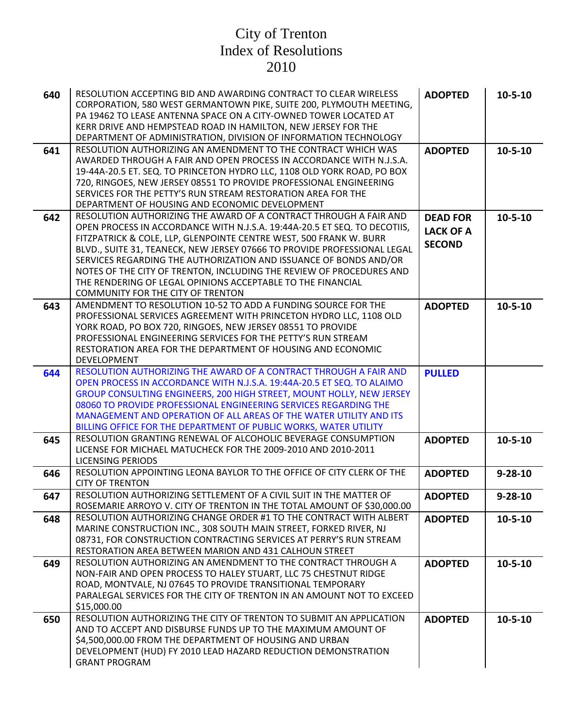| 640 | RESOLUTION ACCEPTING BID AND AWARDING CONTRACT TO CLEAR WIRELESS<br>CORPORATION, 580 WEST GERMANTOWN PIKE, SUITE 200, PLYMOUTH MEETING,<br>PA 19462 TO LEASE ANTENNA SPACE ON A CITY-OWNED TOWER LOCATED AT<br>KERR DRIVE AND HEMPSTEAD ROAD IN HAMILTON, NEW JERSEY FOR THE<br>DEPARTMENT OF ADMINISTRATION, DIVISION OF INFORMATION TECHNOLOGY                                                                                                                                                                                                  | <b>ADOPTED</b>                                       | $10 - 5 - 10$ |
|-----|---------------------------------------------------------------------------------------------------------------------------------------------------------------------------------------------------------------------------------------------------------------------------------------------------------------------------------------------------------------------------------------------------------------------------------------------------------------------------------------------------------------------------------------------------|------------------------------------------------------|---------------|
| 641 | RESOLUTION AUTHORIZING AN AMENDMENT TO THE CONTRACT WHICH WAS<br>AWARDED THROUGH A FAIR AND OPEN PROCESS IN ACCORDANCE WITH N.J.S.A.<br>19-44A-20.5 ET. SEQ. TO PRINCETON HYDRO LLC, 1108 OLD YORK ROAD, PO BOX<br>720, RINGOES, NEW JERSEY 08551 TO PROVIDE PROFESSIONAL ENGINEERING<br>SERVICES FOR THE PETTY'S RUN STREAM RESTORATION AREA FOR THE<br>DEPARTMENT OF HOUSING AND ECONOMIC DEVELOPMENT                                                                                                                                           | <b>ADOPTED</b>                                       | $10 - 5 - 10$ |
| 642 | RESOLUTION AUTHORIZING THE AWARD OF A CONTRACT THROUGH A FAIR AND<br>OPEN PROCESS IN ACCORDANCE WITH N.J.S.A. 19:44A-20.5 ET SEQ. TO DECOTIIS,<br>FITZPATRICK & COLE, LLP, GLENPOINTE CENTRE WEST, 500 FRANK W. BURR<br>BLVD., SUITE 31, TEANECK, NEW JERSEY 07666 TO PROVIDE PROFESSIONAL LEGAL<br>SERVICES REGARDING THE AUTHORIZATION AND ISSUANCE OF BONDS AND/OR<br>NOTES OF THE CITY OF TRENTON, INCLUDING THE REVIEW OF PROCEDURES AND<br>THE RENDERING OF LEGAL OPINIONS ACCEPTABLE TO THE FINANCIAL<br>COMMUNITY FOR THE CITY OF TRENTON | <b>DEAD FOR</b><br><b>LACK OF A</b><br><b>SECOND</b> | $10 - 5 - 10$ |
| 643 | AMENDMENT TO RESOLUTION 10-52 TO ADD A FUNDING SOURCE FOR THE<br>PROFESSIONAL SERVICES AGREEMENT WITH PRINCETON HYDRO LLC, 1108 OLD<br>YORK ROAD, PO BOX 720, RINGOES, NEW JERSEY 08551 TO PROVIDE<br>PROFESSIONAL ENGINEERING SERVICES FOR THE PETTY'S RUN STREAM<br>RESTORATION AREA FOR THE DEPARTMENT OF HOUSING AND ECONOMIC<br><b>DEVELOPMENT</b>                                                                                                                                                                                           | <b>ADOPTED</b>                                       | $10 - 5 - 10$ |
| 644 | RESOLUTION AUTHORIZING THE AWARD OF A CONTRACT THROUGH A FAIR AND<br>OPEN PROCESS IN ACCORDANCE WITH N.J.S.A. 19:44A-20.5 ET SEQ. TO ALAIMO<br>GROUP CONSULTING ENGINEERS, 200 HIGH STREET, MOUNT HOLLY, NEW JERSEY<br>08060 TO PROVIDE PROFESSIONAL ENGINEERING SERVICES REGARDING THE<br>MANAGEMENT AND OPERATION OF ALL AREAS OF THE WATER UTILITY AND ITS<br>BILLING OFFICE FOR THE DEPARTMENT OF PUBLIC WORKS, WATER UTILITY                                                                                                                 | <b>PULLED</b>                                        |               |
| 645 | RESOLUTION GRANTING RENEWAL OF ALCOHOLIC BEVERAGE CONSUMPTION<br>LICENSE FOR MICHAEL MATUCHECK FOR THE 2009-2010 AND 2010-2011<br><b>LICENSING PERIODS</b>                                                                                                                                                                                                                                                                                                                                                                                        | <b>ADOPTED</b>                                       | $10 - 5 - 10$ |
| 646 | RESOLUTION APPOINTING LEONA BAYLOR TO THE OFFICE OF CITY CLERK OF THE<br><b>CITY OF TRENTON</b>                                                                                                                                                                                                                                                                                                                                                                                                                                                   | <b>ADOPTED</b>                                       | $9 - 28 - 10$ |
| 647 | RESOLUTION AUTHORIZING SETTLEMENT OF A CIVIL SUIT IN THE MATTER OF<br>ROSEMARIE ARROYO V. CITY OF TRENTON IN THE TOTAL AMOUNT OF \$30,000.00                                                                                                                                                                                                                                                                                                                                                                                                      | <b>ADOPTED</b>                                       | $9 - 28 - 10$ |
| 648 | RESOLUTION AUTHORIZING CHANGE ORDER #1 TO THE CONTRACT WITH ALBERT<br>MARINE CONSTRUCTION INC., 308 SOUTH MAIN STREET, FORKED RIVER, NJ<br>08731, FOR CONSTRUCTION CONTRACTING SERVICES AT PERRY'S RUN STREAM<br>RESTORATION AREA BETWEEN MARION AND 431 CALHOUN STREET                                                                                                                                                                                                                                                                           | <b>ADOPTED</b>                                       | $10 - 5 - 10$ |
| 649 | RESOLUTION AUTHORIZING AN AMENDMENT TO THE CONTRACT THROUGH A<br>NON-FAIR AND OPEN PROCESS TO HALEY STUART, LLC 75 CHESTNUT RIDGE<br>ROAD, MONTVALE, NJ 07645 TO PROVIDE TRANSITIONAL TEMPORARY<br>PARALEGAL SERVICES FOR THE CITY OF TRENTON IN AN AMOUNT NOT TO EXCEED<br>\$15,000.00                                                                                                                                                                                                                                                           | <b>ADOPTED</b>                                       | $10 - 5 - 10$ |
| 650 | RESOLUTION AUTHORIZING THE CITY OF TRENTON TO SUBMIT AN APPLICATION<br>AND TO ACCEPT AND DISBURSE FUNDS UP TO THE MAXIMUM AMOUNT OF<br>\$4,500,000.00 FROM THE DEPARTMENT OF HOUSING AND URBAN<br>DEVELOPMENT (HUD) FY 2010 LEAD HAZARD REDUCTION DEMONSTRATION<br><b>GRANT PROGRAM</b>                                                                                                                                                                                                                                                           | <b>ADOPTED</b>                                       | $10 - 5 - 10$ |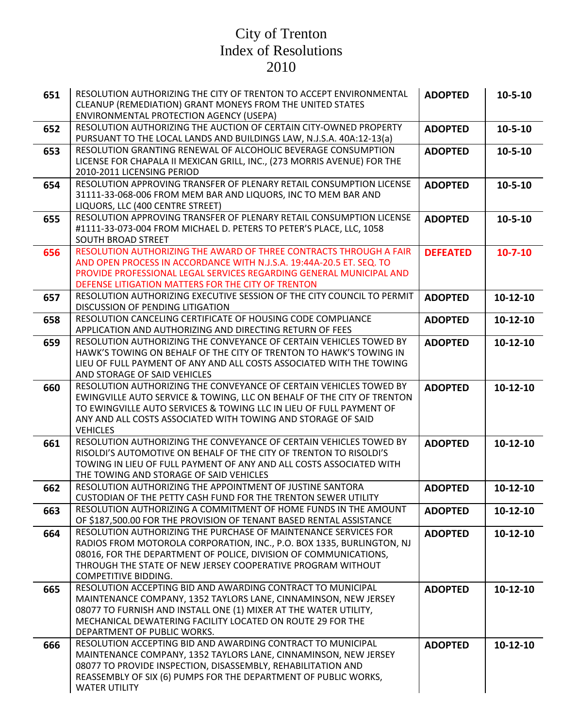| 651 | RESOLUTION AUTHORIZING THE CITY OF TRENTON TO ACCEPT ENVIRONMENTAL<br>CLEANUP (REMEDIATION) GRANT MONEYS FROM THE UNITED STATES<br>ENVIRONMENTAL PROTECTION AGENCY (USEPA)                                                                                                                                 | <b>ADOPTED</b>  | $10 - 5 - 10$ |
|-----|------------------------------------------------------------------------------------------------------------------------------------------------------------------------------------------------------------------------------------------------------------------------------------------------------------|-----------------|---------------|
| 652 | RESOLUTION AUTHORIZING THE AUCTION OF CERTAIN CITY-OWNED PROPERTY<br>PURSUANT TO THE LOCAL LANDS AND BUILDINGS LAW, N.J.S.A. 40A:12-13(a)                                                                                                                                                                  | <b>ADOPTED</b>  | $10 - 5 - 10$ |
| 653 | RESOLUTION GRANTING RENEWAL OF ALCOHOLIC BEVERAGE CONSUMPTION<br>LICENSE FOR CHAPALA II MEXICAN GRILL, INC., (273 MORRIS AVENUE) FOR THE<br>2010-2011 LICENSING PERIOD                                                                                                                                     | <b>ADOPTED</b>  | $10 - 5 - 10$ |
| 654 | RESOLUTION APPROVING TRANSFER OF PLENARY RETAIL CONSUMPTION LICENSE<br>31111-33-068-006 FROM MEM BAR AND LIQUORS, INC TO MEM BAR AND<br>LIQUORS, LLC (400 CENTRE STREET)                                                                                                                                   | <b>ADOPTED</b>  | $10 - 5 - 10$ |
| 655 | RESOLUTION APPROVING TRANSFER OF PLENARY RETAIL CONSUMPTION LICENSE<br>#1111-33-073-004 FROM MICHAEL D. PETERS TO PETER'S PLACE, LLC, 1058<br>SOUTH BROAD STREET                                                                                                                                           | <b>ADOPTED</b>  | $10 - 5 - 10$ |
| 656 | RESOLUTION AUTHORIZING THE AWARD OF THREE CONTRACTS THROUGH A FAIR<br>AND OPEN PROCESS IN ACCORDANCE WITH N.J.S.A. 19:44A-20.5 ET. SEQ. TO<br>PROVIDE PROFESSIONAL LEGAL SERVICES REGARDING GENERAL MUNICIPAL AND<br>DEFENSE LITIGATION MATTERS FOR THE CITY OF TRENTON                                    | <b>DEFEATED</b> | $10 - 7 - 10$ |
| 657 | RESOLUTION AUTHORIZING EXECUTIVE SESSION OF THE CITY COUNCIL TO PERMIT<br>DISCUSSION OF PENDING LITIGATION                                                                                                                                                                                                 | <b>ADOPTED</b>  | 10-12-10      |
| 658 | RESOLUTION CANCELING CERTIFICATE OF HOUSING CODE COMPLIANCE<br>APPLICATION AND AUTHORIZING AND DIRECTING RETURN OF FEES                                                                                                                                                                                    | <b>ADOPTED</b>  | 10-12-10      |
| 659 | RESOLUTION AUTHORIZING THE CONVEYANCE OF CERTAIN VEHICLES TOWED BY<br>HAWK'S TOWING ON BEHALF OF THE CITY OF TRENTON TO HAWK'S TOWING IN<br>LIEU OF FULL PAYMENT OF ANY AND ALL COSTS ASSOCIATED WITH THE TOWING<br>AND STORAGE OF SAID VEHICLES                                                           | <b>ADOPTED</b>  | 10-12-10      |
| 660 | RESOLUTION AUTHORIZING THE CONVEYANCE OF CERTAIN VEHICLES TOWED BY<br>EWINGVILLE AUTO SERVICE & TOWING, LLC ON BEHALF OF THE CITY OF TRENTON<br>TO EWINGVILLE AUTO SERVICES & TOWING LLC IN LIEU OF FULL PAYMENT OF<br>ANY AND ALL COSTS ASSOCIATED WITH TOWING AND STORAGE OF SAID<br><b>VEHICLES</b>     | <b>ADOPTED</b>  | 10-12-10      |
| 661 | RESOLUTION AUTHORIZING THE CONVEYANCE OF CERTAIN VEHICLES TOWED BY<br>RISOLDI'S AUTOMOTIVE ON BEHALF OF THE CITY OF TRENTON TO RISOLDI'S<br>TOWING IN LIEU OF FULL PAYMENT OF ANY AND ALL COSTS ASSOCIATED WITH<br>THE TOWING AND STORAGE OF SAID VEHICLES                                                 | <b>ADOPTED</b>  | 10-12-10      |
| 662 | RESOLUTION AUTHORIZING THE APPOINTMENT OF JUSTINE SANTORA<br>CUSTODIAN OF THE PETTY CASH FUND FOR THE TRENTON SEWER UTILITY                                                                                                                                                                                | <b>ADOPTED</b>  | 10-12-10      |
| 663 | RESOLUTION AUTHORIZING A COMMITMENT OF HOME FUNDS IN THE AMOUNT<br>OF \$187,500.00 FOR THE PROVISION OF TENANT BASED RENTAL ASSISTANCE                                                                                                                                                                     | <b>ADOPTED</b>  | 10-12-10      |
| 664 | RESOLUTION AUTHORIZING THE PURCHASE OF MAINTENANCE SERVICES FOR<br>RADIOS FROM MOTOROLA CORPORATION, INC., P.O. BOX 1335, BURLINGTON, NJ<br>08016, FOR THE DEPARTMENT OF POLICE, DIVISION OF COMMUNICATIONS,<br>THROUGH THE STATE OF NEW JERSEY COOPERATIVE PROGRAM WITHOUT<br><b>COMPETITIVE BIDDING.</b> | <b>ADOPTED</b>  | 10-12-10      |
| 665 | RESOLUTION ACCEPTING BID AND AWARDING CONTRACT TO MUNICIPAL<br>MAINTENANCE COMPANY, 1352 TAYLORS LANE, CINNAMINSON, NEW JERSEY<br>08077 TO FURNISH AND INSTALL ONE (1) MIXER AT THE WATER UTILITY,<br>MECHANICAL DEWATERING FACILITY LOCATED ON ROUTE 29 FOR THE<br>DEPARTMENT OF PUBLIC WORKS.            | <b>ADOPTED</b>  | 10-12-10      |
| 666 | RESOLUTION ACCEPTING BID AND AWARDING CONTRACT TO MUNICIPAL<br>MAINTENANCE COMPANY, 1352 TAYLORS LANE, CINNAMINSON, NEW JERSEY<br>08077 TO PROVIDE INSPECTION, DISASSEMBLY, REHABILITATION AND<br>REASSEMBLY OF SIX (6) PUMPS FOR THE DEPARTMENT OF PUBLIC WORKS,<br><b>WATER UTILITY</b>                  | <b>ADOPTED</b>  | 10-12-10      |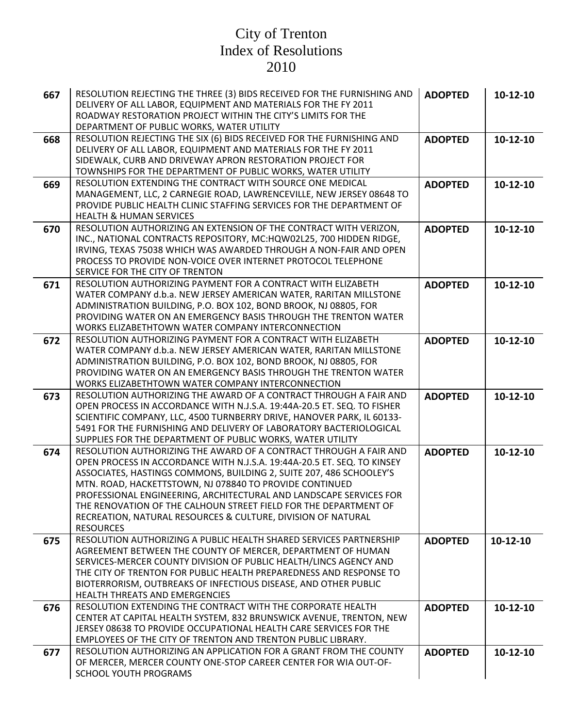| 667 | RESOLUTION REJECTING THE THREE (3) BIDS RECEIVED FOR THE FURNISHING AND<br>DELIVERY OF ALL LABOR, EQUIPMENT AND MATERIALS FOR THE FY 2011<br>ROADWAY RESTORATION PROJECT WITHIN THE CITY'S LIMITS FOR THE<br>DEPARTMENT OF PUBLIC WORKS, WATER UTILITY                                                                                                                                                                                                                                                       | <b>ADOPTED</b> | $10-12-10$ |
|-----|--------------------------------------------------------------------------------------------------------------------------------------------------------------------------------------------------------------------------------------------------------------------------------------------------------------------------------------------------------------------------------------------------------------------------------------------------------------------------------------------------------------|----------------|------------|
| 668 | RESOLUTION REJECTING THE SIX (6) BIDS RECEIVED FOR THE FURNISHING AND<br>DELIVERY OF ALL LABOR, EQUIPMENT AND MATERIALS FOR THE FY 2011<br>SIDEWALK, CURB AND DRIVEWAY APRON RESTORATION PROJECT FOR<br>TOWNSHIPS FOR THE DEPARTMENT OF PUBLIC WORKS, WATER UTILITY                                                                                                                                                                                                                                          | <b>ADOPTED</b> | 10-12-10   |
| 669 | RESOLUTION EXTENDING THE CONTRACT WITH SOURCE ONE MEDICAL<br>MANAGEMENT, LLC, 2 CARNEGIE ROAD, LAWRENCEVILLE, NEW JERSEY 08648 TO<br>PROVIDE PUBLIC HEALTH CLINIC STAFFING SERVICES FOR THE DEPARTMENT OF<br><b>HEALTH &amp; HUMAN SERVICES</b>                                                                                                                                                                                                                                                              | <b>ADOPTED</b> | 10-12-10   |
| 670 | RESOLUTION AUTHORIZING AN EXTENSION OF THE CONTRACT WITH VERIZON,<br>INC., NATIONAL CONTRACTS REPOSITORY, MC:HQW02L25, 700 HIDDEN RIDGE,<br>IRVING, TEXAS 75038 WHICH WAS AWARDED THROUGH A NON-FAIR AND OPEN<br>PROCESS TO PROVIDE NON-VOICE OVER INTERNET PROTOCOL TELEPHONE<br>SERVICE FOR THE CITY OF TRENTON                                                                                                                                                                                            | <b>ADOPTED</b> | 10-12-10   |
| 671 | RESOLUTION AUTHORIZING PAYMENT FOR A CONTRACT WITH ELIZABETH<br>WATER COMPANY d.b.a. NEW JERSEY AMERICAN WATER, RARITAN MILLSTONE<br>ADMINISTRATION BUILDING, P.O. BOX 102, BOND BROOK, NJ 08805, FOR<br>PROVIDING WATER ON AN EMERGENCY BASIS THROUGH THE TRENTON WATER<br>WORKS ELIZABETHTOWN WATER COMPANY INTERCONNECTION                                                                                                                                                                                | <b>ADOPTED</b> | 10-12-10   |
| 672 | RESOLUTION AUTHORIZING PAYMENT FOR A CONTRACT WITH ELIZABETH<br>WATER COMPANY d.b.a. NEW JERSEY AMERICAN WATER, RARITAN MILLSTONE<br>ADMINISTRATION BUILDING, P.O. BOX 102, BOND BROOK, NJ 08805, FOR<br>PROVIDING WATER ON AN EMERGENCY BASIS THROUGH THE TRENTON WATER<br>WORKS ELIZABETHTOWN WATER COMPANY INTERCONNECTION                                                                                                                                                                                | <b>ADOPTED</b> | 10-12-10   |
| 673 | RESOLUTION AUTHORIZING THE AWARD OF A CONTRACT THROUGH A FAIR AND<br>OPEN PROCESS IN ACCORDANCE WITH N.J.S.A. 19:44A-20.5 ET. SEQ. TO FISHER<br>SCIENTIFIC COMPANY, LLC, 4500 TURNBERRY DRIVE, HANOVER PARK, IL 60133-<br>5491 FOR THE FURNISHING AND DELIVERY OF LABORATORY BACTERIOLOGICAL<br>SUPPLIES FOR THE DEPARTMENT OF PUBLIC WORKS, WATER UTILITY                                                                                                                                                   | <b>ADOPTED</b> | 10-12-10   |
| 674 | RESOLUTION AUTHORIZING THE AWARD OF A CONTRACT THROUGH A FAIR AND<br>OPEN PROCESS IN ACCORDANCE WITH N.J.S.A. 19:44A-20.5 ET. SEQ. TO KINSEY<br>ASSOCIATES, HASTINGS COMMONS, BUILDING 2, SUITE 207, 486 SCHOOLEY'S<br>MTN. ROAD, HACKETTSTOWN, NJ 078840 TO PROVIDE CONTINUED<br>PROFESSIONAL ENGINEERING, ARCHITECTURAL AND LANDSCAPE SERVICES FOR<br>THE RENOVATION OF THE CALHOUN STREET FIELD FOR THE DEPARTMENT OF<br>RECREATION, NATURAL RESOURCES & CULTURE, DIVISION OF NATURAL<br><b>RESOURCES</b> | <b>ADOPTED</b> | 10-12-10   |
| 675 | RESOLUTION AUTHORIZING A PUBLIC HEALTH SHARED SERVICES PARTNERSHIP<br>AGREEMENT BETWEEN THE COUNTY OF MERCER, DEPARTMENT OF HUMAN<br>SERVICES-MERCER COUNTY DIVISION OF PUBLIC HEALTH/LINCS AGENCY AND<br>THE CITY OF TRENTON FOR PUBLIC HEALTH PREPAREDNESS AND RESPONSE TO<br>BIOTERRORISM, OUTBREAKS OF INFECTIOUS DISEASE, AND OTHER PUBLIC<br>HEALTH THREATS AND EMERGENCIES                                                                                                                            | <b>ADOPTED</b> | 10-12-10   |
| 676 | RESOLUTION EXTENDING THE CONTRACT WITH THE CORPORATE HEALTH<br>CENTER AT CAPITAL HEALTH SYSTEM, 832 BRUNSWICK AVENUE, TRENTON, NEW<br>JERSEY 08638 TO PROVIDE OCCUPATIONAL HEALTH CARE SERVICES FOR THE<br>EMPLOYEES OF THE CITY OF TRENTON AND TRENTON PUBLIC LIBRARY.                                                                                                                                                                                                                                      | <b>ADOPTED</b> | 10-12-10   |
| 677 | RESOLUTION AUTHORIZING AN APPLICATION FOR A GRANT FROM THE COUNTY<br>OF MERCER, MERCER COUNTY ONE-STOP CAREER CENTER FOR WIA OUT-OF-<br><b>SCHOOL YOUTH PROGRAMS</b>                                                                                                                                                                                                                                                                                                                                         | <b>ADOPTED</b> | 10-12-10   |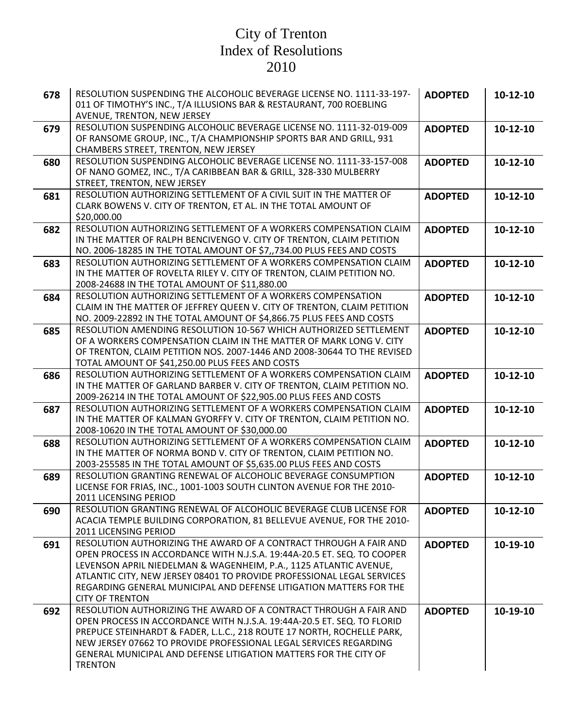| 678 | RESOLUTION SUSPENDING THE ALCOHOLIC BEVERAGE LICENSE NO. 1111-33-197-<br>011 OF TIMOTHY'S INC., T/A ILLUSIONS BAR & RESTAURANT, 700 ROEBLING<br>AVENUE, TRENTON, NEW JERSEY                                                                                                                                                                                                                 | <b>ADOPTED</b> | 10-12-10 |
|-----|---------------------------------------------------------------------------------------------------------------------------------------------------------------------------------------------------------------------------------------------------------------------------------------------------------------------------------------------------------------------------------------------|----------------|----------|
| 679 | RESOLUTION SUSPENDING ALCOHOLIC BEVERAGE LICENSE NO. 1111-32-019-009<br>OF RANSOME GROUP, INC., T/A CHAMPIONSHIP SPORTS BAR AND GRILL, 931<br>CHAMBERS STREET, TRENTON, NEW JERSEY                                                                                                                                                                                                          | <b>ADOPTED</b> | 10-12-10 |
| 680 | RESOLUTION SUSPENDING ALCOHOLIC BEVERAGE LICENSE NO. 1111-33-157-008<br>OF NANO GOMEZ, INC., T/A CARIBBEAN BAR & GRILL, 328-330 MULBERRY<br>STREET, TRENTON, NEW JERSEY                                                                                                                                                                                                                     | <b>ADOPTED</b> | 10-12-10 |
| 681 | RESOLUTION AUTHORIZING SETTLEMENT OF A CIVIL SUIT IN THE MATTER OF<br>CLARK BOWENS V. CITY OF TRENTON, ET AL. IN THE TOTAL AMOUNT OF<br>\$20,000.00                                                                                                                                                                                                                                         | <b>ADOPTED</b> | 10-12-10 |
| 682 | RESOLUTION AUTHORIZING SETTLEMENT OF A WORKERS COMPENSATION CLAIM<br>IN THE MATTER OF RALPH BENCIVENGO V. CITY OF TRENTON, CLAIM PETITION<br>NO. 2006-18285 IN THE TOTAL AMOUNT OF \$7,,734.00 PLUS FEES AND COSTS                                                                                                                                                                          | <b>ADOPTED</b> | 10-12-10 |
| 683 | RESOLUTION AUTHORIZING SETTLEMENT OF A WORKERS COMPENSATION CLAIM<br>IN THE MATTER OF ROVELTA RILEY V. CITY OF TRENTON, CLAIM PETITION NO.<br>2008-24688 IN THE TOTAL AMOUNT OF \$11,880.00                                                                                                                                                                                                 | <b>ADOPTED</b> | 10-12-10 |
| 684 | RESOLUTION AUTHORIZING SETTLEMENT OF A WORKERS COMPENSATION<br>CLAIM IN THE MATTER OF JEFFREY QUEEN V. CITY OF TRENTON, CLAIM PETITION<br>NO. 2009-22892 IN THE TOTAL AMOUNT OF \$4,866.75 PLUS FEES AND COSTS                                                                                                                                                                              | <b>ADOPTED</b> | 10-12-10 |
| 685 | RESOLUTION AMENDING RESOLUTION 10-567 WHICH AUTHORIZED SETTLEMENT<br>OF A WORKERS COMPENSATION CLAIM IN THE MATTER OF MARK LONG V. CITY<br>OF TRENTON, CLAIM PETITION NOS. 2007-1446 AND 2008-30644 TO THE REVISED<br>TOTAL AMOUNT OF \$41,250.00 PLUS FEES AND COSTS                                                                                                                       | <b>ADOPTED</b> | 10-12-10 |
| 686 | RESOLUTION AUTHORIZING SETTLEMENT OF A WORKERS COMPENSATION CLAIM<br>IN THE MATTER OF GARLAND BARBER V. CITY OF TRENTON, CLAIM PETITION NO.<br>2009-26214 IN THE TOTAL AMOUNT OF \$22,905.00 PLUS FEES AND COSTS                                                                                                                                                                            | <b>ADOPTED</b> | 10-12-10 |
| 687 | RESOLUTION AUTHORIZING SETTLEMENT OF A WORKERS COMPENSATION CLAIM<br>IN THE MATTER OF KALMAN GYORFFY V. CITY OF TRENTON, CLAIM PETITION NO.<br>2008-10620 IN THE TOTAL AMOUNT OF \$30,000.00                                                                                                                                                                                                | <b>ADOPTED</b> | 10-12-10 |
| 688 | RESOLUTION AUTHORIZING SETTLEMENT OF A WORKERS COMPENSATION CLAIM<br>IN THE MATTER OF NORMA BOND V. CITY OF TRENTON, CLAIM PETITION NO.<br>2003-255585 IN THE TOTAL AMOUNT OF \$5,635.00 PLUS FEES AND COSTS                                                                                                                                                                                | <b>ADOPTED</b> | 10-12-10 |
| 689 | RESOLUTION GRANTING RENEWAL OF ALCOHOLIC BEVERAGE CONSUMPTION<br>LICENSE FOR FRIAS, INC., 1001-1003 SOUTH CLINTON AVENUE FOR THE 2010-<br>2011 LICENSING PERIOD                                                                                                                                                                                                                             | <b>ADOPTED</b> | 10-12-10 |
| 690 | RESOLUTION GRANTING RENEWAL OF ALCOHOLIC BEVERAGE CLUB LICENSE FOR<br>ACACIA TEMPLE BUILDING CORPORATION, 81 BELLEVUE AVENUE, FOR THE 2010-<br>2011 LICENSING PERIOD                                                                                                                                                                                                                        | <b>ADOPTED</b> | 10-12-10 |
| 691 | RESOLUTION AUTHORIZING THE AWARD OF A CONTRACT THROUGH A FAIR AND<br>OPEN PROCESS IN ACCORDANCE WITH N.J.S.A. 19:44A-20.5 ET. SEQ. TO COOPER<br>LEVENSON APRIL NIEDELMAN & WAGENHEIM, P.A., 1125 ATLANTIC AVENUE,<br>ATLANTIC CITY, NEW JERSEY 08401 TO PROVIDE PROFESSIONAL LEGAL SERVICES<br>REGARDING GENERAL MUNICIPAL AND DEFENSE LITIGATION MATTERS FOR THE<br><b>CITY OF TRENTON</b> | <b>ADOPTED</b> | 10-19-10 |
| 692 | RESOLUTION AUTHORIZING THE AWARD OF A CONTRACT THROUGH A FAIR AND<br>OPEN PROCESS IN ACCORDANCE WITH N.J.S.A. 19:44A-20.5 ET. SEQ. TO FLORID<br>PREPUCE STEINHARDT & FADER, L.L.C., 218 ROUTE 17 NORTH, ROCHELLE PARK,<br>NEW JERSEY 07662 TO PROVIDE PROFESSIONAL LEGAL SERVICES REGARDING<br>GENERAL MUNICIPAL AND DEFENSE LITIGATION MATTERS FOR THE CITY OF<br><b>TRENTON</b>           | <b>ADOPTED</b> | 10-19-10 |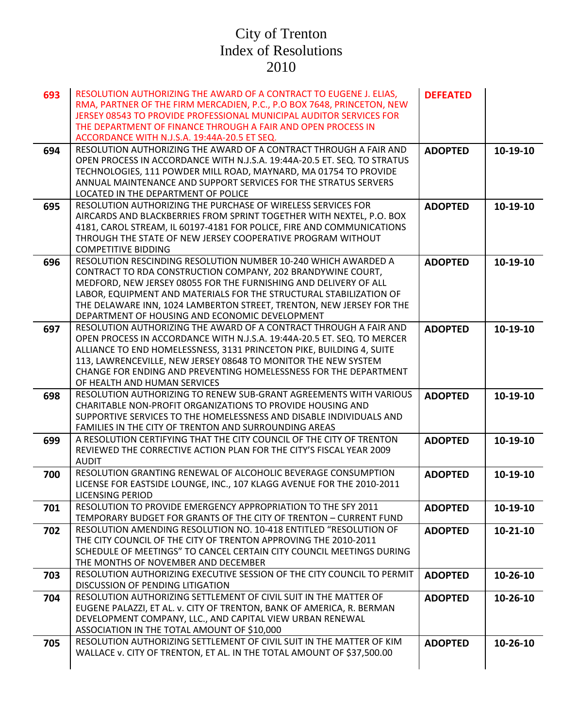| 693 | RESOLUTION AUTHORIZING THE AWARD OF A CONTRACT TO EUGENE J. ELIAS,<br>RMA, PARTNER OF THE FIRM MERCADIEN, P.C., P.O BOX 7648, PRINCETON, NEW<br>JERSEY 08543 TO PROVIDE PROFESSIONAL MUNICIPAL AUDITOR SERVICES FOR<br>THE DEPARTMENT OF FINANCE THROUGH A FAIR AND OPEN PROCESS IN<br>ACCORDANCE WITH N.J.S.A. 19:44A-20.5 ET SEQ.                                                               | <b>DEFEATED</b> |            |
|-----|---------------------------------------------------------------------------------------------------------------------------------------------------------------------------------------------------------------------------------------------------------------------------------------------------------------------------------------------------------------------------------------------------|-----------------|------------|
| 694 | RESOLUTION AUTHORIZING THE AWARD OF A CONTRACT THROUGH A FAIR AND<br>OPEN PROCESS IN ACCORDANCE WITH N.J.S.A. 19:44A-20.5 ET. SEQ. TO STRATUS<br>TECHNOLOGIES, 111 POWDER MILL ROAD, MAYNARD, MA 01754 TO PROVIDE<br>ANNUAL MAINTENANCE AND SUPPORT SERVICES FOR THE STRATUS SERVERS<br>LOCATED IN THE DEPARTMENT OF POLICE                                                                       | <b>ADOPTED</b>  | 10-19-10   |
| 695 | RESOLUTION AUTHORIZING THE PURCHASE OF WIRELESS SERVICES FOR<br>AIRCARDS AND BLACKBERRIES FROM SPRINT TOGETHER WITH NEXTEL, P.O. BOX<br>4181, CAROL STREAM, IL 60197-4181 FOR POLICE, FIRE AND COMMUNICATIONS<br>THROUGH THE STATE OF NEW JERSEY COOPERATIVE PROGRAM WITHOUT<br><b>COMPETITIVE BIDDING</b>                                                                                        | <b>ADOPTED</b>  | 10-19-10   |
| 696 | RESOLUTION RESCINDING RESOLUTION NUMBER 10-240 WHICH AWARDED A<br>CONTRACT TO RDA CONSTRUCTION COMPANY, 202 BRANDYWINE COURT,<br>MEDFORD, NEW JERSEY 08055 FOR THE FURNISHING AND DELIVERY OF ALL<br>LABOR, EQUIPMENT AND MATERIALS FOR THE STRUCTURAL STABILIZATION OF<br>THE DELAWARE INN, 1024 LAMBERTON STREET, TRENTON, NEW JERSEY FOR THE<br>DEPARTMENT OF HOUSING AND ECONOMIC DEVELOPMENT | <b>ADOPTED</b>  | 10-19-10   |
| 697 | RESOLUTION AUTHORIZING THE AWARD OF A CONTRACT THROUGH A FAIR AND<br>OPEN PROCESS IN ACCORDANCE WITH N.J.S.A. 19:44A-20.5 ET. SEQ. TO MERCER<br>ALLIANCE TO END HOMELESSNESS, 3131 PRINCETON PIKE, BUILDING 4, SUITE<br>113, LAWRENCEVILLE, NEW JERSEY 08648 TO MONITOR THE NEW SYSTEM<br>CHANGE FOR ENDING AND PREVENTING HOMELESSNESS FOR THE DEPARTMENT<br>OF HEALTH AND HUMAN SERVICES        | <b>ADOPTED</b>  | 10-19-10   |
| 698 | RESOLUTION AUTHORIZING TO RENEW SUB-GRANT AGREEMENTS WITH VARIOUS<br><b>CHARITABLE NON-PROFIT ORGANIZATIONS TO PROVIDE HOUSING AND</b><br>SUPPORTIVE SERVICES TO THE HOMELESSNESS AND DISABLE INDIVIDUALS AND<br>FAMILIES IN THE CITY OF TRENTON AND SURROUNDING AREAS                                                                                                                            | <b>ADOPTED</b>  | 10-19-10   |
| 699 | A RESOLUTION CERTIFYING THAT THE CITY COUNCIL OF THE CITY OF TRENTON<br>REVIEWED THE CORRECTIVE ACTION PLAN FOR THE CITY'S FISCAL YEAR 2009<br><b>AUDIT</b>                                                                                                                                                                                                                                       | <b>ADOPTED</b>  | 10-19-10   |
| 700 | RESOLUTION GRANTING RENEWAL OF ALCOHOLIC BEVERAGE CONSUMPTION<br>LICENSE FOR EASTSIDE LOUNGE, INC., 107 KLAGG AVENUE FOR THE 2010-2011<br>LICENSING PERIOD                                                                                                                                                                                                                                        | <b>ADOPTED</b>  | 10-19-10   |
| 701 | RESOLUTION TO PROVIDE EMERGENCY APPROPRIATION TO THE SFY 2011<br>TEMPORARY BUDGET FOR GRANTS OF THE CITY OF TRENTON - CURRENT FUND                                                                                                                                                                                                                                                                | <b>ADOPTED</b>  | 10-19-10   |
| 702 | RESOLUTION AMENDING RESOLUTION NO. 10-418 ENTITLED "RESOLUTION OF<br>THE CITY COUNCIL OF THE CITY OF TRENTON APPROVING THE 2010-2011<br>SCHEDULE OF MEETINGS" TO CANCEL CERTAIN CITY COUNCIL MEETINGS DURING<br>THE MONTHS OF NOVEMBER AND DECEMBER                                                                                                                                               | <b>ADOPTED</b>  | $10-21-10$ |
| 703 | RESOLUTION AUTHORIZING EXECUTIVE SESSION OF THE CITY COUNCIL TO PERMIT<br>DISCUSSION OF PENDING LITIGATION                                                                                                                                                                                                                                                                                        | <b>ADOPTED</b>  | 10-26-10   |
| 704 | RESOLUTION AUTHORIZING SETTLEMENT OF CIVIL SUIT IN THE MATTER OF<br>EUGENE PALAZZI, ET AL. v. CITY OF TRENTON, BANK OF AMERICA, R. BERMAN<br>DEVELOPMENT COMPANY, LLC., AND CAPITAL VIEW URBAN RENEWAL<br>ASSOCIATION IN THE TOTAL AMOUNT OF \$10,000                                                                                                                                             | <b>ADOPTED</b>  | 10-26-10   |
| 705 | RESOLUTION AUTHORIZING SETTLEMENT OF CIVIL SUIT IN THE MATTER OF KIM<br>WALLACE v. CITY OF TRENTON, ET AL. IN THE TOTAL AMOUNT OF \$37,500.00                                                                                                                                                                                                                                                     | <b>ADOPTED</b>  | 10-26-10   |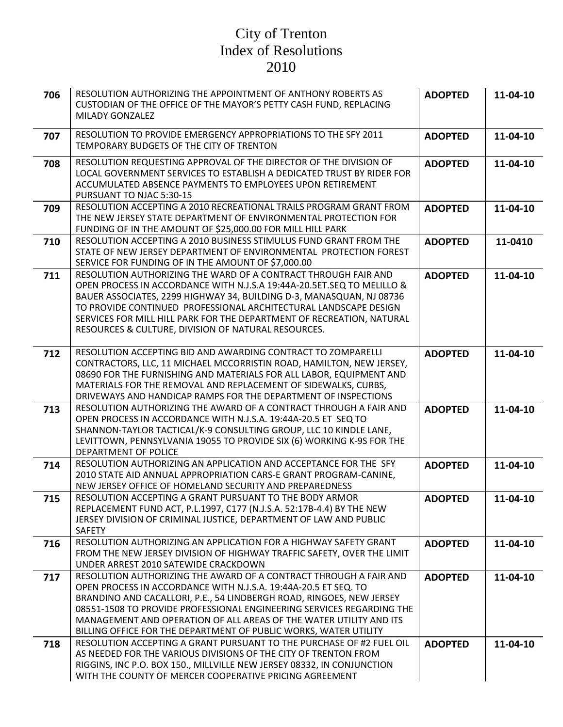| 706 | RESOLUTION AUTHORIZING THE APPOINTMENT OF ANTHONY ROBERTS AS<br>CUSTODIAN OF THE OFFICE OF THE MAYOR'S PETTY CASH FUND, REPLACING<br><b>MILADY GONZALEZ</b>                                                                                                                                                                                                                                                                     | <b>ADOPTED</b> | 11-04-10 |
|-----|---------------------------------------------------------------------------------------------------------------------------------------------------------------------------------------------------------------------------------------------------------------------------------------------------------------------------------------------------------------------------------------------------------------------------------|----------------|----------|
| 707 | RESOLUTION TO PROVIDE EMERGENCY APPROPRIATIONS TO THE SFY 2011<br>TEMPORARY BUDGETS OF THE CITY OF TRENTON                                                                                                                                                                                                                                                                                                                      | <b>ADOPTED</b> | 11-04-10 |
| 708 | RESOLUTION REQUESTING APPROVAL OF THE DIRECTOR OF THE DIVISION OF<br>LOCAL GOVERNMENT SERVICES TO ESTABLISH A DEDICATED TRUST BY RIDER FOR<br>ACCUMULATED ABSENCE PAYMENTS TO EMPLOYEES UPON RETIREMENT<br>PURSUANT TO NJAC 5:30-15                                                                                                                                                                                             | <b>ADOPTED</b> | 11-04-10 |
| 709 | RESOLUTION ACCEPTING A 2010 RECREATIONAL TRAILS PROGRAM GRANT FROM<br>THE NEW JERSEY STATE DEPARTMENT OF ENVIRONMENTAL PROTECTION FOR<br>FUNDING OF IN THE AMOUNT OF \$25,000.00 FOR MILL HILL PARK                                                                                                                                                                                                                             | <b>ADOPTED</b> | 11-04-10 |
| 710 | RESOLUTION ACCEPTING A 2010 BUSINESS STIMULUS FUND GRANT FROM THE<br>STATE OF NEW JERSEY DEPARTMENT OF ENVIRONMENTAL PROTECTION FOREST<br>SERVICE FOR FUNDING OF IN THE AMOUNT OF \$7,000.00                                                                                                                                                                                                                                    | <b>ADOPTED</b> | 11-0410  |
| 711 | RESOLUTION AUTHORIZING THE WARD OF A CONTRACT THROUGH FAIR AND<br>OPEN PROCESS IN ACCORDANCE WITH N.J.S.A 19:44A-20.5ET.SEQ TO MELILLO &<br>BAUER ASSOCIATES, 2299 HIGHWAY 34, BUILDING D-3, MANASQUAN, NJ 08736<br>TO PROVIDE CONTINUED PROFESSIONAL ARCHITECTURAL LANDSCAPE DESIGN<br>SERVICES FOR MILL HILL PARK FOR THE DEPARTMENT OF RECREATION, NATURAL<br>RESOURCES & CULTURE, DIVISION OF NATURAL RESOURCES.            | <b>ADOPTED</b> | 11-04-10 |
| 712 | RESOLUTION ACCEPTING BID AND AWARDING CONTRACT TO ZOMPARELLI<br>CONTRACTORS, LLC, 11 MICHAEL MCCORRISTIN ROAD, HAMILTON, NEW JERSEY,<br>08690 FOR THE FURNISHING AND MATERIALS FOR ALL LABOR, EQUIPMENT AND<br>MATERIALS FOR THE REMOVAL AND REPLACEMENT OF SIDEWALKS, CURBS,<br>DRIVEWAYS AND HANDICAP RAMPS FOR THE DEPARTMENT OF INSPECTIONS                                                                                 | <b>ADOPTED</b> | 11-04-10 |
| 713 | RESOLUTION AUTHORIZING THE AWARD OF A CONTRACT THROUGH A FAIR AND<br>OPEN PROCESS IN ACCORDANCE WITH N.J.S.A. 19:44A-20.5 ET SEQ TO<br>SHANNON-TAYLOR TACTICAL/K-9 CONSULTING GROUP, LLC 10 KINDLE LANE,<br>LEVITTOWN, PENNSYLVANIA 19055 TO PROVIDE SIX (6) WORKING K-9S FOR THE<br>DEPARTMENT OF POLICE                                                                                                                       | <b>ADOPTED</b> | 11-04-10 |
| 714 | RESOLUTION AUTHORIZING AN APPLICATION AND ACCEPTANCE FOR THE SFY<br>2010 STATE AID ANNUAL APPROPRIATION CARS-E GRANT PROGRAM-CANINE,<br>NEW JERSEY OFFICE OF HOMELAND SECURITY AND PREPAREDNESS                                                                                                                                                                                                                                 | <b>ADOPTED</b> | 11-04-10 |
| 715 | RESOLUTION ACCEPTING A GRANT PURSUANT TO THE BODY ARMOR<br>REPLACEMENT FUND ACT, P.L.1997, C177 (N.J.S.A. 52:17B-4.4) BY THE NEW<br>JERSEY DIVISION OF CRIMINAL JUSTICE, DEPARTMENT OF LAW AND PUBLIC<br>SAFETY                                                                                                                                                                                                                 | <b>ADOPTED</b> | 11-04-10 |
| 716 | RESOLUTION AUTHORIZING AN APPLICATION FOR A HIGHWAY SAFETY GRANT<br>FROM THE NEW JERSEY DIVISION OF HIGHWAY TRAFFIC SAFETY, OVER THE LIMIT<br>UNDER ARREST 2010 SATEWIDE CRACKDOWN                                                                                                                                                                                                                                              | <b>ADOPTED</b> | 11-04-10 |
| 717 | RESOLUTION AUTHORIZING THE AWARD OF A CONTRACT THROUGH A FAIR AND<br>OPEN PROCESS IN ACCORDANCE WITH N.J.S.A. 19:44A-20.5 ET SEQ. TO<br>BRANDINO AND CACALLORI, P.E., 54 LINDBERGH ROAD, RINGOES, NEW JERSEY<br>08551-1508 TO PROVIDE PROFESSIONAL ENGINEERING SERVICES REGARDING THE<br>MANAGEMENT AND OPERATION OF ALL AREAS OF THE WATER UTILITY AND ITS<br>BILLING OFFICE FOR THE DEPARTMENT OF PUBLIC WORKS, WATER UTILITY | <b>ADOPTED</b> | 11-04-10 |
| 718 | RESOLUTION ACCEPTING A GRANT PURSUANT TO THE PURCHASE OF #2 FUEL OIL<br>AS NEEDED FOR THE VARIOUS DIVISIONS OF THE CITY OF TRENTON FROM<br>RIGGINS, INC P.O. BOX 150., MILLVILLE NEW JERSEY 08332, IN CONJUNCTION<br>WITH THE COUNTY OF MERCER COOPERATIVE PRICING AGREEMENT                                                                                                                                                    | <b>ADOPTED</b> | 11-04-10 |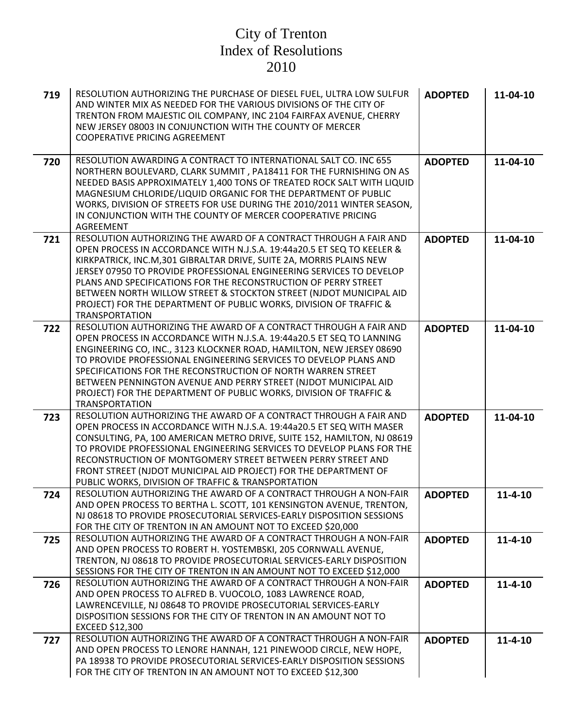| 719 | RESOLUTION AUTHORIZING THE PURCHASE OF DIESEL FUEL, ULTRA LOW SULFUR<br>AND WINTER MIX AS NEEDED FOR THE VARIOUS DIVISIONS OF THE CITY OF<br>TRENTON FROM MAJESTIC OIL COMPANY, INC 2104 FAIRFAX AVENUE, CHERRY<br>NEW JERSEY 08003 IN CONJUNCTION WITH THE COUNTY OF MERCER<br><b>COOPERATIVE PRICING AGREEMENT</b>                                                                                                                                                                                                                | <b>ADOPTED</b> | 11-04-10      |
|-----|-------------------------------------------------------------------------------------------------------------------------------------------------------------------------------------------------------------------------------------------------------------------------------------------------------------------------------------------------------------------------------------------------------------------------------------------------------------------------------------------------------------------------------------|----------------|---------------|
| 720 | RESOLUTION AWARDING A CONTRACT TO INTERNATIONAL SALT CO. INC 655<br>NORTHERN BOULEVARD, CLARK SUMMIT, PA18411 FOR THE FURNISHING ON AS<br>NEEDED BASIS APPROXIMATELY 1,400 TONS OF TREATED ROCK SALT WITH LIQUID<br>MAGNESIUM CHLORIDE/LIQUID ORGANIC FOR THE DEPARTMENT OF PUBLIC<br>WORKS, DIVISION OF STREETS FOR USE DURING THE 2010/2011 WINTER SEASON,<br>IN CONJUNCTION WITH THE COUNTY OF MERCER COOPERATIVE PRICING<br><b>AGREEMENT</b>                                                                                    | <b>ADOPTED</b> | 11-04-10      |
| 721 | RESOLUTION AUTHORIZING THE AWARD OF A CONTRACT THROUGH A FAIR AND<br>OPEN PROCESS IN ACCORDANCE WITH N.J.S.A. 19:44a20.5 ET SEQ TO KEELER &<br>KIRKPATRICK, INC.M, 301 GIBRALTAR DRIVE, SUITE 2A, MORRIS PLAINS NEW<br>JERSEY 07950 TO PROVIDE PROFESSIONAL ENGINEERING SERVICES TO DEVELOP<br>PLANS AND SPECIFICATIONS FOR THE RECONSTRUCTION OF PERRY STREET<br>BETWEEN NORTH WILLOW STREET & STOCKTON STREET (NJDOT MUNICIPAL AID<br>PROJECT) FOR THE DEPARTMENT OF PUBLIC WORKS, DIVISION OF TRAFFIC &<br><b>TRANSPORTATION</b> | <b>ADOPTED</b> | 11-04-10      |
| 722 | RESOLUTION AUTHORIZING THE AWARD OF A CONTRACT THROUGH A FAIR AND<br>OPEN PROCESS IN ACCORDANCE WITH N.J.S.A. 19:44a20.5 ET SEQ TO LANNING<br>ENGINEERING CO, INC., 3123 KLOCKNER ROAD, HAMILTON, NEW JERSEY 08690<br>TO PROVIDE PROFESSIONAL ENGINEERING SERVICES TO DEVELOP PLANS AND<br>SPECIFICATIONS FOR THE RECONSTRUCTION OF NORTH WARREN STREET<br>BETWEEN PENNINGTON AVENUE AND PERRY STREET (NJDOT MUNICIPAL AID<br>PROJECT) FOR THE DEPARTMENT OF PUBLIC WORKS, DIVISION OF TRAFFIC &<br><b>TRANSPORTATION</b>           | <b>ADOPTED</b> | 11-04-10      |
| 723 | RESOLUTION AUTHORIZING THE AWARD OF A CONTRACT THROUGH A FAIR AND<br>OPEN PROCESS IN ACCORDANCE WITH N.J.S.A. 19:44a20.5 ET SEQ WITH MASER<br>CONSULTING, PA, 100 AMERICAN METRO DRIVE, SUITE 152, HAMILTON, NJ 08619<br>TO PROVIDE PROFESSIONAL ENGINEERING SERVICES TO DEVELOP PLANS FOR THE<br>RECONSTRUCTION OF MONTGOMERY STREET BETWEEN PERRY STREET AND<br>FRONT STREET (NJDOT MUNICIPAL AID PROJECT) FOR THE DEPARTMENT OF<br>PUBLIC WORKS, DIVISION OF TRAFFIC & TRANSPORTATION                                            | <b>ADOPTED</b> | 11-04-10      |
| 724 | RESOLUTION AUTHORIZING THE AWARD OF A CONTRACT THROUGH A NON-FAIR<br>AND OPEN PROCESS TO BERTHA L. SCOTT, 101 KENSINGTON AVENUE, TRENTON,<br>NJ 08618 TO PROVIDE PROSECUTORIAL SERVICES-EARLY DISPOSITION SESSIONS<br>FOR THE CITY OF TRENTON IN AN AMOUNT NOT TO EXCEED \$20,000                                                                                                                                                                                                                                                   | <b>ADOPTED</b> | $11 - 4 - 10$ |
| 725 | RESOLUTION AUTHORIZING THE AWARD OF A CONTRACT THROUGH A NON-FAIR<br>AND OPEN PROCESS TO ROBERT H. YOSTEMBSKI, 205 CORNWALL AVENUE,<br>TRENTON, NJ 08618 TO PROVIDE PROSECUTORIAL SERVICES-EARLY DISPOSITION<br>SESSIONS FOR THE CITY OF TRENTON IN AN AMOUNT NOT TO EXCEED \$12,000                                                                                                                                                                                                                                                | <b>ADOPTED</b> | $11 - 4 - 10$ |
| 726 | RESOLUTION AUTHORIZING THE AWARD OF A CONTRACT THROUGH A NON-FAIR<br>AND OPEN PROCESS TO ALFRED B. VUOCOLO, 1083 LAWRENCE ROAD,<br>LAWRENCEVILLE, NJ 08648 TO PROVIDE PROSECUTORIAL SERVICES-EARLY<br>DISPOSITION SESSIONS FOR THE CITY OF TRENTON IN AN AMOUNT NOT TO<br>EXCEED \$12,300                                                                                                                                                                                                                                           | <b>ADOPTED</b> | $11 - 4 - 10$ |
| 727 | RESOLUTION AUTHORIZING THE AWARD OF A CONTRACT THROUGH A NON-FAIR<br>AND OPEN PROCESS TO LENORE HANNAH, 121 PINEWOOD CIRCLE, NEW HOPE,<br>PA 18938 TO PROVIDE PROSECUTORIAL SERVICES-EARLY DISPOSITION SESSIONS<br>FOR THE CITY OF TRENTON IN AN AMOUNT NOT TO EXCEED \$12,300                                                                                                                                                                                                                                                      | <b>ADOPTED</b> | $11 - 4 - 10$ |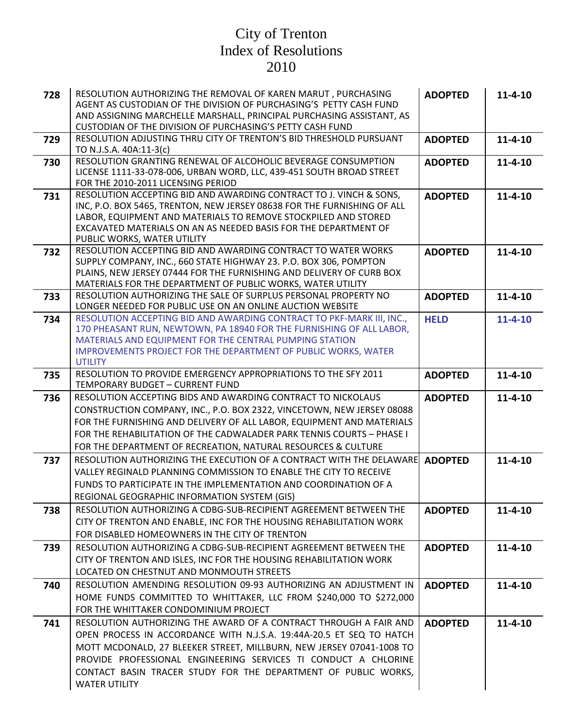| 728 | RESOLUTION AUTHORIZING THE REMOVAL OF KAREN MARUT, PURCHASING<br>AGENT AS CUSTODIAN OF THE DIVISION OF PURCHASING'S PETTY CASH FUND<br>AND ASSIGNING MARCHELLE MARSHALL, PRINCIPAL PURCHASING ASSISTANT, AS<br>CUSTODIAN OF THE DIVISION OF PURCHASING'S PETTY CASH FUND                                                                                                       | <b>ADOPTED</b> | $11 - 4 - 10$ |
|-----|--------------------------------------------------------------------------------------------------------------------------------------------------------------------------------------------------------------------------------------------------------------------------------------------------------------------------------------------------------------------------------|----------------|---------------|
| 729 | RESOLUTION ADJUSTING THRU CITY OF TRENTON'S BID THRESHOLD PURSUANT<br>TO N.J.S.A. 40A:11-3(c)                                                                                                                                                                                                                                                                                  | <b>ADOPTED</b> | $11 - 4 - 10$ |
| 730 | RESOLUTION GRANTING RENEWAL OF ALCOHOLIC BEVERAGE CONSUMPTION<br>LICENSE 1111-33-078-006, URBAN WORD, LLC, 439-451 SOUTH BROAD STREET<br>FOR THE 2010-2011 LICENSING PERIOD                                                                                                                                                                                                    | <b>ADOPTED</b> | $11 - 4 - 10$ |
| 731 | RESOLUTION ACCEPTING BID AND AWARDING CONTRACT TO J. VINCH & SONS,<br>INC, P.O. BOX 5465, TRENTON, NEW JERSEY 08638 FOR THE FURNISHING OF ALL<br>LABOR, EQUIPMENT AND MATERIALS TO REMOVE STOCKPILED AND STORED<br>EXCAVATED MATERIALS ON AN AS NEEDED BASIS FOR THE DEPARTMENT OF<br>PUBLIC WORKS, WATER UTILITY                                                              | <b>ADOPTED</b> | $11 - 4 - 10$ |
| 732 | RESOLUTION ACCEPTING BID AND AWARDING CONTRACT TO WATER WORKS<br>SUPPLY COMPANY, INC., 660 STATE HIGHWAY 23. P.O. BOX 306, POMPTON<br>PLAINS, NEW JERSEY 07444 FOR THE FURNISHING AND DELIVERY OF CURB BOX<br>MATERIALS FOR THE DEPARTMENT OF PUBLIC WORKS, WATER UTILITY                                                                                                      | <b>ADOPTED</b> | $11 - 4 - 10$ |
| 733 | RESOLUTION AUTHORIZING THE SALE OF SURPLUS PERSONAL PROPERTY NO<br>LONGER NEEDED FOR PUBLIC USE ON AN ONLINE AUCTION WEBSITE                                                                                                                                                                                                                                                   | <b>ADOPTED</b> | $11 - 4 - 10$ |
| 734 | RESOLUTION ACCEPTING BID AND AWARDING CONTRACT TO PKF-MARK III, INC.,<br>170 PHEASANT RUN, NEWTOWN, PA 18940 FOR THE FURNISHING OF ALL LABOR,<br>MATERIALS AND EQUIPMENT FOR THE CENTRAL PUMPING STATION<br>IMPROVEMENTS PROJECT FOR THE DEPARTMENT OF PUBLIC WORKS, WATER<br><b>UTILITY</b>                                                                                   | <b>HELD</b>    | $11 - 4 - 10$ |
| 735 | RESOLUTION TO PROVIDE EMERGENCY APPROPRIATIONS TO THE SFY 2011<br>TEMPORARY BUDGET - CURRENT FUND                                                                                                                                                                                                                                                                              | <b>ADOPTED</b> | $11 - 4 - 10$ |
| 736 | RESOLUTION ACCEPTING BIDS AND AWARDING CONTRACT TO NICKOLAUS<br>CONSTRUCTION COMPANY, INC., P.O. BOX 2322, VINCETOWN, NEW JERSEY 08088<br>FOR THE FURNISHING AND DELIVERY OF ALL LABOR, EQUIPMENT AND MATERIALS<br>FOR THE REHABILITATION OF THE CADWALADER PARK TENNIS COURTS - PHASE I<br>FOR THE DEPARTMENT OF RECREATION, NATURAL RESOURCES & CULTURE                      | <b>ADOPTED</b> | $11 - 4 - 10$ |
| 737 | RESOLUTION AUTHORIZING THE EXECUTION OF A CONTRACT WITH THE DELAWARE<br>VALLEY REGINALD PLANNING COMMISSION TO ENABLE THE CITY TO RECEIVE<br>FUNDS TO PARTICIPATE IN THE IMPLEMENTATION AND COORDINATION OF A<br>REGIONAL GEOGRAPHIC INFORMATION SYSTEM (GIS)                                                                                                                  | <b>ADOPTED</b> | $11 - 4 - 10$ |
| 738 | RESOLUTION AUTHORIZING A CDBG-SUB-RECIPIENT AGREEMENT BETWEEN THE<br>CITY OF TRENTON AND ENABLE, INC FOR THE HOUSING REHABILITATION WORK<br>FOR DISABLED HOMEOWNERS IN THE CITY OF TRENTON                                                                                                                                                                                     | <b>ADOPTED</b> | $11 - 4 - 10$ |
| 739 | RESOLUTION AUTHORIZING A CDBG-SUB-RECIPIENT AGREEMENT BETWEEN THE<br>CITY OF TRENTON AND ISLES, INC FOR THE HOUSING REHABILITATION WORK<br>LOCATED ON CHESTNUT AND MONMOUTH STREETS                                                                                                                                                                                            | <b>ADOPTED</b> | $11 - 4 - 10$ |
| 740 | RESOLUTION AMENDING RESOLUTION 09-93 AUTHORIZING AN ADJUSTMENT IN<br>HOME FUNDS COMMITTED TO WHITTAKER, LLC FROM \$240,000 TO \$272,000<br>FOR THE WHITTAKER CONDOMINIUM PROJECT                                                                                                                                                                                               | <b>ADOPTED</b> | $11 - 4 - 10$ |
| 741 | RESOLUTION AUTHORIZING THE AWARD OF A CONTRACT THROUGH A FAIR AND<br>OPEN PROCESS IN ACCORDANCE WITH N.J.S.A. 19:44A-20.5 ET SEQ TO HATCH<br>MOTT MCDONALD, 27 BLEEKER STREET, MILLBURN, NEW JERSEY 07041-1008 TO<br>PROVIDE PROFESSIONAL ENGINEERING SERVICES TI CONDUCT A CHLORINE<br>CONTACT BASIN TRACER STUDY FOR THE DEPARTMENT OF PUBLIC WORKS,<br><b>WATER UTILITY</b> | <b>ADOPTED</b> | $11 - 4 - 10$ |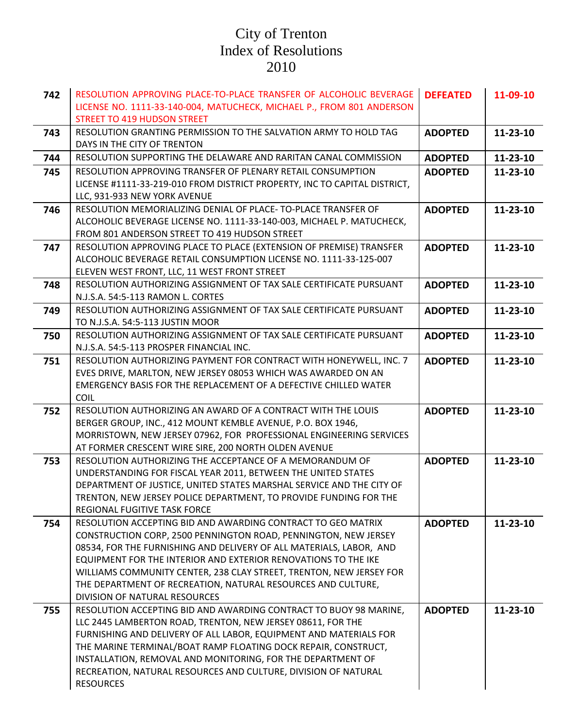| 742 | RESOLUTION APPROVING PLACE-TO-PLACE TRANSFER OF ALCOHOLIC BEVERAGE                                                        | <b>DEFEATED</b> | 11-09-10 |
|-----|---------------------------------------------------------------------------------------------------------------------------|-----------------|----------|
|     | LICENSE NO. 1111-33-140-004, MATUCHECK, MICHAEL P., FROM 801 ANDERSON<br><b>STREET TO 419 HUDSON STREET</b>               |                 |          |
| 743 | RESOLUTION GRANTING PERMISSION TO THE SALVATION ARMY TO HOLD TAG                                                          | <b>ADOPTED</b>  | 11-23-10 |
|     | DAYS IN THE CITY OF TRENTON                                                                                               |                 |          |
| 744 | RESOLUTION SUPPORTING THE DELAWARE AND RARITAN CANAL COMMISSION                                                           | <b>ADOPTED</b>  | 11-23-10 |
| 745 | RESOLUTION APPROVING TRANSFER OF PLENARY RETAIL CONSUMPTION                                                               | <b>ADOPTED</b>  | 11-23-10 |
|     | LICENSE #1111-33-219-010 FROM DISTRICT PROPERTY, INC TO CAPITAL DISTRICT,                                                 |                 |          |
|     | LLC, 931-933 NEW YORK AVENUE                                                                                              |                 |          |
| 746 | RESOLUTION MEMORIALIZING DENIAL OF PLACE-TO-PLACE TRANSFER OF                                                             | <b>ADOPTED</b>  | 11-23-10 |
|     | ALCOHOLIC BEVERAGE LICENSE NO. 1111-33-140-003, MICHAEL P. MATUCHECK,                                                     |                 |          |
|     | FROM 801 ANDERSON STREET TO 419 HUDSON STREET                                                                             |                 |          |
| 747 | RESOLUTION APPROVING PLACE TO PLACE (EXTENSION OF PREMISE) TRANSFER                                                       | <b>ADOPTED</b>  | 11-23-10 |
|     | ALCOHOLIC BEVERAGE RETAIL CONSUMPTION LICENSE NO. 1111-33-125-007                                                         |                 |          |
|     | ELEVEN WEST FRONT, LLC, 11 WEST FRONT STREET                                                                              |                 |          |
| 748 | RESOLUTION AUTHORIZING ASSIGNMENT OF TAX SALE CERTIFICATE PURSUANT                                                        | <b>ADOPTED</b>  | 11-23-10 |
|     | N.J.S.A. 54:5-113 RAMON L. CORTES<br>RESOLUTION AUTHORIZING ASSIGNMENT OF TAX SALE CERTIFICATE PURSUANT                   | <b>ADOPTED</b>  |          |
| 749 | TO N.J.S.A. 54:5-113 JUSTIN MOOR                                                                                          |                 | 11-23-10 |
| 750 | RESOLUTION AUTHORIZING ASSIGNMENT OF TAX SALE CERTIFICATE PURSUANT                                                        | <b>ADOPTED</b>  | 11-23-10 |
|     | N.J.S.A. 54:5-113 PROSPER FINANCIAL INC.                                                                                  |                 |          |
| 751 | RESOLUTION AUTHORIZING PAYMENT FOR CONTRACT WITH HONEYWELL, INC. 7                                                        | <b>ADOPTED</b>  | 11-23-10 |
|     | EVES DRIVE, MARLTON, NEW JERSEY 08053 WHICH WAS AWARDED ON AN                                                             |                 |          |
|     | <b>EMERGENCY BASIS FOR THE REPLACEMENT OF A DEFECTIVE CHILLED WATER</b>                                                   |                 |          |
|     | COIL                                                                                                                      |                 |          |
| 752 | RESOLUTION AUTHORIZING AN AWARD OF A CONTRACT WITH THE LOUIS                                                              | <b>ADOPTED</b>  | 11-23-10 |
|     | BERGER GROUP, INC., 412 MOUNT KEMBLE AVENUE, P.O. BOX 1946,                                                               |                 |          |
|     | MORRISTOWN, NEW JERSEY 07962, FOR PROFESSIONAL ENGINEERING SERVICES                                                       |                 |          |
|     | AT FORMER CRESCENT WIRE SIRE, 200 NORTH OLDEN AVENUE                                                                      |                 |          |
| 753 | RESOLUTION AUTHORIZING THE ACCEPTANCE OF A MEMORANDUM OF<br>UNDERSTANDING FOR FISCAL YEAR 2011, BETWEEN THE UNITED STATES | <b>ADOPTED</b>  | 11-23-10 |
|     | DEPARTMENT OF JUSTICE, UNITED STATES MARSHAL SERVICE AND THE CITY OF                                                      |                 |          |
|     | TRENTON, NEW JERSEY POLICE DEPARTMENT, TO PROVIDE FUNDING FOR THE                                                         |                 |          |
|     | REGIONAL FUGITIVE TASK FORCE                                                                                              |                 |          |
| 754 | RESOLUTION ACCEPTING BID AND AWARDING CONTRACT TO GEO MATRIX                                                              | <b>ADOPTED</b>  | 11-23-10 |
|     | CONSTRUCTION CORP, 2500 PENNINGTON ROAD, PENNINGTON, NEW JERSEY                                                           |                 |          |
|     | 08534, FOR THE FURNISHING AND DELIVERY OF ALL MATERIALS, LABOR, AND                                                       |                 |          |
|     | EQUIPMENT FOR THE INTERIOR AND EXTERIOR RENOVATIONS TO THE IKE                                                            |                 |          |
|     | WILLIAMS COMMUNITY CENTER, 238 CLAY STREET, TRENTON, NEW JERSEY FOR                                                       |                 |          |
|     | THE DEPARTMENT OF RECREATION, NATURAL RESOURCES AND CULTURE,                                                              |                 |          |
|     | DIVISION OF NATURAL RESOURCES<br>RESOLUTION ACCEPTING BID AND AWARDING CONTRACT TO BUOY 98 MARINE,                        |                 |          |
| 755 | LLC 2445 LAMBERTON ROAD, TRENTON, NEW JERSEY 08611, FOR THE                                                               | <b>ADOPTED</b>  | 11-23-10 |
|     | FURNISHING AND DELIVERY OF ALL LABOR, EQUIPMENT AND MATERIALS FOR                                                         |                 |          |
|     | THE MARINE TERMINAL/BOAT RAMP FLOATING DOCK REPAIR, CONSTRUCT,                                                            |                 |          |
|     | INSTALLATION, REMOVAL AND MONITORING, FOR THE DEPARTMENT OF                                                               |                 |          |
|     | RECREATION, NATURAL RESOURCES AND CULTURE, DIVISION OF NATURAL                                                            |                 |          |
|     | <b>RESOURCES</b>                                                                                                          |                 |          |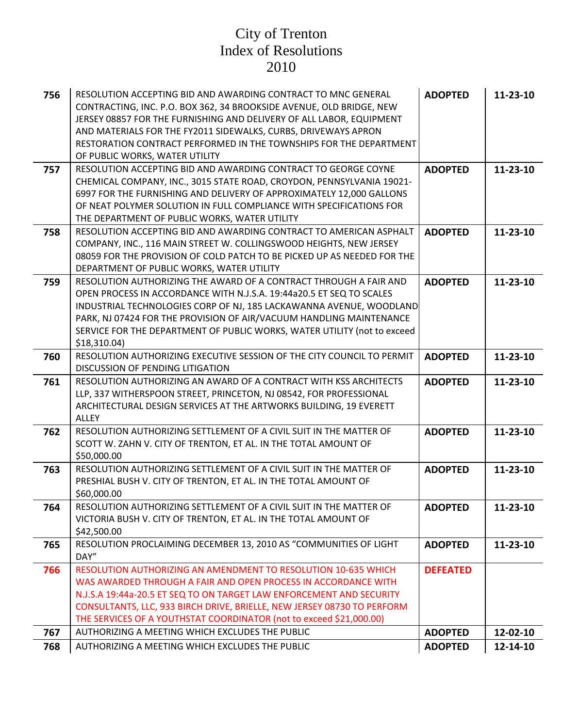| 756 | RESOLUTION ACCEPTING BID AND AWARDING CONTRACT TO MNC GENERAL<br>CONTRACTING, INC. P.O. BOX 362, 34 BROOKSIDE AVENUE, OLD BRIDGE, NEW<br>JERSEY 08857 FOR THE FURNISHING AND DELIVERY OF ALL LABOR, EQUIPMENT<br>AND MATERIALS FOR THE FY2011 SIDEWALKS, CURBS, DRIVEWAYS APRON<br>RESTORATION CONTRACT PERFORMED IN THE TOWNSHIPS FOR THE DEPARTMENT<br>OF PUBLIC WORKS, WATER UTILITY | <b>ADOPTED</b>  | 11-23-10 |
|-----|-----------------------------------------------------------------------------------------------------------------------------------------------------------------------------------------------------------------------------------------------------------------------------------------------------------------------------------------------------------------------------------------|-----------------|----------|
| 757 | RESOLUTION ACCEPTING BID AND AWARDING CONTRACT TO GEORGE COYNE<br>CHEMICAL COMPANY, INC., 3015 STATE ROAD, CROYDON, PENNSYLVANIA 19021-<br>6997 FOR THE FURNISHING AND DELIVERY OF APPROXIMATELY 12,000 GALLONS<br>OF NEAT POLYMER SOLUTION IN FULL COMPLIANCE WITH SPECIFICATIONS FOR<br>THE DEPARTMENT OF PUBLIC WORKS, WATER UTILITY                                                 | <b>ADOPTED</b>  | 11-23-10 |
| 758 | RESOLUTION ACCEPTING BID AND AWARDING CONTRACT TO AMERICAN ASPHALT<br>COMPANY, INC., 116 MAIN STREET W. COLLINGSWOOD HEIGHTS, NEW JERSEY<br>08059 FOR THE PROVISION OF COLD PATCH TO BE PICKED UP AS NEEDED FOR THE<br>DEPARTMENT OF PUBLIC WORKS, WATER UTILITY                                                                                                                        | <b>ADOPTED</b>  | 11-23-10 |
| 759 | RESOLUTION AUTHORIZING THE AWARD OF A CONTRACT THROUGH A FAIR AND<br>OPEN PROCESS IN ACCORDANCE WITH N.J.S.A. 19:44a20.5 ET SEQ TO SCALES<br>INDUSTRIAL TECHNOLOGIES CORP OF NJ, 185 LACKAWANNA AVENUE, WOODLAND<br>PARK, NJ 07424 FOR THE PROVISION OF AIR/VACUUM HANDLING MAINTENANCE<br>SERVICE FOR THE DEPARTMENT OF PUBLIC WORKS, WATER UTILITY (not to exceed<br>\$18,310.04\$    | <b>ADOPTED</b>  | 11-23-10 |
| 760 | RESOLUTION AUTHORIZING EXECUTIVE SESSION OF THE CITY COUNCIL TO PERMIT<br>DISCUSSION OF PENDING LITIGATION                                                                                                                                                                                                                                                                              | <b>ADOPTED</b>  | 11-23-10 |
| 761 | RESOLUTION AUTHORIZING AN AWARD OF A CONTRACT WITH KSS ARCHITECTS<br>LLP, 337 WITHERSPOON STREET, PRINCETON, NJ 08542, FOR PROFESSIONAL<br>ARCHITECTURAL DESIGN SERVICES AT THE ARTWORKS BUILDING, 19 EVERETT<br>ALLEY                                                                                                                                                                  | <b>ADOPTED</b>  | 11-23-10 |
| 762 | RESOLUTION AUTHORIZING SETTLEMENT OF A CIVIL SUIT IN THE MATTER OF<br>SCOTT W. ZAHN V. CITY OF TRENTON, ET AL. IN THE TOTAL AMOUNT OF<br>\$50,000.00                                                                                                                                                                                                                                    | <b>ADOPTED</b>  | 11-23-10 |
| 763 | RESOLUTION AUTHORIZING SETTLEMENT OF A CIVIL SUIT IN THE MATTER OF<br>PRESHIAL BUSH V. CITY OF TRENTON, ET AL. IN THE TOTAL AMOUNT OF<br>\$60,000.00                                                                                                                                                                                                                                    | <b>ADOPTED</b>  | 11-23-10 |
| 764 | RESOLUTION AUTHORIZING SETTLEMENT OF A CIVIL SUIT IN THE MATTER OF<br>VICTORIA BUSH V. CITY OF TRENTON, ET AL. IN THE TOTAL AMOUNT OF<br>\$42,500.00                                                                                                                                                                                                                                    | <b>ADOPTED</b>  | 11-23-10 |
| 765 | RESOLUTION PROCLAIMING DECEMBER 13, 2010 AS "COMMUNITIES OF LIGHT<br>DAY"                                                                                                                                                                                                                                                                                                               | <b>ADOPTED</b>  | 11-23-10 |
| 766 | <b>RESOLUTION AUTHORIZING AN AMENDMENT TO RESOLUTION 10-635 WHICH</b><br>WAS AWARDED THROUGH A FAIR AND OPEN PROCESS IN ACCORDANCE WITH<br>N.J.S.A 19:44a-20.5 ET SEQ TO ON TARGET LAW ENFORCEMENT AND SECURITY<br>CONSULTANTS, LLC, 933 BIRCH DRIVE, BRIELLE, NEW JERSEY 08730 TO PERFORM<br>THE SERVICES OF A YOUTHSTAT COORDINATOR (not to exceed \$21,000.00)                       | <b>DEFEATED</b> |          |
| 767 | AUTHORIZING A MEETING WHICH EXCLUDES THE PUBLIC                                                                                                                                                                                                                                                                                                                                         | <b>ADOPTED</b>  | 12-02-10 |
| 768 | AUTHORIZING A MEETING WHICH EXCLUDES THE PUBLIC                                                                                                                                                                                                                                                                                                                                         | <b>ADOPTED</b>  | 12-14-10 |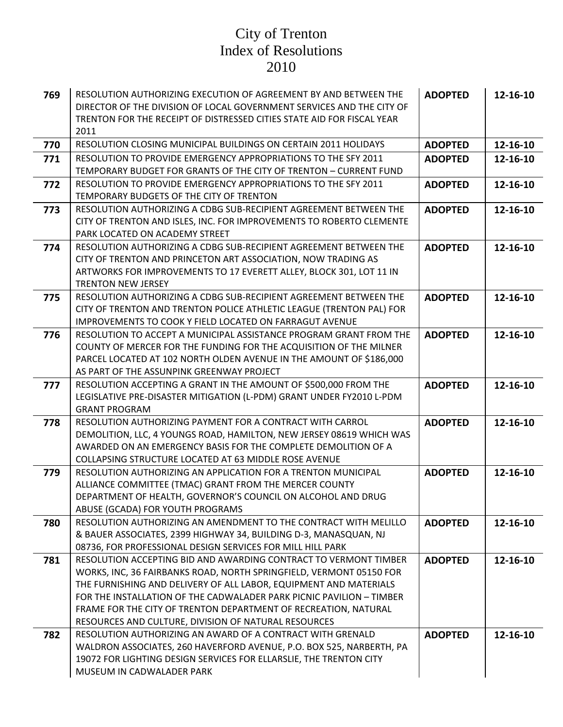| 769 | RESOLUTION AUTHORIZING EXECUTION OF AGREEMENT BY AND BETWEEN THE<br>DIRECTOR OF THE DIVISION OF LOCAL GOVERNMENT SERVICES AND THE CITY OF<br>TRENTON FOR THE RECEIPT OF DISTRESSED CITIES STATE AID FOR FISCAL YEAR<br>2011                                                                                                                                                                                     | <b>ADOPTED</b> | 12-16-10 |
|-----|-----------------------------------------------------------------------------------------------------------------------------------------------------------------------------------------------------------------------------------------------------------------------------------------------------------------------------------------------------------------------------------------------------------------|----------------|----------|
| 770 | RESOLUTION CLOSING MUNICIPAL BUILDINGS ON CERTAIN 2011 HOLIDAYS                                                                                                                                                                                                                                                                                                                                                 | <b>ADOPTED</b> | 12-16-10 |
| 771 | RESOLUTION TO PROVIDE EMERGENCY APPROPRIATIONS TO THE SFY 2011<br>TEMPORARY BUDGET FOR GRANTS OF THE CITY OF TRENTON - CURRENT FUND                                                                                                                                                                                                                                                                             | <b>ADOPTED</b> | 12-16-10 |
| 772 | RESOLUTION TO PROVIDE EMERGENCY APPROPRIATIONS TO THE SFY 2011<br>TEMPORARY BUDGETS OF THE CITY OF TRENTON                                                                                                                                                                                                                                                                                                      | <b>ADOPTED</b> | 12-16-10 |
| 773 | RESOLUTION AUTHORIZING A CDBG SUB-RECIPIENT AGREEMENT BETWEEN THE<br>CITY OF TRENTON AND ISLES, INC. FOR IMPROVEMENTS TO ROBERTO CLEMENTE<br>PARK LOCATED ON ACADEMY STREET                                                                                                                                                                                                                                     | <b>ADOPTED</b> | 12-16-10 |
| 774 | RESOLUTION AUTHORIZING A CDBG SUB-RECIPIENT AGREEMENT BETWEEN THE<br>CITY OF TRENTON AND PRINCETON ART ASSOCIATION, NOW TRADING AS<br>ARTWORKS FOR IMPROVEMENTS TO 17 EVERETT ALLEY, BLOCK 301, LOT 11 IN<br><b>TRENTON NEW JERSEY</b>                                                                                                                                                                          | <b>ADOPTED</b> | 12-16-10 |
| 775 | RESOLUTION AUTHORIZING A CDBG SUB-RECIPIENT AGREEMENT BETWEEN THE<br>CITY OF TRENTON AND TRENTON POLICE ATHLETIC LEAGUE (TRENTON PAL) FOR<br><b>IMPROVEMENTS TO COOK Y FIELD LOCATED ON FARRAGUT AVENUE</b>                                                                                                                                                                                                     | <b>ADOPTED</b> | 12-16-10 |
| 776 | RESOLUTION TO ACCEPT A MUNICIPAL ASSISTANCE PROGRAM GRANT FROM THE<br>COUNTY OF MERCER FOR THE FUNDING FOR THE ACQUISITION OF THE MILNER<br>PARCEL LOCATED AT 102 NORTH OLDEN AVENUE IN THE AMOUNT OF \$186,000<br>AS PART OF THE ASSUNPINK GREENWAY PROJECT                                                                                                                                                    | <b>ADOPTED</b> | 12-16-10 |
| 777 | RESOLUTION ACCEPTING A GRANT IN THE AMOUNT OF \$500,000 FROM THE<br>LEGISLATIVE PRE-DISASTER MITIGATION (L-PDM) GRANT UNDER FY2010 L-PDM<br><b>GRANT PROGRAM</b>                                                                                                                                                                                                                                                | <b>ADOPTED</b> | 12-16-10 |
| 778 | RESOLUTION AUTHORIZING PAYMENT FOR A CONTRACT WITH CARROL<br>DEMOLITION, LLC, 4 YOUNGS ROAD, HAMILTON, NEW JERSEY 08619 WHICH WAS<br>AWARDED ON AN EMERGENCY BASIS FOR THE COMPLETE DEMOLITION OF A<br>COLLAPSING STRUCTURE LOCATED AT 63 MIDDLE ROSE AVENUE                                                                                                                                                    | <b>ADOPTED</b> | 12-16-10 |
| 779 | RESOLUTION AUTHORIZING AN APPLICATION FOR A TRENTON MUNICIPAL<br>ALLIANCE COMMITTEE (TMAC) GRANT FROM THE MERCER COUNTY<br>DEPARTMENT OF HEALTH, GOVERNOR'S COUNCIL ON ALCOHOL AND DRUG<br>ABUSE (GCADA) FOR YOUTH PROGRAMS                                                                                                                                                                                     | <b>ADOPTED</b> | 12-16-10 |
| 780 | RESOLUTION AUTHORIZING AN AMENDMENT TO THE CONTRACT WITH MELILLO<br>& BAUER ASSOCIATES, 2399 HIGHWAY 34, BUILDING D-3, MANASQUAN, NJ<br>08736, FOR PROFESSIONAL DESIGN SERVICES FOR MILL HILL PARK                                                                                                                                                                                                              | <b>ADOPTED</b> | 12-16-10 |
| 781 | RESOLUTION ACCEPTING BID AND AWARDING CONTRACT TO VERMONT TIMBER<br>WORKS, INC, 36 FAIRBANKS ROAD, NORTH SPRINGFIELD, VERMONT 05150 FOR<br>THE FURNISHING AND DELIVERY OF ALL LABOR, EQUIPMENT AND MATERIALS<br>FOR THE INSTALLATION OF THE CADWALADER PARK PICNIC PAVILION - TIMBER<br>FRAME FOR THE CITY OF TRENTON DEPARTMENT OF RECREATION, NATURAL<br>RESOURCES AND CULTURE, DIVISION OF NATURAL RESOURCES | <b>ADOPTED</b> | 12-16-10 |
| 782 | RESOLUTION AUTHORIZING AN AWARD OF A CONTRACT WITH GRENALD<br>WALDRON ASSOCIATES, 260 HAVERFORD AVENUE, P.O. BOX 525, NARBERTH, PA<br>19072 FOR LIGHTING DESIGN SERVICES FOR ELLARSLIE, THE TRENTON CITY<br>MUSEUM IN CADWALADER PARK                                                                                                                                                                           | <b>ADOPTED</b> | 12-16-10 |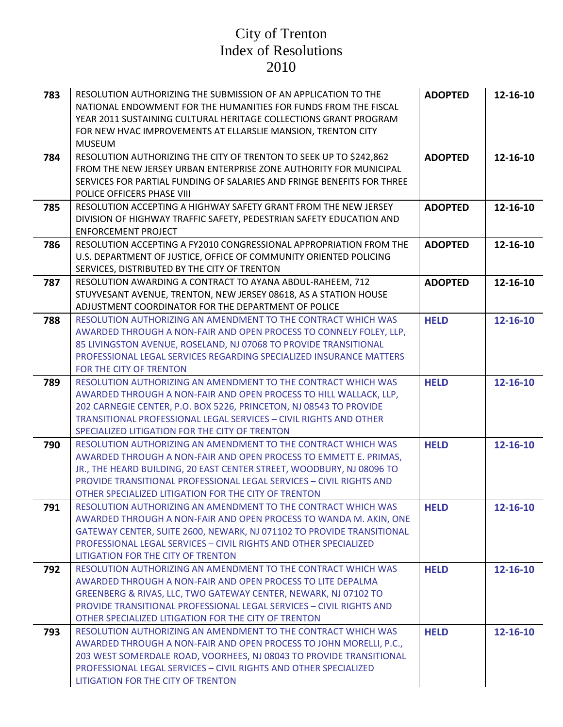## City of Trenton Index of Resolutions 2010

| 783 | RESOLUTION AUTHORIZING THE SUBMISSION OF AN APPLICATION TO THE<br>NATIONAL ENDOWMENT FOR THE HUMANITIES FOR FUNDS FROM THE FISCAL<br>YEAR 2011 SUSTAINING CULTURAL HERITAGE COLLECTIONS GRANT PROGRAM<br>FOR NEW HVAC IMPROVEMENTS AT ELLARSLIE MANSION, TRENTON CITY<br><b>MUSEUM</b>                                                    | <b>ADOPTED</b> | 12-16-10 |
|-----|-------------------------------------------------------------------------------------------------------------------------------------------------------------------------------------------------------------------------------------------------------------------------------------------------------------------------------------------|----------------|----------|
| 784 | RESOLUTION AUTHORIZING THE CITY OF TRENTON TO SEEK UP TO \$242,862<br>FROM THE NEW JERSEY URBAN ENTERPRISE ZONE AUTHORITY FOR MUNICIPAL<br>SERVICES FOR PARTIAL FUNDING OF SALARIES AND FRINGE BENEFITS FOR THREE<br>POLICE OFFICERS PHASE VIII                                                                                           | <b>ADOPTED</b> | 12-16-10 |
| 785 | RESOLUTION ACCEPTING A HIGHWAY SAFETY GRANT FROM THE NEW JERSEY<br>DIVISION OF HIGHWAY TRAFFIC SAFETY, PEDESTRIAN SAFETY EDUCATION AND<br><b>ENFORCEMENT PROJECT</b>                                                                                                                                                                      | <b>ADOPTED</b> | 12-16-10 |
| 786 | RESOLUTION ACCEPTING A FY2010 CONGRESSIONAL APPROPRIATION FROM THE<br>U.S. DEPARTMENT OF JUSTICE, OFFICE OF COMMUNITY ORIENTED POLICING<br>SERVICES, DISTRIBUTED BY THE CITY OF TRENTON                                                                                                                                                   | <b>ADOPTED</b> | 12-16-10 |
| 787 | RESOLUTION AWARDING A CONTRACT TO AYANA ABDUL-RAHEEM, 712<br>STUYVESANT AVENUE, TRENTON, NEW JERSEY 08618, AS A STATION HOUSE<br>ADJUSTMENT COORDINATOR FOR THE DEPARTMENT OF POLICE                                                                                                                                                      | <b>ADOPTED</b> | 12-16-10 |
| 788 | RESOLUTION AUTHORIZING AN AMENDMENT TO THE CONTRACT WHICH WAS<br>AWARDED THROUGH A NON-FAIR AND OPEN PROCESS TO CONNELY FOLEY, LLP,<br>85 LIVINGSTON AVENUE, ROSELAND, NJ 07068 TO PROVIDE TRANSITIONAL<br>PROFESSIONAL LEGAL SERVICES REGARDING SPECIALIZED INSURANCE MATTERS<br>FOR THE CITY OF TRENTON                                 | <b>HELD</b>    | 12-16-10 |
| 789 | RESOLUTION AUTHORIZING AN AMENDMENT TO THE CONTRACT WHICH WAS<br>AWARDED THROUGH A NON-FAIR AND OPEN PROCESS TO HILL WALLACK, LLP,<br>202 CARNEGIE CENTER, P.O. BOX 5226, PRINCETON, NJ 08543 TO PROVIDE<br>TRANSITIONAL PROFESSIONAL LEGAL SERVICES - CIVIL RIGHTS AND OTHER<br>SPECIALIZED LITIGATION FOR THE CITY OF TRENTON           | <b>HELD</b>    | 12-16-10 |
| 790 | RESOLUTION AUTHORIZING AN AMENDMENT TO THE CONTRACT WHICH WAS<br>AWARDED THROUGH A NON-FAIR AND OPEN PROCESS TO EMMETT E. PRIMAS,<br>JR., THE HEARD BUILDING, 20 EAST CENTER STREET, WOODBURY, NJ 08096 TO<br>PROVIDE TRANSITIONAL PROFESSIONAL LEGAL SERVICES - CIVIL RIGHTS AND<br>OTHER SPECIALIZED LITIGATION FOR THE CITY OF TRENTON | <b>HELD</b>    | 12-16-10 |
| 791 | RESOLUTION AUTHORIZING AN AMENDMENT TO THE CONTRACT WHICH WAS<br>AWARDED THROUGH A NON-FAIR AND OPEN PROCESS TO WANDA M. AKIN, ONE<br>GATEWAY CENTER, SUITE 2600, NEWARK, NJ 071102 TO PROVIDE TRANSITIONAL<br><b>PROFESSIONAL LEGAL SERVICES - CIVIL RIGHTS AND OTHER SPECIALIZED</b><br>LITIGATION FOR THE CITY OF TRENTON              | <b>HELD</b>    | 12-16-10 |
| 792 | RESOLUTION AUTHORIZING AN AMENDMENT TO THE CONTRACT WHICH WAS<br>AWARDED THROUGH A NON-FAIR AND OPEN PROCESS TO LITE DEPALMA<br>GREENBERG & RIVAS, LLC, TWO GATEWAY CENTER, NEWARK, NJ 07102 TO<br>PROVIDE TRANSITIONAL PROFESSIONAL LEGAL SERVICES - CIVIL RIGHTS AND<br>OTHER SPECIALIZED LITIGATION FOR THE CITY OF TRENTON            | <b>HELD</b>    | 12-16-10 |
| 793 | RESOLUTION AUTHORIZING AN AMENDMENT TO THE CONTRACT WHICH WAS<br>AWARDED THROUGH A NON-FAIR AND OPEN PROCESS TO JOHN MORELLI, P.C.,<br>203 WEST SOMERDALE ROAD, VOORHEES, NJ 08043 TO PROVIDE TRANSITIONAL<br>PROFESSIONAL LEGAL SERVICES - CIVIL RIGHTS AND OTHER SPECIALIZED<br>LITIGATION FOR THE CITY OF TRENTON                      | <b>HELD</b>    | 12-16-10 |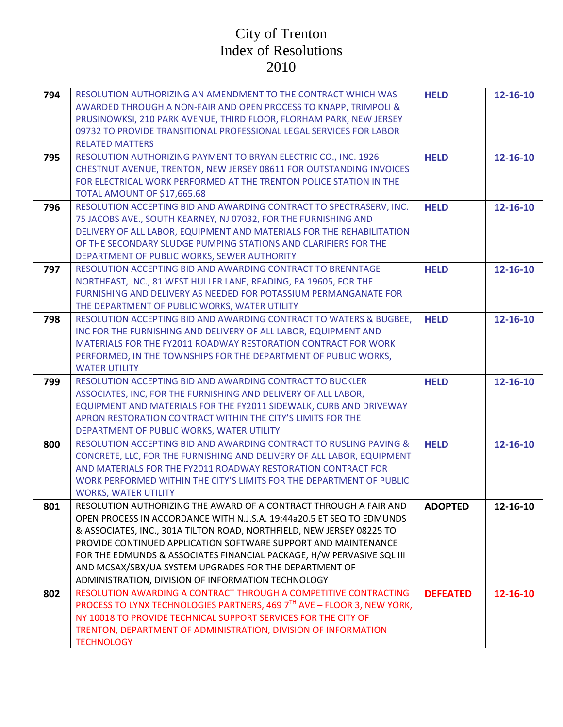## City of Trenton Index of Resolutions 2010

| 794 | RESOLUTION AUTHORIZING AN AMENDMENT TO THE CONTRACT WHICH WAS<br>AWARDED THROUGH A NON-FAIR AND OPEN PROCESS TO KNAPP, TRIMPOLI &<br>PRUSINOWKSI, 210 PARK AVENUE, THIRD FLOOR, FLORHAM PARK, NEW JERSEY<br>09732 TO PROVIDE TRANSITIONAL PROFESSIONAL LEGAL SERVICES FOR LABOR<br><b>RELATED MATTERS</b>                                                                                                                                                                      | <b>HELD</b>     | 12-16-10 |
|-----|--------------------------------------------------------------------------------------------------------------------------------------------------------------------------------------------------------------------------------------------------------------------------------------------------------------------------------------------------------------------------------------------------------------------------------------------------------------------------------|-----------------|----------|
| 795 | RESOLUTION AUTHORIZING PAYMENT TO BRYAN ELECTRIC CO., INC. 1926<br>CHESTNUT AVENUE, TRENTON, NEW JERSEY 08611 FOR OUTSTANDING INVOICES<br>FOR ELECTRICAL WORK PERFORMED AT THE TRENTON POLICE STATION IN THE<br>TOTAL AMOUNT OF \$17,665.68                                                                                                                                                                                                                                    | <b>HELD</b>     | 12-16-10 |
| 796 | RESOLUTION ACCEPTING BID AND AWARDING CONTRACT TO SPECTRASERV, INC.<br>75 JACOBS AVE., SOUTH KEARNEY, NJ 07032, FOR THE FURNISHING AND<br>DELIVERY OF ALL LABOR, EQUIPMENT AND MATERIALS FOR THE REHABILITATION<br>OF THE SECONDARY SLUDGE PUMPING STATIONS AND CLARIFIERS FOR THE<br>DEPARTMENT OF PUBLIC WORKS, SEWER AUTHORITY                                                                                                                                              | <b>HELD</b>     | 12-16-10 |
| 797 | RESOLUTION ACCEPTING BID AND AWARDING CONTRACT TO BRENNTAGE<br>NORTHEAST, INC., 81 WEST HULLER LANE, READING, PA 19605, FOR THE<br>FURNISHING AND DELIVERY AS NEEDED FOR POTASSIUM PERMANGANATE FOR<br>THE DEPARTMENT OF PUBLIC WORKS, WATER UTILITY                                                                                                                                                                                                                           | <b>HELD</b>     | 12-16-10 |
| 798 | RESOLUTION ACCEPTING BID AND AWARDING CONTRACT TO WATERS & BUGBEE,<br>INC FOR THE FURNISHING AND DELIVERY OF ALL LABOR, EQUIPMENT AND<br>MATERIALS FOR THE FY2011 ROADWAY RESTORATION CONTRACT FOR WORK<br>PERFORMED, IN THE TOWNSHIPS FOR THE DEPARTMENT OF PUBLIC WORKS,<br><b>WATER UTILITY</b>                                                                                                                                                                             | <b>HELD</b>     | 12-16-10 |
| 799 | RESOLUTION ACCEPTING BID AND AWARDING CONTRACT TO BUCKLER<br>ASSOCIATES, INC, FOR THE FURNISHING AND DELIVERY OF ALL LABOR,<br>EQUIPMENT AND MATERIALS FOR THE FY2011 SIDEWALK, CURB AND DRIVEWAY<br>APRON RESTORATION CONTRACT WITHIN THE CITY'S LIMITS FOR THE<br>DEPARTMENT OF PUBLIC WORKS, WATER UTILITY                                                                                                                                                                  | <b>HELD</b>     | 12-16-10 |
| 800 | RESOLUTION ACCEPTING BID AND AWARDING CONTRACT TO RUSLING PAVING &<br>CONCRETE, LLC, FOR THE FURNISHING AND DELIVERY OF ALL LABOR, EQUIPMENT<br>AND MATERIALS FOR THE FY2011 ROADWAY RESTORATION CONTRACT FOR<br>WORK PERFORMED WITHIN THE CITY'S LIMITS FOR THE DEPARTMENT OF PUBLIC<br><b>WORKS, WATER UTILITY</b>                                                                                                                                                           | <b>HELD</b>     | 12-16-10 |
| 801 | RESOLUTION AUTHORIZING THE AWARD OF A CONTRACT THROUGH A FAIR AND<br>OPEN PROCESS IN ACCORDANCE WITH N.J.S.A. 19:44a20.5 ET SEQ TO EDMUNDS<br>& ASSOCIATES, INC., 301A TILTON ROAD, NORTHFIELD, NEW JERSEY 08225 TO<br>PROVIDE CONTINUED APPLICATION SOFTWARE SUPPORT AND MAINTENANCE<br>FOR THE EDMUNDS & ASSOCIATES FINANCIAL PACKAGE, H/W PERVASIVE SQL III<br>AND MCSAX/SBX/UA SYSTEM UPGRADES FOR THE DEPARTMENT OF<br>ADMINISTRATION, DIVISION OF INFORMATION TECHNOLOGY | <b>ADOPTED</b>  | 12-16-10 |
| 802 | RESOLUTION AWARDING A CONTRACT THROUGH A COMPETITIVE CONTRACTING<br>PROCESS TO LYNX TECHNOLOGIES PARTNERS, 469 7TH AVE - FLOOR 3, NEW YORK,<br>NY 10018 TO PROVIDE TECHNICAL SUPPORT SERVICES FOR THE CITY OF<br>TRENTON, DEPARTMENT OF ADMINISTRATION, DIVISION OF INFORMATION<br><b>TECHNOLOGY</b>                                                                                                                                                                           | <b>DEFEATED</b> | 12-16-10 |